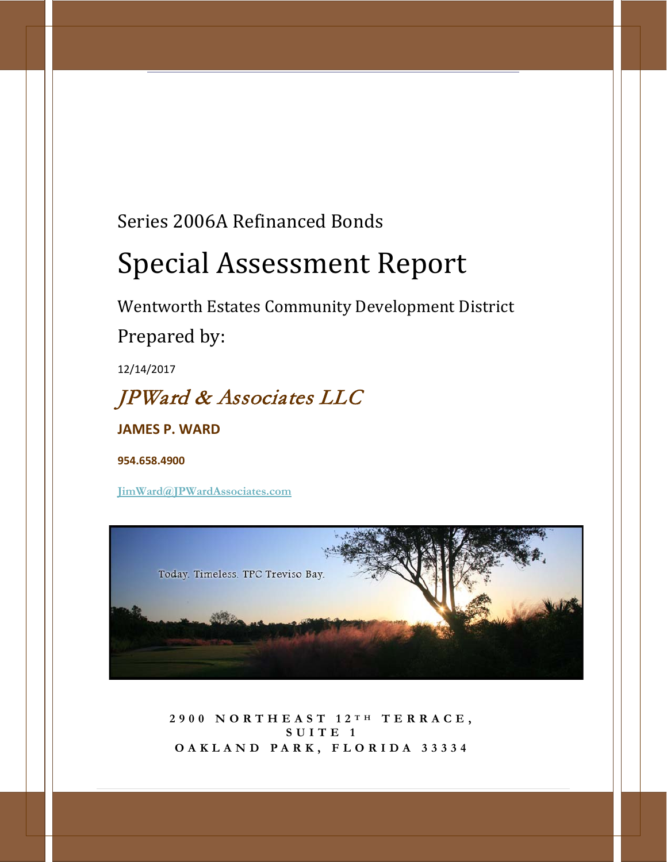# Series 2006A Refinanced Bonds

# Special Assessment Report

Wentworth Estates Community Development District

Prepared by:

12/14/2017

# JPWard & Associates LLC

**JAMES P. WARD**

**954.658.4900**

**[JimWard@JPWardAssociates.com](mailto:JimWard@JPWardAssociates.com)**



**2900 NORTHEAST 12 T H TERRACE, SUITE 1 OAKLAND PARK, FLORID A 33334**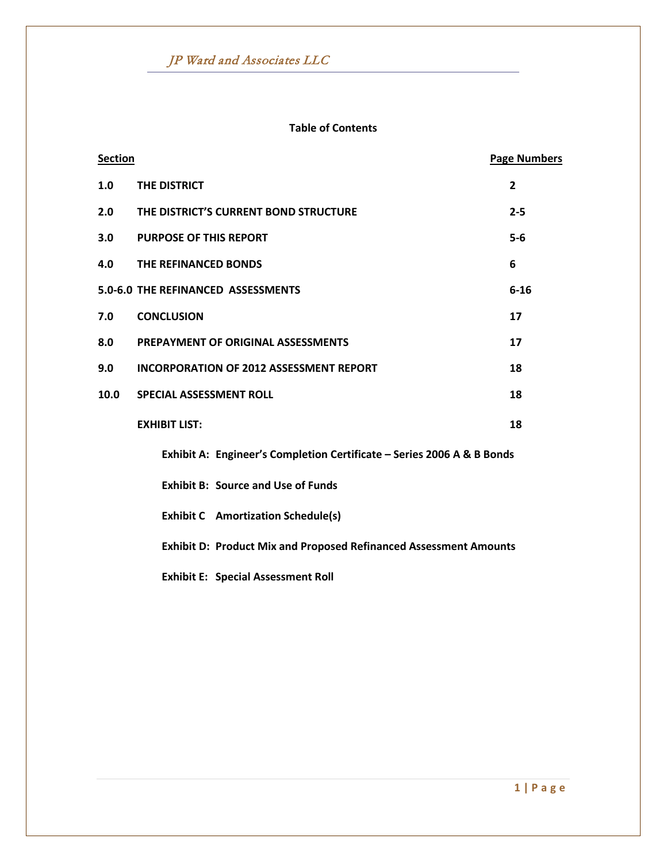### **Table of Contents**

| <b>Section</b> |                                                                          | <b>Page Numbers</b> |
|----------------|--------------------------------------------------------------------------|---------------------|
| 1.0            | THE DISTRICT                                                             | $\overline{2}$      |
| 2.0            | THE DISTRICT'S CURRENT BOND STRUCTURE                                    | $2 - 5$             |
| 3.0            | <b>PURPOSE OF THIS REPORT</b>                                            | $5-6$               |
| 4.0            | THE REFINANCED BONDS                                                     | 6                   |
|                | 5.0-6.0 THE REFINANCED ASSESSMENTS                                       | $6 - 16$            |
| 7.0            | <b>CONCLUSION</b>                                                        | 17                  |
| 8.0            | PREPAYMENT OF ORIGINAL ASSESSMENTS                                       | 17                  |
| 9.0            | <b>INCORPORATION OF 2012 ASSESSMENT REPORT</b>                           | 18                  |
| 10.0           | <b>SPECIAL ASSESSMENT ROLL</b>                                           | 18                  |
|                | <b>EXHIBIT LIST:</b>                                                     | 18                  |
|                | Exhibit A: Engineer's Completion Certificate - Series 2006 A & B Bonds   |                     |
|                | <b>Exhibit B: Source and Use of Funds</b>                                |                     |
|                | <b>Exhibit C</b> Amortization Schedule(s)                                |                     |
|                | <b>Exhibit D: Product Mix and Proposed Refinanced Assessment Amounts</b> |                     |
|                | <b>Exhibit E: Special Assessment Roll</b>                                |                     |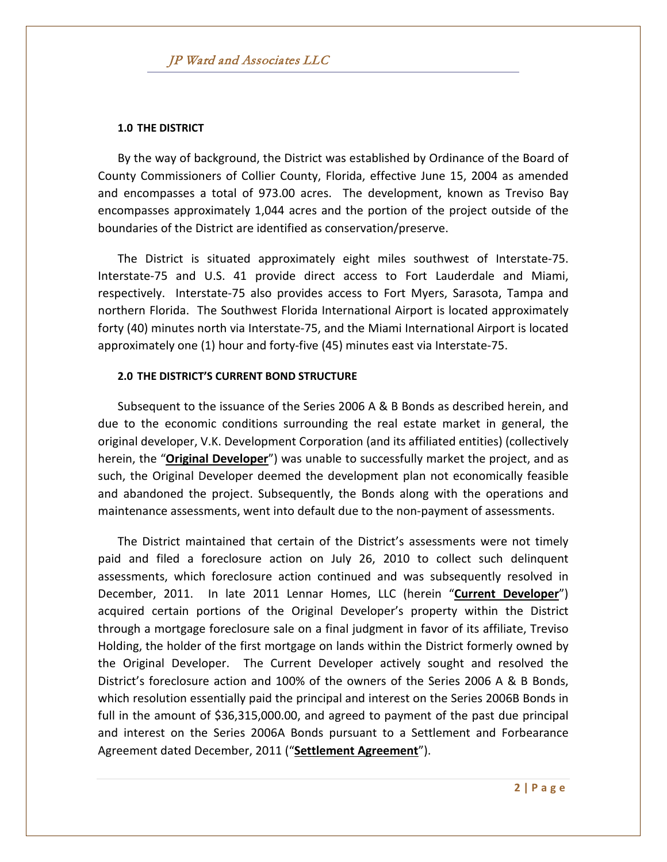#### **1.0 THE DISTRICT**

By the way of background, the District was established by Ordinance of the Board of County Commissioners of Collier County, Florida, effective June 15, 2004 as amended and encompasses a total of 973.00 acres. The development, known as Treviso Bay encompasses approximately 1,044 acres and the portion of the project outside of the boundaries of the District are identified as conservation/preserve.

The District is situated approximately eight miles southwest of Interstate-75. Interstate-75 and U.S. 41 provide direct access to Fort Lauderdale and Miami, respectively. Interstate-75 also provides access to Fort Myers, Sarasota, Tampa and northern Florida. The Southwest Florida International Airport is located approximately forty (40) minutes north via Interstate-75, and the Miami International Airport is located approximately one (1) hour and forty-five (45) minutes east via Interstate-75.

#### **2.0 THE DISTRICT'S CURRENT BOND STRUCTURE**

Subsequent to the issuance of the Series 2006 A & B Bonds as described herein, and due to the economic conditions surrounding the real estate market in general, the original developer, V.K. Development Corporation (and its affiliated entities) (collectively herein, the "**Original Developer**") was unable to successfully market the project, and as such, the Original Developer deemed the development plan not economically feasible and abandoned the project. Subsequently, the Bonds along with the operations and maintenance assessments, went into default due to the non-payment of assessments.

The District maintained that certain of the District's assessments were not timely paid and filed a foreclosure action on July 26, 2010 to collect such delinquent assessments, which foreclosure action continued and was subsequently resolved in December, 2011. In late 2011 Lennar Homes, LLC (herein "**Current Developer**") acquired certain portions of the Original Developer's property within the District through a mortgage foreclosure sale on a final judgment in favor of its affiliate, Treviso Holding, the holder of the first mortgage on lands within the District formerly owned by the Original Developer. The Current Developer actively sought and resolved the District's foreclosure action and 100% of the owners of the Series 2006 A & B Bonds, which resolution essentially paid the principal and interest on the Series 2006B Bonds in full in the amount of \$36,315,000.00, and agreed to payment of the past due principal and interest on the Series 2006A Bonds pursuant to a Settlement and Forbearance Agreement dated December, 2011 ("**Settlement Agreement**").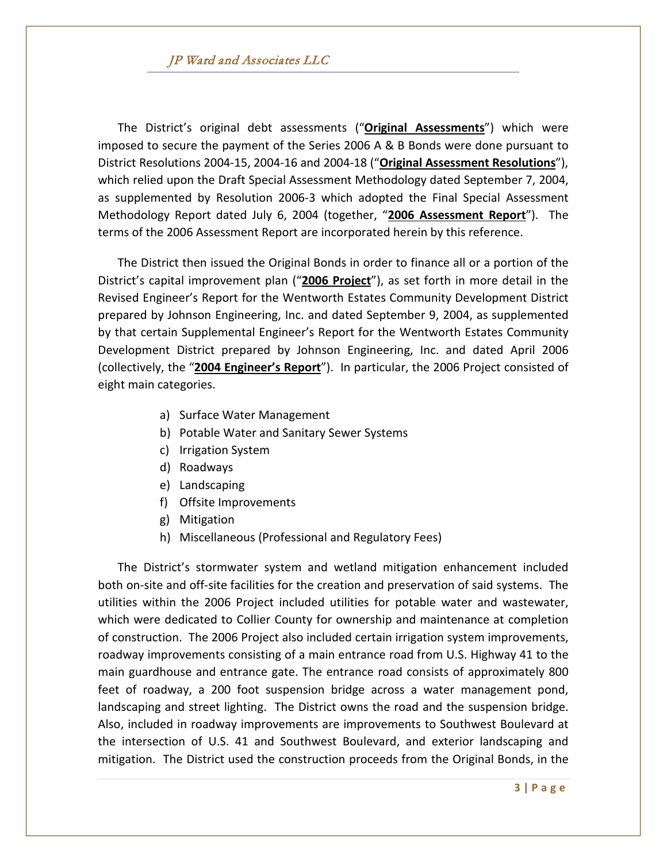The District's original debt assessments ("**Original Assessments**") which were imposed to secure the payment of the Series 2006 A & B Bonds were done pursuant to District Resolutions 2004-15, 2004-16 and 2004-18 ("**Original Assessment Resolutions**"), which relied upon the Draft Special Assessment Methodology dated September 7, 2004, as supplemented by Resolution 2006-3 which adopted the Final Special Assessment Methodology Report dated July 6, 2004 (together, "**2006 Assessment Report**"). The terms of the 2006 Assessment Report are incorporated herein by this reference.

The District then issued the Original Bonds in order to finance all or a portion of the District's capital improvement plan ("**2006 Project**"), as set forth in more detail in the Revised Engineer's Report for the Wentworth Estates Community Development District prepared by Johnson Engineering, Inc. and dated September 9, 2004, as supplemented by that certain Supplemental Engineer's Report for the Wentworth Estates Community Development District prepared by Johnson Engineering, Inc. and dated April 2006 (collectively, the "**2004 Engineer's Report**"). In particular, the 2006 Project consisted of eight main categories.

- a) Surface Water Management
- b) Potable Water and Sanitary Sewer Systems
- c) Irrigation System
- d) Roadways
- e) Landscaping
- f) Offsite Improvements
- g) Mitigation
- h) Miscellaneous (Professional and Regulatory Fees)

The District's stormwater system and wetland mitigation enhancement included both on-site and off-site facilities for the creation and preservation of said systems. The utilities within the 2006 Project included utilities for potable water and wastewater, which were dedicated to Collier County for ownership and maintenance at completion of construction. The 2006 Project also included certain irrigation system improvements, roadway improvements consisting of a main entrance road from U.S. Highway 41 to the main guardhouse and entrance gate. The entrance road consists of approximately 800 feet of roadway, a 200 foot suspension bridge across a water management pond, landscaping and street lighting. The District owns the road and the suspension bridge. Also, included in roadway improvements are improvements to Southwest Boulevard at the intersection of U.S. 41 and Southwest Boulevard, and exterior landscaping and mitigation. The District used the construction proceeds from the Original Bonds, in the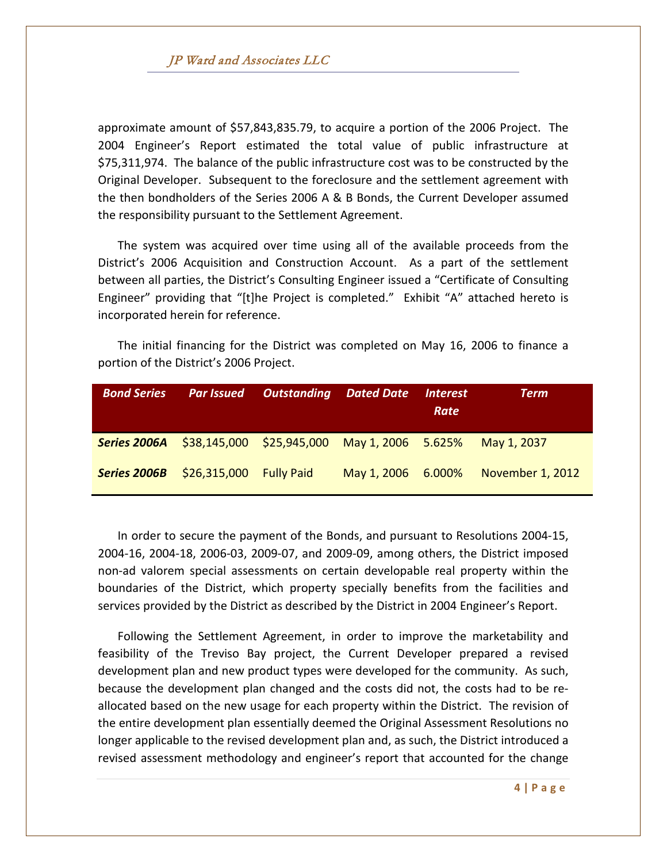approximate amount of \$57,843,835.79, to acquire a portion of the 2006 Project. The 2004 Engineer's Report estimated the total value of public infrastructure at \$75,311,974. The balance of the public infrastructure cost was to be constructed by the Original Developer. Subsequent to the foreclosure and the settlement agreement with the then bondholders of the Series 2006 A & B Bonds, the Current Developer assumed the responsibility pursuant to the Settlement Agreement.

The system was acquired over time using all of the available proceeds from the District's 2006 Acquisition and Construction Account. As a part of the settlement between all parties, the District's Consulting Engineer issued a "Certificate of Consulting Engineer" providing that "[t]he Project is completed." Exhibit "A" attached hereto is incorporated herein for reference.

The initial financing for the District was completed on May 16, 2006 to finance a portion of the District's 2006 Project.

| <b>Bond Series</b>                                        |                          | <b>Par Issued</b> Outstanding Dated Date |                    | <i><b>Interest</b></i><br>Rate | <b>Term</b>      |
|-----------------------------------------------------------|--------------------------|------------------------------------------|--------------------|--------------------------------|------------------|
| Series 2006A \$38,145,000 \$25,945,000 May 1, 2006 5.625% |                          |                                          |                    |                                | May 1, 2037      |
| <b>Series 2006B</b>                                       | $$26,315,000$ Fully Paid |                                          | May 1, 2006 6.000% |                                | November 1, 2012 |

In order to secure the payment of the Bonds, and pursuant to Resolutions 2004-15, 2004-16, 2004-18, 2006-03, 2009-07, and 2009-09, among others, the District imposed non-ad valorem special assessments on certain developable real property within the boundaries of the District, which property specially benefits from the facilities and services provided by the District as described by the District in 2004 Engineer's Report.

Following the Settlement Agreement, in order to improve the marketability and feasibility of the Treviso Bay project, the Current Developer prepared a revised development plan and new product types were developed for the community. As such, because the development plan changed and the costs did not, the costs had to be reallocated based on the new usage for each property within the District. The revision of the entire development plan essentially deemed the Original Assessment Resolutions no longer applicable to the revised development plan and, as such, the District introduced a revised assessment methodology and engineer's report that accounted for the change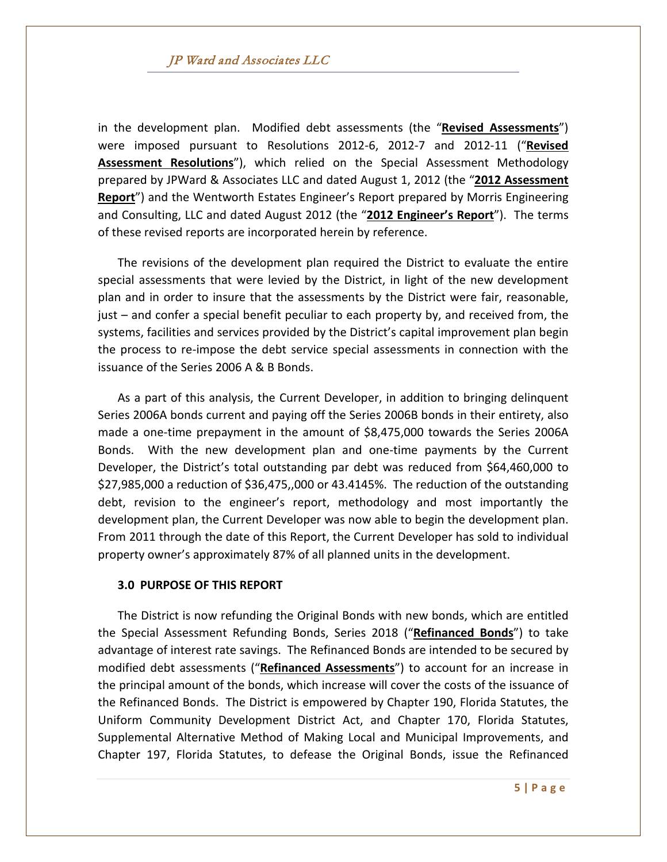in the development plan. Modified debt assessments (the "**Revised Assessments**") were imposed pursuant to Resolutions 2012-6, 2012-7 and 2012-11 ("**Revised Assessment Resolutions**"), which relied on the Special Assessment Methodology prepared by JPWard & Associates LLC and dated August 1, 2012 (the "**2012 Assessment Report**") and the Wentworth Estates Engineer's Report prepared by Morris Engineering and Consulting, LLC and dated August 2012 (the "**2012 Engineer's Report**"). The terms of these revised reports are incorporated herein by reference.

The revisions of the development plan required the District to evaluate the entire special assessments that were levied by the District, in light of the new development plan and in order to insure that the assessments by the District were fair, reasonable, just – and confer a special benefit peculiar to each property by, and received from, the systems, facilities and services provided by the District's capital improvement plan begin the process to re-impose the debt service special assessments in connection with the issuance of the Series 2006 A & B Bonds.

As a part of this analysis, the Current Developer, in addition to bringing delinquent Series 2006A bonds current and paying off the Series 2006B bonds in their entirety, also made a one-time prepayment in the amount of \$8,475,000 towards the Series 2006A Bonds. With the new development plan and one-time payments by the Current Developer, the District's total outstanding par debt was reduced from \$64,460,000 to \$27,985,000 a reduction of \$36,475,,000 or 43.4145%. The reduction of the outstanding debt, revision to the engineer's report, methodology and most importantly the development plan, the Current Developer was now able to begin the development plan. From 2011 through the date of this Report, the Current Developer has sold to individual property owner's approximately 87% of all planned units in the development.

#### **3.0 PURPOSE OF THIS REPORT**

The District is now refunding the Original Bonds with new bonds, which are entitled the Special Assessment Refunding Bonds, Series 2018 ("**Refinanced Bonds**") to take advantage of interest rate savings. The Refinanced Bonds are intended to be secured by modified debt assessments ("**Refinanced Assessments**") to account for an increase in the principal amount of the bonds, which increase will cover the costs of the issuance of the Refinanced Bonds. The District is empowered by Chapter 190, Florida Statutes, the Uniform Community Development District Act, and Chapter 170, Florida Statutes, Supplemental Alternative Method of Making Local and Municipal Improvements, and Chapter 197, Florida Statutes, to defease the Original Bonds, issue the Refinanced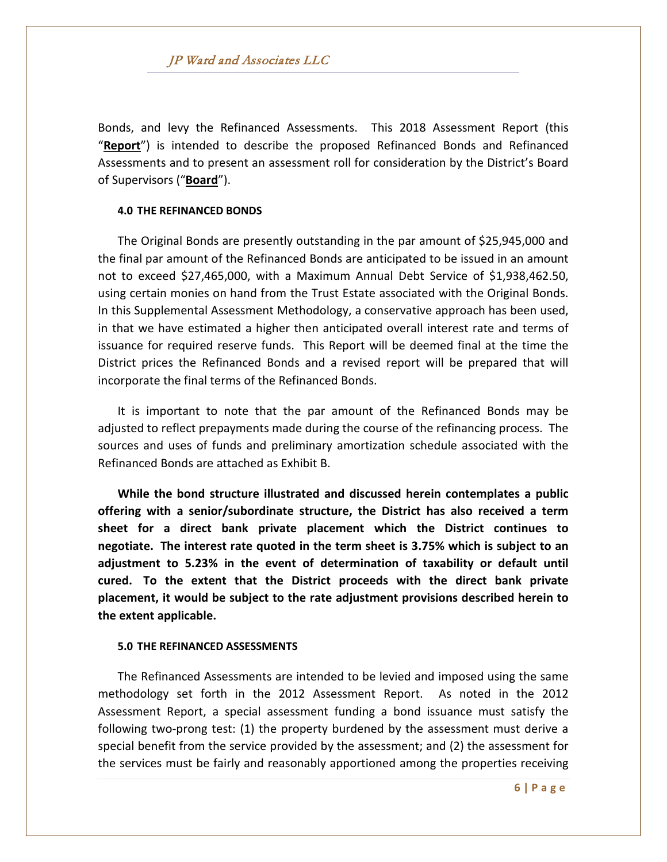Bonds, and levy the Refinanced Assessments. This 2018 Assessment Report (this "**Report**") is intended to describe the proposed Refinanced Bonds and Refinanced Assessments and to present an assessment roll for consideration by the District's Board of Supervisors ("**Board**").

#### **4.0 THE REFINANCED BONDS**

The Original Bonds are presently outstanding in the par amount of \$25,945,000 and the final par amount of the Refinanced Bonds are anticipated to be issued in an amount not to exceed \$27,465,000, with a Maximum Annual Debt Service of \$1,938,462.50, using certain monies on hand from the Trust Estate associated with the Original Bonds. In this Supplemental Assessment Methodology, a conservative approach has been used, in that we have estimated a higher then anticipated overall interest rate and terms of issuance for required reserve funds. This Report will be deemed final at the time the District prices the Refinanced Bonds and a revised report will be prepared that will incorporate the final terms of the Refinanced Bonds.

It is important to note that the par amount of the Refinanced Bonds may be adjusted to reflect prepayments made during the course of the refinancing process. The sources and uses of funds and preliminary amortization schedule associated with the Refinanced Bonds are attached as Exhibit B.

**While the bond structure illustrated and discussed herein contemplates a public offering with a senior/subordinate structure, the District has also received a term sheet for a direct bank private placement which the District continues to negotiate. The interest rate quoted in the term sheet is 3.75% which is subject to an adjustment to 5.23% in the event of determination of taxability or default until cured. To the extent that the District proceeds with the direct bank private placement, it would be subject to the rate adjustment provisions described herein to the extent applicable.**

#### **5.0 THE REFINANCED ASSESSMENTS**

The Refinanced Assessments are intended to be levied and imposed using the same methodology set forth in the 2012 Assessment Report. As noted in the 2012 Assessment Report, a special assessment funding a bond issuance must satisfy the following two-prong test: (1) the property burdened by the assessment must derive a special benefit from the service provided by the assessment; and (2) the assessment for the services must be fairly and reasonably apportioned among the properties receiving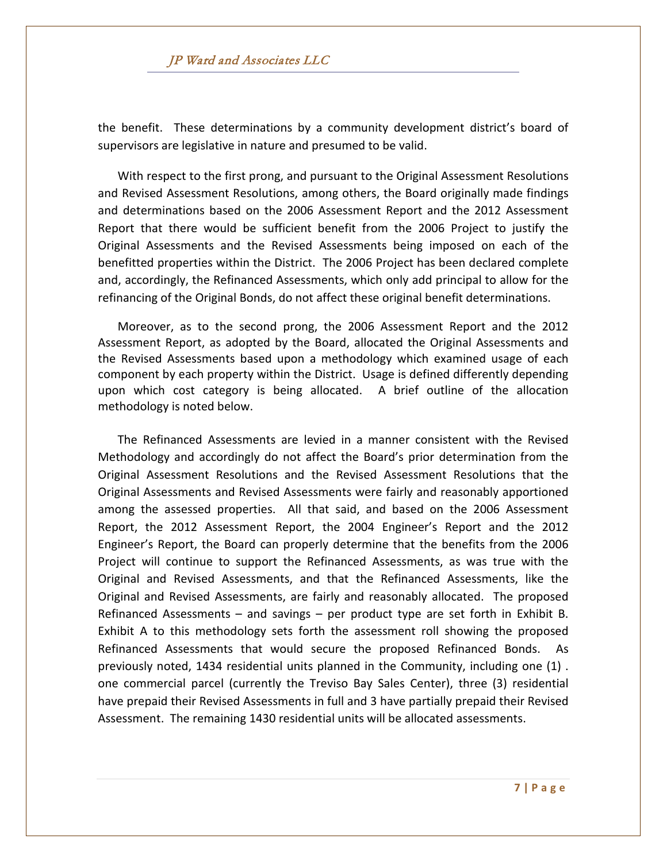the benefit. These determinations by a community development district's board of supervisors are legislative in nature and presumed to be valid.

With respect to the first prong, and pursuant to the Original Assessment Resolutions and Revised Assessment Resolutions, among others, the Board originally made findings and determinations based on the 2006 Assessment Report and the 2012 Assessment Report that there would be sufficient benefit from the 2006 Project to justify the Original Assessments and the Revised Assessments being imposed on each of the benefitted properties within the District. The 2006 Project has been declared complete and, accordingly, the Refinanced Assessments, which only add principal to allow for the refinancing of the Original Bonds, do not affect these original benefit determinations.

Moreover, as to the second prong, the 2006 Assessment Report and the 2012 Assessment Report, as adopted by the Board, allocated the Original Assessments and the Revised Assessments based upon a methodology which examined usage of each component by each property within the District. Usage is defined differently depending upon which cost category is being allocated. A brief outline of the allocation methodology is noted below.

The Refinanced Assessments are levied in a manner consistent with the Revised Methodology and accordingly do not affect the Board's prior determination from the Original Assessment Resolutions and the Revised Assessment Resolutions that the Original Assessments and Revised Assessments were fairly and reasonably apportioned among the assessed properties. All that said, and based on the 2006 Assessment Report, the 2012 Assessment Report, the 2004 Engineer's Report and the 2012 Engineer's Report, the Board can properly determine that the benefits from the 2006 Project will continue to support the Refinanced Assessments, as was true with the Original and Revised Assessments, and that the Refinanced Assessments, like the Original and Revised Assessments, are fairly and reasonably allocated. The proposed Refinanced Assessments – and savings – per product type are set forth in Exhibit B. Exhibit A to this methodology sets forth the assessment roll showing the proposed Refinanced Assessments that would secure the proposed Refinanced Bonds. As previously noted, 1434 residential units planned in the Community, including one (1) . one commercial parcel (currently the Treviso Bay Sales Center), three (3) residential have prepaid their Revised Assessments in full and 3 have partially prepaid their Revised Assessment. The remaining 1430 residential units will be allocated assessments.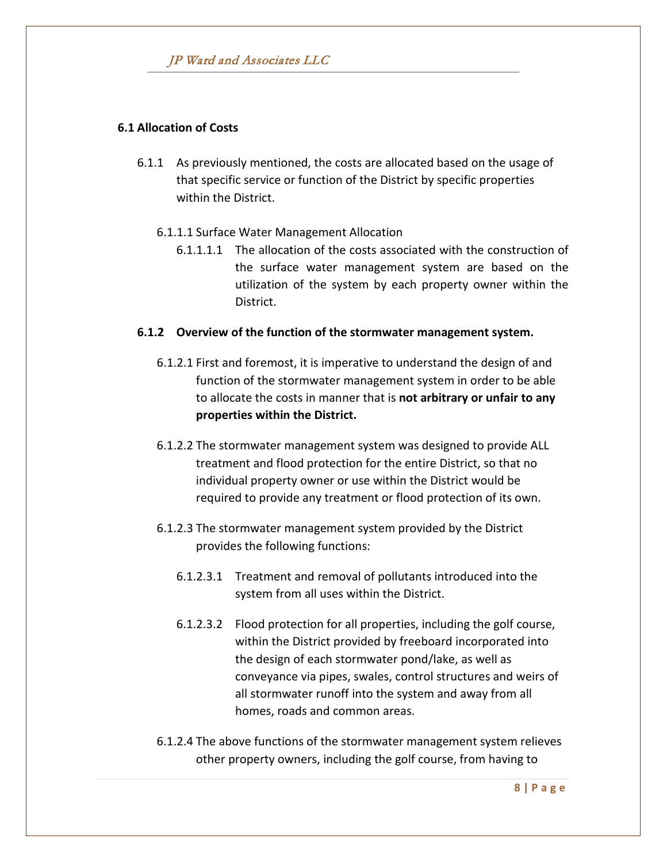# **6.1 Allocation of Costs**

6.1.1 As previously mentioned, the costs are allocated based on the usage of that specific service or function of the District by specific properties within the District.

### 6.1.1.1 Surface Water Management Allocation

6.1.1.1.1 The allocation of the costs associated with the construction of the surface water management system are based on the utilization of the system by each property owner within the District.

### **6.1.2 Overview of the function of the stormwater management system.**

- 6.1.2.1 First and foremost, it is imperative to understand the design of and function of the stormwater management system in order to be able to allocate the costs in manner that is **not arbitrary or unfair to any properties within the District.**
- 6.1.2.2 The stormwater management system was designed to provide ALL treatment and flood protection for the entire District, so that no individual property owner or use within the District would be required to provide any treatment or flood protection of its own.
- 6.1.2.3 The stormwater management system provided by the District provides the following functions:
	- 6.1.2.3.1 Treatment and removal of pollutants introduced into the system from all uses within the District.
	- 6.1.2.3.2 Flood protection for all properties, including the golf course, within the District provided by freeboard incorporated into the design of each stormwater pond/lake, as well as conveyance via pipes, swales, control structures and weirs of all stormwater runoff into the system and away from all homes, roads and common areas.
- 6.1.2.4 The above functions of the stormwater management system relieves other property owners, including the golf course, from having to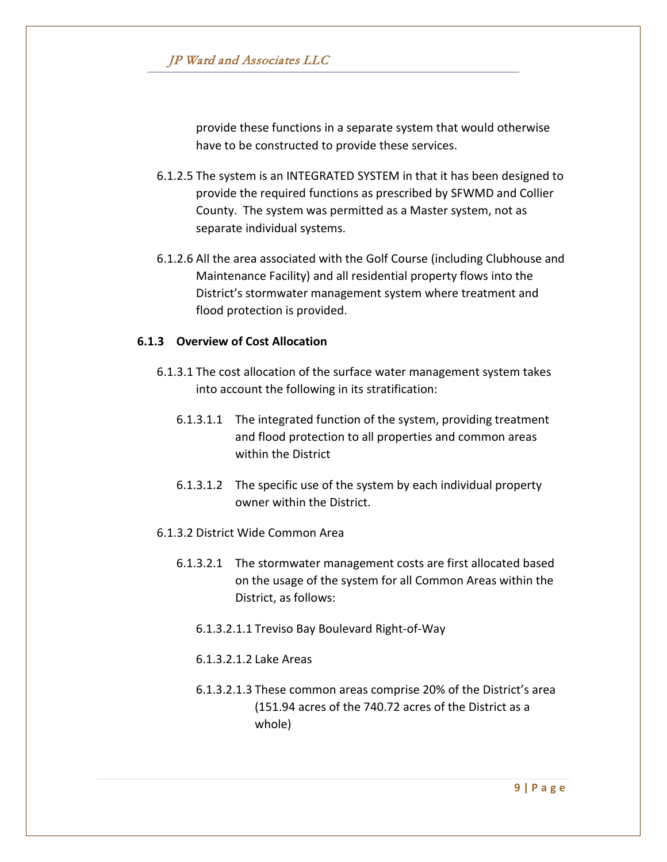provide these functions in a separate system that would otherwise have to be constructed to provide these services.

- 6.1.2.5 The system is an INTEGRATED SYSTEM in that it has been designed to provide the required functions as prescribed by SFWMD and Collier County. The system was permitted as a Master system, not as separate individual systems.
- 6.1.2.6 All the area associated with the Golf Course (including Clubhouse and Maintenance Facility) and all residential property flows into the District's stormwater management system where treatment and flood protection is provided.

# **6.1.3 Overview of Cost Allocation**

- 6.1.3.1 The cost allocation of the surface water management system takes into account the following in its stratification:
	- 6.1.3.1.1 The integrated function of the system, providing treatment and flood protection to all properties and common areas within the District
	- 6.1.3.1.2 The specific use of the system by each individual property owner within the District.
- 6.1.3.2 District Wide Common Area
	- 6.1.3.2.1 The stormwater management costs are first allocated based on the usage of the system for all Common Areas within the District, as follows:
		- 6.1.3.2.1.1 Treviso Bay Boulevard Right-of-Way
		- 6.1.3.2.1.2 Lake Areas
		- 6.1.3.2.1.3 These common areas comprise 20% of the District's area (151.94 acres of the 740.72 acres of the District as a whole)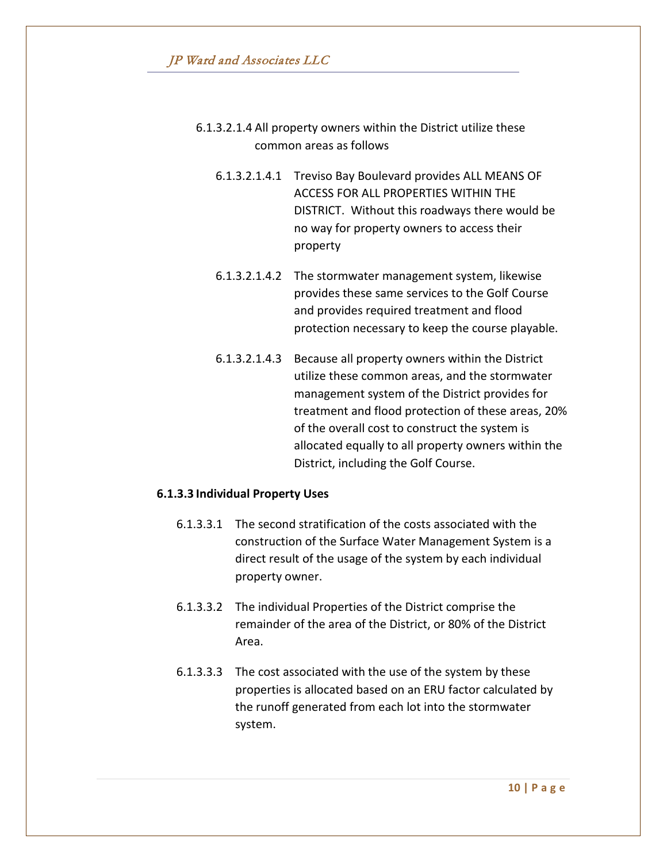- 6.1.3.2.1.4 All property owners within the District utilize these common areas as follows
	- 6.1.3.2.1.4.1 Treviso Bay Boulevard provides ALL MEANS OF ACCESS FOR ALL PROPERTIES WITHIN THE DISTRICT. Without this roadways there would be no way for property owners to access their property
	- 6.1.3.2.1.4.2 The stormwater management system, likewise provides these same services to the Golf Course and provides required treatment and flood protection necessary to keep the course playable.
	- 6.1.3.2.1.4.3 Because all property owners within the District utilize these common areas, and the stormwater management system of the District provides for treatment and flood protection of these areas, 20% of the overall cost to construct the system is allocated equally to all property owners within the District, including the Golf Course.

#### **6.1.3.3 Individual Property Uses**

- 6.1.3.3.1 The second stratification of the costs associated with the construction of the Surface Water Management System is a direct result of the usage of the system by each individual property owner.
- 6.1.3.3.2 The individual Properties of the District comprise the remainder of the area of the District, or 80% of the District Area.
- 6.1.3.3.3 The cost associated with the use of the system by these properties is allocated based on an ERU factor calculated by the runoff generated from each lot into the stormwater system.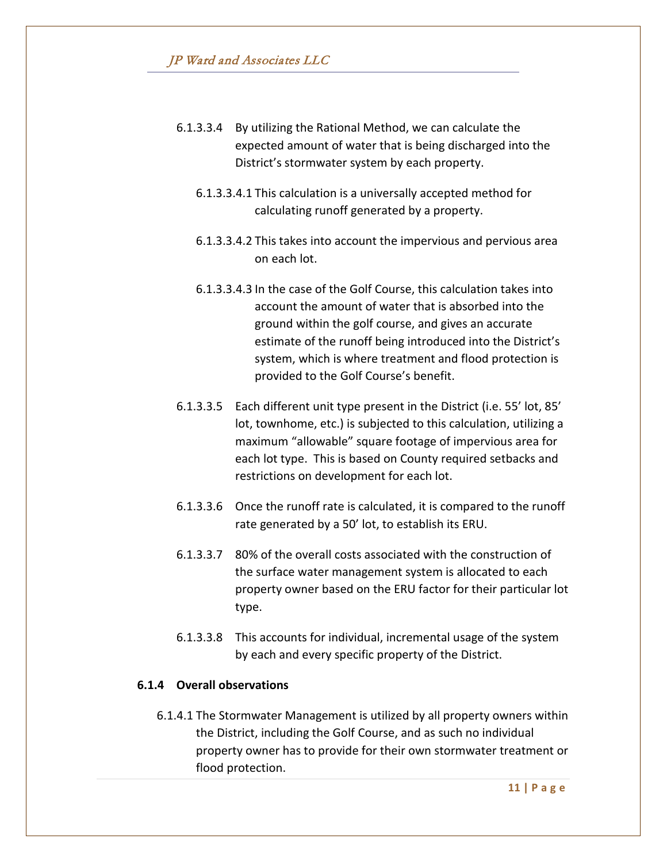- 6.1.3.3.4 By utilizing the Rational Method, we can calculate the expected amount of water that is being discharged into the District's stormwater system by each property.
	- 6.1.3.3.4.1 This calculation is a universally accepted method for calculating runoff generated by a property.
	- 6.1.3.3.4.2 This takes into account the impervious and pervious area on each lot.
	- 6.1.3.3.4.3 In the case of the Golf Course, this calculation takes into account the amount of water that is absorbed into the ground within the golf course, and gives an accurate estimate of the runoff being introduced into the District's system, which is where treatment and flood protection is provided to the Golf Course's benefit.
- 6.1.3.3.5 Each different unit type present in the District (i.e. 55' lot, 85' lot, townhome, etc.) is subjected to this calculation, utilizing a maximum "allowable" square footage of impervious area for each lot type. This is based on County required setbacks and restrictions on development for each lot.
- 6.1.3.3.6 Once the runoff rate is calculated, it is compared to the runoff rate generated by a 50' lot, to establish its ERU.
- 6.1.3.3.7 80% of the overall costs associated with the construction of the surface water management system is allocated to each property owner based on the ERU factor for their particular lot type.
- 6.1.3.3.8 This accounts for individual, incremental usage of the system by each and every specific property of the District.

### **6.1.4 Overall observations**

6.1.4.1 The Stormwater Management is utilized by all property owners within the District, including the Golf Course, and as such no individual property owner has to provide for their own stormwater treatment or flood protection.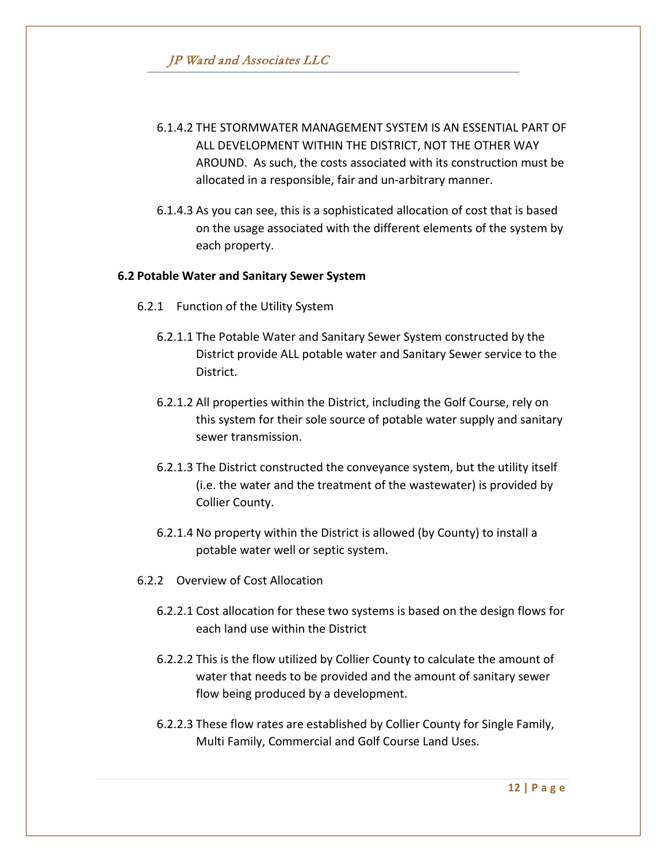- 6.1.4.2 THE STORMWATER MANAGEMENT SYSTEM IS AN ESSENTIAL PART OF ALL DEVELOPMENT WITHIN THE DISTRICT, NOT THE OTHER WAY AROUND. As such, the costs associated with its construction must be allocated in a responsible, fair and un-arbitrary manner.
- 6.1.4.3 As you can see, this is a sophisticated allocation of cost that is based on the usage associated with the different elements of the system by each property.

#### **6.2 Potable Water and Sanitary Sewer System**

- 6.2.1 Function of the Utility System
	- 6.2.1.1 The Potable Water and Sanitary Sewer System constructed by the District provide ALL potable water and Sanitary Sewer service to the District.
	- 6.2.1.2 All properties within the District, including the Golf Course, rely on this system for their sole source of potable water supply and sanitary sewer transmission.
	- 6.2.1.3 The District constructed the conveyance system, but the utility itself (i.e. the water and the treatment of the wastewater) is provided by Collier County.
	- 6.2.1.4 No property within the District is allowed (by County) to install a potable water well or septic system.
- 6.2.2 Overview of Cost Allocation
	- 6.2.2.1 Cost allocation for these two systems is based on the design flows for each land use within the District
	- 6.2.2.2 This is the flow utilized by Collier County to calculate the amount of water that needs to be provided and the amount of sanitary sewer flow being produced by a development.
	- 6.2.2.3 These flow rates are established by Collier County for Single Family, Multi Family, Commercial and Golf Course Land Uses.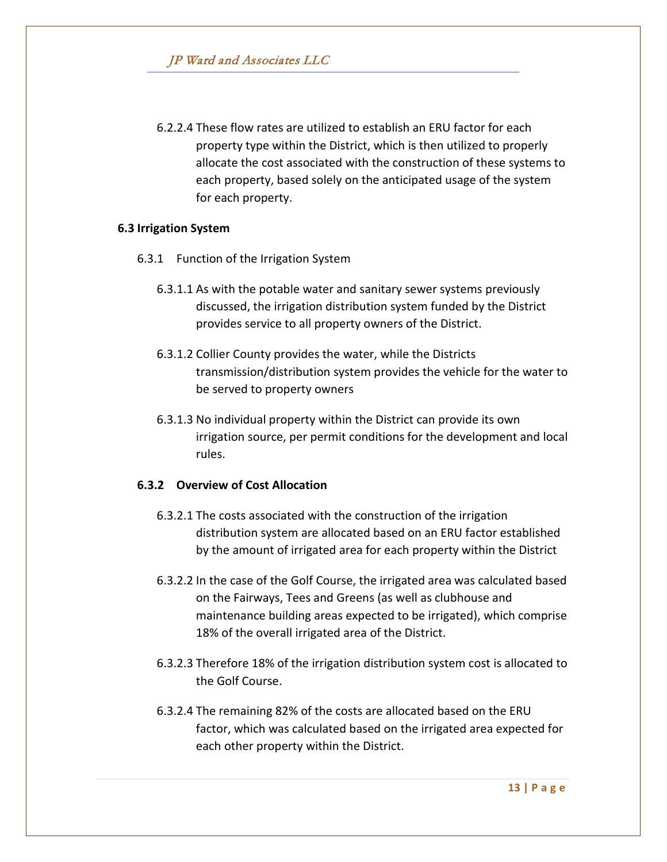6.2.2.4 These flow rates are utilized to establish an ERU factor for each property type within the District, which is then utilized to properly allocate the cost associated with the construction of these systems to each property, based solely on the anticipated usage of the system for each property.

### **6.3 Irrigation System**

- 6.3.1 Function of the Irrigation System
	- 6.3.1.1 As with the potable water and sanitary sewer systems previously discussed, the irrigation distribution system funded by the District provides service to all property owners of the District.
	- 6.3.1.2 Collier County provides the water, while the Districts transmission/distribution system provides the vehicle for the water to be served to property owners
	- 6.3.1.3 No individual property within the District can provide its own irrigation source, per permit conditions for the development and local rules.

# **6.3.2 Overview of Cost Allocation**

- 6.3.2.1 The costs associated with the construction of the irrigation distribution system are allocated based on an ERU factor established by the amount of irrigated area for each property within the District
- 6.3.2.2 In the case of the Golf Course, the irrigated area was calculated based on the Fairways, Tees and Greens (as well as clubhouse and maintenance building areas expected to be irrigated), which comprise 18% of the overall irrigated area of the District.
- 6.3.2.3 Therefore 18% of the irrigation distribution system cost is allocated to the Golf Course.
- 6.3.2.4 The remaining 82% of the costs are allocated based on the ERU factor, which was calculated based on the irrigated area expected for each other property within the District.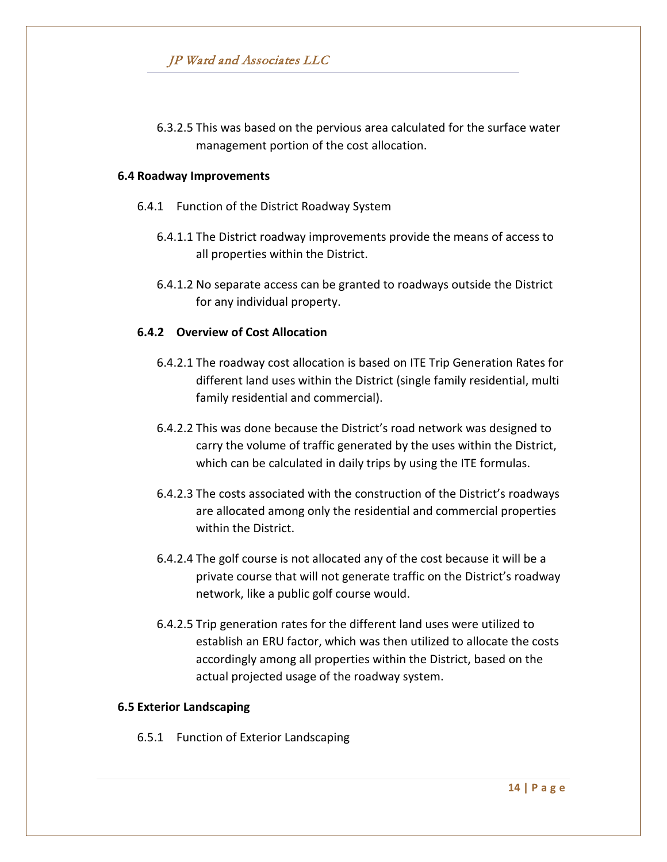6.3.2.5 This was based on the pervious area calculated for the surface water management portion of the cost allocation.

#### **6.4 Roadway Improvements**

- 6.4.1 Function of the District Roadway System
	- 6.4.1.1 The District roadway improvements provide the means of access to all properties within the District.
	- 6.4.1.2 No separate access can be granted to roadways outside the District for any individual property.

# **6.4.2 Overview of Cost Allocation**

- 6.4.2.1 The roadway cost allocation is based on ITE Trip Generation Rates for different land uses within the District (single family residential, multi family residential and commercial).
- 6.4.2.2 This was done because the District's road network was designed to carry the volume of traffic generated by the uses within the District, which can be calculated in daily trips by using the ITE formulas.
- 6.4.2.3 The costs associated with the construction of the District's roadways are allocated among only the residential and commercial properties within the District.
- 6.4.2.4 The golf course is not allocated any of the cost because it will be a private course that will not generate traffic on the District's roadway network, like a public golf course would.
- 6.4.2.5 Trip generation rates for the different land uses were utilized to establish an ERU factor, which was then utilized to allocate the costs accordingly among all properties within the District, based on the actual projected usage of the roadway system.

#### **6.5 Exterior Landscaping**

6.5.1 Function of Exterior Landscaping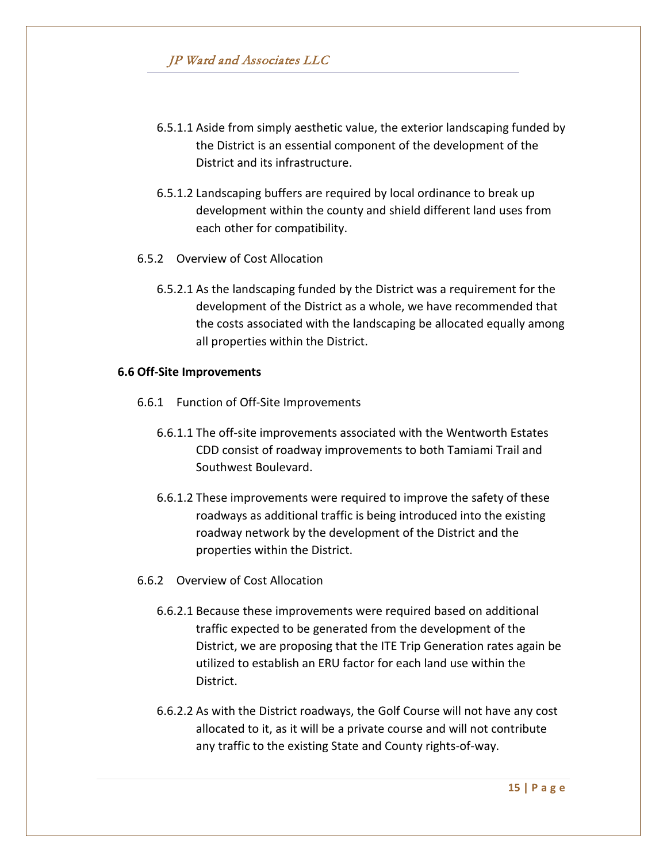- 6.5.1.1 Aside from simply aesthetic value, the exterior landscaping funded by the District is an essential component of the development of the District and its infrastructure.
- 6.5.1.2 Landscaping buffers are required by local ordinance to break up development within the county and shield different land uses from each other for compatibility.
- 6.5.2 Overview of Cost Allocation
	- 6.5.2.1 As the landscaping funded by the District was a requirement for the development of the District as a whole, we have recommended that the costs associated with the landscaping be allocated equally among all properties within the District.

#### **6.6 Off-Site Improvements**

- 6.6.1 Function of Off-Site Improvements
	- 6.6.1.1 The off-site improvements associated with the Wentworth Estates CDD consist of roadway improvements to both Tamiami Trail and Southwest Boulevard.
	- 6.6.1.2 These improvements were required to improve the safety of these roadways as additional traffic is being introduced into the existing roadway network by the development of the District and the properties within the District.
- 6.6.2 Overview of Cost Allocation
	- 6.6.2.1 Because these improvements were required based on additional traffic expected to be generated from the development of the District, we are proposing that the ITE Trip Generation rates again be utilized to establish an ERU factor for each land use within the District.
	- 6.6.2.2 As with the District roadways, the Golf Course will not have any cost allocated to it, as it will be a private course and will not contribute any traffic to the existing State and County rights-of-way.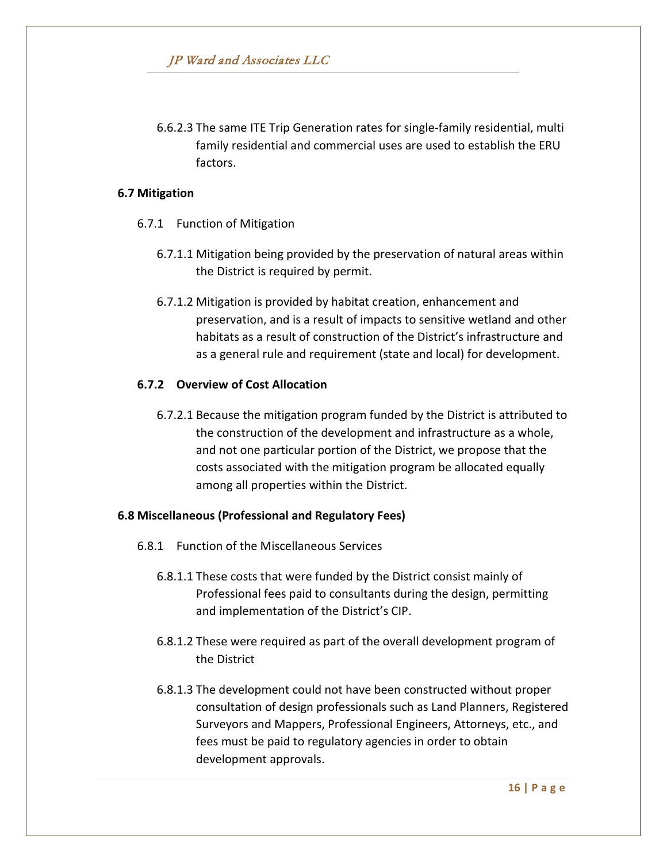6.6.2.3 The same ITE Trip Generation rates for single-family residential, multi family residential and commercial uses are used to establish the ERU factors.

### **6.7 Mitigation**

- 6.7.1 Function of Mitigation
	- 6.7.1.1 Mitigation being provided by the preservation of natural areas within the District is required by permit.
	- 6.7.1.2 Mitigation is provided by habitat creation, enhancement and preservation, and is a result of impacts to sensitive wetland and other habitats as a result of construction of the District's infrastructure and as a general rule and requirement (state and local) for development.

# **6.7.2 Overview of Cost Allocation**

6.7.2.1 Because the mitigation program funded by the District is attributed to the construction of the development and infrastructure as a whole, and not one particular portion of the District, we propose that the costs associated with the mitigation program be allocated equally among all properties within the District.

# **6.8 Miscellaneous (Professional and Regulatory Fees)**

- 6.8.1 Function of the Miscellaneous Services
	- 6.8.1.1 These costs that were funded by the District consist mainly of Professional fees paid to consultants during the design, permitting and implementation of the District's CIP.
	- 6.8.1.2 These were required as part of the overall development program of the District
	- 6.8.1.3 The development could not have been constructed without proper consultation of design professionals such as Land Planners, Registered Surveyors and Mappers, Professional Engineers, Attorneys, etc., and fees must be paid to regulatory agencies in order to obtain development approvals.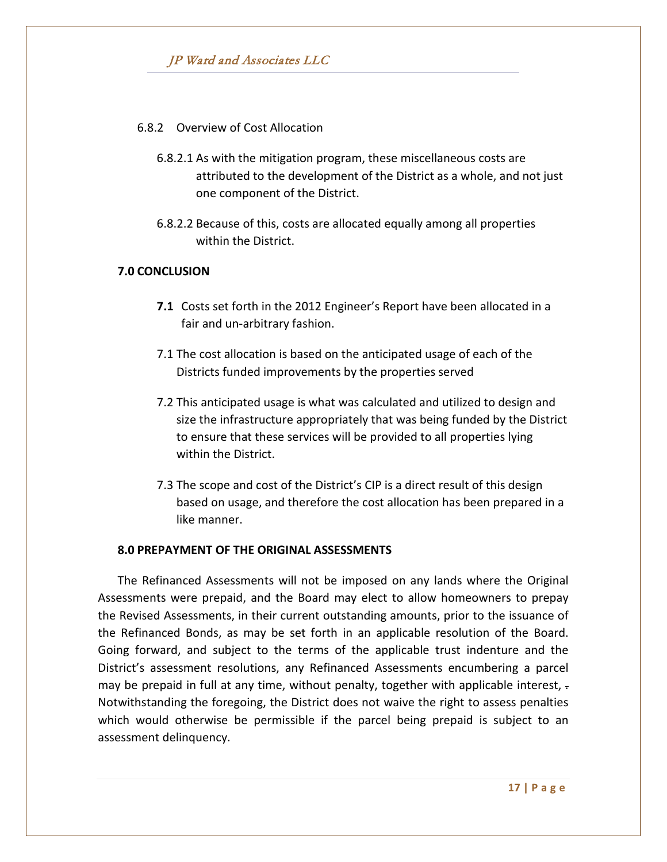# 6.8.2 Overview of Cost Allocation

- 6.8.2.1 As with the mitigation program, these miscellaneous costs are attributed to the development of the District as a whole, and not just one component of the District.
- 6.8.2.2 Because of this, costs are allocated equally among all properties within the District.

### **7.0 CONCLUSION**

- **7.1** Costs set forth in the 2012 Engineer's Report have been allocated in a fair and un-arbitrary fashion.
- 7.1 The cost allocation is based on the anticipated usage of each of the Districts funded improvements by the properties served
- 7.2 This anticipated usage is what was calculated and utilized to design and size the infrastructure appropriately that was being funded by the District to ensure that these services will be provided to all properties lying within the District.
- 7.3 The scope and cost of the District's CIP is a direct result of this design based on usage, and therefore the cost allocation has been prepared in a like manner.

#### **8.0 PREPAYMENT OF THE ORIGINAL ASSESSMENTS**

The Refinanced Assessments will not be imposed on any lands where the Original Assessments were prepaid, and the Board may elect to allow homeowners to prepay the Revised Assessments, in their current outstanding amounts, prior to the issuance of the Refinanced Bonds, as may be set forth in an applicable resolution of the Board. Going forward, and subject to the terms of the applicable trust indenture and the District's assessment resolutions, any Refinanced Assessments encumbering a parcel may be prepaid in full at any time, without penalty, together with applicable interest, -Notwithstanding the foregoing, the District does not waive the right to assess penalties which would otherwise be permissible if the parcel being prepaid is subject to an assessment delinquency.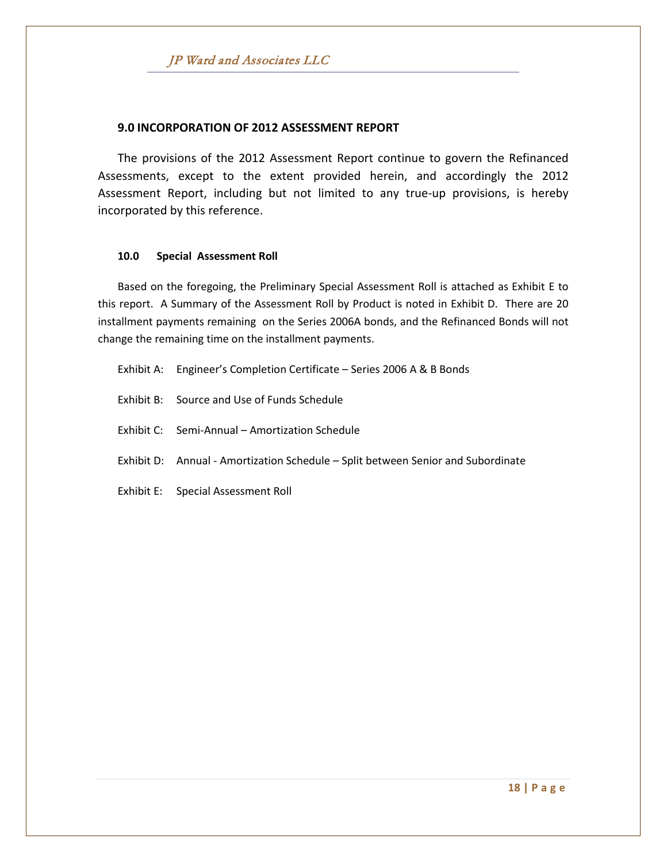#### **9.0 INCORPORATION OF 2012 ASSESSMENT REPORT**

The provisions of the 2012 Assessment Report continue to govern the Refinanced Assessments, except to the extent provided herein, and accordingly the 2012 Assessment Report, including but not limited to any true-up provisions, is hereby incorporated by this reference.

#### **10.0 Special Assessment Roll**

Based on the foregoing, the Preliminary Special Assessment Roll is attached as Exhibit E to this report. A Summary of the Assessment Roll by Product is noted in Exhibit D. There are 20 installment payments remaining on the Series 2006A bonds, and the Refinanced Bonds will not change the remaining time on the installment payments.

- Exhibit A: Engineer's Completion Certificate Series 2006 A & B Bonds
- Exhibit B: Source and Use of Funds Schedule
- Exhibit C: Semi-Annual Amortization Schedule
- Exhibit D: Annual Amortization Schedule Split between Senior and Subordinate
- Exhibit E: Special Assessment Roll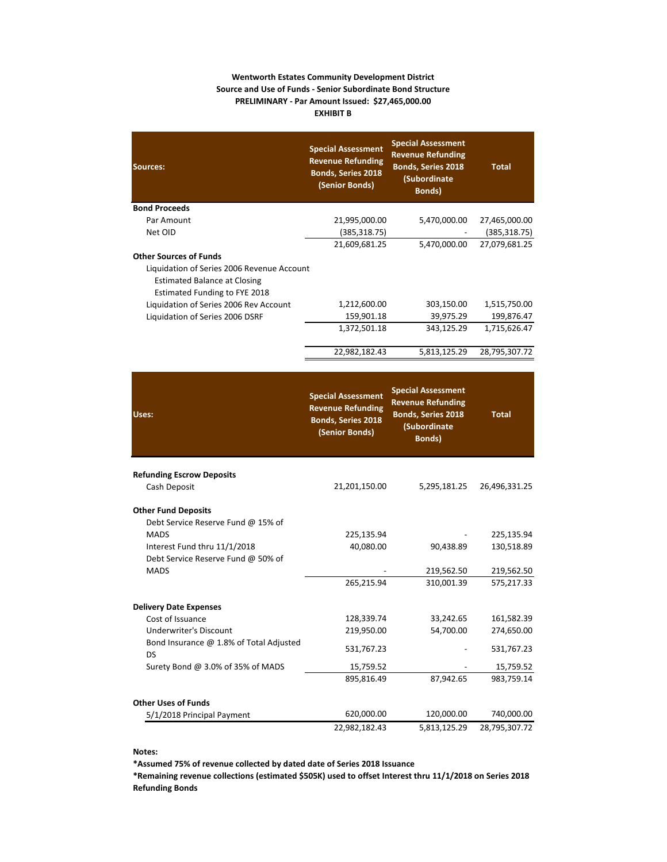#### **Wentworth Estates Community Development District Source and Use of Funds - Senior Subordinate Bond Structure PRELIMINARY - Par Amount Issued: \$27,465,000.00 EXHIBIT B**

| Sources:                                                                                                    | <b>Special Assessment</b><br><b>Revenue Refunding</b><br><b>Bonds, Series 2018</b><br>(Senior Bonds) | <b>Special Assessment</b><br><b>Revenue Refunding</b><br><b>Bonds, Series 2018</b><br>(Subordinate<br><b>Bonds</b> ) | <b>Total</b>  |
|-------------------------------------------------------------------------------------------------------------|------------------------------------------------------------------------------------------------------|----------------------------------------------------------------------------------------------------------------------|---------------|
| <b>Bond Proceeds</b>                                                                                        |                                                                                                      |                                                                                                                      |               |
| Par Amount                                                                                                  | 21,995,000.00                                                                                        | 5,470,000.00                                                                                                         | 27,465,000.00 |
| Net OID                                                                                                     | (385, 318.75)                                                                                        |                                                                                                                      | (385, 318.75) |
|                                                                                                             | 21,609,681.25                                                                                        | 5,470,000.00                                                                                                         | 27,079,681.25 |
| <b>Other Sources of Funds</b>                                                                               |                                                                                                      |                                                                                                                      |               |
| Liquidation of Series 2006 Revenue Account<br>Estimated Balance at Closing<br>Estimated Funding to FYE 2018 |                                                                                                      |                                                                                                                      |               |
| Liquidation of Series 2006 Rev Account                                                                      | 1,212,600.00                                                                                         | 303,150.00                                                                                                           | 1,515,750.00  |
| Liquidation of Series 2006 DSRF                                                                             | 159,901.18                                                                                           | 39,975.29                                                                                                            | 199,876.47    |
|                                                                                                             | 1,372,501.18                                                                                         | 343,125.29                                                                                                           | 1,715,626.47  |
|                                                                                                             | 22,982,182.43                                                                                        | 5,813,125.29                                                                                                         | 28,795,307.72 |
|                                                                                                             |                                                                                                      |                                                                                                                      |               |

| Uses:                                         | <b>Special Assessment</b><br><b>Revenue Refunding</b><br><b>Bonds, Series 2018</b><br>(Senior Bonds) | <b>Special Assessment</b><br><b>Revenue Refunding</b><br><b>Bonds, Series 2018</b><br>(Subordinate<br><b>Bonds</b> ) | <b>Total</b>  |
|-----------------------------------------------|------------------------------------------------------------------------------------------------------|----------------------------------------------------------------------------------------------------------------------|---------------|
| <b>Refunding Escrow Deposits</b>              |                                                                                                      |                                                                                                                      |               |
| Cash Deposit                                  | 21,201,150.00                                                                                        | 5,295,181.25                                                                                                         | 26,496,331.25 |
| <b>Other Fund Deposits</b>                    |                                                                                                      |                                                                                                                      |               |
| Debt Service Reserve Fund @ 15% of            |                                                                                                      |                                                                                                                      |               |
| <b>MADS</b>                                   | 225,135.94                                                                                           |                                                                                                                      | 225,135.94    |
| Interest Fund thru 11/1/2018                  | 40,080.00                                                                                            | 90,438.89                                                                                                            | 130,518.89    |
| Debt Service Reserve Fund @ 50% of            |                                                                                                      |                                                                                                                      |               |
| <b>MADS</b>                                   |                                                                                                      | 219,562.50                                                                                                           | 219,562.50    |
|                                               | 265,215.94                                                                                           | 310,001.39                                                                                                           | 575,217.33    |
| <b>Delivery Date Expenses</b>                 |                                                                                                      |                                                                                                                      |               |
| Cost of Issuance                              | 128,339.74                                                                                           | 33,242.65                                                                                                            | 161,582.39    |
| <b>Underwriter's Discount</b>                 | 219,950.00                                                                                           | 54,700.00                                                                                                            | 274,650.00    |
| Bond Insurance @ 1.8% of Total Adjusted<br>DS | 531,767.23                                                                                           |                                                                                                                      | 531,767.23    |
| Surety Bond @ 3.0% of 35% of MADS             | 15,759.52                                                                                            |                                                                                                                      | 15,759.52     |
|                                               | 895,816.49                                                                                           | 87,942.65                                                                                                            | 983,759.14    |
| <b>Other Uses of Funds</b>                    |                                                                                                      |                                                                                                                      |               |
| 5/1/2018 Principal Payment                    | 620,000.00                                                                                           | 120,000.00                                                                                                           | 740,000.00    |
|                                               | 22,982,182.43                                                                                        | 5,813,125.29                                                                                                         | 28,795,307.72 |

**Notes:**

**\*Assumed 75% of revenue collected by dated date of Series 2018 Issuance**

**\*Remaining revenue collections (estimated \$505K) used to offset Interest thru 11/1/2018 on Series 2018 Refunding Bonds**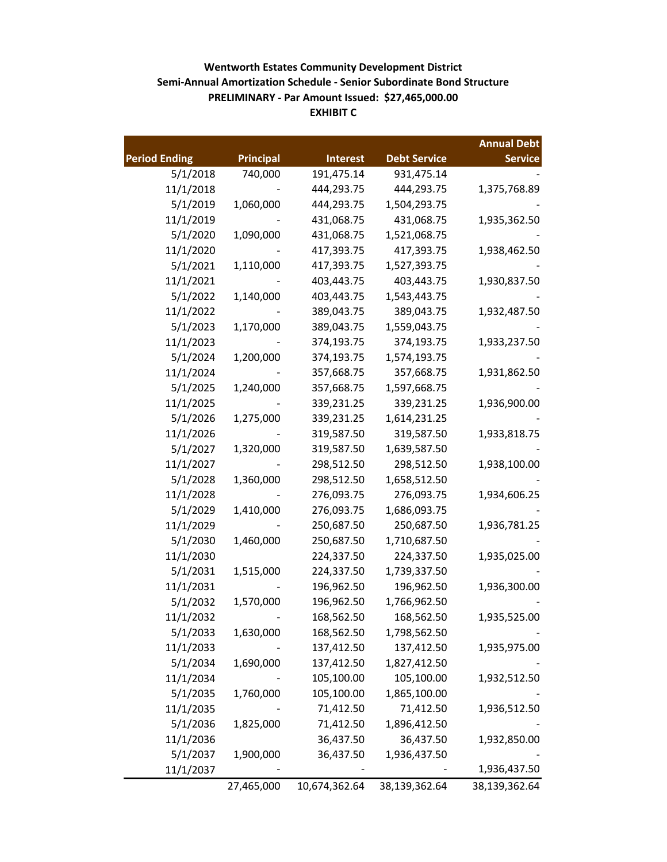# **EXHIBIT C Semi-Annual Amortization Schedule - Senior Subordinate Bond Structure PRELIMINARY - Par Amount Issued: \$27,465,000.00 Wentworth Estates Community Development District**

|                      |                  |                 |                     | <b>Annual Debt</b> |
|----------------------|------------------|-----------------|---------------------|--------------------|
| <b>Period Ending</b> | <b>Principal</b> | <b>Interest</b> | <b>Debt Service</b> | <b>Service</b>     |
| 5/1/2018             | 740,000          | 191,475.14      | 931,475.14          |                    |
| 11/1/2018            |                  | 444,293.75      | 444,293.75          | 1,375,768.89       |
| 5/1/2019             | 1,060,000        | 444,293.75      | 1,504,293.75        |                    |
| 11/1/2019            |                  | 431,068.75      | 431,068.75          | 1,935,362.50       |
| 5/1/2020             | 1,090,000        | 431,068.75      | 1,521,068.75        |                    |
| 11/1/2020            |                  | 417,393.75      | 417,393.75          | 1,938,462.50       |
| 5/1/2021             | 1,110,000        | 417,393.75      | 1,527,393.75        |                    |
| 11/1/2021            |                  | 403,443.75      | 403,443.75          | 1,930,837.50       |
| 5/1/2022             | 1,140,000        | 403,443.75      | 1,543,443.75        |                    |
| 11/1/2022            |                  | 389,043.75      | 389,043.75          | 1,932,487.50       |
| 5/1/2023             | 1,170,000        | 389,043.75      | 1,559,043.75        |                    |
| 11/1/2023            |                  | 374,193.75      | 374,193.75          | 1,933,237.50       |
| 5/1/2024             | 1,200,000        | 374,193.75      | 1,574,193.75        |                    |
| 11/1/2024            |                  | 357,668.75      | 357,668.75          | 1,931,862.50       |
| 5/1/2025             | 1,240,000        | 357,668.75      | 1,597,668.75        |                    |
| 11/1/2025            |                  | 339,231.25      | 339,231.25          | 1,936,900.00       |
| 5/1/2026             | 1,275,000        | 339,231.25      | 1,614,231.25        |                    |
| 11/1/2026            |                  | 319,587.50      | 319,587.50          | 1,933,818.75       |
| 5/1/2027             | 1,320,000        | 319,587.50      | 1,639,587.50        |                    |
| 11/1/2027            |                  | 298,512.50      | 298,512.50          | 1,938,100.00       |
| 5/1/2028             | 1,360,000        | 298,512.50      | 1,658,512.50        |                    |
| 11/1/2028            |                  | 276,093.75      | 276,093.75          | 1,934,606.25       |
| 5/1/2029             | 1,410,000        | 276,093.75      | 1,686,093.75        |                    |
| 11/1/2029            |                  | 250,687.50      | 250,687.50          | 1,936,781.25       |
| 5/1/2030             | 1,460,000        | 250,687.50      | 1,710,687.50        |                    |
| 11/1/2030            |                  | 224,337.50      | 224,337.50          | 1,935,025.00       |
| 5/1/2031             | 1,515,000        | 224,337.50      | 1,739,337.50        |                    |
| 11/1/2031            |                  | 196,962.50      | 196,962.50          | 1,936,300.00       |
| 5/1/2032             | 1,570,000        | 196,962.50      | 1,766,962.50        |                    |
| 11/1/2032            |                  | 168,562.50      | 168,562.50          | 1,935,525.00       |
| 5/1/2033             | 1,630,000        | 168,562.50      | 1,798,562.50        |                    |
| 11/1/2033            |                  | 137,412.50      | 137,412.50          | 1,935,975.00       |
| 5/1/2034             | 1,690,000        | 137,412.50      | 1,827,412.50        |                    |
| 11/1/2034            |                  | 105,100.00      | 105,100.00          | 1,932,512.50       |
| 5/1/2035             | 1,760,000        | 105,100.00      | 1,865,100.00        |                    |
| 11/1/2035            |                  | 71,412.50       | 71,412.50           | 1,936,512.50       |
| 5/1/2036             | 1,825,000        | 71,412.50       | 1,896,412.50        |                    |
| 11/1/2036            |                  | 36,437.50       | 36,437.50           | 1,932,850.00       |
| 5/1/2037             | 1,900,000        | 36,437.50       | 1,936,437.50        |                    |
| 11/1/2037            |                  |                 |                     | 1,936,437.50       |
|                      | 27,465,000       | 10,674,362.64   | 38,139,362.64       | 38,139,362.64      |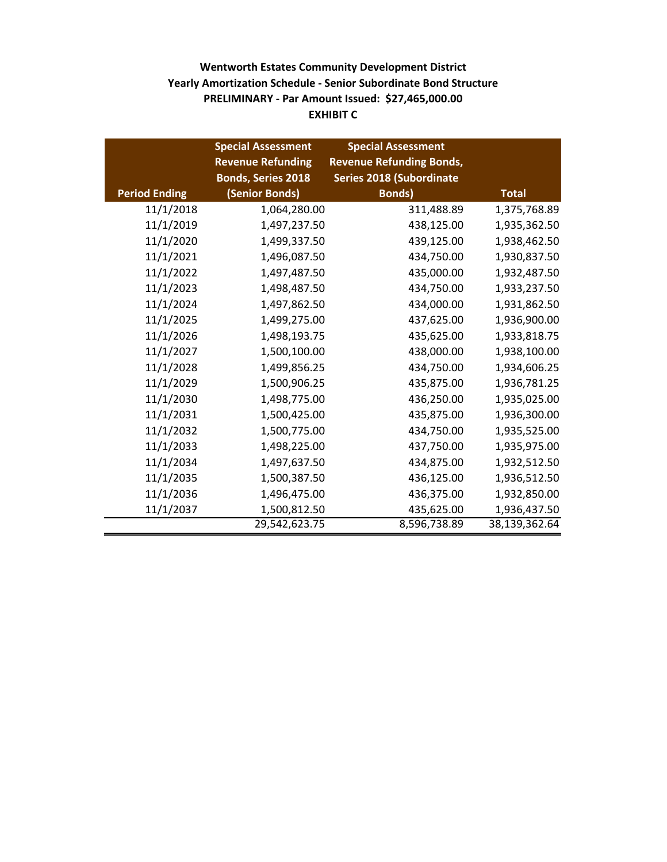# **EXHIBIT C Wentworth Estates Community Development District PRELIMINARY - Par Amount Issued: \$27,465,000.00 Yearly Amortization Schedule - Senior Subordinate Bond Structure**

|                      | <b>Special Assessment</b> | <b>Special Assessment</b>       |               |
|----------------------|---------------------------|---------------------------------|---------------|
|                      | <b>Revenue Refunding</b>  | <b>Revenue Refunding Bonds,</b> |               |
|                      | <b>Bonds, Series 2018</b> | <b>Series 2018 (Subordinate</b> |               |
| <b>Period Ending</b> | (Senior Bonds)            | <b>Bonds)</b>                   | <b>Total</b>  |
| 11/1/2018            | 1,064,280.00              | 311,488.89                      | 1,375,768.89  |
| 11/1/2019            | 1,497,237.50              | 438,125.00                      | 1,935,362.50  |
| 11/1/2020            | 1,499,337.50              | 439,125.00                      | 1,938,462.50  |
| 11/1/2021            | 1,496,087.50              | 434,750.00                      | 1,930,837.50  |
| 11/1/2022            | 1,497,487.50              | 435,000.00                      | 1,932,487.50  |
| 11/1/2023            | 1,498,487.50              | 434,750.00                      | 1,933,237.50  |
| 11/1/2024            | 1,497,862.50              | 434,000.00                      | 1,931,862.50  |
| 11/1/2025            | 1,499,275.00              | 437,625.00                      | 1,936,900.00  |
| 11/1/2026            | 1,498,193.75              | 435,625.00                      | 1,933,818.75  |
| 11/1/2027            | 1,500,100.00              | 438,000.00                      | 1,938,100.00  |
| 11/1/2028            | 1,499,856.25              | 434,750.00                      | 1,934,606.25  |
| 11/1/2029            | 1,500,906.25              | 435,875.00                      | 1,936,781.25  |
| 11/1/2030            | 1,498,775.00              | 436,250.00                      | 1,935,025.00  |
| 11/1/2031            | 1,500,425.00              | 435,875.00                      | 1,936,300.00  |
| 11/1/2032            | 1,500,775.00              | 434,750.00                      | 1,935,525.00  |
| 11/1/2033            | 1,498,225.00              | 437,750.00                      | 1,935,975.00  |
| 11/1/2034            | 1,497,637.50              | 434,875.00                      | 1,932,512.50  |
| 11/1/2035            | 1,500,387.50              | 436,125.00                      | 1,936,512.50  |
| 11/1/2036            | 1,496,475.00              | 436,375.00                      | 1,932,850.00  |
| 11/1/2037            | 1,500,812.50              | 435,625.00                      | 1,936,437.50  |
|                      | 29,542,623.75             | 8,596,738.89                    | 38,139,362.64 |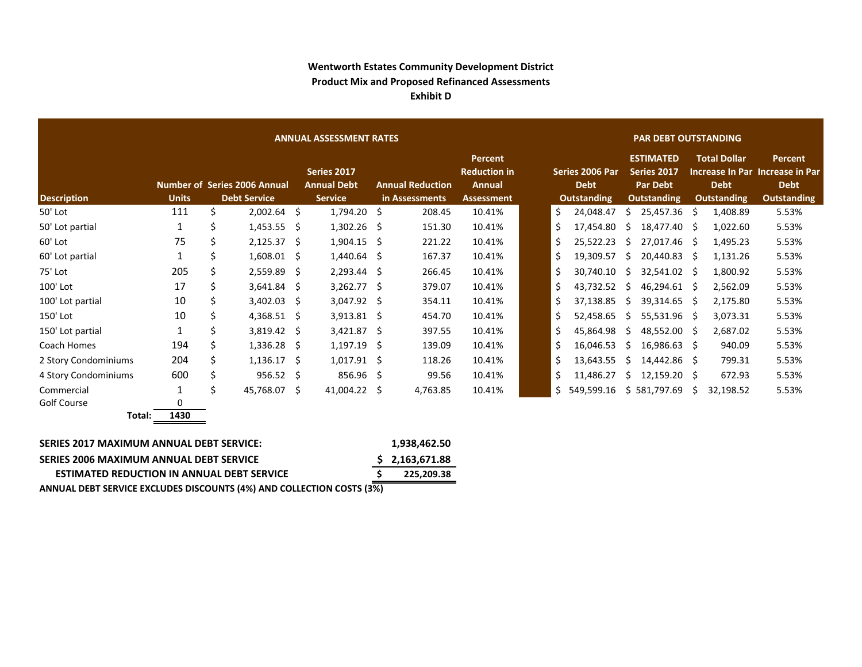### **Wentworth Estates Community Development District Product Mix and Proposed Refinanced Assessments Exhibit D**

|                      | <b>ANNUAL ASSESSMENT RATES</b> |    |                                     |  |                                   |    |                         |                                                        |  | <b>PAR DEBT OUTSTANDING</b> |                                |    |                                                    |     |                                    |                                                           |  |
|----------------------|--------------------------------|----|-------------------------------------|--|-----------------------------------|----|-------------------------|--------------------------------------------------------|--|-----------------------------|--------------------------------|----|----------------------------------------------------|-----|------------------------------------|-----------------------------------------------------------|--|
|                      |                                |    | <b>Number of Series 2006 Annual</b> |  | Series 2017<br><b>Annual Debt</b> |    | <b>Annual Reduction</b> | <b>Percent</b><br><b>Reduction in</b><br><b>Annual</b> |  |                             | Series 2006 Par<br><b>Debt</b> |    | <b>ESTIMATED</b><br>Series 2017<br><b>Par Debt</b> |     | <b>Total Dollar</b><br><b>Debt</b> | Percent<br>Increase In Par Increase in Par<br><b>Debt</b> |  |
| <b>Description</b>   | <b>Units</b>                   |    | <b>Debt Service</b>                 |  | <b>Service</b>                    |    | in Assessments          | <b>Assessment</b>                                      |  |                             | <b>Outstanding</b>             |    | <b>Outstanding</b>                                 |     | <b>Outstanding</b>                 | <b>Outstanding</b>                                        |  |
| 50' Lot              | 111                            | Ś. | $2,002.64$ \$                       |  | 1,794.20                          | -Ś | 208.45                  | 10.41%                                                 |  | \$                          | 24,048.47                      | Ŝ. | 25,457.36                                          | -S  | 1,408.89                           | 5.53%                                                     |  |
| 50' Lot partial      | 1                              | \$ | $1,453.55$ \$                       |  | 1,302.26                          | -S | 151.30                  | 10.41%                                                 |  | \$                          | 17,454.80                      | S. | 18,477.40                                          | -S  | 1,022.60                           | 5.53%                                                     |  |
| 60' Lot              | 75                             | \$ | $2,125.37$ \$                       |  | $1,904.15$ \$                     |    | 221.22                  | 10.41%                                                 |  | \$                          | 25,522.23                      | S. | 27,017.46                                          | - S | 1,495.23                           | 5.53%                                                     |  |
| 60' Lot partial      |                                | Ś  | $1,608.01$ \$                       |  | 1,440.64                          | -S | 167.37                  | 10.41%                                                 |  | \$                          | 19,309.57                      | Ŝ. | 20,440.83                                          | -S  | 1,131.26                           | 5.53%                                                     |  |
| 75' Lot              | 205                            | Ś  | 2,559.89 \$                         |  | $2,293.44$ \$                     |    | 266.45                  | 10.41%                                                 |  | \$                          | 30,740.10                      | S  | 32,541.02                                          | -Ś  | 1,800.92                           | 5.53%                                                     |  |
| 100' Lot             | 17                             | Ś  | $3,641.84$ \$                       |  | 3,262.77                          | -Ś | 379.07                  | 10.41%                                                 |  | \$                          | 43,732.52                      | S  | 46,294.61                                          | -S  | 2,562.09                           | 5.53%                                                     |  |
| 100' Lot partial     | 10                             | \$ | $3,402.03$ \$                       |  | 3,047.92                          | -Ś | 354.11                  | 10.41%                                                 |  | \$                          | 37,138.85                      | Ŝ. | 39,314.65                                          | -S  | 2,175.80                           | 5.53%                                                     |  |
| 150' Lot             | 10                             | \$ | $4,368.51$ \$                       |  | $3,913.81$ \$                     |    | 454.70                  | 10.41%                                                 |  | \$                          | 52,458.65                      | S. | 55,531.96                                          | -S  | 3,073.31                           | 5.53%                                                     |  |
| 150' Lot partial     | 1                              | \$ | $3,819.42 \quad$ \$                 |  | 3,421.87                          | -S | 397.55                  | 10.41%                                                 |  | \$                          | 45,864.98                      | S. | 48,552.00                                          | - S | 2,687.02                           | 5.53%                                                     |  |
| Coach Homes          | 194                            | Ś  | $1,336.28$ \$                       |  | 1,197.19                          | -Ŝ | 139.09                  | 10.41%                                                 |  | \$                          | 16,046.53                      | Ŝ. | 16,986.63                                          | -S  | 940.09                             | 5.53%                                                     |  |
| 2 Story Condominiums | 204                            | Ś. | $1,136.17$ \$                       |  | 1,017.91                          | -Ŝ | 118.26                  | 10.41%                                                 |  | \$                          | 13,643.55                      | S. | 14,442.86                                          | -S  | 799.31                             | 5.53%                                                     |  |
| 4 Story Condominiums | 600                            | \$ | $956.52 \quad$ \$                   |  | 856.96                            | -Ś | 99.56                   | 10.41%                                                 |  | \$                          | 11,486.27                      | S. | 12,159.20                                          | - Ś | 672.93                             | 5.53%                                                     |  |
| Commercial           |                                | Š. | 45,768.07 \$                        |  | 41,004.22                         | Ŝ  | 4,763.85                | 10.41%                                                 |  | Ś                           | 549,599.16                     |    | \$581,797.69                                       | Ŝ.  | 32,198.52                          | 5.53%                                                     |  |
| Golf Course          | 0                              |    |                                     |  |                                   |    |                         |                                                        |  |                             |                                |    |                                                    |     |                                    |                                                           |  |
| Total:               | 1430                           |    |                                     |  |                                   |    |                         |                                                        |  |                             |                                |    |                                                    |     |                                    |                                                           |  |

| SERIES 2017 MAXIMUM ANNUAL DEBT SERVICE:                              | 1.938.462.50   |
|-----------------------------------------------------------------------|----------------|
| SERIES 2006 MAXIMUM ANNUAL DEBT SERVICE                               | \$2,163,671.88 |
| <b>ESTIMATED REDUCTION IN ANNUAL DEBT SERVICE</b>                     | 225.209.38     |
| ANNUAL DEBT SERVICE EXCLUDES DISCOUNTS (4%) AND COLLECTION COSTS (3%) |                |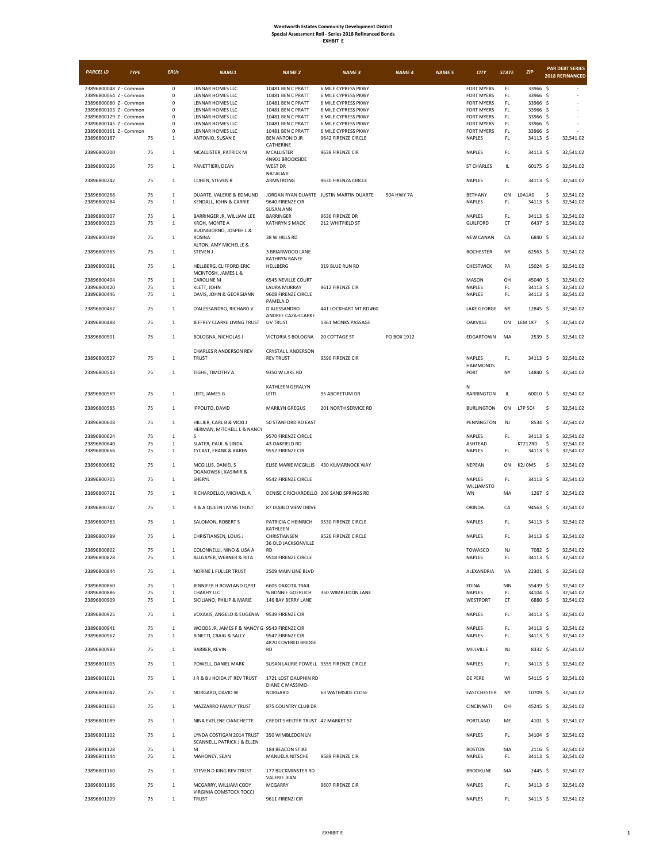| <b>EXHBIT</b> |  |
|---------------|--|
|---------------|--|

| <b>PARCEL ID</b>                                 | <b>TYPE</b> | <b>ERUs</b>                              | <b>NAME1</b>                                                           | <b>NAME 2</b>                                 | <b>NAME 3</b>                              | <b>NAME 4</b> | <b>NAME 5</b> | <b>CITY</b>                            | <b>STATE</b>         | <b>ZIP</b>           | <b>PAR DEBT SERIES</b><br>2018 REFINANCED |
|--------------------------------------------------|-------------|------------------------------------------|------------------------------------------------------------------------|-----------------------------------------------|--------------------------------------------|---------------|---------------|----------------------------------------|----------------------|----------------------|-------------------------------------------|
| 23896800048 Z - Common                           |             | $\pmb{0}$                                | LENNAR HOMES LLC                                                       | 10481 BEN C PRATT                             | 6 MILE CYPRESS PKWY                        |               |               | <b>FORT MYERS</b>                      | FL                   | 33966 \$             |                                           |
| 23896800064 Z - Common                           |             | $\mathbf 0$                              | LENNAR HOMES LLC                                                       | 10481 BEN C PRATT                             | 6 MILE CYPRESS PKWY                        |               |               | <b>FORT MYERS</b>                      | FL.                  | 33966 \$             |                                           |
| 23896800080 Z - Common<br>23896800103 Z - Common |             | $\mathsf 0$<br>0                         | LENNAR HOMES LLC<br>LENNAR HOMES LLC                                   | 10481 BEN C PRATT<br>10481 BEN C PRATT        | 6 MILE CYPRESS PKWY<br>6 MILE CYPRESS PKWY |               |               | <b>FORT MYERS</b><br><b>FORT MYERS</b> | FL.<br>FL.           | 33966 \$<br>33966 \$ |                                           |
| 23896800129 Z - Common                           |             | $\mathbf 0$                              | LENNAR HOMES LLC                                                       | 10481 BEN C PRATT                             | 6 MILE CYPRESS PKWY                        |               |               | <b>FORT MYERS</b>                      | FL.                  | 33966 \$             |                                           |
| 23896800145 Z - Common                           |             | $\mathsf 0$                              | LENNAR HOMES LLC                                                       | 10481 BEN C PRATT                             | 6 MILE CYPRESS PKWY                        |               |               | <b>FORT MYERS</b>                      | FL.                  | 33966 \$             |                                           |
| 23896800161 Z - Common<br>23896800187            | 75          | 0<br>$\,$ 1 $\,$                         | LENNAR HOMES LLC<br>ANTONIO, SUSAN E                                   | 10481 BEN C PRATT<br><b>BEN ANTONIO JR</b>    | 6 MILE CYPRESS PKWY<br>9642 FIRENZE CIRCLE |               |               | <b>FORT MYERS</b><br>NAPLES            | $\mathsf{FL}$<br>FL. | 33966 \$<br>34113 \$ | 32,541.02                                 |
| 23896800200                                      | 75          | $1\,$                                    | MCALLISTER, PATRICK M                                                  | CATHERINE<br>MCALLISTER                       | 9638 FIRENZE CIR                           |               |               | NAPLES                                 | FL.                  | 34113 \$             | 32,541.02                                 |
| 23896800226                                      | 75          | $\mathbf{1}$                             | PANETTIERI, DEAN                                                       | 4N901 BROOKSIDE<br><b>WEST DR</b>             |                                            |               |               | <b>ST CHARLES</b>                      | IL                   | 60175 \$             | 32,541.02                                 |
| 23896800242                                      | 75          | $\mathbf 1$                              | COHEN, STEVEN R                                                        | <b>NATALIA E</b><br>ARMSTRONG                 | 9630 FIRENZA CIRCLE                        |               |               | <b>NAPLES</b>                          | FL.                  | 34113 \$             | 32,541.02                                 |
| 23896800268<br>23896800284                       | 75<br>75    | $\mathbf{1}$<br>$\,$ 1 $\,$              | DUARTE, VALERIE & EDMUND<br>KENDALL, JOHN & CARRIE                     | 9640 FIRENZE CIR<br><b>SUSAN ANN</b>          | JORDAN RYAN DUARTE JUSTIN MARTIN DUARTE    | 504 HWY 7A    |               | <b>BETHANY</b><br><b>NAPLES</b>        | ON<br>FL.            | L0A1A0<br>34113 \$   | \$<br>32,541.02<br>32,541.02              |
| 23896800307                                      | 75          | $\mathbf{1}$                             | BARRINGER JR, WILLIAM LEE                                              | <b>BARRINGER</b>                              | 9636 FIRENZE DR                            |               |               | NAPLES                                 | $\mathsf{FL}$        | 34113 \$             | 32,541.02                                 |
| 23896800323                                      | 75          | $\mathbf{1}$                             | KROH, MONTE A<br>BUONGIORNO, JOSPEH L &                                | <b>KATHRYN S MACK</b>                         | 212 WHITFIELD ST                           |               |               | <b>GUILFORD</b>                        | CT                   | 6437 \$              | 32,541.02                                 |
| 23896800349                                      | 75          | $\mathbf{1}$                             | <b>ROSINA</b>                                                          | 38 W HILLS RD                                 |                                            |               |               | <b>NEW CANAN</b>                       | CA                   | 6840 \$              | 32,541.02                                 |
| 23896800365                                      | 75          | $\mathbf{1}$                             | ALTON, AMY MICHELLE &<br><b>STEVEN J</b>                               | 3 BRIARWOOD LANE                              |                                            |               |               | <b>ROCHESTER</b>                       | NY                   | 62563 \$             | 32,541.02                                 |
| 23896800381                                      | 75          | $\mathbf{1}$                             | HELLBERG, CLIFFORD ERIC                                                | KATHRYN RANEE<br>HELLBERG                     | 319 BLUE RUN RD                            |               |               | CHESTWICK                              | PA                   | 15024 \$             | 32,541.02                                 |
| 23896800404                                      | 75          | $\mathbf 1$                              | MCINTOSH, JAMES L &<br><b>CAROLINE M</b>                               | 6545 NEVILLE COURT                            |                                            |               |               | MASON                                  | OH                   | 45040 \$             | 32.541.02                                 |
| 23896800420                                      | 75          | $\mathbf{1}$                             | KLETT, JOHN                                                            | <b>LAURA MURRAY</b>                           | 9612 FIRENZE CIR                           |               |               | NAPLES                                 | FL.                  | 34113 \$             | 32,541.02                                 |
| 23896800446                                      | 75          | $\mathbf{1}$                             | DAVIS, JOHN & GEORGIANN                                                | 9608 FIRENZE CIRCLE                           |                                            |               |               | NAPLES                                 | $\mathsf{FL}$        | 34113 \$             | 32,541.02                                 |
| 23896800462                                      | 75          | $\mathbf{1}$                             | D'ALESSANDRO, RICHARD V                                                | PAMELA D<br>D'ALESSANDRO                      | 441 LOCKHART MT RD #60                     |               |               | LAKE GEORGE                            | NY                   | 12845 \$             | 32,541.02                                 |
| 23896800488                                      | 75          | $\mathbf 1$                              | JEFFREY CLARKE LIVING TRUST                                            | ANDREE CAZA-CLARKE<br>LIV TRUST               | 1361 MONKS PASSAGE                         |               |               | OAKVILLE                               | ON                   | L6M 1K7              | -\$<br>32,541.02                          |
| 23896800501                                      | 75          | $\mathbf{1}$                             | BOLOGNA, NICHOLAS J                                                    | VICTORIA S BOLOGNA                            | 20 COTTAGE ST                              | PO BOX 1912   |               | EDGARTOWN                              | MA                   | 2539 \$              | 32,541.02                                 |
| 23896800527                                      | 75          | $\mathbf{1}$                             | CHARLES R ANDERSON REV<br><b>TRUST</b>                                 | <b>CRYSTAL L ANDERSON</b><br><b>REV TRUST</b> | 9590 FIRENZE CIR                           |               |               | NAPLES                                 | FL                   | 34113 \$             | 32,541.02                                 |
| 23896800543                                      | 75          | $\mathbf{1}$                             | TIGHE, TIMOTHY A                                                       | 9350 W LAKE RD                                |                                            |               |               | <b>HAMMONDS</b><br>PORT                | NY                   | 14840 \$             | 32,541.02                                 |
| 23896800569                                      | 75          | $\mathbf{1}$                             | LEITI, JAMES G                                                         | KATHLEEN GERALYN<br>LEITI                     | 95 ABORETUM DR                             |               |               | N<br><b>BARRINGTON</b>                 | IL                   | 60010 \$             | 32,541.02                                 |
| 23896800585                                      | 75          | $\mathbf{1}$                             | IPPOLITO, DAVID                                                        | <b>MARILYN GREGUS</b>                         | 201 NORTH SERVICE RD                       |               |               | <b>BURLINGTON</b>                      | ON                   | L7P 5C4              | -\$<br>32,541.02                          |
| 23896800608                                      | 75          | $\mathbf 1$                              | HILLIER, CARL B & VICKI J                                              | 50 STANFORD RD EAST                           |                                            |               |               | PENNINGTON                             | NJ                   | 8534 \$              | 32,541.02                                 |
|                                                  |             |                                          | HERMAN, MITCHELL L & NANCY                                             |                                               |                                            |               |               |                                        |                      |                      |                                           |
| 23896800624<br>23896800640                       | 75<br>75    | $\mathbf{1}$<br>$\mathbf 1$              | S<br>SLATER, PAUL & LINDA                                              | 9570 FIRENZE CIRCLE<br>43 OAKFIELD RD         |                                            |               |               | NAPLES<br>ASHTEAD                      | FL                   | 34113 \$<br>KT212RD  | 32,541.02<br>32,541.02<br>\$              |
| 23896800666                                      | 75          | $\mathbf{1}$                             | TYCAST, FRANK & KAREN                                                  | 9552 FIRENZE CIR                              |                                            |               |               | NAPLES                                 | FL                   | 34113 \$             | 32,541.02                                 |
| 23896800682                                      | 75          | $\mathbf{1}$                             | MCGILLIS, DANIEL S                                                     |                                               | ELISE MARIE MCGILLIS 430 KILMARNOCK WAY    |               |               | NEPEAN                                 | ON                   | K2J 0M5              | -\$<br>32,541.02                          |
| 23896800705                                      | 75          | $\mathbf{1}$                             | OGANOWSKI, KASIMIR &<br>SHERYL                                         | 9542 FIRENZE CIRCLE                           |                                            |               |               | NAPLES<br>WILLIAMSTO                   | FL                   | 34113 \$             | 32,541.02                                 |
| 23896800721                                      | 75          | $\mathbf{1}$                             | RICHARDELLO, MICHAEL A                                                 | DENISE C RICHARDELLO 206 SAND SPRINGS RD      |                                            |               |               | WN                                     | MA                   | $1267$ \$            | 32,541.02                                 |
| 23896800747                                      | 75          | $\mathbf{1}$                             | R & A QUEEN LIVING TRUST                                               | 87 DIABLO VIEW DRIVE                          |                                            |               |               | ORINDA                                 | CA                   | 94563 \$             | 32,541.02                                 |
| 23896800763                                      | 75          | $\mathbf{1}$                             | SALOMON, ROBERT S                                                      | PATRICIA C HEINRICH<br>KATHLEEN               | 9530 FIRENZE CIRCLE                        |               |               | NAPLES                                 | FL.                  | 34113 \$             | 32,541.02                                 |
| 23896800789                                      | 75          | $\,$ 1 $\,$                              | CHRISTIANSEN, LOUIS J                                                  | CHRISTIANSEN<br>36 OLD JACKSONVILLE           | 9526 FIRENZE CIRCLE                        |               |               | NAPLES                                 | FL                   | 34113 \$             | 32,541.02                                 |
| 23896800802<br>23896800828                       |             | 75<br>$\mathbf{1}$<br>75<br>$\mathbf{1}$ | COLONNELLI, NINO & LISA A<br>ALLGAYER, WERNER & RITA                   | RD<br>9518 FIRENZE CIRCLE                     |                                            |               |               | TOWASCO<br>NAPLES                      | NJ<br>FL.            | 7082 \$<br>34113 \$  | 32,541.02<br>32,541.02                    |
| 23896800844                                      | 75          | $\mathbf 1$                              | NORINE L FULLER TRUST                                                  | 2509 MAIN LINE BLVD                           |                                            |               |               | ALEXANDRIA                             | VA                   | 22301 \$             | 32,541.02                                 |
| 23896800860                                      | 75          | $\,1\,$                                  | JENNIFER H ROWLAND OPRT                                                | <b>6605 DAKOTA TRAIL</b>                      |                                            |               |               | EDINA                                  | MN                   | 55439 \$             | 32,541.02                                 |
| 23896800886<br>23896800909                       | 75<br>75    | $\mathbf{1}$<br>$\,$ 1 $\,$              | CHAKHY LLC<br>SICILIANO, PHILIP & MARIE                                | % BONNIE GOERLICH<br>146 BAY BERRY LANE       | 350 WIMBLEDON LANE                         |               |               | NAPLES<br>WESTPORT                     | FL.<br>CT            | 34104 \$<br>6880 \$  | 32,541.02<br>32,541.02                    |
| 23896800925                                      | 75          | $\mathbf{1}$                             | VOXAKIS, ANGELO & EUGENIA                                              | 9539 FIRENZE CIR                              |                                            |               |               | NAPLES                                 | FL.                  | 34113 \$             | 32,541.02                                 |
| 23896800941<br>23896800967                       | 75<br>75    | $\mathbf{1}$<br>$\mathbf{1}$             | WOODS JR, JAMES F & NANCY G 9543 FIRENZE CIR<br>BINETTI, CRAIG & SALLY | 9547 FIRENZE CIR                              |                                            |               |               | NAPLES<br>NAPLES                       | FL.<br>FL            | 34113 \$<br>34113 \$ | 32,541.02<br>32,541.02                    |
| 23896800983                                      | 75          | $\mathbf{1}$                             | BARBER, KEVIN                                                          | 4870 COVERED BRIDGE<br><b>RD</b>              |                                            |               |               | MILLVILLE                              | NJ                   | 8332 \$              | 32,541.02                                 |
| 23896801005                                      | 75          | $\mathbf 1$                              | POWELL, DANIEL MARK                                                    | SUSAN LAURIE POWELL 9555 FIRENZE CIRCLE       |                                            |               |               | <b>NAPLES</b>                          | FL                   | 34113 \$             | 32.541.02                                 |
| 23896801021                                      | 75          | $\mathbf 1$                              | JR & B J HOIDA JT REV TRUST                                            | 1721 LOST DAUPHIN RD<br>DIANE C MASSIMO-      |                                            |               |               | DE PERE                                | WI                   | 54115 \$             | 32,541.02                                 |
| 23896801047                                      | 75          | $\mathbf{1}$                             | NORGARD, DAVID W                                                       | NORGARD                                       | <b>63 WATERSIDE CLOSE</b>                  |               |               | EASTCHESTER                            | NY                   | 10709 \$             | 32,541.02                                 |
| 23896801063                                      | 75          | $\mathbf{1}$                             | MAZZARRO FAMILY TRUST                                                  | 875 COUNTRY CLUB DR                           |                                            |               |               | CINCINNATI                             | OH                   | 45245 \$             | 32,541.02                                 |
| 23896801089                                      | 75          | $\mathbf 1$                              | NINA EVELENE CIANCHETTE                                                | CREDIT SHELTER TRUST 42 MARKET ST             |                                            |               |               | PORTLAND                               | ME                   | 4101 \$              | 32,541.02                                 |
| 23896801102                                      |             | 75<br>$\mathbf{1}$                       | LYNDA COSTIGAN 2014 TRUST<br>SCANNELL, PATRICK J & ELLEN               | 350 WIMBLEDON LN                              |                                            |               |               | NAPLES                                 | FL                   | 34104 \$             | 32,541.02                                 |
| 23896801128<br>23896801144                       | 75<br>75    | $\mathbf 1$<br>$\,$ 1 $\,$               | M<br>MAHONEY, SEAN                                                     | 184 BEACON ST #3<br>MANUELA NITSCHE           | 9589 FIRENZE CIR                           |               |               | <b>BOSTON</b><br>NAPLES                | MA<br>FL.            | 2116 \$<br>34113 \$  | 32,541.02<br>32,541.02                    |
| 23896801160                                      | 75          | $\mathbf{1}$                             | STEVEN D KING REV TRUST                                                | 177 BUCKMINSTER RD                            |                                            |               |               | <b>BROOKLINE</b>                       | MA                   | $2445$ \$            | 32,541.02                                 |
| 23896801186                                      | 75          | $\mathbf{1}$                             | MCGARRY, WILLIAM CODY                                                  | <b>VALERIE JEAN</b><br>MCGARRY                | 9607 FIRENZE CIR                           |               |               | NAPLES                                 | FL.                  | 34113 \$             | 32,541.02                                 |
| 23896801209                                      |             | 75<br>$\mathbf{1}$                       | VIRGINIA COMSTOCK TOCCI<br><b>TRUST</b>                                | 9611 FIRENZI CIR                              |                                            |               |               | NAPLES                                 | FL.                  | 34113 \$             | 32,541.02                                 |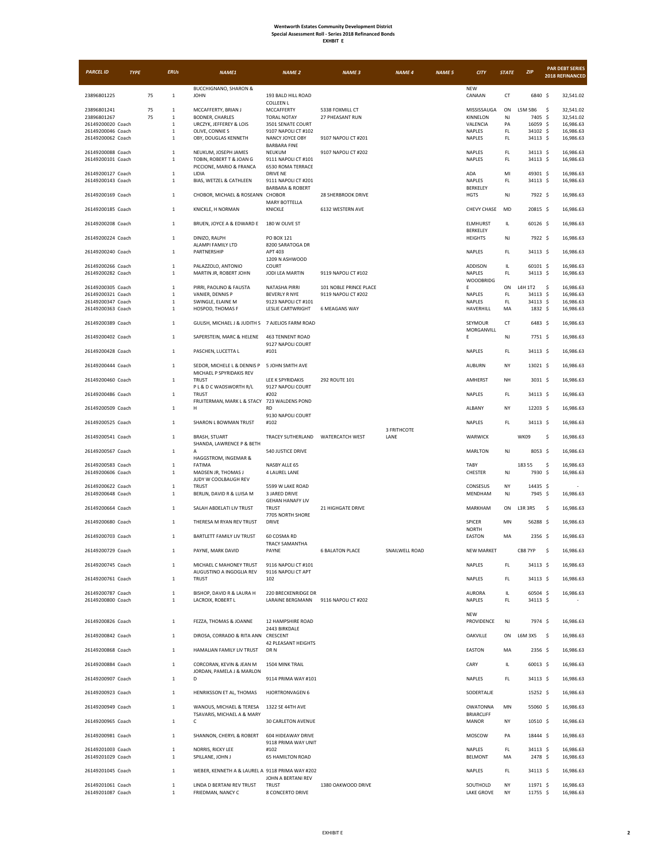| <b>PARCEL ID</b>                       | <b>TYPE</b> |    | <b>ERUs</b>            | <b>NAME1</b>                                         | <b>NAME 2</b>                                      | <b>NAME 3</b>                                 | <b>NAME 4</b>       | <b>NAME 5</b> | <b>CITY</b>                | <b>STATE</b> | ZIP                  | <b>PAR DEBT SERIES</b><br>2018 REFINANCED |
|----------------------------------------|-------------|----|------------------------|------------------------------------------------------|----------------------------------------------------|-----------------------------------------------|---------------------|---------------|----------------------------|--------------|----------------------|-------------------------------------------|
| 23896801225                            |             | 75 | $\,$ 1 $\,$            | <b>BUCCHIGNANO, SHARON &amp;</b><br><b>JOHN</b>      | 193 BALD HILL ROAD                                 |                                               |                     |               | NEW<br>CANAAN              | CT           | 6840 \$              | 32,541.02                                 |
| 23896801241                            |             | 75 | $\,1\,$                | MCCAFFERTY, BRIAN J                                  | <b>COLLEEN L</b><br>MCCAFFERTY                     | 5338 FOXMILL CT                               |                     |               | MISSISSAUGA                | ON           | L5M 5B6              | -\$<br>32,541.02                          |
| 23896801267<br>26149200020 Coach       |             | 75 | $\,$ 1 $\,$            | <b>BODNER, CHARLES</b>                               | <b>TORAL NOTAY</b>                                 | 27 PHEASANT RUN                               |                     |               | KINNELON                   | NJ           | 7405 \$              | 32,541.02                                 |
| 26149200046 Coach                      |             |    | $1\,$<br>$1\,$         | URCZYK, JEFFEREY & LOIS<br>OLIVE, CONNIES            | 3501 SENATE COURT<br>9107 NAPOLI CT #102           |                                               |                     |               | VALENCIA<br>NAPLES         | PA<br>FL     | 16059 \$<br>34102 \$ | 16,986.63<br>16,986.63                    |
| 26149200062 Coach                      |             |    | $\mathbf{1}$           | OBY, DOUGLAS KENNETH                                 | NANCY JOYCE OBY<br><b>BARBARA FINE</b>             | 9107 NAPOLI CT #201                           |                     |               | NAPLES                     | FL.          | 34113 \$             | 16,986.63                                 |
| 26149200088 Coach                      |             |    | $\,1\,$                | NEUKUM, JOSEPH JAMES                                 | NEUKUM                                             | 9107 NAPOLI CT #202                           |                     |               | NAPLES                     | FL.          | 34113 \$             | 16,986.63                                 |
| 26149200101 Coach                      |             |    | $\,1\,$                | TOBIN, ROBERT T & JOAN G<br>PICCIONE, MARIO & FRANCA | 9111 NAPOLI CT #101<br>6530 ROMA TERRACE           |                                               |                     |               | <b>NAPLES</b>              | FL.          | 34113 \$             | 16,986.63                                 |
| 26149200127 Coach                      |             |    | $\,1\,$                | LIDIA                                                | <b>DRIVE NE</b>                                    |                                               |                     |               | ADA                        | MI           | 49301 \$             | 16,986.63                                 |
| 26149200143 Coach                      |             |    | $\,1\,$                | BIAS, WETZEL & CATHLEEN                              | 9111 NAPOLI CT #201<br><b>BARBARA &amp; ROBERT</b> |                                               |                     |               | <b>NAPLES</b><br>BERKELEY  | FL.          | 34113 \$             | 16,986.63                                 |
| 26149200169 Coach                      |             |    | $\,1\,$                | CHOBOR, MICHAEL & ROSEANN CHOBOR                     |                                                    | 28 SHERBROOK DRIVE                            |                     |               | <b>HGTS</b>                | NJ           | 7922 \$              | 16,986.63                                 |
| 26149200185 Coach                      |             |    | $\,1\,$                | KNICKLE, H NORMAN                                    | <b>MARY BOTTELLA</b><br>KNICKLE                    | 6132 WESTERN AVE                              |                     |               | CHEVY CHASE                | MD           | 20815 \$             | 16,986.63                                 |
|                                        |             |    |                        |                                                      |                                                    |                                               |                     |               |                            |              |                      |                                           |
| 26149200208 Coach                      |             |    | $\,1\,$                | BRUEN, JOYCE A & EDWARD E                            | 180 W OLIVE ST                                     |                                               |                     |               | ELMHURST<br>BERKELEY       | IL.          | 60126 \$             | 16,986.63                                 |
| 26149200224 Coach                      |             |    | $\,1\,$                | DINIZO, RALPH                                        | PO BOX 121                                         |                                               |                     |               | <b>HEIGHTS</b>             | NJ           | 7922 \$              | 16,986.63                                 |
| 26149200240 Coach                      |             |    | $\,1\,$                | ALAMPI FAMILY LTD<br>PARTNERSHIP                     | 8200 SARATOGA DR<br>APT 403                        |                                               |                     |               | NAPLES                     | FL.          | 34113 \$             | 16,986.63                                 |
|                                        |             |    |                        |                                                      | 1209 N ASHWOOD                                     |                                               |                     |               |                            |              |                      |                                           |
| 26149200266 Coach<br>26149200282 Coach |             |    | $\,1\,$<br>$\,1\,$     | PALAZZOLO, ANTONIO<br>MARTIN JR, ROBERT JOHN         | COURT<br>JODI LEA MARTIN                           | 9119 NAPOLI CT #102                           |                     |               | ADDISON<br>NAPLES          | IL.<br>FL    | 60101 \$<br>34113 \$ | 16,986.63<br>16,986.63                    |
|                                        |             |    |                        |                                                      |                                                    |                                               |                     |               | <b>WOODBRIDG</b>           |              |                      |                                           |
| 26149200305 Coach<br>26149200321 Coach |             |    | $\,1\,$<br>$\,1\,$     | PIRRI, PAOLINO & FAUSTA<br>VANIER, DENNIS P          | NATASHA PIRRI<br><b>BEVERLY R NYE</b>              | 101 NOBLE PRINCE PLACE<br>9119 NAPOLI CT #202 |                     |               | E<br>NAPLES                | ON<br>FL.    | L4H 1T2<br>34113 \$  | \$<br>16,986.63<br>16,986.63              |
| 26149200347 Coach                      |             |    | $\,$ 1 $\,$            | SWINGLE, ELAINE M                                    | 9123 NAPOLI CT #101                                |                                               |                     |               | <b>NAPLES</b>              | FL.          | 34113 \$             | 16,986.63                                 |
| 26149200363 Coach                      |             |    | $\,1\,$                | HOSPOD, THOMAS F                                     | <b>LESLIE CARTWRIGHT</b>                           | <b>6 MEAGANS WAY</b>                          |                     |               | HAVERHILL                  | MA           | 1832 \$              | 16,986.63                                 |
| 26149200389 Coach                      |             |    | $\,1\,$                | GULISH, MICHAEL J & JUDITH S 7 AJELIOS FARM ROAD     |                                                    |                                               |                     |               | SEYMOUR                    | <b>CT</b>    | 6483 \$              | 16,986.63                                 |
| 26149200402 Coach                      |             |    | $\,1\,$                | SAPERSTEIN, MARC & HELENE                            | 463 TENNENT ROAD                                   |                                               |                     |               | MORGANVILL<br>E            | NJ           | 7751 \$              | 16,986.63                                 |
|                                        |             |    |                        |                                                      | 9127 NAPOLI COURT                                  |                                               |                     |               |                            |              |                      |                                           |
| 26149200428 Coach                      |             |    | $\,1\,$                | PASCHEN, LUCETTA L                                   | #101                                               |                                               |                     |               | NAPLES                     | FL.          | 34113 \$             | 16,986.63                                 |
| 26149200444 Coach                      |             |    | $\mathbf{1}$           | SEDOR, MICHELE L & DENNIS P                          | 5 JOHN SMITH AVE                                   |                                               |                     |               | <b>AUBURN</b>              | NY           | 13021 \$             | 16,986.63                                 |
| 26149200460 Coach                      |             |    | $\,1\,$                | MICHAEL P SPYRIDAKIS REV<br><b>TRUST</b>             | LEE K SPYRIDAKIS                                   | 292 ROUTE 101                                 |                     |               | AMHERST                    | NH           | 3031 \$              | 16,986.63                                 |
|                                        |             |    | $\,1\,$                | PL & D C WADSWORTH R/L<br><b>TRUST</b>               | 9127 NAPOLI COURT<br>#202                          |                                               |                     |               | <b>NAPLES</b>              | FL.          |                      |                                           |
| 26149200486 Coach                      |             |    |                        | FRUITERMAN, MARK L & STACY 723 WALDENS POND          |                                                    |                                               |                     |               |                            |              | 34113 \$             | 16,986.63                                 |
| 26149200509 Coach                      |             |    | $\,1\,$                | н                                                    | <b>RD</b><br>9130 NAPOLI COURT                     |                                               |                     |               | ALBANY                     | NY           | 12203 \$             | 16,986.63                                 |
| 26149200525 Coach                      |             |    | $\,1\,$                | SHARON L BOWMAN TRUST                                | #102                                               |                                               |                     |               | <b>NAPLES</b>              | FL           | 34113 \$             | 16,986.63                                 |
| 26149200541 Coach                      |             |    | $\mathbf{1}$           | <b>BRASH, STUART</b>                                 | TRACEY SUTHERLAND                                  | <b>WATERCATCH WEST</b>                        | 3 FRITHCOTE<br>LANE |               | WARWICK                    |              | WK09                 | \$<br>16,986.63                           |
|                                        |             |    |                        | SHANDA, LAWRENCE P & BETH                            |                                                    |                                               |                     |               |                            |              |                      |                                           |
| 26149200567 Coach                      |             |    | $\,1\,$                | А<br>HAGGSTROM, INGEMAR &                            | 540 JUSTICE DRIVE                                  |                                               |                     |               | <b>MARLTON</b>             | NJ           | 8053 \$              | 16,986.63                                 |
| 26149200583 Coach                      |             |    | $\mathbf{1}$           | FATIMA                                               | NASBY ALLE 65                                      |                                               |                     |               | <b>TABY</b>                |              | 183 55               | \$<br>16,986.63                           |
| 26149200606 Coach                      |             |    | $\,1\,$                | MADSEN JR, THOMAS J<br>JUDY W COOLBAUGH REV          | 4 LAUREL LANE                                      |                                               |                     |               | CHESTER                    | NJ           | 7930 \$              | 16,986.63                                 |
| 26149200622 Coach                      |             |    | $\mathbf{1}$           | <b>TRUST</b>                                         | 5599 W LAKE ROAD                                   |                                               |                     |               | CONSESUS                   | NY           | 14435 \$             |                                           |
| 26149200648 Coach                      |             |    | $\,1\,$                | BERLIN, DAVID R & LUISA M                            | 3 JARED DRIVE<br><b>GEHAN HANAFY LIV</b>           |                                               |                     |               | MENDHAM                    | NJ           | 7945 \$              | 16,986.63                                 |
| 26149200664 Coach                      |             |    | $\,1\,$                | SALAH ABDELATI LIV TRUST                             | <b>TRUST</b><br>7705 NORTH SHORE                   | 21 HIGHGATE DRIVE                             |                     |               | MARKHAM                    | ON           | L3R 3R5              | -\$<br>16,986.63                          |
| 26149200680 Coach                      |             |    | $\,1\,$                | THERESA M RYAN REV TRUST                             | DRIVE                                              |                                               |                     |               | SPICER                     | MN           | 56288 \$             | 16,986.63                                 |
| 26149200703 Coach                      |             |    | $\,1\,$                | BARTLETT FAMILY LIV TRUST                            | 60 COSMA RD                                        |                                               |                     |               | <b>NORTH</b><br>EASTON     | MA           | 2356 \$              | 16,986.63                                 |
|                                        |             |    |                        |                                                      | <b>TRACY SAMANTHA</b>                              |                                               |                     |               |                            |              |                      |                                           |
| 26149200729 Coach                      |             |    | $\mathbf 1$            | PAYNE, MARK DAVID                                    | PAYNE                                              | <b>6 BALATON PLACE</b>                        | SNAILWELL ROAD      |               | <b>NEW MARKET</b>          |              | CB8 7YP              | \$<br>16,986.63                           |
| 26149200745 Coach                      |             |    | $\mathbf{1}$           | MICHAEL C MAHONEY TRUST                              | 9116 NAPOLI CT #101                                |                                               |                     |               | <b>NAPLES</b>              | FL.          | 34113 \$             | 16,986.63                                 |
| 26149200761 Coach                      |             |    | $\mathbf 1$            | AUGUSTINO A INGOGLIA REV<br><b>TRUST</b>             | 9116 NAPOLI CT APT<br>102                          |                                               |                     |               | <b>NAPLES</b>              | FL.          | 34113 \$             | 16.986.63                                 |
|                                        |             |    |                        |                                                      | 220 BRECKENRIDGE DR                                |                                               |                     |               |                            |              |                      |                                           |
| 26149200787 Coach<br>26149200800 Coach |             |    | $\,1\,$<br>$\,1\,$     | BISHOP, DAVID R & LAURA H<br>LACROIX, ROBERT L       | <b>LARAINE BERGMANN</b>                            | 9116 NAPOLI CT #202                           |                     |               | AURORA<br><b>NAPLES</b>    | IL.<br>FL.   | 60504 \$<br>34113 \$ | 16,986.63                                 |
|                                        |             |    |                        |                                                      |                                                    |                                               |                     |               | <b>NEW</b>                 |              |                      |                                           |
| 26149200826 Coach                      |             |    | $\,$ 1 $\,$            | FEZZA, THOMAS & JOANNE                               | 12 HAMPSHIRE ROAD                                  |                                               |                     |               | PROVIDENCE                 | NJ           | 7974 \$              | 16,986.63                                 |
| 26149200842 Coach                      |             |    | $\,1\,$                | DIROSA, CORRADO & RITA ANN CRESCENT                  | 2443 BIRKDALE                                      |                                               |                     |               | OAKVILLE                   | ON           | L6M $3X5$ \$         | 16,986.63                                 |
|                                        |             |    |                        |                                                      | 42 PLEASANT HEIGHTS                                |                                               |                     |               |                            |              |                      |                                           |
| 26149200868 Coach                      |             |    | $\,1\,$                | HAMALIAN FAMILY LIV TRUST                            | DR N                                               |                                               |                     |               | EASTON                     | MA           | 2356 \$              | 16,986.63                                 |
| 26149200884 Coach                      |             |    | $\,1\,$                | CORCORAN, KEVIN & JEAN M                             | 1504 MINK TRAIL                                    |                                               |                     |               | CARY                       | IL.          | 60013 \$             | 16,986.63                                 |
| 26149200907 Coach                      |             |    | $\,$ 1 $\,$            | JORDAN, PAMELA J & MARLON<br>D                       | 9114 PRIMA WAY #101                                |                                               |                     |               | <b>NAPLES</b>              | FL.          | 34113 \$             | 16,986.63                                 |
|                                        |             |    |                        |                                                      |                                                    |                                               |                     |               |                            |              |                      |                                           |
| 26149200923 Coach                      |             |    | $\,1\,$                | HENRIKSSON ET AL, THOMAS                             | HJORTRONVAGEN 6                                    |                                               |                     |               | SODERTALJE                 |              | 15252 \$             | 16,986.63                                 |
| 26149200949 Coach                      |             |    | $\,1\,$                | WANOUS, MICHAEL & TERESA                             | 1322 SE 44TH AVE                                   |                                               |                     |               | <b>OWATONNA</b>            | MN           | 55060 \$             | 16,986.63                                 |
| 26149200965 Coach                      |             |    | $\,1\,$                | TSAVARIS, MICHAEL A & MARY<br>с                      | 30 CARLETON AVENUE                                 |                                               |                     |               | <b>BRIARCLIFF</b><br>MANOR | NY           | $10510$ \$           | 16,986.63                                 |
|                                        |             |    |                        |                                                      |                                                    |                                               |                     |               |                            |              |                      |                                           |
| 26149200981 Coach                      |             |    | $\mathbf 1$            | SHANNON, CHERYL & ROBERT                             | 604 HIDEAWAY DRIVE<br>9118 PRIMA WAY UNIT          |                                               |                     |               | MOSCOW                     | PA           | 18444 \$             | 16,986.63                                 |
| 26149201003 Coach<br>26149201029 Coach |             |    | $\,1\,$<br>$\,$ 1 $\,$ | NORRIS, RICKY LEE                                    | #102<br><b>65 HAMILTON ROAD</b>                    |                                               |                     |               | NAPLES<br><b>BELMONT</b>   | FL.<br>MA    | 34113 \$             | 16,986.63                                 |
|                                        |             |    |                        | SPILLANE, JOHN J                                     |                                                    |                                               |                     |               |                            |              | 2478 \$              | 16,986.63                                 |
| 26149201045 Coach                      |             |    | $\,1\,$                | WEBER, KENNETH A & LAUREL A 9118 PRIMA WAY #202      | JOHN A BERTANI REV                                 |                                               |                     |               | NAPLES                     | FL.          | 34113 \$             | 16,986.63                                 |
| 26149201061 Coach                      |             |    | $\,1\,$                | LINDA D BERTANI REV TRUST                            | <b>TRUST</b>                                       | 1380 OAKWOOD DRIVE                            |                     |               | SOUTHOLD                   | NY           | 11971 \$             | 16,986.63                                 |
| 26149201087 Coach                      |             |    | $\,1\,$                | FRIEDMAN, NANCY C                                    | 8 CONCERTO DRIVE                                   |                                               |                     |               | LAKE GROVE                 | NY           | 11755 \$             | 16,986.63                                 |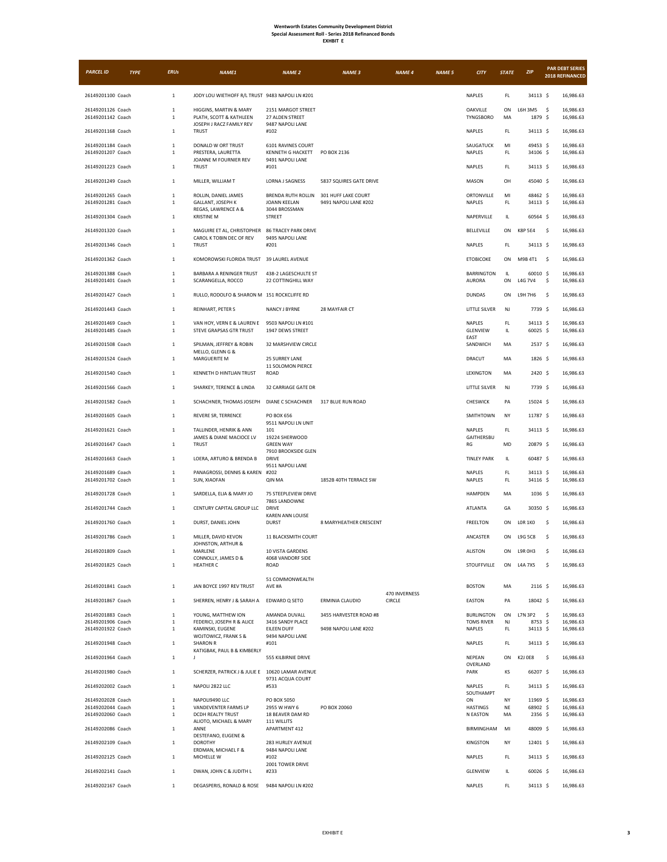| XHRI<br>1 |
|-----------|
|-----------|

| <b>PARCEL ID</b>                       | <b>TYPE</b> | <b>ERUs</b>            | <b>NAME1</b>                                           | <b>NAME 2</b>                                   | <b>NAME 3</b>                                | <b>NAME 4</b> | <b>NAME 5</b> | <b>CITY</b>                            | <b>STATE</b> | ZIP                        | <b>PAR DEBT SERIES</b><br>2018 REFINANCED |  |
|----------------------------------------|-------------|------------------------|--------------------------------------------------------|-------------------------------------------------|----------------------------------------------|---------------|---------------|----------------------------------------|--------------|----------------------------|-------------------------------------------|--|
| 26149201100 Coach                      |             | $\,$ 1 $\,$            | JODY LOU WIETHOFF R/L TRUST 9483 NAPOLI LN #201        |                                                 |                                              |               |               | <b>NAPLES</b>                          | FL.          | 34113 \$                   | 16,986.63                                 |  |
| 26149201126 Coach<br>26149201142 Coach |             | $\,1\,$<br>$\,1\,$     | HIGGINS, MARTIN & MARY<br>PLATH, SCOTT & KATHLEEN      | 2151 MARGOT STREET<br>27 ALDEN STREET           |                                              |               |               | OAKVILLE<br><b>TYNGSBORO</b>           | ON<br>MA     | L6H 3M5<br>1879 \$         | -\$<br>16,986.63<br>16,986.63             |  |
| 26149201168 Coach                      |             | $\,1\,$                | JOSEPH J RACZ FAMILY REV<br><b>TRUST</b>               | 9487 NAPOLI LANE<br>#102                        |                                              |               |               | NAPLES                                 | FL.          | 34113 \$                   | 16,986.63                                 |  |
| 26149201184 Coach<br>26149201207 Coach |             | $\,1\,$<br>$\,1\,$     | DONALD W ORT TRUST<br>PRESTERA, LAURETTA               | 6101 RAVINES COURT<br>KENNETH G HACKETT         | PO BOX 2136                                  |               |               | SAUGATUCK<br>NAPLES                    | MI<br>FL.    | 49453 \$<br>34106 \$       | 16,986.63<br>16,986.63                    |  |
| 26149201223 Coach                      |             | $\mathbf{1}$           | JOANNE M FOURNIER REV<br><b>TRUST</b>                  | 9491 NAPOLI LANE<br>#101                        |                                              |               |               | NAPLES                                 | FL.          | 34113 \$                   | 16,986.63                                 |  |
| 26149201249 Coach                      |             | $\,1\,$                | MILLER, WILLIAM T                                      | LORNA J SAGNESS                                 | 5837 SQUIRES GATE DRIVE                      |               |               | MASON                                  | OH           | 45040 \$                   | 16,986.63                                 |  |
| 26149201265 Coach<br>26149201281 Coach |             | $\,1\,$<br>$\,1\,$     | ROLLIN, DANIEL JAMES<br><b>GALLANT, JOSEPH K</b>       | BRENDA RUTH ROLLIN<br>JOANN KEELAN              | 301 HUFF LAKE COURT<br>9491 NAPOLI LANE #202 |               |               | <b>ORTONVILLE</b><br>NAPLES            | MI<br>FL     | 48462 \$<br>34113 \$       | 16,986.63<br>16,986.63                    |  |
| 26149201304 Coach                      |             | $\,1\,$                | REGAS, LAWRENCE A &<br><b>KRISTINE M</b>               | 3044 BROSSMAN<br><b>STREET</b>                  |                                              |               |               | NAPERVILLE                             | IL           | 60564 \$                   | 16,986.63                                 |  |
| 26149201320 Coach                      |             | $\mathbf{1}$           | MAGUIRE ET AL, CHRISTOPHER<br>CAROL K TOBIN DEC OF REV | <b>86 TRACEY PARK DRIVE</b><br>9495 NAPOLI LANE |                                              |               |               | BELLEVILLE                             | ON           | <b>K8P 5E4</b>             | -\$<br>16,986.63                          |  |
| 26149201346 Coach                      |             | $\mathbf{1}$           | <b>TRUST</b>                                           | #201                                            |                                              |               |               | <b>NAPLES</b>                          | FL.          | 34113 \$                   | 16,986.63                                 |  |
| 26149201362 Coach                      |             | $\,1\,$                | KOMOROWSKI FLORIDA TRUST 39 LAUREL AVENUE              |                                                 |                                              |               |               | <b>ETOBICOKE</b>                       | ON           | M9B 4T1                    | 16,986.63<br>-\$                          |  |
| 26149201388 Coach<br>26149201401 Coach |             | $\,1\,$<br>$\,1\,$     | BARBARA A RENINGER TRUST<br>SCARANGELLA, ROCCO         | 438-2 LAGESCHULTE ST<br>22 COTTINGHILL WAY      |                                              |               |               | BARRINGTON<br>AURORA                   | IL.<br>ON    | 60010 \$<br><b>L4G 7V4</b> | 16,986.63<br>\$<br>16,986.63              |  |
| 26149201427 Coach                      |             | $\,1\,$                | RULLO, RODOLFO & SHARON M 151 ROCKCLIFFE RD            |                                                 |                                              |               |               | <b>DUNDAS</b>                          | ON           | L9H 7H6                    | \$<br>16,986.63                           |  |
| 26149201443 Coach                      |             | $\,1\,$                | REINHART, PETER S                                      | NANCY J BYRNE                                   | 28 MAYFAIR CT                                |               |               | LITTLE SILVER                          | NJ           | 7739 \$                    | 16,986.63                                 |  |
| 26149201469 Coach<br>26149201485 Coach |             | $\,1\,$<br>$\,1\,$     | VAN HOY, VERN E & LAUREN E<br>STEVE GRAPSAS GTR TRUST  | 9503 NAPOLI LN #101<br>1947 DEWS STREET         |                                              |               |               | <b>NAPLES</b><br><b>GLENVIEW</b>       | FL<br>IL.    | 34113 \$<br>$60025$ \$     | 16,986.63<br>16,986.63                    |  |
| 26149201508 Coach                      |             | $\,1\,$                | SPILMAN, JEFFREY & ROBIN<br>MELLO, GLENN G &           | 32 MARSHVIEW CIRCLE                             |                                              |               |               | EAST<br>SANDWICH                       | MA           | 2537 \$                    | 16,986.63                                 |  |
| 26149201524 Coach                      |             | $\,1\,$                | MARGUERITE M                                           | 25 SURREY LANE<br>11 SOLOMON PIERCE             |                                              |               |               | <b>DRACUT</b>                          | MA           | 1826 \$                    | 16,986.63                                 |  |
| 26149201540 Coach                      |             | $\,1\,$                | KENNETH D HINTLIAN TRUST                               | ROAD                                            |                                              |               |               | LEXINGTON                              | MA           | 2420 \$                    | 16,986.63                                 |  |
| 26149201566 Coach                      |             | $\mathbf{1}$           | SHARKEY, TERENCE & LINDA                               | 32 CARRIAGE GATE DR                             |                                              |               |               | LITTLE SILVER                          | NJ           | 7739 \$                    | 16,986.63                                 |  |
| 26149201582 Coach                      |             | $\mathbf{1}$           | SCHACHNER, THOMAS JOSEPH                               | DIANE C SCHACHNER                               | 317 BLUE RUN ROAD                            |               |               | CHESWICK                               | PA           | 15024 \$                   | 16,986.63                                 |  |
| 26149201605 Coach                      |             | $\,1\,$                | REVERE SR, TERRENCE                                    | PO BOX 656<br>9511 NAPOLI LN UNIT               |                                              |               |               | SMITHTOWN                              | NY           | 11787 \$                   | 16,986.63                                 |  |
| 26149201621 Coach                      |             | $\,1\,$                | TALLINDER, HENRIK & ANN<br>JAMES & DIANE MACIOCE LV    | 101<br>19224 SHERWOOD                           |                                              |               |               | NAPLES<br>GAITHERSBU                   | FL.          | 34113 \$                   | 16,986.63                                 |  |
| 26149201647 Coach                      |             | $\,1\,$                | <b>TRUST</b>                                           | <b>GREEN WAY</b><br>7910 BROOKSIDE GLEN         |                                              |               |               | RG                                     | MD           | 20879 \$                   | 16,986.63                                 |  |
| 26149201663 Coach                      |             | $\,1\,$                | LOERA, ARTURO & BRENDA B                               | <b>DRIVE</b><br>9511 NAPOLI LANE                |                                              |               |               | <b>TINLEY PARK</b>                     | IL.          | 60487 \$                   | 16,986.63                                 |  |
| 26149201689 Coach<br>26149201702 Coach |             | $\,1\,$<br>$\,1\,$     | PANAGROSSI, DENNIS & KAREN #202<br>SUN, XIAOFAN        | QIN MA                                          | 1852B 40TH TERRACE SW                        |               |               | <b>NAPLES</b><br><b>NAPLES</b>         | FL.<br>FL.   | 34113 \$<br>34116 \$       | 16,986.63<br>16,986.63                    |  |
| 26149201728 Coach                      |             | $\,1\,$                | SARDELLA, ELIA & MARY JO                               | 75 STEEPLEVIEW DRIVE<br>7865 LANDOWNE           |                                              |               |               | <b>HAMPDEN</b>                         | MA           | 1036 \$                    | 16,986.63                                 |  |
| 26149201744 Coach                      |             | $\,1\,$                | CENTURY CAPITAL GROUP LLC                              | DRIVE<br><b>KAREN ANN LOUISE</b>                |                                              |               |               | <b>ATLANTA</b>                         | GA           | 30350 \$                   | 16,986.63                                 |  |
| 26149201760 Coach                      |             | $\mathbf{1}$           | DURST, DANIEL JOHN                                     | <b>DURST</b>                                    | 8 MARYHEATHER CRESCENT                       |               |               | <b>FREELTON</b>                        | ON           | <b>LOR 1KO</b>             | -\$<br>16,986.63                          |  |
| 26149201786 Coach                      |             | $\,1\,$                | MILLER, DAVID KEVON<br>JOHNSTON, ARTHUR &              | 11 BLACKSMITH COURT                             |                                              |               |               | <b>ANCASTER</b>                        | ON           | <b>L9G 5C8</b>             | \$<br>16,986.63                           |  |
| 26149201809 Coach                      |             | $\,1\,$                | MARLENE<br>CONNOLLY, JAMES D &                         | 10 VISTA GARDENS<br>4068 VANDORF SIDE           |                                              |               |               | ALISTON                                | ON           | L9R OH3                    | \$<br>16,986.63                           |  |
| 26149201825 Coach                      |             | $\,1\,$                | <b>HEATHER C</b>                                       | <b>ROAD</b><br>51 COMMONWEALTH                  |                                              |               |               | STOUFFVILLE                            | ON           | L4A 7X5                    | \$<br>16,986.63                           |  |
| 26149201841 Coach                      |             | $\,1\,$                | JAN BOYCE 1997 REV TRUST                               | AVE #A                                          |                                              | 470 INVERNESS |               | <b>BOSTON</b>                          | MA           | 2116 \$                    | 16,986.63                                 |  |
| 26149201867 Coach                      |             | $\,$ 1 $\,$            | SHERREN, HENRY J & SARAH A                             | EDWARD Q SETO                                   | ERMINIA CLAUDIO                              | CIRCLE        |               | EASTON                                 | PA           | 18042 \$                   | 16,986.63                                 |  |
| 26149201883 Coach<br>26149201906 Coach |             | $\,1\,$<br>$\,1\,$     | YOUNG, MATTHEW ION<br>FEDERICI, JOSEPH R & ALICE       | AMANDA DUVALL<br>3416 SANDY PLACE               | 3455 HARVESTER ROAD #8                       |               |               | <b>BURLINGTON</b><br><b>TOMS RIVER</b> | ON<br>NJ     | L7N 3P2<br>8753 \$         | -\$<br>16,986.63<br>16,986.63             |  |
| 26149201922 Coach                      |             | $\,1\,$                | KAMINSKI, EUGENE<br>WOJTOWICZ, FRANK S &               | EILEEN DUFF<br>9494 NAPOLI LANE                 | 9498 NAPOLI LANE #202                        |               |               | NAPLES                                 | FL.          | 34113 \$                   | 16,986.63                                 |  |
| 26149201948 Coach                      |             | $\mathbf{1}$           | <b>SHARON R</b><br>KATIGBAK, PAUL B & KIMBERLY         | #101                                            |                                              |               |               | NAPLES                                 | FL.          | 34113 \$                   | 16,986.63                                 |  |
| 26149201964 Coach                      |             | $\mathbf 1$            | J                                                      | 555 KILBIRNIE DRIVE                             |                                              |               |               | NEPEAN<br>OVERLAND                     | ON           | K2J 0E8                    | -\$<br>16,986.63                          |  |
| 26149201980 Coach                      |             | $\,1\,$                | SCHERZER, PATRICK J & JULIE E 10620 LAMAR AVENUE       | 9731 ACQUA COURT                                |                                              |               |               | PARK                                   | KS           | 66207 \$                   | 16,986.63                                 |  |
| 26149202002 Coach                      |             | $\,1\,$                | NAPOLI 2822 LLC                                        | #533                                            |                                              |               |               | NAPLES<br>SOUTHAMPT                    | FL.          | 34113 \$                   | 16,986.63                                 |  |
| 26149202028 Coach<br>26149202044 Coach |             | $\,$ 1 $\,$<br>$\,1\,$ | NAPOLI9490 LLC<br>VANDEVENTER FARMS LP                 | PO BOX 5050<br>2955 W HWY 6                     | PO BOX 20060                                 |               |               | ON<br><b>HASTINGS</b>                  | NY<br>NE     | 11969 \$<br>68902 \$       | 16,986.63<br>16,986.63                    |  |
| 26149202060 Coach                      |             | $\,1\,$                | DCDH REALTY TRUST<br>ALIOTO, MICHAEL & MARY            | 18 BEAVER DAM RD<br>111 WILLITS                 |                                              |               |               | N EASTON                               | MA           | 2356 \$                    | 16,986.63                                 |  |
| 26149202086 Coach                      |             | $\,1\,$                | ANNE<br>DESTEFANO, EUGENE &                            | APARTMENT 412                                   |                                              |               |               | BIRMINGHAM                             | MI           | 48009 \$                   | 16,986.63                                 |  |
| 26149202109 Coach<br>26149202125 Coach |             | $\,1\,$<br>$\mathbf 1$ | DOROTHY<br>ERDMAN, MICHAEL F &<br>MICHELLE W           | 283 HURLEY AVENUE<br>9484 NAPOLI LANE<br>#102   |                                              |               |               | KINGSTON<br>NAPLES                     | NY<br>FL.    | 12401 \$<br>34113 \$       | 16,986.63<br>16,986.63                    |  |
| 26149202141 Coach                      |             | $\,1\,$                | DWAN, JOHN C & JUDITH L                                | 2001 TOWER DRIVE<br>#233                        |                                              |               |               | <b>GLENVIEW</b>                        | IL.          | 60026 \$                   | 16,986.63                                 |  |
| 26149202167 Coach                      |             | $\,1\,$                | DEGASPERIS, RONALD & ROSE                              | 9484 NAPOLI LN #202                             |                                              |               |               | NAPLES                                 | FL.          | 34113 \$                   | 16,986.63                                 |  |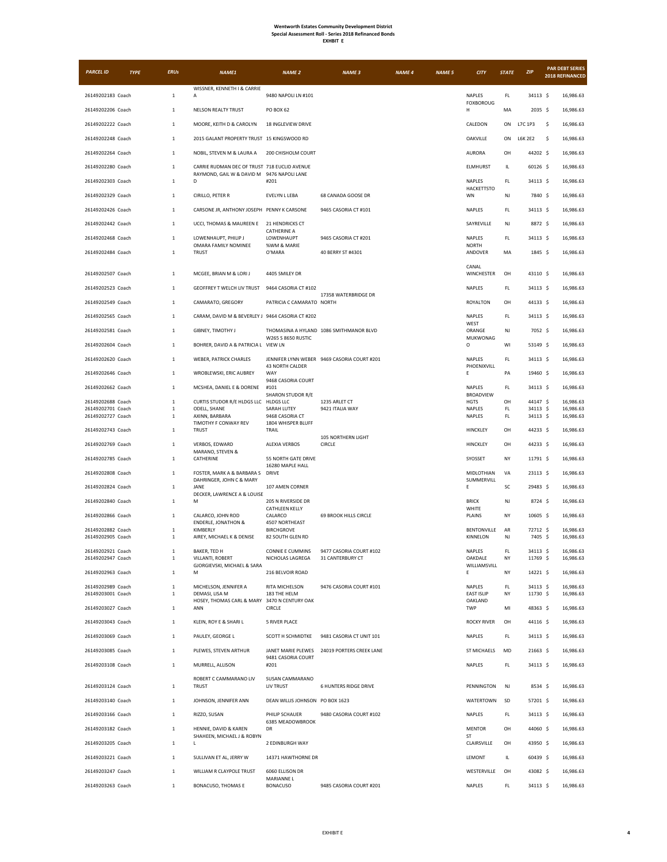| <b>PARCEL ID</b>                       | <b>TYPE</b> | <b>ERUs</b>                  | NAME1                                                          | <b>NAME 2</b>                            | <b>NAME 3</b>                               | <b>NAME 4</b> | <b>NAME 5</b> | <b>CITY</b>                    | <b>STATE</b> | <b>ZIP</b>           |     | <b>PAR DEBT SERIES</b><br>2018 REFINANCED |
|----------------------------------------|-------------|------------------------------|----------------------------------------------------------------|------------------------------------------|---------------------------------------------|---------------|---------------|--------------------------------|--------------|----------------------|-----|-------------------------------------------|
| 26149202183 Coach                      |             | $\mathbf{1}$                 | WISSNER, KENNETH I & CARRIE<br>A                               | 9480 NAPOLI LN #101                      |                                             |               |               | NAPLES                         | FL.          | 34113 \$             |     | 16,986.63                                 |
| 26149202206 Coach                      |             | $\mathbf 1$                  | NELSON REALTY TRUST                                            | <b>PO BOX 62</b>                         |                                             |               |               | <b>FOXBOROUG</b><br>н          | MA           | 2035 \$              |     | 16,986.63                                 |
| 26149202222 Coach                      |             | 1                            | MOORE, KEITH D & CAROLYN                                       | 18 INGLEVIEW DRIVE                       |                                             |               |               | <b>CALEDON</b>                 | ON           | L7C 1P3              | -\$ | 16,986.63                                 |
| 26149202248 Coach                      |             | $\overline{1}$               | 2015 GALANT PROPERTY TRUST 15 KINGSWOOD RD                     |                                          |                                             |               |               | OAKVILLE                       | ON           | <b>L6K 2E2</b>       | \$  | 16,986.63                                 |
| 26149202264 Coach                      |             | $\mathbf{1}$                 | NOBIL, STEVEN M & LAURA A                                      | 200 CHISHOLM COURT                       |                                             |               |               | <b>AURORA</b>                  | OH           | 44202 \$             |     | 16,986.63                                 |
| 26149202280 Coach                      |             | $\mathbf{1}$                 | CARRIE RUDMAN DEC OF TRUST 718 EUCLID AVENUE                   |                                          |                                             |               |               | ELMHURST                       | IL           | 60126 \$             |     | 16,986.63                                 |
| 26149202303 Coach                      |             | $\mathbf{1}$                 | RAYMOND, GAIL W & DAVID M 9476 NAPOLI LANE<br>D                | #201                                     |                                             |               |               | NAPLES                         | FL           | 34113 \$             |     | 16,986.63                                 |
| 26149202329 Coach                      |             | 1                            | CIRILLO, PETER R                                               | EVELYN L LEBA                            | 68 CANADA GOOSE DR                          |               |               | <b>HACKETTSTO</b><br><b>WN</b> | NJ           | 7840 \$              |     | 16,986.63                                 |
| 26149202426 Coach                      |             | $\mathbf{1}$                 | CARSONE JR, ANTHONY JOSEPH PENNY K CARSONE                     |                                          | 9465 CASORIA CT #101                        |               |               | NAPLES                         | FL.          | 34113 S              |     | 16,986.63                                 |
| 26149202442 Coach                      |             | $\mathbf 1$                  | UCCI, THOMAS & MAUREEN E                                       | 21 HENDRICKS CT                          |                                             |               |               | SAYREVILLE                     | NJ           | 8872 \$              |     | 16,986.63                                 |
| 26149202468 Coach                      |             | 1                            | LOWENHAUPT, PHILIP J                                           | <b>CATHERINE A</b><br>LOWENHAUPT         | 9465 CASORIA CT #201                        |               |               | NAPLES                         | FL.          | 34113 \$             |     | 16,986.63                                 |
| 26149202484 Coach                      |             | $\mathbf{1}$                 | OMARA FAMILY NOMINEE<br><b>TRUST</b>                           | %WM & MARIE<br>O'MARA                    | 40 BERRY ST #4301                           |               |               | <b>NORTH</b><br>ANDOVER        | MA           | 1845 \$              |     | 16,986.63                                 |
|                                        |             |                              |                                                                |                                          |                                             |               |               | CANAL                          |              |                      |     |                                           |
| 26149202507 Coach                      |             | $\mathbf{1}$                 | MCGEE, BRIAN M & LORI J                                        | 4405 SMILEY DR                           |                                             |               |               | WINCHESTER                     | OH           | 43110 S              |     | 16,986.63                                 |
| 26149202523 Coach                      |             | $\mathbf 1$                  | GEOFFREY T WELCH LIV TRUST                                     | 9464 CASORIA CT #102                     | 17358 WATERBRIDGE DR                        |               |               | NAPLES                         | FL.          | 34113 \$             |     | 16,986.63                                 |
| 26149202549 Coach                      |             | $\mathbf{1}$                 | CAMARATO, GREGORY                                              | PATRICIA C CAMARATO NORTH                |                                             |               |               | <b>ROYALTON</b>                | OH           | 44133 \$             |     | 16,986.63                                 |
| 26149202565 Coach                      |             | 1                            | CARAM, DAVID M & BEVERLEY J 9464 CASORIA CT #202               |                                          |                                             |               |               | NAPLES<br>WEST                 | FL.          | 34113 \$             |     | 16,986.63                                 |
| 26149202581 Coach                      |             | $\mathbf{1}$                 | GIBNEY, TIMOTHY J                                              | W265 S 8650 RUSTIC                       | THOMASINA A HYLAND 1086 SMITHMANOR BLVD     |               |               | ORANGE<br>MUKWONAG             | NJ           | 7052 \$              |     | 16,986.63                                 |
| 26149202604 Coach                      |             | $\mathbf 1$                  | BOHRER, DAVID A & PATRICIA L VIEW LN                           |                                          |                                             |               |               | O                              | WI           | 53149 \$             |     | 16,986.63                                 |
| 26149202620 Coach                      |             | 1                            | WEBER, PATRICK CHARLES                                         |                                          | JENNIFER LYNN WEBER 9469 CASORIA COURT #201 |               |               | NAPLES<br>PHOENIXVILL          | FL           | 34113 \$             |     | 16,986.63                                 |
| 26149202646 Coach                      |             | 1                            | WROBLEWSKI, ERIC AUBREY                                        | 43 NORTH CALDER<br>WAY                   |                                             |               |               | Ε                              | PA           | 19460 \$             |     | 16,986.63                                 |
| 26149202662 Coach                      |             | $\mathbf{1}$                 | MCSHEA, DANIEL E & DORENE                                      | 9468 CASORIA COURT<br>#101               |                                             |               |               | <b>NAPLES</b>                  | FL.          | 34113 \$             |     | 16,986.63                                 |
| 26149202688 Coach                      |             | $\mathbf 1$                  | CURTIS STUDOR R/E HLDGS LLC HLDGS LLC                          | SHARON STUDOR R/E                        | 1235 ARLET CT                               |               |               | BROADVIEW<br><b>HGTS</b>       | OH           | 44147 \$             |     | 16,986.63                                 |
| 26149202701 Coach<br>26149202727 Coach |             | $\mathbf{1}$<br>1            | ODELL, SHANE<br>AXINN, BARBARA                                 | SARAH LUTEY<br>9468 CASORIA CT           | 9421 ITALIA WAY                             |               |               | NAPLES<br><b>NAPLES</b>        | FL.<br>FL.   | 34113 \$<br>34113 \$ |     | 16,986.63<br>16,986.63                    |
| 26149202743 Coach                      |             | $\mathbf{1}$                 | TIMOTHY F CONWAY REV<br><b>TRUST</b>                           | 1804 WHISPER BLUFF<br>TRAIL              |                                             |               |               | HINCKLEY                       | OH           | 44233 \$             |     | 16,986.63                                 |
| 26149202769 Coach                      |             | $\mathbf 1$                  | VERBOS, EDWARD                                                 | <b>ALEXIA VERBOS</b>                     | 105 NORTHERN LIGHT<br>CIRCLE                |               |               | HINCKLEY                       | OH           | 44233 \$             |     | 16,986.63                                 |
| 26149202785 Coach                      |             | $\mathbf{1}$                 | MARANO, STEVEN &<br>CATHERINE                                  | 55 NORTH GATE DRIVE                      |                                             |               |               | SYOSSET                        | NY           | 11791 \$             |     | 16,986.63                                 |
| 26149202808 Coach                      |             | 1                            | FOSTER, MARK A & BARBARA S                                     | 16280 MAPLE HALL<br>DRIVE                |                                             |               |               | MIDLOTHIAN                     | VA           | 23113 \$             |     | 16,986.63                                 |
| 26149202824 Coach                      |             | $\mathbf{1}$                 | DAHRINGER, JOHN C & MARY<br>JANE                               | 107 AMEN CORNER                          |                                             |               |               | SUMMERVILL<br>E                | SC           | 29483 \$             |     | 16,986.63                                 |
| 26149202840 Coach                      |             | $\mathbf{1}$                 | DECKER, LAWRENCE A & LOUISE<br>М                               | 205 N RIVERSIDE DR                       |                                             |               |               | <b>BRICK</b>                   | NJ           | 8724 \$              |     | 16,986.63                                 |
| 26149202866 Coach                      |             | $\mathbf{1}$                 | CALARCO, JOHN ROD                                              | <b>CATHLEEN KELLY</b><br>CALARCO         | <b>69 BROOK HILLS CIRCLE</b>                |               |               | WHITE<br><b>PLAINS</b>         | <b>NY</b>    | 10605 \$             |     | 16,986.63                                 |
| 26149202882 Coach                      |             | $\mathbf{1}$                 | <b>ENDERLE, JONATHON &amp;</b><br>KIMBERLY                     | 4507 NORTHEAST<br><b>BIRCHGROVE</b>      |                                             |               |               | <b>BENTONVILLE</b>             | AR           | 72712 \$             |     | 16,986.63                                 |
| 26149202905 Coach                      |             | $\mathbf{1}$                 | AIREY, MICHAEL K & DENISE                                      | 82 SOUTH GLEN RD                         |                                             |               |               | KINNELON                       | NJ           | 7405 \$              |     | 16,986.63                                 |
| 26149202921 Coach<br>26149202947 Coach |             | $\mathbf{1}$<br>$\mathbf{1}$ | BAKER, TED H<br>VILLANTI, ROBERT                               | CONNIE E CUMMINS<br>NICHOLAS LAGREGA     | 9477 CASORIA COURT #102<br>31 CANTERBURY CT |               |               | NAPLES<br>OAKDALE              | FL.<br>NY    | 34113 \$<br>11769 \$ |     | 16,986.63<br>16,986.63                    |
| 26149202963 Coach                      |             | $\mathbf{1}$                 | GJORGIEVSKI, MICHAEL & SARA<br>M                               | 216 BELVOIR ROAD                         |                                             |               |               | WILLIAMSVILL<br>E              | NY           | 14221 \$             |     | 16,986.63                                 |
| 26149202989 Coach                      |             | $\mathbf{1}$                 | MICHELSON, JENNIFER A                                          | RITA MICHELSON                           | 9476 CASORIA COURT #101                     |               |               | <b>NAPLES</b>                  | FL.          | 34113 \$             |     | 16,986.63                                 |
| 26149203001 Coach                      |             | $\mathbf{1}$                 | DEMASI, LISA M<br>HOSEY, THOMAS CARL & MARY 3470 N CENTURY OAK | 183 THE HELM                             |                                             |               |               | <b>EAST ISLIP</b><br>OAKLAND   | NY           | 11730 \$             |     | 16,986.63                                 |
| 26149203027 Coach                      |             | $\mathbf{1}$                 | ANN                                                            | CIRCLE                                   |                                             |               |               | TWP                            | MI           | 48363 \$             |     | 16,986.63                                 |
| 26149203043 Coach                      |             | $1\,$                        | KLEIN, ROY E & SHARI L                                         | <b>5 RIVER PLACE</b>                     |                                             |               |               | <b>ROCKY RIVER</b>             | OH           | 44116 \$             |     | 16,986.63                                 |
| 26149203069 Coach                      |             | $\mathbf{1}$                 | PAULEY, GEORGE L                                               | SCOTT H SCHMIDTKE                        | 9481 CASORIA CT UNIT 101                    |               |               | <b>NAPLES</b>                  | FL.          | 34113 \$             |     | 16,986.63                                 |
| 26149203085 Coach                      |             | $\mathbf{1}$                 | PLEWES, STEVEN ARTHUR                                          | JANET MARIE PLEWES<br>9481 CASORIA COURT | 24019 PORTERS CREEK LANE                    |               |               | <b>ST MICHAELS</b>             | MD           | 21663 \$             |     | 16.986.63                                 |
| 26149203108 Coach                      |             | $\mathbf 1$                  | MURRELL, ALLISON                                               | #201                                     |                                             |               |               | NAPLES                         | FL.          | 34113 \$             |     | 16,986.63                                 |
| 26149203124 Coach                      |             | $\mathbf{1}$                 | ROBERT C CAMMARANO LIV<br><b>TRUST</b>                         | SUSAN CAMMARANO<br>LIV TRUST             | <b>6 HUNTERS RIDGE DRIVE</b>                |               |               | PENNINGTON                     | NJ           | 8534 \$              |     | 16,986.63                                 |
| 26149203140 Coach                      |             | $\mathbf 1$                  | JOHNSON, JENNIFER ANN                                          | DEAN WILLIS JOHNSON PO BOX 1623          |                                             |               |               | WATERTOWN                      | SD           | 57201 \$             |     | 16,986.63                                 |
| 26149203166 Coach                      |             | $\mathbf{1}$                 | RIZZO, SUSAN                                                   | PHILIP SCHAUER                           | 9480 CASORIA COURT #102                     |               |               | <b>NAPLES</b>                  | FL.          | 34113 \$             |     | 16,986.63                                 |
| 26149203182 Coach                      |             | $\mathbf{1}$                 | HENNIE, DAVID & KAREN                                          | 6385 MEADOWBROOK<br>DR                   |                                             |               |               | <b>MENTOR</b>                  | OH           | 44060 \$             |     | 16,986.63                                 |
| 26149203205 Coach                      |             | $\mathbf{1}$                 | SHAHEEN, MICHAEL J & ROBYN<br>L                                | 2 EDINBURGH WAY                          |                                             |               |               | <b>ST</b><br>CLAIRSVILLE       | OH           | 43950 \$             |     | 16,986.63                                 |
| 26149203221 Coach                      |             | $\mathbf{1}$                 | SULLIVAN ET AL, JERRY W                                        | 14371 HAWTHORNE DR                       |                                             |               |               | LEMONT                         | IL.          | 60439 \$             |     | 16,986.63                                 |
| 26149203247 Coach                      |             | $\mathbf{1}$                 | WILLIAM R CLAYPOLE TRUST                                       | 6060 ELLISON DR                          |                                             |               |               | WESTERVILLE                    | OH           | 43082 \$             |     | 16,986.63                                 |
| 26149203263 Coach                      |             | $\mathbf{1}$                 | BONACUSO, THOMAS E                                             | MARIANNE L<br><b>BONACUSO</b>            | 9485 CASORIA COURT #201                     |               |               | NAPLES                         | FL.          | 34113 \$             |     | 16,986.63                                 |
|                                        |             |                              |                                                                |                                          |                                             |               |               |                                |              |                      |     |                                           |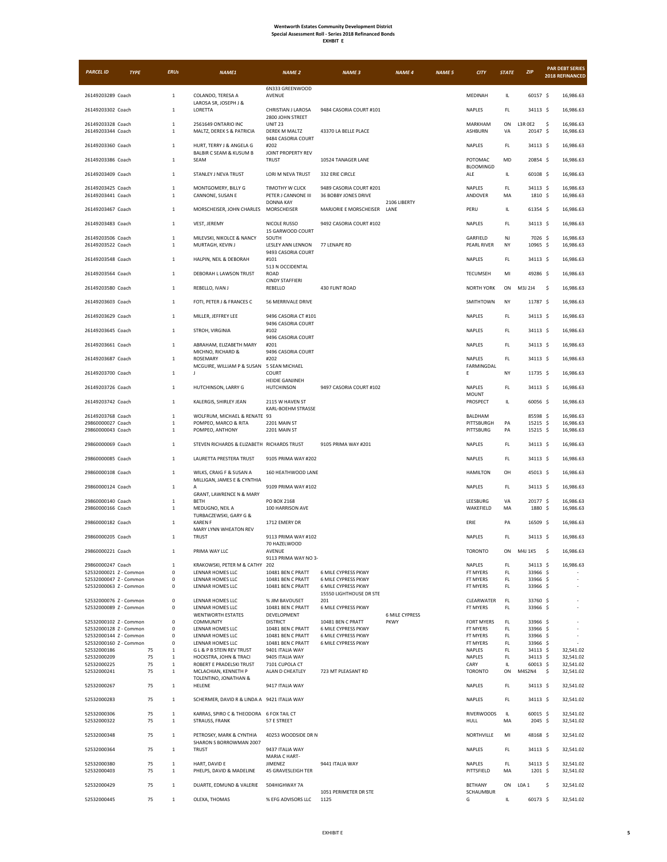| PARCEL ID                                        | <b>TYPE</b> | <b>ERUs</b>                  | NAME1                                                               | <b>NAME 2</b>                                              | <b>NAME 3</b>                                   | <b>NAME 4</b>         | <b>NAME 5</b> | <b>CITY</b>              | <b>STATE</b> | <b>ZIP</b>           | <b>PAR DEBT SERIES</b><br>2018 REFINANCED |
|--------------------------------------------------|-------------|------------------------------|---------------------------------------------------------------------|------------------------------------------------------------|-------------------------------------------------|-----------------------|---------------|--------------------------|--------------|----------------------|-------------------------------------------|
| 26149203289 Coach                                |             | $\mathbf{1}$                 | COLANDO, TERESA A                                                   | 6N333 GREENWOOD<br>AVENUE                                  |                                                 |                       |               | MEDINAH                  | IL           | 60157 \$             | 16,986.63                                 |
| 26149203302 Coach                                |             | $1\,$                        | LAROSA SR, JOSEPH J &<br>LORETTA                                    | CHRISTIAN J LAROSA                                         | 9484 CASORIA COURT #101                         |                       |               | NAPLES                   | FL           | 34113 \$             | 16,986.63                                 |
| 26149203328 Coach<br>26149203344 Coach           |             | $1\,$<br>$\mathbf{1}$        | 2561649 ONTARIO INC<br>MALTZ, DEREK S & PATRICIA                    | 2800 JOHN STREET<br><b>UNIT 23</b><br><b>DEREK M MALTZ</b> | 43370 LA BELLE PLACE                            |                       |               | MARKHAM<br>ASHBURN       | ON<br>VA     | L3R 0E2<br>20147 \$  | -\$<br>16,986.63<br>16,986.63             |
| 26149203360 Coach                                |             | $\,1\,$                      | HURT, TERRY J & ANGELA G                                            | 9484 CASORIA COURT<br>#202                                 |                                                 |                       |               | NAPLES                   | FL.          | 34113 \$             | 16,986.63                                 |
| 26149203386 Coach                                |             | $\mathbf{1}$                 | <b>BALBIR C SEAM &amp; KUSUM B</b><br><b>SEAM</b>                   | JOINT PROPERTY REV<br><b>TRUST</b>                         | 10524 TANAGER LANE                              |                       |               | POTOMAC                  | MD           | 20854 \$             | 16,986.63                                 |
| 26149203409 Coach                                |             | $\mathbf{1}$                 | STANLEY J NEVA TRUST                                                | LORI M NEVA TRUST                                          | 332 ERIE CIRCLE                                 |                       |               | BLOOMINGD<br>ALE         | IL.          | 60108 \$             | 16,986.63                                 |
| 26149203425 Coach<br>26149203441 Coach           |             | $\,1\,$<br>$\mathbf{1}$      | MONTGOMERY, BILLY G<br>CANNONE, SUSAN E                             | TIMOTHY W CLICK<br>PETER J CANNONE III                     | 9489 CASORIA COURT #201<br>36 BOBBY JONES DRIVE |                       |               | NAPLES<br>ANDOVER        | FL.<br>MA    | 34113 \$<br>1810 \$  | 16,986.63<br>16,986.63                    |
| 26149203467 Coach                                |             | $\mathbf{1}$                 | MORSCHEISER, JOHN CHARLES                                           | <b>DONNA KAY</b><br>MORSCHEISER                            | MARJORIE E MORSCHEISER                          | 2106 LIBERTY<br>LANE  |               | PERU                     | IL           | 61354 \$             | 16,986.63                                 |
| 26149203483 Coach                                |             | $\mathbf{1}$                 | VEST, JEREMY                                                        | NICOLE RUSSO<br>15 GARWOOD COURT                           | 9492 CASORIA COURT #102                         |                       |               | NAPLES                   | FL.          | 34113 \$             | 16,986.63                                 |
| 26149203506 Coach<br>26149203522 Coach           |             | $\mathbf{1}$<br>$1\,$        | MILEVSKI, NIKOLCE & NANCY<br>MURTAGH, KEVIN J                       | SOUTH<br>LESLEY ANN LENNON                                 | 77 LENAPE RD                                    |                       |               | GARFIELD<br>PEARL RIVER  | NJ<br>NY     | 7026 \$<br>10965 \$  | 16,986.63<br>16,986.63                    |
| 26149203548 Coach                                |             | $\mathbf{1}$                 | HALPIN, NEIL & DEBORAH                                              | 9493 CASORIA COURT<br>#101                                 |                                                 |                       |               | NAPLES                   | FL.          | 34113 \$             | 16,986.63                                 |
| 26149203564 Coach                                |             | $\mathbf{1}$                 | DEBORAH L LAWSON TRUST                                              | 513 N OCCIDENTAL<br>ROAD<br><b>CINDY STAFFIERI</b>         |                                                 |                       |               | TECUMSEH                 | MI           | 49286 \$             | 16,986.63                                 |
| 26149203580 Coach                                |             | $\mathbf{1}$                 | REBELLO, IVAN J                                                     | REBELLO                                                    | 430 FLINT ROAD                                  |                       |               | <b>NORTH YORK</b>        | ON           | M3J 2J4              | \$<br>16,986.63                           |
| 26149203603 Coach                                |             | $\mathbf{1}$                 | FOTI, PETER J & FRANCES C                                           | 56 MERRIVALE DRIVE                                         |                                                 |                       |               | SMITHTOWN                | NY           | 11787 \$             | 16,986.63                                 |
| 26149203629 Coach                                |             | $\mathbf{1}$                 | MILLER, JEFFREY LEE                                                 | 9496 CASORIA CT #101<br>9496 CASORIA COURT                 |                                                 |                       |               | NAPLES                   | FL.          | 34113 \$             | 16,986.63                                 |
| 26149203645 Coach                                |             | $\mathbf{1}$                 | STROH, VIRGINIA                                                     | #102<br>9496 CASORIA COURT                                 |                                                 |                       |               | NAPLES                   | FL.          | 34113 \$             | 16,986.63                                 |
| 26149203661 Coach<br>26149203687 Coach           |             | $1\,$<br>$1\,$               | ABRAHAM, ELIZABETH MARY<br>MICHNO, RICHARD &<br>ROSEMARY            | #201<br>9496 CASORIA COURT<br>#202                         |                                                 |                       |               | NAPLES<br>NAPLES         | FL.<br>FL.   | 34113 \$<br>34113 \$ | 16,986.63<br>16,986.63                    |
| 26149203700 Coach                                |             | $\mathbf{1}$                 | MCGUIRE, WILLIAM P & SUSAN<br>J                                     | 5 SEAN MICHAEL<br>COURT                                    |                                                 |                       |               | <b>FARMINGDAL</b><br>E   | NY           | 11735 S              | 16,986.63                                 |
| 26149203726 Coach                                |             | $\mathbf 1$                  | HUTCHINSON, LARRY G                                                 | <b>HEIDIE GANJINEH</b><br><b>HUTCHINSON</b>                | 9497 CASORIA COURT #102                         |                       |               | NAPLES                   | FL           | 34113 \$             | 16,986.63                                 |
| 26149203742 Coach                                |             | $\mathbf{1}$                 | KALERGIS, SHIRLEY JEAN                                              | 2115 W HAVEN ST                                            |                                                 |                       |               | <b>MOUNT</b><br>PROSPECT | IL.          | 60056 \$             | 16,986.63                                 |
| 26149203768 Coach                                |             | $\mathbf{1}$                 | WOLFRUM, MICHAEL & RENATE 93                                        | KARL-BOEHM STRASSE                                         |                                                 |                       |               | BALDHAM                  |              | 85598 \$             | 16,986.63                                 |
| 29860000027 Coach<br>29860000043 Coach           |             | $1\,$<br>$\mathbf{1}$        | POMPEO, MARCO & RITA<br>POMPEO, ANTHONY                             | 2201 MAIN ST<br>2201 MAIN ST                               |                                                 |                       |               | PITTSBURGH<br>PITTSBURG  | PA<br>PA     | 15215 \$<br>15215 \$ | 16,986.63<br>16,986.63                    |
| 29860000069 Coach                                |             | $\mathbf{1}$                 | STEVEN RICHARDS & ELIZABETH RICHARDS TRUST                          |                                                            | 9105 PRIMA WAY #201                             |                       |               | NAPLES                   | FL.          | 34113 \$             | 16,986.63                                 |
| 29860000085 Coach                                |             | $\mathbf{1}$                 | LAURETTA PRESTERA TRUST                                             | 9105 PRIMA WAY #202                                        |                                                 |                       |               | NAPLES                   | FL.          | 34113 \$             | 16,986.63                                 |
| 29860000108 Coach                                |             | $\mathbf{1}$                 | WILKS, CRAIG F & SUSAN A<br>MILLIGAN, JAMES E & CYNTHIA             | 160 HEATHWOOD LANE                                         |                                                 |                       |               | <b>HAMILTON</b>          | OH           | 45013 \$             | 16,986.63                                 |
| 29860000124 Coach                                |             | $\mathbf{1}$                 | А<br>GRANT, LAWRENCE N & MARY                                       | 9109 PRIMA WAY #102                                        |                                                 |                       |               | <b>NAPLES</b>            | FL.          | 34113 \$             | 16,986.63                                 |
| 29860000140 Coach<br>29860000166 Coach           |             | $1\,$<br>$1\,$               | BETH<br>MEDUGNO, NEIL A                                             | PO BOX 2168<br>100 HARRISON AVE                            |                                                 |                       |               | LEESBURG<br>WAKEFIELD    | VA<br>MA     | 20177 \$<br>1880 \$  | 16,986.63<br>16,986.63                    |
| 29860000182 Coach                                |             | $1\,$                        | TURBACZEWSKI, GARY G &<br><b>KAREN F</b>                            | 1712 EMERY DR                                              |                                                 |                       |               | ERIE                     | PA           | 16509 \$             | 16,986.63                                 |
| 29860000205 Coach                                |             | $\mathbf{1}$                 | MARY LYNN WHEATON REV<br><b>TRUST</b>                               | 9113 PRIMA WAY #102                                        |                                                 |                       |               | NAPLES                   | EL.          | 34113 \$             | 16,986.63                                 |
| 29860000221 Coach                                |             | $\mathbf{1}$                 | PRIMA WAY LLC                                                       | 70 HAZELWOOD<br><b>AVENUE</b><br>9113 PRIMA WAY NO 3-      |                                                 |                       |               | <b>TORONTO</b>           | ON           | M4J 1K5              | \$<br>16,986.63                           |
| 29860000247 Coach                                |             | $\,1\,$                      | KRAKOWSKI, PETER M & CATHY 202                                      |                                                            |                                                 |                       |               | NAPLES                   | FL.          | 34113 \$             | 16,986.63                                 |
| 52532000021 Z - Common<br>52532000047 Z - Common |             | 0<br>0                       | LENNAR HOMES LLC<br>LENNAR HOMES LLC                                | 10481 BEN C PRATT<br>10481 BEN C PRATT                     | 6 MILE CYPRESS PKWY<br>6 MILE CYPRESS PKWY      |                       |               | FT MYERS<br>FT MYERS     | FL.<br>FL.   | 33966 \$<br>33966 \$ |                                           |
| 52532000063 Z - Common                           |             | 0                            | LENNAR HOMES LLC                                                    | 10481 BEN C PRATT                                          | 6 MILE CYPRESS PKWY<br>15550 LIGHTHOUSE DR STE  |                       |               | FT MYERS                 | FL.          | 33966 \$             |                                           |
| 52532000076 Z - Common<br>52532000089 Z - Common |             | 0<br>0                       | LENNAR HOMES LLC<br>LENNAR HOMES LLC<br><b>WENTWORTH ESTATES</b>    | % JIM BAVOUSET<br>10481 BEN C PRATT<br>DEVELOPMENT         | 201<br>6 MILE CYPRESS PKWY                      | <b>6 MILE CYPRESS</b> |               | CLEARWATER<br>FT MYERS   | FL.<br>FL.   | 33760 \$<br>33966 \$ |                                           |
| 52532000102 Z - Common                           |             | 0                            | COMMUNITY                                                           | <b>DISTRICT</b>                                            | 10481 BEN C PRATT                               | PKWY                  |               | FORT MYERS               | FL.          | 33966 \$             |                                           |
| 52532000128 Z - Common                           |             | 0                            | LENNAR HOMES LLC                                                    | 10481 BEN C PRATT                                          | 6 MILE CYPRESS PKWY                             |                       |               | FT MYERS                 | FL.          | 33966 \$             |                                           |
| 52532000144 Z - Common<br>52532000160 Z - Common |             | $\mathbf 0$<br>$\mathbf 0$   | LENNAR HOMES LLC                                                    | 10481 BEN C PRATT                                          | 6 MILE CYPRESS PKWY<br>6 MILE CYPRESS PKWY      |                       |               | FT MYERS                 | FL.<br>FL.   | 33966 \$<br>33966 \$ |                                           |
| 52532000186                                      | 75          | $\mathbf{1}$                 | LENNAR HOMES LLC<br><b>GL &amp; P B STEIN REV TRUST</b>             | 10481 BEN C PRATT<br>9401 ITALIA WAY                       |                                                 |                       |               | FT MYERS<br>NAPLES       | FL.          | 34113 \$             | 32,541.02                                 |
| 52532000209                                      | 75          | $\mathbf{1}$                 | HOCKSTRA, JOHN & TRACI                                              | 9405 ITALIA WAY                                            |                                                 |                       |               | NAPLES                   | FL.          | 34113 \$             | 32,541.02                                 |
| 52532000225                                      | 75          | $\mathbf{1}$                 | ROBERT E PRADELSKI TRUST                                            | 7101 CUPOLA CT                                             |                                                 |                       |               | CARY                     | IL.          | 60013 \$             | 32,541.02                                 |
| 52532000241                                      | 75          | $\,$ 1 $\,$                  | MCLACHIAN, KENNETH P<br>TOLENTINO, JONATHAN &                       | ALAN D CHEATLEY                                            | 723 MT PLEASANT RD                              |                       |               | <b>TORONTO</b>           | ON           | M4S2N4               | \$<br>32,541.02                           |
| 52532000267<br>52532000283                       | 75<br>75    | $\mathbf{1}$<br>$\mathbf 1$  | HELENE<br>SCHERMER, DAVID R & LINDA A 9421 ITALIA WAY               | 9417 ITALIA WAY                                            |                                                 |                       |               | NAPLES<br>NAPLES         | FL<br>FL.    | 34113 \$<br>34113 \$ | 32,541.02<br>32,541.02                    |
| 52532000306                                      | 75          | $\mathbf{1}$                 | KARRAS, SPIRO C & THEODORA 6 FOX TAIL CT                            |                                                            |                                                 |                       |               | <b>RIVERWOODS</b>        | IL           | 60015 \$             | 32,541.02                                 |
| 52532000322                                      | 75          | $\mathbf 1$                  | STRAUSS, FRANK                                                      | 57 E STREET                                                |                                                 |                       |               | HULL                     | MA           | 2045 \$              | 32,541.02                                 |
| 52532000348                                      | 75          | $\mathbf{1}$<br>$\mathbf{1}$ | PETROSKY, MARK & CYNTHIA<br>SHARON S BORROWMAN 2007<br><b>TRUST</b> | 40253 WOODSIDE DR N                                        |                                                 |                       |               | NORTHVILLE               | MI<br>FL.    | 48168 \$             | 32,541.02                                 |
| 52532000364<br>52532000380                       | 75<br>75    | $\mathbf{1}$                 | HART, DAVID E                                                       | 9437 ITALIA WAY<br>MARIA C HART-<br>JIMENEZ                | 9441 ITALIA WAY                                 |                       |               | NAPLES<br>NAPLES         | FL           | 34113 \$<br>34113 \$ | 32,541.02<br>32,541.02                    |
| 52532000403                                      | 75          | $\mathbf{1}$                 | PHELPS, DAVID & MADELINE                                            | 45 GRAVESLEIGH TER                                         |                                                 |                       |               | PITTSFIELD               | MA           | 1201 \$              | 32,541.02                                 |
| 52532000429                                      | 75          | $\mathbf{1}$                 | DUARTE, EDMUND & VALERIE                                            | 504HIGHWAY 7A                                              | 1051 PERIMETER DR STE                           |                       |               | BETHANY<br>SCHAUMBUR     | ON           | L0A1                 | \$<br>32,541.02                           |
| 52532000445                                      | 75          | $\mathbf{1}$                 | OLEXA, THOMAS                                                       | % EFG ADVISORS LLC                                         | 1125                                            |                       |               | G                        | IL.          | 60173 \$             | 32,541.02                                 |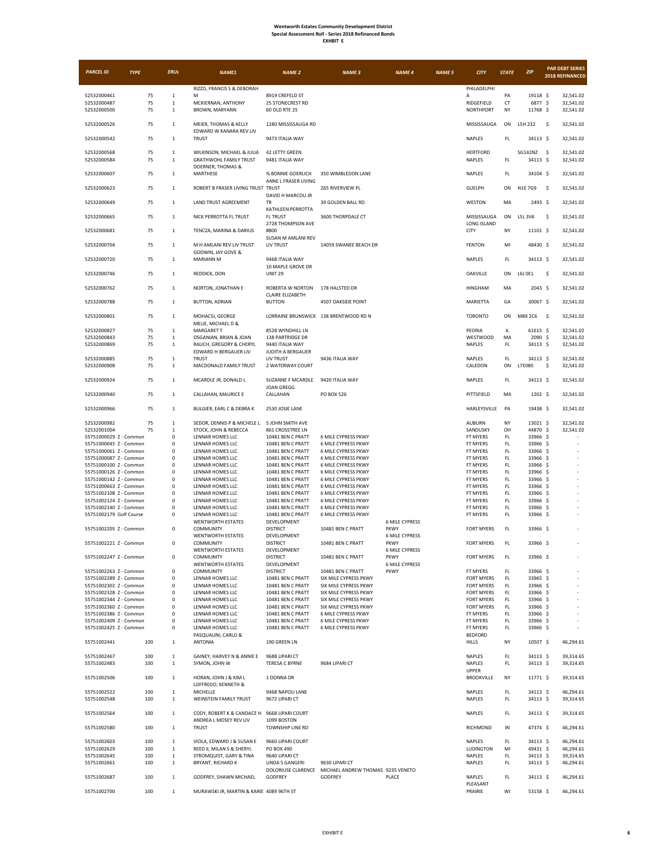| <b>PARCEL ID</b>                                 | <b>TYPE</b> | <b>ERUs</b>                  | <b>NAME1</b>                                                           | <b>NAME 2</b>                             | <b>NAME 3</b>                                        | <b>NAME 4</b>                        | <b>NAME 5</b> | <b>CITY</b>                     | <b>STATE</b>         | ZIP                  | <b>PAR DEBT SERIES</b><br>2018 REFINANCED |
|--------------------------------------------------|-------------|------------------------------|------------------------------------------------------------------------|-------------------------------------------|------------------------------------------------------|--------------------------------------|---------------|---------------------------------|----------------------|----------------------|-------------------------------------------|
|                                                  |             |                              | RIZZO, FRANCIS S & DEBORAH                                             |                                           |                                                      |                                      |               | PHILADELPHI                     |                      |                      |                                           |
| 52532000461                                      | 75          | 1                            | M                                                                      | 8919 CREFELD ST                           |                                                      |                                      |               | A                               | PA                   | 19118 \$             | 32,541.02                                 |
| 52532000487                                      | 75          | 1                            | MCKIERNAN, ANTHONY                                                     | 25 STONECREST RD                          |                                                      |                                      |               | RIDGEFIELD                      | CT                   | 6877                 | -\$<br>32,541.02                          |
| 52532000500                                      | 75          | $\mathbf{1}$                 | BROWN, MARYANN                                                         | 60 OLD RTE 25                             |                                                      |                                      |               | NORTHPORT                       | NY                   | 11768 \$             | 32,541.02                                 |
| 52532000526                                      | 75          | 1                            | MEIER, THOMAS & KELLY                                                  | 1280 MISSISSAUGA RD                       |                                                      |                                      |               | MISSISSAUGA                     | ON                   | L5H 232              | 32,541.02<br>\$                           |
| 52532000542                                      | 75          | 1                            | EDWARD W KANARA REV LIV<br><b>TRUST</b>                                | 9473 ITALIA WAY                           |                                                      |                                      |               | NAPLES                          | FL.                  | 34113 \$             | 32,541.02                                 |
| 52532000568                                      | 75          | 1                            | WILKINSON, MICHAEL & JULIA                                             | 42 LETTY GREEN                            |                                                      |                                      |               | <b>HERTFORD</b>                 |                      | SG142NZ              | - \$<br>32,541.02                         |
| 52532000584                                      | 75          | $\mathbf 1$                  | <b>GRATHWOHL FAMILY TRUST</b>                                          | 9481 ITALIA WAY                           |                                                      |                                      |               | NAPLES                          | FL.                  | 34113 \$             | 32,541.02                                 |
|                                                  |             |                              | DOERNER, THOMAS &                                                      |                                           |                                                      |                                      |               |                                 |                      |                      |                                           |
| 52532000607                                      | 75          | 1                            | MARTHESE                                                               | % BONNIE GOERLICH<br>ANNE L FRASER LIVING | 350 WIMBLEDON LANE                                   |                                      |               | NAPLES                          | FL                   | 34104 \$             | 32,541.02                                 |
| 52532000623                                      | 75          | 1                            | ROBERT B FRASER LIVING TRUST TRUST                                     |                                           | 265 RIVERVIEW PL                                     |                                      |               | <b>GUELPH</b>                   | ON                   | N1E 7G9              | - \$<br>32,541.02                         |
| 52532000649                                      | 75          | 1                            | LAND TRUST AGREEMENT                                                   | DAVID H MARCOU JR<br><b>TR</b>            | 39 GOLDEN BALL RD                                    |                                      |               | WESTON                          | MA                   | 2493 \$              | 32,541.02                                 |
| 52532000665                                      | 75          | $\mathbf{1}$                 | NICK PERROTTA FL TRUST                                                 | KATHLEEN PERROTTA<br><b>FL TRUST</b>      | 3600 THORPDALE CT                                    |                                      |               | MISSISSAUGA                     | ON                   | L5L 3V6              | \$<br>32,541.02                           |
|                                                  |             |                              |                                                                        | 2728 THOMPSON AVE                         |                                                      |                                      |               | LONG ISLAND                     |                      |                      |                                           |
| 52532000681                                      | 75          | $\mathbf{1}$                 | TENCZA, MARINA & DARIUS                                                | #800<br>SUSAN M AMLANI REV                |                                                      |                                      |               | <b>CITY</b>                     | NY                   | 11101 \$             | 32,541.02                                 |
| 52532000704                                      | 75          | 1                            | M H AMLANI REV LIV TRUST<br>GODWIN, JAY GOVE &                         | LIV TRUST                                 | 14059 SWANEE BEACH DR                                |                                      |               | <b>FENTON</b>                   | MI                   | 48430 \$             | 32,541.02                                 |
| 52532000720                                      | 75          | 1                            | MARIANN M                                                              | 9468 ITALIA WAY                           |                                                      |                                      |               | NAPLES                          | FL.                  | 34113 \$             | 32,541.02                                 |
| 52532000746                                      | 75          | 1                            | REDDICK, DON                                                           | 10 MAPLE GROVE DR<br><b>UNIT 29</b>       |                                                      |                                      |               | OAKVILLE                        | ON                   | L6J 0E1              | \$<br>32,541.02                           |
| 52532000762                                      | 75          | $\mathbf{1}$                 | NORTON, JONATHAN E                                                     | ROBERTA W NORTON                          | 178 HALSTED DR                                       |                                      |               | <b>HINGHAM</b>                  | MA                   | $2043 \;$ \$         | 32,541.02                                 |
| 52532000788                                      | 75          | 1                            | <b>BUTTON, ADRIAN</b>                                                  | <b>CLAIRE ELIZABETH</b><br><b>BUTTON</b>  | 4507 OAKSIDE POINT                                   |                                      |               | MARIETTA                        | GA                   | 30067 \$             | 32.541.02                                 |
| 52532000801                                      | 75          | $\mathbf{1}$                 | MOHACSI, GEORGE                                                        |                                           | LORRAINE BRUNSWICK 138 BRENTWOOD RD N                |                                      |               | <b>TORONTO</b>                  | ON                   | M8X 2C6              | -\$<br>32,541.02                          |
|                                                  |             |                              | MELIE, MICHAEL D &                                                     |                                           |                                                      |                                      |               |                                 |                      |                      |                                           |
| 52532000827                                      | 75          | $\mathbf{1}$                 | <b>MARGARET T</b>                                                      | 8528 WYNDHILL LN                          |                                                      |                                      |               | PEORIA                          | IL.                  | 61615 \$             | 32,541.02                                 |
| 52532000843<br>52532000869                       | 75<br>75    | 1<br>1                       | OSGANIAN, BRIAN & JOAN<br>RAUCH, GREGORY & CHERYL                      | 138 PARTRIDGE DR<br>9440 ITALIA WAY       |                                                      |                                      |               | WESTWOOD<br>NAPLES              | MA<br>FL.            | 2090 \$<br>34113 \$  | 32,541.02<br>32,541.02                    |
|                                                  |             |                              | EDWARD H BERGAUER LIV                                                  | JUDITH A BERGAUER                         |                                                      |                                      |               |                                 |                      |                      |                                           |
| 52532000885<br>52532000908                       | 75<br>75    | $\mathbf{1}$<br>$\mathbf{1}$ | <b>TRUST</b><br>MACDONALD FAMILY TRUST                                 | <b>IIV TRUST</b><br>2 WATERWAY COURT      | 9436 ITALIA WAY                                      |                                      |               | NAPLES<br>CALEDON               | FL.<br>ON            | 34113 \$<br>L7E0B5   | 32,541.02<br>\$<br>32,541.02              |
| 52532000924                                      | 75          | $\mathbf{1}$                 | MCARDLE JR, DONALD L                                                   | SUZANNE F MCARDLE                         | 9420 ITALIA WAY                                      |                                      |               | <b>NAPLES</b>                   | FL.                  | 34113 \$             | 32,541.02                                 |
| 52532000940                                      | 75          | $\mathbf 1$                  | CALLAHAN, MAURICE E                                                    | JOAN GREGG<br>CALLAHAN                    | <b>PO BOX 526</b>                                    |                                      |               | PITTSFIELD                      | MA                   | 1202 \$              | 32,541.02                                 |
| 52532000966                                      | 75          | $\mathbf{1}$                 | BULGIER, EARL C & DEBRA K                                              | 2530 JOSIE LANE                           |                                                      |                                      |               | HARLEYSVILLE                    | PA                   | 19438 \$             | 32,541.02                                 |
| 52532000982                                      | 75          | 1                            | SEDOR, DENNIS P & MICHELE L 5 JOHN SMITH AVE                           |                                           |                                                      |                                      |               | AUBURN                          | NY                   | 13021 \$             | 32,541.02                                 |
| 52532001004                                      | 75          | $\mathbf{1}$                 | STOCK, JOHN & REBECCA                                                  | 861 CROSSTREE LN                          |                                                      |                                      |               | SANDUSKY                        | OH                   | 44870 \$             | 32,541.02                                 |
| 55751000029 Z - Common                           |             | $\mathsf 0$                  | LENNAR HOMES LLC                                                       | 10481 BEN C PRATT                         | 6 MILE CYPRESS PKWY                                  |                                      |               | FT MYERS                        | FL.                  | 33966 \$             |                                           |
| 55751000045 Z - Common                           |             | $^{\circ}$                   | LENNAR HOMES LLC                                                       | 10481 BEN C PRATT                         | <b>6 MILE CYPRESS PKWY</b>                           |                                      |               | FT MYERS                        | FL                   | 33966                | -\$                                       |
| 55751000061 Z - Common                           |             | 0                            | LENNAR HOMES LLC                                                       | 10481 BEN C PRATT                         | <b>6 MILE CYPRESS PKWY</b>                           |                                      |               | FT MYERS                        | FL.                  | 33966                | -\$                                       |
| 55751000087 Z - Common                           |             | $\mathsf 0$<br>$\Omega$      | LENNAR HOMES LLC<br>LENNAR HOMES LLC                                   | 10481 BEN C PRATT<br>10481 BEN C PRATT    | 6 MILE CYPRESS PKWY                                  |                                      |               | FT MYERS                        | FL.<br>FL.           | 33966                | -S<br>-Ś                                  |
| 55751000100 Z - Common<br>55751000126 Z - Common |             | $^{\circ}$                   | LENNAR HOMES LLC                                                       | 10481 BEN C PRATT                         | 6 MILE CYPRESS PKWY<br><b>6 MILE CYPRESS PKWY</b>    |                                      |               | FT MYERS<br>FT MYERS            | FL                   | 33966<br>33966       | -\$                                       |
| 55751000142 Z - Common                           |             | 0                            | LENNAR HOMES LLC                                                       | 10481 BEN C PRATT                         | 6 MILE CYPRESS PKWY                                  |                                      |               | FT MYERS                        | FL.                  | 33966                | -Ś                                        |
| 55751000663 Z - Common                           |             | $\mathsf 0$                  | LENNAR HOMES LLC                                                       | 10481 BEN C PRATT                         | 6 MILE CYPRESS PKWY                                  |                                      |               | <b>FT MYERS</b>                 | FL.                  | 33966 \$             |                                           |
| 55751002108 Z - Common                           |             | 0                            | LENNAR HOMES LLC                                                       | 10481 BEN C PRATT                         | 6 MILE CYPRESS PKWY                                  |                                      |               | FT MYERS                        | FL.                  | 33966 \$             |                                           |
| 55751002124 Z - Common                           |             | $^{\circ}$                   | LENNAR HOMES LLC                                                       | 10481 BEN C PRATT                         | 6 MILE CYPRESS PKWY                                  |                                      |               | FT MYERS                        | FL.                  | 33966                | -Ś                                        |
| 55751002140 Z - Common                           |             | $\Omega$                     | LENNAR HOMES LLC                                                       | 10481 BEN C PRATT                         | 6 MILE CYPRESS PKWY                                  |                                      |               | FT MYERS                        | FL.                  | 33966 \$             |                                           |
| 55751002179 Golf Course                          |             | $^{\circ}$                   | LENNAR HOMES LLC                                                       | 10481 BEN C PRATT                         | 6 MILE CYPRESS PKWY                                  |                                      |               | FT MYERS                        | FL.                  | 33966 \$             |                                           |
| 55751002205 Z - Common                           |             | $^{\circ}$                   | <b>WENTWORTH ESTATES</b><br>COMMUNITY                                  | DEVELOPMENT<br><b>DISTRICT</b>            | 10481 BEN C PRATT                                    | <b>6 MILE CYPRESS</b><br>PKWY        |               | <b>FORT MYERS</b>               | FL                   | 33966 \$             |                                           |
| 55751002221 Z - Common                           |             | $\mathsf 0$                  | <b>WENTWORTH ESTATES</b><br>COMMUNITY                                  | DEVELOPMENT<br><b>DISTRICT</b>            | 10481 BEN C PRATT                                    | <b>6 MILE CYPRESS</b><br>PKWY        |               | <b>FORT MYERS</b>               | FL.                  | 33966 \$             |                                           |
|                                                  |             |                              | <b>WENTWORTH ESTATES</b>                                               | DEVELOPMENT                               |                                                      | <b>6 MILE CYPRESS</b>                |               |                                 |                      |                      |                                           |
| 55751002247 Z - Common                           |             | 0                            | COMMUNITY<br><b>WENTWORTH ESTATES</b>                                  | <b>DISTRICT</b><br>DEVELOPMENT            | 10481 BEN C PRATT                                    | <b>PKWY</b><br><b>6 MILE CYPRESS</b> |               | FORT MYERS                      | $\mathsf{FL}$        | 33966 \$             |                                           |
| 55751002263 Z - Common                           |             | $\mathsf 0$                  | COMMUNITY                                                              | <b>DISTRICT</b>                           | 10481 BEN C PRATT                                    | PKWY                                 |               | FT MYERS                        | $\mathsf{FL}$        | 33966 \$             |                                           |
| 55751002289 Z - Common                           |             | $\mathsf 0$                  | LENNAR HOMES LLC                                                       | 10481 BEN C PRATT                         | SIX MILE CYPRESS PKWY<br>SIX MILE CYPRESS PKWY       |                                      |               | FORT MYERS                      | FL.                  | 33965 \$<br>33966 \$ |                                           |
| 55751002302 Z - Common                           |             | $\mathsf 0$                  | LENNAR HOMES LLC                                                       | 10481 BEN C PRATT                         |                                                      |                                      |               | <b>FORT MYERS</b>               | FL.                  |                      |                                           |
| 55751002328 Z - Common                           |             | $^{\circ}$<br>$\mathbf 0$    | LENNAR HOMES LLC                                                       | 10481 BEN C PRATT<br>10481 BEN C PRATT    | SIX MILE CYPRESS PKWY                                |                                      |               | <b>FORT MYERS</b>               | FL.<br>FL.           | 33966 \$             |                                           |
| 55751002344 Z - Common<br>55751002360 Z - Common |             | $\mathbf 0$                  | LENNAR HOMES LLC<br>LENNAR HOMES LLC                                   | 10481 BEN C PRATT                         | SIX MILE CYPRESS PKWY<br>SIX MILE CYPRESS PKWY       |                                      |               | FORT MYERS<br><b>FORT MYERS</b> | FL.                  | 33966 \$<br>33966 \$ |                                           |
| 55751002386 Z - Common                           |             | $^{\circ}$                   |                                                                        |                                           | <b>6 MILE CYPRESS PKWY</b>                           |                                      |               |                                 | FL.                  | 33966 \$             |                                           |
| 55751002409 Z - Common                           |             | 0                            | LENNAR HOMES LLC<br>LENNAR HOMES LLC                                   | 10481 BEN C PRATT<br>10481 BEN C PRATT    | 6 MILE CYPRESS PKWY                                  |                                      |               | FT MYERS<br>FT MYERS            | FL.                  | 33966 \$             |                                           |
| 55751002425 Z - Common                           |             | $\mathsf 0$                  | LENNAR HOMES LLC                                                       | 10481 BEN C PRATT                         | 6 MILE CYPRESS PKWY                                  |                                      |               | FT MYERS                        | FL.                  | 33966 \$             |                                           |
| 55751002441                                      | 100         | $\mathbf 1$                  | PASQUALINI, CARLO &<br><b>ANTONIA</b>                                  | 190 GREEN LN                              |                                                      |                                      |               | <b>BEDFORD</b><br>HILLS         | NY                   | 10507 \$             | 46,294.61                                 |
|                                                  |             |                              |                                                                        |                                           |                                                      |                                      |               |                                 |                      |                      |                                           |
| 55751002467<br>55751002483                       | 100<br>100  | $\mathbf{1}$<br>$\mathbf{1}$ | GAINEY, HARVEY N & ANNIE E<br>SYMON, JOHN W                            | 9688 LIPARI CT<br><b>TERESA C BYRNE</b>   | 9684 LIPARI CT                                       |                                      |               | NAPLES<br>NAPLES                | FL.<br>$\mathsf{FL}$ | 34113 \$<br>34113 \$ | 39,314.65<br>39,314.65                    |
| 55751002506                                      | 100         | $\mathbf{1}$                 | HORAN, JOHN J & KIM L                                                  | 1 DONNA DR                                |                                                      |                                      |               | UPPER<br><b>BROOKVILLE</b>      | NY                   | 11771 \$             | 39,314.65                                 |
| 55751002522                                      | 100         | $\mathbf{1}$                 | LOFFREDO, KENNETH &<br>MICHELLE                                        | 9468 NAPOLI LANE                          |                                                      |                                      |               | NAPLES                          | FL.                  | 34113 \$             | 46,294.61                                 |
| 55751002548                                      | 100         | $\mathbf{1}$                 | WEINSTEIN FAMILY TRUST                                                 | 9672 LIPARI CT                            |                                                      |                                      |               | NAPLES                          | FL.                  | 34113 \$             | 39,314.65                                 |
| 55751002564                                      | 100         | 1                            | CODY, ROBERT K & CANDACE H 9668 LIPARI COURT<br>ANDREA L MOSEY REV LIV | 1099 BOSTON                               |                                                      |                                      |               | NAPLES                          | FL                   | 34113 \$             | 39,314.65                                 |
| 55751002580                                      | 100         | $\mathbf{1}$                 | <b>TRUST</b>                                                           | TOWNSHIP LINE RD                          |                                                      |                                      |               | RICHMOND                        | $\sf IN$             | 47374 \$             | 46,294.61                                 |
| 55751002603                                      | 100         | $\mathbf 1$                  | VIOLA, EDWARD J & SUSAN E                                              | 9660 LIPARI COURT                         |                                                      |                                      |               | NAPLES                          | FL.                  | 34113 \$             | 46,294.61                                 |
| 55751002629                                      | 100         | $\mathbf{1}$                 | REED II, MILAN S & SHERYL                                              | PO BOX 490                                |                                                      |                                      |               | LUDINGTON                       | MI                   | 49431 \$             | 46,294.61                                 |
| 55751002645                                      | 100         | $\mathbf{1}$                 | STROMQUIST, GARY & TINA                                                | 9640 LIPARI CT                            |                                                      |                                      |               | NAPLES                          | $\mathsf{FL}$        | 34113 \$             | 39,314.65                                 |
| 55751002661                                      | 100         | $\mathbf{1}$                 | BRYANT, RICHARD K                                                      | <b>LINDA S GANGERI</b>                    | 9630 LIPARI CT                                       |                                      |               | NAPLES                          | FL.                  | 34113 \$             | 46,294.61                                 |
|                                                  |             |                              |                                                                        |                                           | DOLORIUSE CLARENCE MICHAEL ANDREW THOMAS 9235 VENETO |                                      |               |                                 |                      |                      |                                           |
| 55751002687                                      | 100         | $\mathbf 1$                  | GODFREY, SHAWN MICHAEL                                                 | GODFREY                                   | <b>GODFREY</b>                                       | PLACE                                |               | NAPLES<br>PLEASANT              | $\mathsf{FL}$        | 34113 \$             | 46,294.61                                 |
| 55751002700                                      | 100         | $\mathbf{1}$                 | MURAWSKI JR, MARTIN & KARIE 4089 96TH ST                               |                                           |                                                      |                                      |               | PRAIRIE                         | WI                   | 53158 \$             | 46,294.61                                 |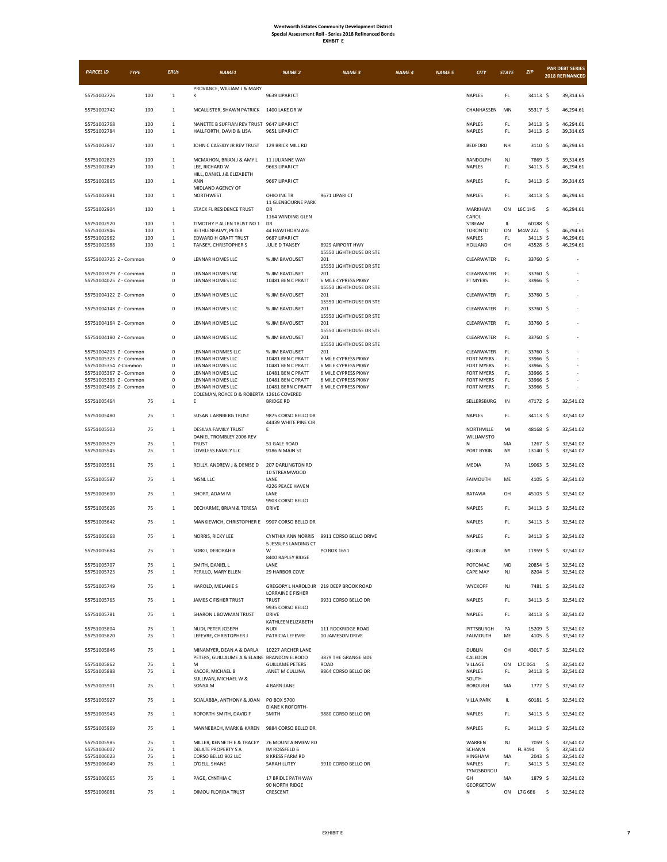| <b>PARCEL ID</b>                                 | <b>TYPE</b> | <b>ERUs</b>                  | NAME1                                                                   | <b>NAME 2</b>                               | <b>NAME 3</b>                                                | <b>NAME 4</b> | <b>NAME 5</b> | <b>CITY</b>                        | <b>STATE</b> | <b>ZIP</b>            | <b>PAR DEBT SERIES</b><br>2018 REFINANCED |
|--------------------------------------------------|-------------|------------------------------|-------------------------------------------------------------------------|---------------------------------------------|--------------------------------------------------------------|---------------|---------------|------------------------------------|--------------|-----------------------|-------------------------------------------|
| 55751002726                                      | 100         | $\mathbf{1}$                 | PROVANCE, WILLIAM J & MARY<br>Κ                                         | 9639 LIPARI CT                              |                                                              |               |               | NAPLES                             | FL.          | 34113 \$              | 39,314.65                                 |
| 55751002742                                      | 100         | 1                            | MCALLISTER, SHAWN PATRICK 1400 LAKE DR W                                |                                             |                                                              |               |               | CHANHASSEN                         | MN           | 55317 \$              | 46,294.61                                 |
| 55751002768<br>55751002784                       | 100<br>100  | 1<br>$\mathbf{1}$            | NANETTE B SUFFIAN REV TRUST 9647 LIPARI CT<br>HALLFORTH, DAVID & LISA   | 9651 LIPARI CT                              |                                                              |               |               | NAPLES<br>NAPLES                   | FL<br>FL.    | 34113 \$<br>34113 \$  | 46,294.61<br>39,314.65                    |
| 55751002807                                      | 100         | $\mathbf{1}$                 | JOHN C CASSIDY JR REV TRUST                                             | 129 BRICK MILL RD                           |                                                              |               |               | <b>BEDFORD</b>                     | NH           | $3110 \;$ \$          | 46,294.61                                 |
| 55751002823                                      | 100         | 1                            | MCMAHON, BRIAN J & AMY L                                                | 11 JULIANNE WAY                             |                                                              |               |               | RANDOLPH                           | NJ           | 7869 \$               | 39,314.65                                 |
| 55751002849                                      | 100         | $\mathbf{1}$                 | LEE, RICHARD W<br>HILL, DANIEL J & ELIZABETH<br>ANN                     | 9663 LIPARI CT                              |                                                              |               |               | NAPLES                             | FL.          | 34113 \$<br>34113 \$  | 46,294.61                                 |
| 55751002865<br>55751002881                       | 100<br>100  | $\mathbf{1}$<br>$\mathbf{1}$ | MIDLAND AGENCY OF<br>NORTHWEST                                          | 9667 LIPARI CT<br>OHIO INC TR               | 9671 LIPARI CT                                               |               |               | NAPLES<br>NAPLES                   | FL<br>FL.    | 34113 \$              | 39,314.65<br>46,294.61                    |
| 55751002904                                      | 100         | $\mathbf{1}$                 | STACK FL RESIDENCE TRUST                                                | 11 GLENBOURNE PARK<br>DR                    |                                                              |               |               | <b>MARKHAM</b>                     | ON           | L6C 1H5               | \$<br>46,294.61                           |
| 55751002920                                      | 100         | $\mathbf{1}$                 | TIMOTHY P ALLEN TRUST NO 1                                              | 1164 WINDING GLEN<br>DR                     |                                                              |               |               | CAROL<br>STREAM                    | IL           | 60188 \$              |                                           |
| 55751002946                                      | 100         | $\mathbf{1}$                 | BETHLENFALVY, PETER                                                     | 44 HAWTHORN AVE                             |                                                              |               |               | <b>TORONTO</b>                     | ON           | M4W 2Z2               | \$<br>46,294.61                           |
| 55751002962                                      | 100         | 1                            | EDWARD H GRAFT TRUST                                                    | 9687 LIPARI CT                              |                                                              |               |               | <b>NAPLES</b>                      | FL.          | $34113 \;$ \$         | 46,294.61                                 |
| 55751002988                                      | 100         | $\mathbf{1}$                 | TANSEY, CHRISTOPHER S                                                   | JULIE D TANSEY                              | 8929 AIRPORT HWY                                             |               |               | HOLLAND                            | OH           | 43528 \$              | 46,294.61                                 |
| 55751003725 Z - Common                           |             | $\mathbf 0$                  | LENNAR HOMES LLC                                                        | % JIM BAVOUSET                              | 15550 LIGHTHOUSE DR STE<br>201                               |               |               | CLEARWATER                         | FL.          | 33760 \$              |                                           |
|                                                  |             |                              |                                                                         |                                             | 15550 LIGHTHOUSE DR STE                                      |               |               |                                    |              | 33760 S               |                                           |
| 55751003929 Z - Common<br>55751004025 Z - Common |             | $\mathsf 0$<br>$^{\circ}$    | LENNAR HOMES INC<br>LENNAR HOMES LLC                                    | % JIM BAVOUSET<br>10481 BEN C PRATT         | 201<br><b>6 MILE CYPRESS PKWY</b><br>15550 LIGHTHOUSE DR STE |               |               | CLEARWATER<br>FT MYERS             | FL.<br>FL    | 33966 \$              |                                           |
| 55751004122 Z - Common                           |             | $\mathsf 0$                  | LENNAR HOMES LLC                                                        | % JIM BAVOUSET                              | 201<br>15550 LIGHTHOUSE DR STE                               |               |               | CLEARWATER                         | FL.          | 33760 \$              |                                           |
| 55751004148 Z - Common                           |             | $\mathsf 0$                  | LENNAR HOMES LLC                                                        | % JIM BAVOUSET                              | 201<br>15550 LIGHTHOUSE DR STE                               |               |               | CLEARWATER                         | FL.          | 33760 \$              |                                           |
| 55751004164 Z - Common                           |             | $^{\circ}$                   | LENNAR HOMES LLC                                                        | % JIM BAVOUSET                              | 201<br>15550 LIGHTHOUSE DR STE                               |               |               | CLEARWATER                         | FL           | 33760 \$              |                                           |
| 55751004180 7 - Common                           |             | $\mathbf 0$                  | LENNAR HOMES LLC                                                        | % IIM BAVOUSET                              | 201<br>15550 LIGHTHOUSE DR STE                               |               |               | CLEARWATER                         | FL.          | 33760 \$              |                                           |
| 55751004203 Z - Common                           |             | $\mathsf 0$                  | LENNAR HONMES LLC                                                       | % JIM BAVOUSET                              | 201                                                          |               |               | CLEARWATER                         | FL.          | 33760 S               |                                           |
| 55751005325 Z - Common                           |             | $^{\circ}$                   | LENNAR HOMES LLC                                                        | 10481 BEN C PRATT                           | 6 MILE CYPRESS PKWY                                          |               |               | FORT MYERS                         | FL.          | 33966 \$              |                                           |
| 55751005354 Z-Common                             |             | $^{\circ}$                   | LENNAR HOMES LLC                                                        | 10481 BEN C PRATT                           | <b>6 MILE CYPRESS PKWY</b>                                   |               |               | FORT MYERS                         | FL           | 33966 \$              |                                           |
| 55751005367 Z - Common                           |             | $\mathbf 0$                  | LENNAR HOMES LLC                                                        | 10481 BEN C PRATT                           | 6 MILE CYPRESS PKWY                                          |               |               | <b>FORT MYERS</b>                  | FL           | 33966 \$              |                                           |
| 55751005383 Z - Common                           |             | $^{\circ}$                   | LENNAR HOMES LLC                                                        | 10481 BEN C PRATT                           | 6 MILE CYPRESS PKWY                                          |               |               | FORT MYERS                         | FL           | 33966 \$              |                                           |
| 55751005406 Z - Common                           |             | 0                            | LENNAR HOMES LLC                                                        | 10481 BERN C PRATT                          | <b>6 MILE CYPRESS PKWY</b>                                   |               |               | FORT MYERS                         | FL           | 33966 \$              |                                           |
| 55751005464                                      | 75          | 1                            | COLEMAN, ROYCE D & ROBERTA 12616 COVERED<br>E                           | <b>BRIDGE RD</b>                            |                                                              |               |               | SELLERSBURG                        | $\sf IN$     | 47172 \$              | 32,541.02                                 |
| 55751005480                                      | 75          | $\mathbf{1}$                 | SUSAN L ARNBERG TRUST                                                   | 9875 CORSO BELLO DR<br>44439 WHITE PINE CIR |                                                              |               |               | <b>NAPLES</b>                      | FL.          | 34113 \$              | 32,541.02                                 |
| 55751005503                                      | 75          | 1                            | DESILVA FAMILY TRUST<br>DANIEL TROMBLEY 2006 REV                        | E                                           |                                                              |               |               | NORTHVILLE<br>WILLIAMSTO           | MI           | 48168 \$              | 32,541.02                                 |
| 55751005529<br>55751005545                       | 75<br>75    | $\mathbf{1}$<br>1            | <b>TRUST</b><br>LOVELESS FAMILY LLC                                     | 51 GALE ROAD<br>9186 N MAIN ST              |                                                              |               |               | N<br>PORT BYRIN                    | MA<br>NY     | $1267$ \$<br>13140 \$ | 32,541.02<br>32,541.02                    |
| 55751005561                                      | 75          | $\mathbf{1}$                 | REILLY, ANDREW J & DENISE D                                             | 207 DARLINGTON RD<br>10 STREAMWOOD          |                                                              |               |               | MEDIA                              | PA           | 19063 \$              | 32,541.02                                 |
| 55751005587                                      | 75          | 1                            | MSNL LLC                                                                | LANE<br>4226 PEACE HAVEN                    |                                                              |               |               | <b>FAIMOUTH</b>                    | ME           | $4105$ \$             | 32,541.02                                 |
| 55751005600                                      | 75          | $\mathbf{1}$                 | SHORT, ADAM M                                                           | LANE<br>9903 CORSO BELLO                    |                                                              |               |               | <b>BATAVIA</b>                     | OH           | 45103 \$              | 32,541.02                                 |
| 55751005626                                      | 75          | $\mathbf{1}$                 | DECHARME, BRIAN & TERESA                                                | <b>DRIVE</b>                                |                                                              |               |               | NAPLES                             | FL           | 34113 \$              | 32,541.02                                 |
| 55751005642                                      | 75          | 1                            | MANKIEWICH, CHRISTOPHER E 9907 CORSO BELLO DR                           |                                             |                                                              |               |               | <b>NAPLES</b>                      | FL.          | 34113 \$              | 32,541.02                                 |
| 55751005668                                      | 75          | $\mathbf{1}$                 | NORRIS, RICKY LEE                                                       | 5 JESSUPS LANDING CT                        | CYNTHIA ANN NORRIS 9911 CORSO BELLO DRIVE                    |               |               | NAPLES                             | FL.          | 34113 \$              | 32,541.02                                 |
| 55751005684                                      | 75          | $\mathbf{1}$                 | SORGI, DEBORAH B                                                        | W<br>8400 RAPLEY RIDGE                      | PO BOX 1651                                                  |               |               | QUOGUE                             | NY           | 11959 \$<br>20854 \$  | 32,541.02                                 |
| 55751005707<br>55751005723                       | 75<br>75    | $\mathbf{1}$<br>$\mathbf{1}$ | SMITH, DANIEL L<br>PERILLO, MARY ELLEN                                  | LANE<br>29 HARBOR COVE                      |                                                              |               |               | POTOMAC<br>CAPE MAY                | MD<br>NJ     | 8204 \$               | 32,541.02<br>32,541.02                    |
| 55751005749                                      | 75          | $\mathbf{1}$                 | HAROLD, MELANIE S                                                       | <b>LORRAINE E FISHER</b>                    | GREGORY L HAROLD JR 219 DEEP BROOK ROAD                      |               |               | WYCKOFF                            | NJ           | 7481 \$               | 32,541.02                                 |
| 55751005765                                      | 75          | 1                            | JAMES C FISHER TRUST                                                    | <b>TRUST</b><br>9935 CORSO BELLO            | 9931 CORSO BELLO DR                                          |               |               | <b>NAPLES</b>                      | FL.          | 34113 \$              | 32,541.02                                 |
| 55751005781                                      | 75          | $\mathbf{1}$                 | SHARON L BOWMAN TRUST                                                   | <b>DRIVE</b><br>KATHLEEN ELIZABETH          |                                                              |               |               | NAPLES                             | FL.          | 34113 S               | 32.541.02                                 |
| 55751005804                                      | 75          | $\mathbf{1}$                 | NUDI, PETER JOSEPH                                                      | <b>NUDI</b>                                 | 111 ROCKRIDGE ROAD                                           |               |               | PITTSBURGH                         | PA           | 15209 \$              | 32,541.02                                 |
| 55751005820                                      | 75          | $\mathbf{1}$                 | LEFEVRE, CHRISTOPHER J                                                  | PATRICIA LEFEVRE                            | 10 JAMESON DRIVE                                             |               |               | <b>FALMOUTH</b>                    | ME           | 4105 \$               | 32,541.02                                 |
| 55751005846                                      | 75          | $\mathbf 1$                  | MINAMYER, DEAN A & DARLA<br>PETERS, GUILLAUME A & ELAINE BRANDON ELRODO | 10227 ARCHER LANE                           | 3879 THE GRANGE SIDE                                         |               |               | DUBLIN<br>CALEDON                  | OH           | 43017 \$              | 32,541.02                                 |
| 55751005862<br>55751005888                       | 75<br>75    | $\mathbf{1}$                 | М<br>KACOR, MICHAEL B                                                   | <b>GUILLAME PETERS</b><br>JANET M CULLINA   | <b>ROAD</b><br>9864 CORSO BELLO DR                           |               |               | VILLAGE<br>NAPLES                  | ON<br>FL     | L7C0G1<br>34113 \$    | -\$<br>32,541.02<br>32,541.02             |
|                                                  |             | $\mathbf{1}$                 | SULLIVAN, MICHAEL W &                                                   |                                             |                                                              |               |               | SOUTH                              |              |                       |                                           |
| 55751005901<br>55751005927                       | 75<br>75    | $\mathbf{1}$<br>$\mathbf{1}$ | SONYA M<br>SCIALABBA, ANTHONY & JOAN                                    | <b>4 BARN LANE</b><br>PO BOX 5700           |                                                              |               |               | <b>BOROUGH</b>                     | MA<br>IL.    | 1772 \$<br>60181 \$   | 32,541.02<br>32,541.02                    |
| 55751005943                                      | 75          | $\mathbf{1}$                 | ROFORTH-SMITH, DAVID F                                                  | DIANE K ROFORTH-<br>SMITH                   | 9880 CORSO BELLO DR                                          |               |               | <b>VILLA PARK</b><br><b>NAPLES</b> | FL.          | 34113 \$              | 32,541.02                                 |
| 55751005969                                      | 75          | $\mathbf{1}$                 | MANNEBACH, MARK & KAREN                                                 | 9884 CORSO BELLO DR                         |                                                              |               |               | <b>NAPLES</b>                      | FL.          | 34113 \$              | 32,541.02                                 |
| 55751005985                                      | 75          | $\mathbf{1}$                 | MILLER, KENNETH E & TRACEY                                              | 26 MOUNTAINVIEW RD                          |                                                              |               |               | WARREN                             | NJ           | 7059 \$               | 32,541.02                                 |
| 55751006007                                      | 75          | 1                            | DELATE PROPERTY S A                                                     | IM ROSSFELD 6                               |                                                              |               |               | SCHANN                             |              | FL 9494               | \$<br>32,541.02                           |
| 55751006023                                      | 75          | $\mathbf{1}$                 | CORSO BELLO 902 LLC                                                     | 8 KRESS FARM RD                             |                                                              |               |               | HINGHAM                            | MA           | $2043 \quad $5$       | 32,541.02                                 |
| 55751006049                                      | 75          | $\mathbf{1}$                 | O'DELL, SHANE                                                           | SARAH LUTEY                                 | 9910 CORSO BELLO DR                                          |               |               | NAPLES                             | FL           | 34113 \$              | 32,541.02                                 |
|                                                  |             |                              |                                                                         |                                             |                                                              |               |               | TYNGSBOROU                         |              |                       |                                           |
| 55751006065                                      | 75          | $\mathbf 1$                  | PAGE, CYNTHIA C                                                         | 17 BRIDLE PATH WAY<br>90 NORTH RIDGE        |                                                              |               |               | GH<br>GEORGETOW                    | MA           | 1879 \$               | 32,541.02                                 |
| 55751006081                                      | 75          | $\mathbf 1$                  | DIMOU FLORIDA TRUST                                                     | CRESCENT                                    |                                                              |               |               | Ν                                  |              | ON L7G 6E6            | \$<br>32,541.02                           |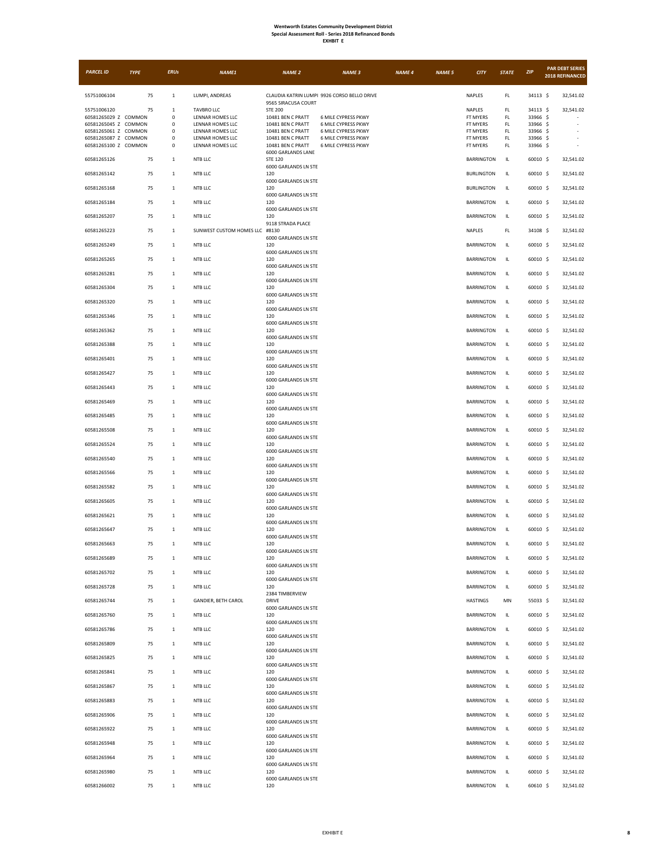| <b>EXHBIT</b> |  |
|---------------|--|
|---------------|--|

| <b>PARCEL ID</b>                             | <b>TYPE</b> | <b>ERUs</b>                  | NAME1                                | <b>NAME 2</b>                                       | <b>NAME 3</b>                               | <b>NAME 4</b> | <b>NAME 5</b> | <b>CITY</b>                            | <b>STATE</b> | ZIP                    | <b>PAR DEBT SERIES</b><br>2018 REFINANCED |
|----------------------------------------------|-------------|------------------------------|--------------------------------------|-----------------------------------------------------|---------------------------------------------|---------------|---------------|----------------------------------------|--------------|------------------------|-------------------------------------------|
| 55751006104                                  | 75          | $\mathbf{1}$                 | LUMPI, ANDREAS                       | 9565 SIRACUSA COURT                                 | CLAUDIA KATRIN LUMPI 9926 CORSO BELLO DRIVE |               |               | NAPLES                                 | FL           | 34113 \$               | 32,541.02                                 |
| 55751006120                                  | 75          | 1                            | <b>TAVBRO LLC</b>                    | <b>STE 200</b>                                      |                                             |               |               | NAPLES                                 | FL.          | 34113 \$               | 32,541.02                                 |
| 60581265029 Z COMMON<br>60581265045 Z COMMON |             | $\mathsf 0$<br>$\mathsf 0$   | LENNAR HOMES LLC<br>LENNAR HOMES LLC | 10481 BEN C PRATT<br>10481 BEN C PRATT              | 6 MILE CYPRESS PKWY<br>6 MILE CYPRESS PKWY  |               |               | FT MYERS<br>FT MYERS                   | FL.<br>FL.   | 33966 \$<br>33966 \$   |                                           |
| 60581265061 Z COMMON                         |             | $^{\circ}$                   | LENNAR HOMES LLC                     | 10481 BEN C PRATT                                   | <b>6 MILE CYPRESS PKWY</b>                  |               |               | FT MYERS                               | FL           | 33966 \$               |                                           |
| 60581265087 Z COMMON<br>60581265100 Z COMMON |             | 0<br>$\mathsf 0$             | LENNAR HOMES LLC<br>LENNAR HOMES LLC | 10481 BEN C PRATT<br>10481 BEN C PRATT              | 6 MILE CYPRESS PKWY<br>6 MILE CYPRESS PKWY  |               |               | FT MYERS<br>FT MYERS                   | FL<br>FL.    | 33966 \$<br>33966 \$   |                                           |
| 60581265126                                  | 75          | $\mathbf 1$                  | NTB LLC                              | 6000 GARLANDS LANE<br><b>STE 120</b>                |                                             |               |               | <b>BARRINGTON</b>                      | IL.          | 60010 \$               | 32,541.02                                 |
| 60581265142                                  | 75          | $\mathbf{1}$                 | NTB LLC                              | 6000 GARLANDS LN STE<br>120                         |                                             |               |               | <b>BURLINGTON</b>                      | IL.          | 60010 \$               | 32,541.02                                 |
| 60581265168                                  | 75          | $\mathbf{1}$                 | NTB LLC                              | 6000 GARLANDS LN STE<br>120                         |                                             |               |               | <b>BURLINGTON</b>                      | IL           | 60010 \$               | 32,541.02                                 |
| 60581265184                                  | 75          | $\mathbf 1$                  | NTB LLC                              | 6000 GARLANDS LN STE<br>120<br>6000 GARLANDS LN STE |                                             |               |               | <b>BARRINGTON</b>                      | IL.          | 60010 \$               | 32,541.02                                 |
| 60581265207                                  | 75          | $\mathbf{1}$                 | NTB LLC                              | 120<br>9118 STRADA PLACE                            |                                             |               |               | <b>BARRINGTON</b>                      | IL           | 60010 \$               | 32,541.02                                 |
| 60581265223                                  | 75          | 1                            | SUNWEST CUSTOM HOMES LLC #8130       | 6000 GARLANDS LN STE                                |                                             |               |               | <b>NAPLES</b>                          | FL.          | 34108 \$               | 32,541.02                                 |
| 60581265249                                  | 75          | $\mathbf{1}$                 | NTB LLC                              | 120<br>6000 GARLANDS LN STE                         |                                             |               |               | <b>BARRINGTON</b>                      | IL.          | 60010 \$               | 32,541.02                                 |
| 60581265265                                  | 75          | $\mathbf{1}$                 | NTB LLC                              | 120<br>6000 GARLANDS LN STE                         |                                             |               |               | <b>BARRINGTON</b>                      | IL.          | 60010 \$               | 32,541.02                                 |
| 60581265281<br>60581265304                   | 75<br>75    | $\mathbf{1}$<br>1            | NTB LLC<br>NTB LLC                   | 120<br>6000 GARLANDS LN STE<br>120                  |                                             |               |               | <b>BARRINGTON</b><br><b>BARRINGTON</b> | IL<br>IL.    | 60010 \$<br>60010 \$   | 32,541.02<br>32,541.02                    |
| 60581265320                                  | 75          | $\mathbf{1}$                 | NTB LLC                              | 6000 GARLANDS LN STE<br>120                         |                                             |               |               | <b>BARRINGTON</b>                      | IL           | 60010 \$               | 32,541.02                                 |
| 60581265346                                  | 75          | $\mathbf 1$                  | NTB LLC                              | 6000 GARLANDS LN STE<br>120                         |                                             |               |               | <b>BARRINGTON</b>                      | IL.          | 60010 \$               | 32,541.02                                 |
| 60581265362                                  | 75          | $\mathbf{1}$                 | NTB LLC                              | 6000 GARLANDS LN STE<br>120                         |                                             |               |               | <b>BARRINGTON</b>                      | IL.          | 60010 \$               | 32,541.02                                 |
| 60581265388                                  | 75          | 1                            | NTB LLC                              | 6000 GARLANDS LN STE<br>120                         |                                             |               |               | <b>BARRINGTON</b>                      | IL           | 60010 \$               | 32,541.02                                 |
| 60581265401                                  | 75          | 1                            | NTB LLC                              | 6000 GARLANDS LN STE<br>120<br>6000 GARLANDS LN STE |                                             |               |               | <b>BARRINGTON</b>                      | IL           | 60010 \$               | 32,541.02                                 |
| 60581265427                                  | 75          | $\mathbf{1}$                 | NTB LLC                              | 120<br>6000 GARLANDS LN STE                         |                                             |               |               | <b>BARRINGTON</b>                      | IL           | 60010 \$               | 32,541.02                                 |
| 60581265443                                  | 75          | 1                            | NTB LLC                              | 120<br>6000 GARLANDS LN STE                         |                                             |               |               | <b>BARRINGTON</b>                      | IL.          | 60010 \$               | 32,541.02                                 |
| 60581265469                                  | 75          | $\mathbf{1}$                 | NTB LLC                              | 120<br>6000 GARLANDS LN STE                         |                                             |               |               | <b>BARRINGTON</b>                      | IL.          | 60010 \$               | 32,541.02                                 |
| 60581265485<br>60581265508                   | 75<br>75    | $\mathbf{1}$<br>$\mathbf{1}$ | NTB LLC<br>NTB LLC                   | 120<br>6000 GARLANDS LN STE<br>120                  |                                             |               |               | <b>BARRINGTON</b><br><b>BARRINGTON</b> | IL.<br>IL.   | 60010 \$<br>$60010$ \$ | 32,541.02<br>32,541.02                    |
| 60581265524                                  | 75          | $\mathbf{1}$                 | NTB LLC                              | 6000 GARLANDS LN STE<br>120                         |                                             |               |               | <b>BARRINGTON</b>                      | IL           | 60010 \$               | 32,541.02                                 |
| 60581265540                                  | 75          | $\mathbf{1}$                 | NTB LLC                              | 6000 GARLANDS LN STE<br>120                         |                                             |               |               | <b>BARRINGTON</b>                      | IL.          | 60010 \$               | 32,541.02                                 |
| 60581265566                                  | 75          | $\mathbf{1}$                 | NTB LLC                              | 6000 GARLANDS LN STE<br>120                         |                                             |               |               | <b>BARRINGTON</b>                      | IL           | $60010$ \$             | 32,541.02                                 |
| 60581265582                                  | 75          | 1                            | NTB LLC                              | 6000 GARLANDS LN STE<br>120<br>6000 GARLANDS LN STE |                                             |               |               | <b>BARRINGTON</b>                      | IL.          | 60010 \$               | 32,541.02                                 |
| 60581265605                                  | 75          | $\mathbf{1}$                 | NTB LLC                              | 120<br>6000 GARLANDS LN STE                         |                                             |               |               | <b>BARRINGTON</b>                      | IL           | 60010 \$               | 32,541.02                                 |
| 60581265621                                  | 75          | $\mathbf{1}$                 | NTB LLC                              | 120<br>6000 GARLANDS LN STE                         |                                             |               |               | <b>BARRINGTON</b>                      | IL.          | 60010 \$               | 32,541.02                                 |
| 60581265647                                  | 75          | $\mathbf{1}$                 | NTB LLC                              | 120<br>6000 GARLANDS LN STE                         |                                             |               |               | <b>BARRINGTON</b>                      | IL           | $60010$ \$             | 32,541.02                                 |
| 60581265663<br>60581265689                   | 75<br>75    | 1<br>$\mathbf{1}$            | NTB LLC<br>NTB LLC                   | 120<br>6000 GARLANDS LN STE<br>120                  |                                             |               |               | <b>BARRINGTON</b><br><b>BARRINGTON</b> | IL.<br>IL.   | 60010 \$               | 32,541.02<br>32,541.02                    |
| 60581265702                                  | 75          | $\mathbf{1}$                 | NTB LLC                              | 6000 GARLANDS LN STE<br>120                         |                                             |               |               | <b>BARRINGTON</b>                      | IL           | 60010 \$<br>60010 \$   | 32,541.02                                 |
| 60581265728                                  | 75          | $\mathbf{1}$                 | NTB LLC                              | 6000 GARLANDS LN STE<br>120                         |                                             |               |               | <b>BARRINGTON</b>                      | IL           | 60010 \$               | 32,541.02                                 |
| 60581265744                                  | 75          | $\mathbf{1}$                 | GANDIER, BETH CAROL                  | 2384 TIMBERVIEW<br><b>DRIVE</b>                     |                                             |               |               | <b>HASTINGS</b>                        | MN           | 55033 \$               | 32,541.02                                 |
| 60581265760                                  | 75          | $\mathbf 1$                  | NTB LLC                              | 6000 GARLANDS LN STE<br>120                         |                                             |               |               | <b>BARRINGTON</b>                      | IL.          | 60010 \$               | 32,541.02                                 |
| 60581265786                                  | 75          | $\mathbf{1}$                 | NTB LLC                              | 6000 GARLANDS LN STE<br>120<br>6000 GARLANDS LN STE |                                             |               |               | <b>BARRINGTON</b>                      | IL           | 60010 \$               | 32,541.02                                 |
| 60581265809                                  | 75          | $\mathbf{1}$                 | NTB LLC                              | 120<br>6000 GARLANDS LN STE                         |                                             |               |               | <b>BARRINGTON</b>                      | IL           | 60010 \$               | 32,541.02                                 |
| 60581265825                                  | 75          | $\mathbf{1}$                 | NTB LLC                              | 120<br>6000 GARLANDS LN STE                         |                                             |               |               | <b>BARRINGTON</b>                      | IL.          | 60010 \$               | 32,541.02                                 |
| 60581265841                                  | 75          | $\mathbf 1$                  | NTB LLC                              | 120<br>6000 GARLANDS LN STE                         |                                             |               |               | <b>BARRINGTON</b>                      | IL.          | 60010 \$               | 32,541.02                                 |
| 60581265867                                  | 75          | $\mathbf{1}$                 | NTB LLC                              | 120<br>6000 GARLANDS LN STE                         |                                             |               |               | <b>BARRINGTON</b>                      | IL.          | 60010 \$               | 32,541.02                                 |
| 60581265883<br>60581265906                   | 75<br>75    | $\mathbf{1}$<br>$\mathbf{1}$ | NTB LLC<br>NTB LLC                   | 120<br>6000 GARLANDS LN STE<br>120                  |                                             |               |               | <b>BARRINGTON</b><br><b>BARRINGTON</b> | IL.<br>IL.   | 60010 \$<br>60010 \$   | 32,541.02<br>32,541.02                    |
| 60581265922                                  | 75          | $\mathbf 1$                  | NTB LLC                              | 6000 GARLANDS LN STE<br>120                         |                                             |               |               | <b>BARRINGTON</b>                      | IL.          | 60010 \$               | 32,541.02                                 |
| 60581265948                                  | 75          | $\mathbf{1}$                 | NTB LLC                              | 6000 GARLANDS LN STE<br>120                         |                                             |               |               | <b>BARRINGTON</b>                      | IL.          | 60010 \$               | 32,541.02                                 |
| 60581265964                                  | 75          | $\mathbf{1}$                 | NTB LLC                              | 6000 GARLANDS LN STE<br>120                         |                                             |               |               | <b>BARRINGTON</b>                      | IL           | 60010 \$               | 32,541.02                                 |
| 60581265980                                  | 75          | $\,$ 1                       | NTB LLC                              | 6000 GARLANDS LN STE<br>120<br>6000 GARLANDS LN STE |                                             |               |               | <b>BARRINGTON</b>                      | IL.          | 60010 \$               | 32,541.02                                 |
| 60581266002                                  | 75          | $\mathbf{1}$                 | NTB LLC                              | 120                                                 |                                             |               |               | BARRINGTON                             | IL.          | 60610 \$               | 32,541.02                                 |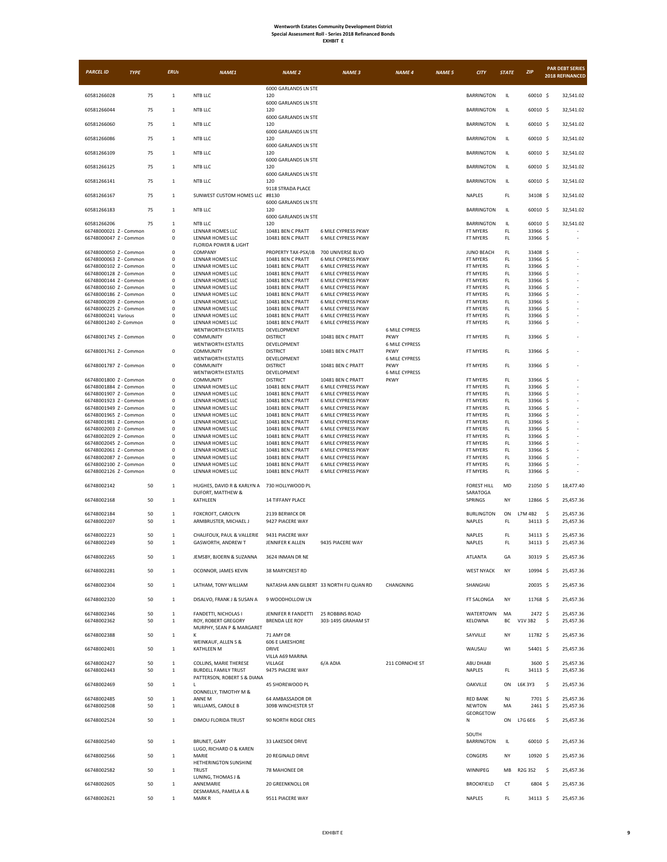| <b>PARCEL ID</b>                                 | <b>TYPE</b> | <b>ERUs</b>                | NAME1                                                      | <b>NAME 2</b>                          | <b>NAME 3</b>                              | <b>NAME 4</b>                        | <b>NAME 5</b> | <b>CITY</b>                      | <b>STATE</b>  | ZIP                  | 2018 REFINANCED | <b>PAR DEBT SERIES</b> |
|--------------------------------------------------|-------------|----------------------------|------------------------------------------------------------|----------------------------------------|--------------------------------------------|--------------------------------------|---------------|----------------------------------|---------------|----------------------|-----------------|------------------------|
|                                                  |             |                            |                                                            | 6000 GARLANDS LN STE                   |                                            |                                      |               |                                  |               |                      |                 |                        |
| 60581266028                                      | 75          | $\mathbf{1}$               | NTB LLC                                                    | 120                                    |                                            |                                      |               | <b>BARRINGTON</b>                | IL            | 60010 \$             |                 | 32,541.02              |
| 60581266044                                      | 75          | $\mathbf 1$                | NTB LLC                                                    | 6000 GARLANDS LN STE<br>120            |                                            |                                      |               | <b>BARRINGTON</b>                | IL            | 60010 \$             |                 | 32,541.02              |
|                                                  |             | $\mathbf{1}$               | NTB LLC                                                    | 6000 GARLANDS LN STE<br>120            |                                            |                                      |               |                                  |               |                      |                 |                        |
| 60581266060                                      | 75          |                            |                                                            | 6000 GARLANDS LN STE                   |                                            |                                      |               | <b>BARRINGTON</b>                | IL.           | 60010 \$             |                 | 32,541.02              |
| 60581266086                                      | 75          | $\mathbf{1}$               | NTB LLC                                                    | 120                                    |                                            |                                      |               | <b>BARRINGTON</b>                | IL.           | $60010$ \$           |                 | 32,541.02              |
| 60581266109                                      | 75          | $1\,$                      | NTB LLC                                                    | 6000 GARLANDS LN STE<br>120            |                                            |                                      |               | <b>BARRINGTON</b>                | IL            | 60010 \$             |                 | 32,541.02              |
|                                                  |             |                            |                                                            | 6000 GARLANDS LN STE                   |                                            |                                      |               |                                  |               |                      |                 |                        |
| 60581266125                                      | 75          | $\mathbf{1}$               | NTB LLC                                                    | 120<br>6000 GARLANDS LN STE            |                                            |                                      |               | <b>BARRINGTON</b>                | IL.           | 60010 \$             |                 | 32,541.02              |
| 60581266141                                      | 75          | $\mathbf{1}$               | NTB LLC                                                    | 120                                    |                                            |                                      |               | <b>BARRINGTON</b>                | IL            | 60010 \$             |                 | 32,541.02              |
| 60581266167                                      | 75          | $1\,$                      | SUNWEST CUSTOM HOMES LLC #8130                             | 9118 STRADA PLACE                      |                                            |                                      |               | NAPLES                           | FL            | 34108 \$             |                 | 32,541.02              |
|                                                  |             |                            |                                                            | 6000 GARLANDS LN STE                   |                                            |                                      |               |                                  |               |                      |                 |                        |
| 60581266183                                      | 75          | $\mathbf{1}$               | NTB LLC                                                    | 120<br>6000 GARLANDS LN STE            |                                            |                                      |               | <b>BARRINGTON</b>                | IL.           | 60010 \$             |                 | 32,541.02              |
| 60581266206                                      | 75          | $\,$ 1 $\,$                | NTB LLC                                                    | 120                                    |                                            |                                      |               | <b>BARRINGTON</b>                | IL            | 60010 \$             |                 | 32,541.02              |
| 66748000021 Z - Common                           |             | 0                          | LENNAR HOMES LLC                                           | 10481 BEN C PRATT                      | <b>6 MILE CYPRESS PKWY</b>                 |                                      |               | FT MYERS                         | FL            | 33966 \$             |                 |                        |
| 66748000047 Z - Common                           |             | 0                          | LENNAR HOMES LLC<br>FLORIDA POWER & LIGHT                  | 10481 BEN C PRATT                      | 6 MILE CYPRESS PKWY                        |                                      |               | FT MYERS                         | FL            | 33966 \$             |                 |                        |
| 66748000050 Z - Common                           |             | $\mathbf 0$                | COMPANY                                                    | PROPERTY TAX-PSX/JB                    | 700 UNIVERSE BLVD                          |                                      |               | <b>JUNO BEACH</b>                | FL.           | 33408 \$             |                 |                        |
| 66748000063 Z - Common<br>66748000102 Z - Common |             | 0<br>$\mathsf 0$           | LENNAR HOMES LLC<br>LENNAR HOMES LLC                       | 10481 BEN C PRATT<br>10481 BEN C PRATT | 6 MILE CYPRESS PKWY<br>6 MILE CYPRESS PKWY |                                      |               | FT MYERS<br>FT MYERS             | FL<br>FL.     | 33966 \$<br>33966 \$ |                 |                        |
| 66748000128 Z - Common                           |             | $\mathsf 0$                | LENNAR HOMES LLC                                           | 10481 BEN C PRATT                      | 6 MILE CYPRESS PKWY                        |                                      |               | FT MYERS                         | FL            | 33966 \$             |                 |                        |
| 66748000144 Z - Common                           |             | 0                          | LENNAR HOMES LLC                                           | 10481 BEN C PRATT                      | 6 MILE CYPRESS PKWY                        |                                      |               | FT MYERS                         | FL            | 33966                | - \$            |                        |
| 66748000160 Z - Common                           |             | $\mathsf 0$                | LENNAR HOMES LLC                                           | 10481 BEN C PRATT                      | 6 MILE CYPRESS PKWY                        |                                      |               | FT MYERS                         | FL.           | 33966                | .S              |                        |
| 66748000186 Z - Common<br>66748000209 Z - Common |             | $\Omega$<br>$\mathsf 0$    | LENNAR HOMES LLC<br>LENNAR HOMES LLC                       | 10481 BEN C PRATT<br>10481 BEN C PRATT | 6 MILE CYPRESS PKWY<br>6 MILE CYPRESS PKWY |                                      |               | FT MYERS<br>FT MYERS             | FL.<br>FL     | 33966<br>33966 \$    | - \$            |                        |
| 66748000225 Z - Common                           |             | $\mathsf 0$                | LENNAR HOMES LLC                                           | 10481 BEN C PRATT                      | 6 MILE CYPRESS PKWY                        |                                      |               | FT MYERS                         | FL.           | 33966 S              |                 |                        |
| 66748000241 Various                              |             | $\mathsf 0$                | LENNAR HOMES LLC                                           | 10481 BEN C PRATT                      | 6 MILE CYPRESS PKWY                        |                                      |               | FT MYERS                         | FL.           | 33966 \$             |                 |                        |
| 66748001240 Z- Common                            |             | 0                          | LENNAR HOMES LLC                                           | 10481 BEN C PRATT                      | 6 MILE CYPRESS PKWY                        |                                      |               | FT MYERS                         | FL            | 33966 \$             |                 |                        |
|                                                  |             | $\mathbf 0$                | <b>WENTWORTH ESTATES</b>                                   | DEVELOPMENT<br><b>DISTRICT</b>         |                                            | <b>6 MILE CYPRESS</b><br><b>PKWY</b> |               |                                  |               | 33966 S              |                 |                        |
| 66748001745 Z - Common                           |             |                            | COMMUNITY<br><b>WENTWORTH ESTATES</b>                      | DEVELOPMENT                            | 10481 BEN C PRATT                          | <b>6 MILE CYPRESS</b>                |               | FT MYERS                         | FL.           |                      |                 |                        |
| 66748001761 Z - Common                           |             | $\mathsf 0$                | COMMUNITY                                                  | <b>DISTRICT</b>                        | 10481 BEN C PRATT                          | <b>PKWY</b>                          |               | FT MYERS                         | FL.           | 33966 \$             |                 |                        |
| 66748001787 Z - Common                           |             | $\mathbf 0$                | <b>WENTWORTH ESTATES</b><br>COMMUNITY                      | DEVELOPMENT<br><b>DISTRICT</b>         | 10481 BEN C PRATT                          | <b>6 MILE CYPRESS</b><br><b>PKWY</b> |               | FT MYERS                         | FL.           | 33966 \$             |                 |                        |
|                                                  |             |                            | <b>WENTWORTH ESTATES</b>                                   | DEVELOPMENT                            |                                            | <b>6 MILE CYPRESS</b>                |               |                                  |               |                      |                 |                        |
| 66748001800 Z - Common                           |             | $\mathsf 0$                | COMMUNITY                                                  | <b>DISTRICT</b>                        | 10481 BEN C PRATT                          | <b>PKWY</b>                          |               | FT MYERS                         | FL.           | 33966 \$             |                 |                        |
| 66748001884 Z - Common                           |             | $\mathbf 0$                | LENNAR HOMES LLC                                           | 10481 BEN C PRATT                      | 6 MILE CYPRESS PKWY                        |                                      |               | FT MYERS                         | FL.           | 33966 \$             |                 |                        |
| 66748001907 Z - Common                           |             | $\mathsf 0$                | LENNAR HOMES LLC                                           | 10481 BEN C PRATT                      | 6 MILE CYPRESS PKWY                        |                                      |               | FT MYERS                         | FL.           | 33966 \$             |                 |                        |
| 66748001923 Z - Common<br>66748001949 Z - Common |             | $\mathsf 0$<br>$\mathsf 0$ | LENNAR HOMES LLC<br>LENNAR HOMES LLC                       | 10481 BEN C PRATT<br>10481 BEN C PRATT | 6 MILE CYPRESS PKWY<br>6 MILE CYPRESS PKWY |                                      |               | FT MYERS<br>FT MYERS             | FL<br>FL.     | 33966 \$<br>33966 \$ |                 |                        |
| 66748001965 Z - Common                           |             | $\mathsf 0$                | LENNAR HOMES LLC                                           | 10481 BEN C PRATT                      | 6 MILE CYPRESS PKWY                        |                                      |               | FT MYERS                         | FL.           | 33966 \$             |                 |                        |
| 66748001981 Z - Common                           |             | $\mathsf 0$                | LENNAR HOMES LLC                                           | 10481 BEN C PRATT                      | 6 MILE CYPRESS PKWY                        |                                      |               | <b>FT MYERS</b>                  | FL.           | 33966 \$             |                 |                        |
| 66748002003 Z - Common                           |             | 0                          | LENNAR HOMES LLC                                           | 10481 BEN C PRATT                      | 6 MILE CYPRESS PKWY                        |                                      |               | FT MYERS                         | FL            | 33966 \$             |                 |                        |
| 66748002029 Z - Common                           |             | $\mathsf 0$                | LENNAR HOMES LLC                                           | 10481 BEN C PRATT                      | 6 MILE CYPRESS PKWY                        |                                      |               | FT MYERS                         | FL.           | 33966 \$             |                 |                        |
| 66748002045 Z - Common<br>66748002061 Z - Common |             | $\mathsf 0$<br>0           | LENNAR HOMES LLC<br>LENNAR HOMES LLC                       | 10481 BEN C PRATT<br>10481 BEN C PRATT | 6 MILE CYPRESS PKWY<br>6 MILE CYPRESS PKWY |                                      |               | FT MYERS<br>FT MYERS             | FL<br>FL      | 33966<br>33966 \$    | - S             |                        |
| 66748002087 Z - Common                           |             | $\mathsf 0$                | LENNAR HOMES LLC                                           | 10481 BEN C PRATT                      | 6 MILE CYPRESS PKWY                        |                                      |               | FT MYERS                         | FL.           | 33966 \$             |                 |                        |
| 66748002100 Z - Common                           |             | $\mathsf 0$                | LENNAR HOMES LLC                                           | 10481 BEN C PRATT                      | 6 MILE CYPRESS PKWY                        |                                      |               | FT MYERS                         | FL            | 33966 \$             |                 |                        |
| 66748002126 Z - Common                           |             | $\mathbf 0$                | LENNAR HOMES LLC                                           | 10481 BEN C PRATT                      | 6 MILE CYPRESS PKWY                        |                                      |               | FT MYERS                         | FL            | 33966 \$             |                 |                        |
| 66748002142                                      | 50          | $\mathbf{1}$               | HUGHES, DAVID R & KARLYN A 730 HOLLYWOOD PL                |                                        |                                            |                                      |               | <b>FOREST HILL</b>               | MD            | 21050 \$             |                 | 18,477.40              |
| 66748002168                                      | 50          | $\mathbf{1}$               | DUFORT, MATTHEW &<br>KATHLEEN                              | 14 TIFFANY PLACE                       |                                            |                                      |               | SARATOGA<br>SPRINGS              | NY            | 12866 \$             |                 | 25,457.36              |
|                                                  |             |                            |                                                            |                                        |                                            |                                      |               |                                  |               |                      |                 |                        |
| 66748002184                                      | 50          | $\mathbf{1}$               | FOXCROFT, CAROLYN                                          | 2139 BERWICK DR                        |                                            |                                      |               | <b>BURLINGTON</b>                | ON            | L7M 4B2              | -\$             | 25,457.36              |
| 66748002207                                      | 50          | $\,$ 1 $\,$                | ARMBRUSTER, MICHAEL J                                      | 9427 PIACERE WAY                       |                                            |                                      |               | NAPLES                           | FL.           | 34113 S              |                 | 25,457.36              |
| 66748002223                                      | 50          | $\mathbf{1}$               | CHALIFOUX, PAUL & VALLERIE                                 | 9431 PIACERE WAY                       |                                            |                                      |               | NAPLES                           | FL.           | 34113 \$             |                 | 25,457.36              |
| 66748002249                                      | 50          | $\mathbf{1}$               | GASWORTH, ANDREW T                                         | JENNIFER K ALLEN                       | 9435 PIACERE WAY                           |                                      |               | NAPLES                           | FL            | 34113 \$             |                 | 25,457.36              |
| 66748002265                                      | 50          | $1\,$                      | JEMSBY, BJOERN & SUZANNA                                   | 3624 INMAN DR NE                       |                                            |                                      |               | ATLANTA                          | GA            | 30319 \$             |                 | 25,457.36              |
|                                                  |             |                            |                                                            |                                        |                                            |                                      |               |                                  |               |                      |                 |                        |
| 66748002281                                      | 50          | $\mathbf{1}$               | OCONNOR, JAMES KEVIN                                       | 38 MARYCREST RD                        |                                            |                                      |               | <b>WEST NYACK</b>                | NY            | 10994 \$             |                 | 25,457.36              |
| 66748002304                                      | 50          | $\mathbf{1}$               | LATHAM, TONY WILLIAM                                       |                                        | NATASHA ANN GILBERT 33 NORTH FU QUAN RD    | CHANGNING                            |               | SHANGHAI                         |               | 20035 \$             |                 | 25,457.36              |
|                                                  |             |                            |                                                            |                                        |                                            |                                      |               |                                  |               |                      |                 |                        |
| 66748002320                                      | 50          | $1\,$                      | DISALVO, FRANK J & SUSAN A                                 | 9 WOODHOLLOW LN                        |                                            |                                      |               | FT SALONGA                       | NY            | 11768 \$             |                 | 25,457.36              |
| 66748002346                                      | 50          | $\,$ 1 $\,$                | FANDETTI, NICHOLAS I                                       | JENNIFER R FANDETTI                    | 25 ROBBINS ROAD                            |                                      |               | WATERTOWN                        | MA            | 2472 \$              |                 | 25,457.36              |
| 66748002362                                      | 50          | $\,$ 1 $\,$                | ROY, ROBERT GREGORY                                        | <b>BRENDA LEE ROY</b>                  | 303-1495 GRAHAM ST                         |                                      |               | KELOWNA                          | ВC            | V1V 3B2              | -\$             | 25,457.36              |
|                                                  |             |                            | MURPHY, SEAN P & MARGARET                                  |                                        |                                            |                                      |               |                                  |               |                      |                 |                        |
| 66748002388                                      | 50          | $\mathbf{1}$               |                                                            | 71 AMY DR<br><b>606 E LAKESHORE</b>    |                                            |                                      |               | SAYVILLE                         | NY            | 11782 \$             |                 | 25,457.36              |
| 66748002401                                      | 50          | $\mathbf{1}$               | WEINKAUF, ALLEN S &<br>KATHLEEN M                          | DRIVE                                  |                                            |                                      |               | WAUSAU                           | WI            | 54401 \$             |                 | 25,457.36              |
|                                                  |             |                            |                                                            | VILLA A69 MARINA                       |                                            |                                      |               |                                  |               |                      |                 |                        |
| 66748002427                                      | 50          | $\mathbf{1}$               | COLLINS, MARIE THERESE                                     | VILLAGE                                | 6/A ADIA                                   | 211 CORNICHE ST                      |               | ABU DHABI                        |               | 3600 \$              |                 | 25,457.36              |
| 66748002443                                      | 50          | $1\,$                      | <b>BURDELL FAMILY TRUST</b><br>PATTERSON, ROBERT S & DIANA | 9475 PIACERE WAY                       |                                            |                                      |               | NAPLES                           | $\mathsf{FL}$ | 34113 \$             |                 | 25,457.36              |
| 66748002469                                      | 50          | $\mathbf{1}$               | L.                                                         | 45 SHOREWOOD PL                        |                                            |                                      |               | OAKVILLE                         | ON            | L6K 3Y3              | -\$             | 25,457.36              |
|                                                  |             |                            | DONNELLY, TIMOTHY M &                                      |                                        |                                            |                                      |               |                                  |               |                      |                 |                        |
| 66748002485<br>66748002508                       | 50<br>50    | $1\,$<br>$\mathbf{1}$      | ANNE M<br>WILLIAMS, CAROLE B                               | 64 AMBASSADOR DR<br>309B WINCHESTER ST |                                            |                                      |               | <b>RED BANK</b><br><b>NEWTON</b> | NJ<br>MA      | 7701 \$<br>$2461$ \$ |                 | 25,457.36<br>25,457.36 |
|                                                  |             |                            |                                                            |                                        |                                            |                                      |               | GEORGETOW                        |               |                      |                 |                        |
| 66748002524                                      | 50          | $\mathbf 1$                | DIMOU FLORIDA TRUST                                        | 90 NORTH RIDGE CRES                    |                                            |                                      |               | N                                | ON            | L7G 6E6              | -\$             | 25,457.36              |
|                                                  |             |                            |                                                            |                                        |                                            |                                      |               |                                  |               |                      |                 |                        |
| 66748002540                                      | 50          | $\mathbf{1}$               | <b>BRUNET, GARY</b>                                        | 33 LAKESIDE DRIVE                      |                                            |                                      |               | SOUTH<br><b>BARRINGTON</b>       | IL.           | 60010 \$             |                 | 25,457.36              |
|                                                  |             |                            | LUGO, RICHARD O & KAREN                                    |                                        |                                            |                                      |               |                                  |               |                      |                 |                        |
| 66748002566                                      | 50          | $1\,$                      | <b>MARIE</b>                                               | 20 REGINALD DRIVE                      |                                            |                                      |               | CONGERS                          | NY            | 10920 \$             |                 | 25,457.36              |
| 66748002582                                      | 50          | $\mathbf{1}$               | HETHERINGTON SUNSHINE<br><b>TRUST</b>                      | 78 MAHONEE DR                          |                                            |                                      |               | WINNIPEG                         | МB            | R2G 3S2              | - \$            | 25,457.36              |
|                                                  |             |                            | LUNING, THOMAS J &                                         |                                        |                                            |                                      |               |                                  |               |                      |                 |                        |
| 66748002605                                      | 50          | $\mathbf{1}$               | ANNEMARIE                                                  | 20 GREENKNOLL DR                       |                                            |                                      |               | <b>BROOKFIELD</b>                | <b>CT</b>     | 6804 \$              |                 | 25,457.36              |
| 66748002621                                      | 50          | $\,$ 1 $\,$                | DESMARAIS, PAMELA A &<br><b>MARKR</b>                      | 9511 PIACERE WAY                       |                                            |                                      |               | NAPLES                           | FL.           | 34113 \$             |                 | 25,457.36              |
|                                                  |             |                            |                                                            |                                        |                                            |                                      |               |                                  |               |                      |                 |                        |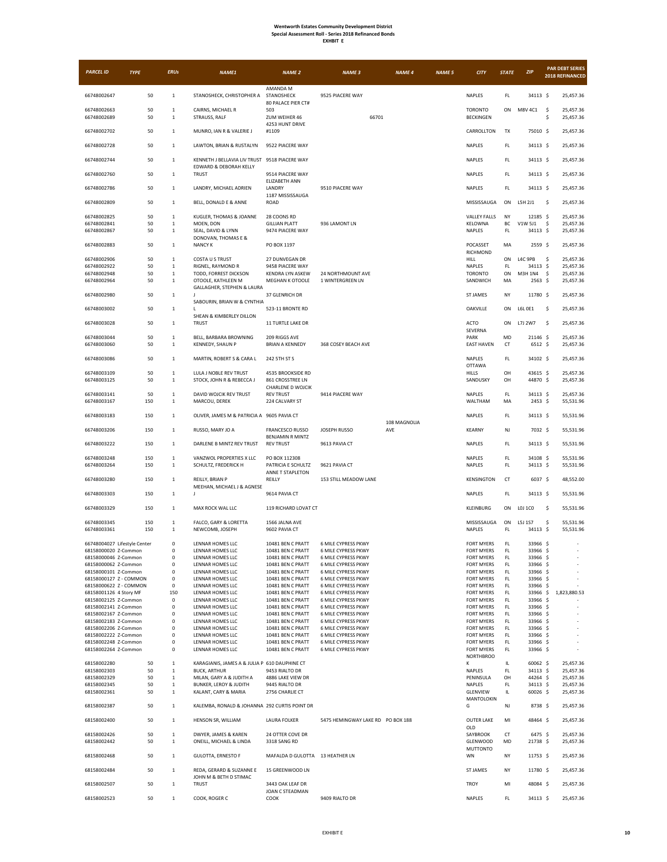| <b>PARCEL ID</b>                                     | <b>TYPE</b> | <b>ERUs</b>                  | <b>NAME1</b>                                        | <b>NAME 2</b>                               | <b>NAME 3</b>                                            | <b>NAME 4</b>       | <b>NAME 5</b> | <b>CITY</b>                            | <b>STATE</b>  | <b>ZIP</b>               | <b>PAR DEBT SERIES</b><br>2018 REFINANCED |
|------------------------------------------------------|-------------|------------------------------|-----------------------------------------------------|---------------------------------------------|----------------------------------------------------------|---------------------|---------------|----------------------------------------|---------------|--------------------------|-------------------------------------------|
| 66748002647                                          | 50          | $\mathbf 1$                  | STANOSHECK, CHRISTOPHER A                           | AMANDA M<br>STANOSHECK                      | 9525 PIACERE WAY                                         |                     |               | NAPLES                                 | FL            | 34113 \$                 | 25,457.36                                 |
|                                                      |             |                              |                                                     | 80 PALACE PIER CT#                          |                                                          |                     |               |                                        |               |                          |                                           |
| 66748002663<br>66748002689                           | 50<br>50    | $1\,$<br>$1\,$               | CAIRNS, MICHAEL R<br>STRAUSS, RALF                  | 503<br>ZUM WEIHER 46                        | 66701                                                    |                     |               | <b>TORONTO</b><br><b>BECKINGEN</b>     | ON            | M8V 4C1                  | -\$<br>25,457.36<br>\$<br>25,457.36       |
| 66748002702                                          | 50          | $\mathbf 1$                  | MUNRO, IAN R & VALERIE J                            | 4253 HUNT DRIVE<br>#1109                    |                                                          |                     |               | CARROLLTON                             | TX            | 75010 \$                 | 25,457.36                                 |
| 66748002728                                          | 50          | $\mathbf{1}$                 | LAWTON, BRIAN & RUSTALYN                            | 9522 PIACERE WAY                            |                                                          |                     |               | NAPLES                                 | FL.           | 34113 \$                 | 25,457.36                                 |
| 66748002744                                          | 50          | $\overline{1}$               | KENNETH J BELLAVIA LIV TRUST 9518 PIACERE WAY       |                                             |                                                          |                     |               | <b>NAPLES</b>                          | FL            | 34113 \$                 | 25,457.36                                 |
| 66748002760                                          | 50          | $\mathbf 1$                  | EDWARD & DEBORAH KELLY<br><b>TRUST</b>              | 9514 PIACERE WAY                            |                                                          |                     |               | NAPLES                                 | FL            | 34113 \$                 | 25,457.36                                 |
| 66748002786                                          | 50          | $\mathbf{1}$                 | LANDRY, MICHAEL ADRIEN                              | ELIZABETH ANN<br>LANDRY                     | 9510 PIACERE WAY                                         |                     |               | NAPLES                                 | FL            | 34113 \$                 | 25,457.36                                 |
| 66748002809                                          | 50          | $\mathbf{1}$                 | BELL, DONALD E & ANNE                               | 1187 MISSISSAUGA<br>ROAD                    |                                                          |                     |               | MISSISSAUGA                            | ON            | L5H 2J1                  | \$<br>25,457.36                           |
| 66748002825                                          | 50          | $\mathbf{1}$                 | KUGLER, THOMAS & JOANNE                             | 28 COONS RD                                 |                                                          |                     |               | <b>VALLEY FALLS</b>                    | NY            | 12185 \$                 | 25,457.36                                 |
| 66748002841                                          | 50          | $1\,$                        | MOEN, DON                                           | <b>GILLIAN PLATT</b>                        | 936 LAMONT LN                                            |                     |               | KELOWNA                                | ВC            | V1W 5J1                  | \$<br>25,457.36                           |
| 66748002867                                          | 50          | $\mathbf{1}$                 | SEAL, DAVID & LYNN<br>DONOVAN, THOMAS E &           | 9474 PIACERE WAY                            |                                                          |                     |               | NAPLES                                 | FL            | 34113 \$                 | 25,457.36                                 |
| 66748002883                                          | 50          | $\mathbf{1}$                 | <b>NANCY K</b>                                      | PO BOX 1197                                 |                                                          |                     |               | POCASSET<br>RICHMOND                   | MA            | $2559$ \$                | 25,457.36                                 |
| 66748002906                                          | 50          | $\mathbf{1}$                 | COSTA U S TRUST                                     | 27 DUNVEGAN DR                              |                                                          |                     |               | HILL                                   | ON            | L4C 9PB                  | \$<br>25,457.36                           |
| 66748002922<br>66748002948                           | 50<br>50    | $1\,$<br>$\mathbf{1}$        | RIGNEL, RAYMOND R<br>TODD, FORREST DICKSON          | 9458 PIACERE WAY<br><b>KENDRA LYN ASKEW</b> | 24 NORTHMOUNT AVE                                        |                     |               | NAPLES<br><b>TORONTO</b>               | FL.<br>ON     | 34113 \$<br>M3H 1N4      | 25,457.36<br>\$<br>25,457.36              |
| 66748002964                                          | 50          | $\mathbf{1}$                 | OTOOLE, KATHLEEN M                                  | MEGHAN K OTOOLE                             | 1 WINTERGREEN LN                                         |                     |               | SANDWICH                               | MA            | $2563$ \$                | 25,457.36                                 |
| 66748002980                                          | 50          | $\mathbf 1$                  | GALLAGHER, STEPHEN & LAURA<br>$\mathbf{I}$          | 37 GLENRICH DR                              |                                                          |                     |               | <b>ST JAMES</b>                        | NY            | 11780 \$                 | 25,457.36                                 |
|                                                      |             |                              | SABOURIN, BRIAN W & CYNTHIA                         |                                             |                                                          |                     |               |                                        |               |                          |                                           |
| 66748003002                                          | 50          | $\mathbf{1}$                 | SHEAN & KIMBERLEY DILLON                            | 523-11 BRONTE RD                            |                                                          |                     |               | OAKVILLE                               | ON            | L6L 0E1                  | \$<br>25,457.36                           |
| 66748003028                                          | 50          | $1\,$                        | <b>TRUST</b>                                        | 11 TURTLE LAKE DR                           |                                                          |                     |               | ACTO<br>SEVERNA                        | ON            | L7J 2W7                  | \$<br>25,457.36                           |
| 66748003044<br>66748003060                           | 50<br>50    | $\mathbf{1}$<br>$\mathbf{1}$ | BELL, BARBARA BROWNING<br>KENNEDY, SHAUN P          | 209 RIGGS AVE<br><b>BRIAN A KENNEDY</b>     | 368 COSEY BEACH AVE                                      |                     |               | PARK<br><b>EAST HAVEN</b>              | MD<br>CT      | 21146 \$<br>$6512 \;$ \$ | 25,457.36<br>25,457.36                    |
|                                                      |             |                              |                                                     |                                             |                                                          |                     |               |                                        |               |                          |                                           |
| 66748003086                                          | 50          | $\mathbf{1}$                 | MARTIN, ROBERT S & CARA L                           | 242 5TH ST S                                |                                                          |                     |               | NAPLES<br><b>OTTAWA</b>                | FL.           | 34102 \$                 | 25,457.36                                 |
| 66748003109<br>66748003125                           | 50<br>50    | $\mathbf 1$<br>$\mathbf{1}$  | LULA J NOBLE REV TRUST<br>STOCK, JOHN R & REBECCA J | 4535 BROOKSIDE RD<br>861 CROSSTREE LN       |                                                          |                     |               | <b>HILLS</b><br>SANDUSKY               | OH<br>OH      | 43615 \$<br>44870 \$     | 25,457.36<br>25,457.36                    |
|                                                      |             |                              |                                                     | CHARLENE D WOJCIK                           |                                                          |                     |               |                                        |               |                          |                                           |
| 66748003141<br>66748003167                           | 50<br>150   | $\mathbf{1}$<br>$\mathbf 1$  | DAVID WOJCIK REV TRUST<br>MARCOU, DEREK             | <b>REV TRUST</b><br>224 CALVARY ST          | 9414 PIACERE WAY                                         |                     |               | NAPLES<br>WALTHAM                      | FL.<br>MA     | 34113 \$<br>$2453$ \$    | 25,457.36<br>55,531.96                    |
| 66748003183                                          | 150         | $\mathbf 1$                  | OLIVER, JAMES M & PATRICIA A 9605 PAVIA CT          |                                             |                                                          |                     |               | NAPLES                                 | FL            | 34113 \$                 | 55,531.96                                 |
| 66748003206                                          | 150         | $\mathbf{1}$                 | RUSSO, MARY JO A                                    | <b>FRANCESCO RUSSO</b>                      | <b>JOSEPH RUSSO</b>                                      | 108 MAGNOLIA<br>AVE |               | <b>KEARNY</b>                          | NJ            | 7032 \$                  | 55,531.96                                 |
| 66748003222                                          | 150         | $\mathbf{1}$                 | DARLENE B MINTZ REV TRUST                           | BENJAMIN R MINTZ<br><b>REV TRUST</b>        | 9613 PAVIA CT                                            |                     |               | NAPLES                                 | FL.           | 34113 \$                 | 55,531.96                                 |
| 66748003248                                          | 150         | $\mathbf{1}$                 | VANZWOL PROPERTIES X LLC                            | PO BOX 112308                               |                                                          |                     |               | NAPLES                                 | $\mathsf{FL}$ | 34108 \$                 | 55,531.96                                 |
| 66748003264                                          | 150         | $1\,$                        | SCHULTZ, FREDERICK H                                | PATRICIA E SCHULTZ<br>ANNE T STAPLETON      | 9621 PAVIA CT                                            |                     |               | NAPLES                                 | FL.           | 34113 \$                 | 55,531.96                                 |
| 66748003280                                          | 150         | $\mathbf{1}$                 | REILLY, BRIAN P                                     | REILLY                                      | 153 STILL MEADOW LANE                                    |                     |               | KENSINGTON                             | CT            | 6037 \$                  | 48,552.00                                 |
| 66748003303                                          | 150         | $\mathbf 1$                  | MEEHAN, MICHAEL J & AGNESE<br>J                     | 9614 PAVIA CT                               |                                                          |                     |               | NAPLES                                 | FL.           | 34113 \$                 | 55,531.96                                 |
| 66748003329                                          | 150         | $\mathbf{1}$                 | MAX ROCK WAL LLC                                    | 119 RICHARD LOVAT CT                        |                                                          |                     |               | KLEINBURG                              | ON            | L0J 1C0                  | \$<br>55,531.96                           |
| 66748003345                                          | 150         | $\mathbf{1}$                 | FALCO, GARY & LORETTA                               | 1566 JALNA AVE                              |                                                          |                     |               | MISSISSAUGA                            | ON            | L5J 1S7                  | \$<br>55,531.96                           |
| 66748003361                                          | 150         | $\mathbf{1}$                 | NEWCOMB, JOSEPH                                     | 9602 PAVIA CT                               |                                                          |                     |               | NAPLES                                 | FL            | 34113 \$                 | 55,531.96                                 |
| 66748004027 Lifestyle Center<br>68158000020 Z-Common |             | 0                            | LENNAR HOMES LLC                                    | 10481 BEN C PRATT<br>10481 BEN C PRATT      | <b>6 MILE CYPRESS PKWY</b><br><b>6 MILE CYPRESS PKWY</b> |                     |               | <b>FORT MYERS</b>                      | FL.           | 33966 \$<br>33966 \$     |                                           |
| 68158000046 Z-Common                                 |             | υ<br>0                       | LENNAR HOMES LLC<br>LENNAR HOMES LLC                | 10481 BEN C PRATT                           | 6 MILE CYPRESS PKWY                                      |                     |               | FURT MITERS<br><b>FORT MYERS</b>       | FL.<br>FL.    | 33966 \$                 |                                           |
| 68158000062 Z-Common                                 |             | 0                            | LENNAR HOMES LLC                                    | 10481 BEN C PRATT                           | 6 MILE CYPRESS PKWY                                      |                     |               | <b>FORT MYERS</b>                      | FL.           | 33966 \$                 |                                           |
| 68158000101 Z-Common                                 |             | 0                            | LENNAR HOMES LLC                                    | 10481 BEN C PRATT                           | 6 MILE CYPRESS PKWY                                      |                     |               | <b>FORT MYERS</b>                      | FL.           | 33966 \$                 |                                           |
| 68158000127 Z - COMMON                               |             | $\mathsf 0$                  | LENNAR HOMES LLC<br>LENNAR HOMES LLC                | 10481 BEN C PRATT                           | 6 MILE CYPRESS PKWY<br>6 MILE CYPRESS PKWY               |                     |               | FORT MYERS<br><b>FORT MYERS</b>        | FL.           | 33966 \$                 |                                           |
| 68158000622 Z - COMMON<br>68158001126 4 Story MF     |             | 0<br>150                     | LENNAR HOMES LLC                                    | 10481 BEN C PRATT<br>10481 BEN C PRATT      | 6 MILE CYPRESS PKWY                                      |                     |               | <b>FORT MYERS</b>                      | FL.<br>FL.    | 33966 \$<br>33966 \$     | 1,823,880.53                              |
| 68158002125 Z-Common                                 |             | $\mathsf 0$                  | LENNAR HOMES LLC                                    | 10481 BEN C PRATT                           | 6 MILE CYPRESS PKWY                                      |                     |               | <b>FORT MYERS</b>                      | FL.           | 33966 \$                 |                                           |
| 68158002141 Z-Common                                 |             | 0                            | LENNAR HOMES LLC                                    | 10481 BEN C PRATT                           | 6 MILE CYPRESS PKWY                                      |                     |               | <b>FORT MYERS</b>                      | FL.           | 33966 \$                 |                                           |
| 68158002167 Z-Common                                 |             | $\mathbf 0$                  | LENNAR HOMES LLC                                    | 10481 BEN C PRATT                           | 6 MILE CYPRESS PKWY                                      |                     |               | <b>FORT MYERS</b>                      | FL.           | 33966 \$                 |                                           |
| 68158002183 Z-Common                                 |             | $\mathsf 0$<br>0             | LENNAR HOMES LLC<br>LENNAR HOMES LLC                | 10481 BEN C PRATT                           | 6 MILE CYPRESS PKWY<br>6 MILE CYPRESS PKWY               |                     |               | <b>FORT MYERS</b>                      | FL.<br>FL     | 33966 \$<br>33966 \$     |                                           |
| 68158002206 Z-Common<br>68158002222 Z-Common         |             | 0                            | LENNAR HOMES LLC                                    | 10481 BEN C PRATT<br>10481 BEN C PRATT      | 6 MILE CYPRESS PKWY                                      |                     |               | <b>FORT MYERS</b><br><b>FORT MYERS</b> | FL.           | 33966 \$                 |                                           |
| 68158002248 Z-Common                                 |             | $\mathsf 0$                  | LENNAR HOMES LLC                                    | 10481 BEN C PRATT                           | 6 MILE CYPRESS PKWY                                      |                     |               | FORT MYERS                             | FL.           | 33966 \$                 |                                           |
| 68158002264 Z-Common                                 |             | $\mathsf 0$                  | LENNAR HOMES LLC                                    | 10481 BEN C PRATT                           | 6 MILE CYPRESS PKWY                                      |                     |               | <b>FORT MYERS</b><br><b>NORTHBROO</b>  | $\mathsf{FL}$ | 33966 \$                 |                                           |
| 68158002280                                          | 50          | $\mathbf 1$                  | KARAGIANIS, JAMES A & JULIA P 610 DAUPHINE CT       |                                             |                                                          |                     |               | К                                      | IL            | 60062 \$                 | 25,457.36                                 |
| 68158002303                                          | 50          | $\mathbf{1}$                 | <b>BUCK, ARTHUR</b>                                 | 9453 RIALTO DR                              |                                                          |                     |               | NAPLES                                 | FL.           | 34113 \$                 | 25,457.36                                 |
| 68158002329<br>68158002345                           | 50<br>50    | $\,$ 1 $\,$<br>$1\,$         | MILAN, GARY A & JUDITH A<br>BUNKER, LEROY & JUDITH  | 4886 LAKE VIEW DR<br>9445 RIALTO DR         |                                                          |                     |               | PENINSULA<br>NAPLES                    | OH<br>FL      | 44264 \$<br>34113 \$     | 25,457.36<br>25,457.36                    |
| 68158002361                                          | 50          | $\mathbf{1}$                 | KALANT, CARY & MARIA                                | 2756 CHARLIE CT                             |                                                          |                     |               | <b>GLENVIEW</b>                        | IL            | 60026 \$                 | 25,457.36                                 |
| 68158002387                                          | 50          | $\mathbf 1$                  | KALEMBA, RONALD & JOHANNA 292 CURTIS POINT DR       |                                             |                                                          |                     |               | MANTOLOKIN<br>G                        | NJ            | 8738 \$                  | 25,457.36                                 |
| 68158002400                                          | 50          | $\mathbf{1}$                 | HENSON SR, WILLIAM                                  | LAURA FOLKER                                | 5475 HEMINGWAY LAKE RD PO BOX 188                        |                     |               | <b>OUTER LAKE</b>                      | MI            | 48464 \$                 | 25,457.36                                 |
| 68158002426                                          | 50          | $\mathbf{1}$                 | DWYER, JAMES & KAREN                                | 24 OTTER COVE DR                            |                                                          |                     |               | OLD<br>SAYBROOK                        | СT            | 6475 \$                  | 25,457.36                                 |
| 68158002442                                          | 50          | $\,$ 1 $\,$                  | ONEILL, MICHAEL & LINDA                             | 3318 SANG RD                                |                                                          |                     |               | <b>GLENWOOD</b><br><b>MUTTONTO</b>     | MD            | 21738 \$                 | 25,457.36                                 |
| 68158002468                                          | 50          | $\mathbf{1}$                 | <b>GULOTTA, ERNESTO F</b>                           | MAFALDA D GULOTTA 13 HEATHER LN             |                                                          |                     |               | WN                                     | NY            | 11753 \$                 | 25,457.36                                 |
| 68158002484                                          | 50          | $\mathbf{1}$                 | REDA, GERARD & SUZANNE E<br>JOHN M & BETH D STIMAC  | 15 GREENWOOD LN                             |                                                          |                     |               | <b>ST JAMES</b>                        | NY            | 11780 \$                 | 25,457.36                                 |
| 68158002507                                          | 50          | $\mathbf{1}$                 | <b>TRUST</b>                                        | 3443 OAK LEAF DR<br>JOAN C STEADMAN         |                                                          |                     |               | TROY                                   | MI            | 48084 \$                 | 25,457.36                                 |
| 68158002523                                          | 50          | $\mathbf{1}$                 | COOK, ROGER C                                       | COOK                                        | 9409 RIALTO DR                                           |                     |               | NAPLES                                 | FL.           | 34113 \$                 | 25,457.36                                 |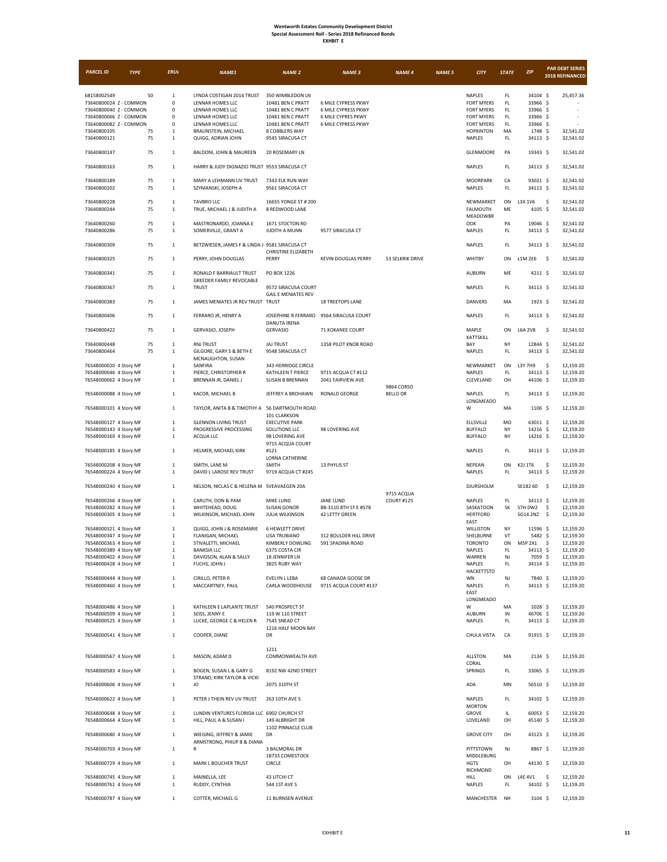| XHRI |  |
|------|--|
|------|--|

| <b>PARCEL ID</b>                                                                                                    | <b>TYPE</b> |          | <b>ERUs</b>                                                        | <b>NAME1</b>                                                                                              | <b>NAME 2</b>                                                                                        | <b>NAME 3</b>                                                                           | <b>NAME 4</b>     | <b>NAME 5</b> | <b>CITY</b>                                                                                       | <b>STATE</b>                                       | <b>ZIP</b>                                               | <b>PAR DEBT SERIES</b><br>2018 REFINANCED |
|---------------------------------------------------------------------------------------------------------------------|-------------|----------|--------------------------------------------------------------------|-----------------------------------------------------------------------------------------------------------|------------------------------------------------------------------------------------------------------|-----------------------------------------------------------------------------------------|-------------------|---------------|---------------------------------------------------------------------------------------------------|----------------------------------------------------|----------------------------------------------------------|-------------------------------------------|
| 68158002549<br>73640800024 Z - COMMON<br>73640800040 Z - COMMON<br>73640800066 Z - COMMON<br>73640800082 Z - COMMON |             | 50       | $\,1\,$<br>$\mathsf 0$<br>$\mathbf 0$<br>$^{\circ}$<br>$\mathbf 0$ | LYNDA COSTIGAN 2014 TRUST<br>LENNAR HOMES LLC<br>LENNAR HOMES LLC<br>LENNAR HOMES LLC<br>LENNAR HOMES LLC | 350 WIMBLEDON LN<br>10481 BEN C PRATT<br>10481 BEN C PRATT<br>10481 BEN C PRATT<br>10481 BEN C PRATT | 6 MILE CYPRESS PKWY<br>6 MILE CYPRESS PKWY<br>6 MILE CYPRES PKWY<br>6 MILE CYPRESS PKWY |                   |               | <b>NAPLES</b><br><b>FORT MYERS</b><br><b>FORT MYERS</b><br><b>FORT MYERS</b><br><b>FORT MYERS</b> | FL<br>$\mathsf{FL}$<br>FL.<br>FL.<br>$\mathsf{FL}$ | 34104 \$<br>33966 \$<br>33966 \$<br>33966 \$<br>33966 \$ | 25,457.36                                 |
| 73640800105<br>73640800121                                                                                          |             | 75<br>75 | 1<br>$\mathbf{1}$                                                  | BRAUNSTEIN, MICHAEL<br>QUIGG, ADRIAN JOHN                                                                 | 8 COBBLERS WAY<br>9545 SIRACUSA CT                                                                   |                                                                                         |                   |               | <b>HOPKINTON</b><br>NAPLES                                                                        | MA<br>$\mathsf{FL}$                                | 1748 \$<br>34113 \$                                      | 32,541.02<br>32,541.02                    |
| 73640800147                                                                                                         |             | 75       | $1\,$                                                              | BALDONI, JOHN & MAUREEN                                                                                   | <b>20 ROSEMARY LN</b>                                                                                |                                                                                         |                   |               | GLENMOORE                                                                                         | PA                                                 | 19343 \$                                                 | 32,541.02                                 |
| 73640800163                                                                                                         |             | 75       | $\mathbf 1$                                                        | HARRY & JUDY DIGNAZIO TRUST 9553 SIRACUSA CT                                                              |                                                                                                      |                                                                                         |                   |               | NAPLES                                                                                            | FL                                                 | 34113 \$                                                 | 32,541.02                                 |
| 73640800189<br>73640800202                                                                                          |             | 75<br>75 | $\mathbf{1}$<br>$\mathbf{1}$                                       | MARY A LEHMANN LIV TRUST<br>SZYMANSKI, JOSEPH A                                                           | 7343 ELK RUN WAY<br>9561 SIRACUSA CT                                                                 |                                                                                         |                   |               | MOORPARK<br>NAPLES                                                                                | CA<br>FL                                           | 93021 \$<br>34113 \$                                     | 32,541.02<br>32,541.02                    |
| 73640800228<br>73640800244                                                                                          |             | 75<br>75 | $\mathbf{1}$<br>1                                                  | <b>TAVBRO LLC</b><br>TRUE, MICHAEL J & JUDITH A                                                           | 16655 YONGE ST # 200<br>8 REDWOOD LANE                                                               |                                                                                         |                   |               | NEWMARKET<br>FALMOUTH<br>MEADOWBR                                                                 | ON<br>ME                                           | L3X 1V6<br>4105 \$                                       | \$<br>32,541.02<br>32,541.02              |
| 73640800260<br>73640800286                                                                                          |             | 75<br>75 | $\mathbf{1}$<br>$\mathbf 1$                                        | MASTRONARDO, JOANNA E<br>SOMERVILLE, GRANT A                                                              | 1671 STOCTON RD<br>JUDITH A MUNN                                                                     | 9577 SIRACUSA CT                                                                        |                   |               | OOK<br><b>NAPLES</b>                                                                              | PA<br>FL                                           | 19046 \$<br>34113 \$                                     | 32,541.02<br>32,541.02                    |
| 73640800309                                                                                                         |             | 75       | $\mathbf{1}$                                                       | BETZWIESER, JAMES F & LINDA J 9581 SIRACUSA CT                                                            | CHRISTINE ELIZABETH                                                                                  |                                                                                         |                   |               | NAPLES                                                                                            | FL                                                 | 34113 \$                                                 | 32,541.02                                 |
| 73640800325                                                                                                         |             | 75       | $\mathbf 1$                                                        | PERRY, JOHN DOUGLAS                                                                                       | PERRY                                                                                                | <b>KEVIN DOUGLAS PERRY</b>                                                              | 53 SELKRIK DRIVE  |               | WHITBY                                                                                            | ON                                                 | L1M 2E6                                                  | -\$<br>32,541.02                          |
| 73640800341                                                                                                         |             | 75       | $\mathbf 1$                                                        | RONALD F BARRIAULT TRUST<br>GREEDER FAMILY REVOCABLE                                                      | PO BOX 1226                                                                                          |                                                                                         |                   |               | <b>AUBURN</b>                                                                                     | ME                                                 | 4211 \$                                                  | 32,541.02                                 |
| 73640800367                                                                                                         |             | 75       | 1                                                                  | <b>TRUST</b>                                                                                              | 9572 SIRACUSA COURT<br><b>GAIL F MENIATES REV</b>                                                    |                                                                                         |                   |               | NAPLES                                                                                            | FL                                                 | 34113 \$                                                 | 32,541.02                                 |
| 73640800383                                                                                                         |             | 75       | $\mathbf{1}$                                                       | JAMES MENIATES JR REV TRUST TRUST                                                                         |                                                                                                      | <b>18 TREETOPS LANE</b>                                                                 |                   |               | DANVERS                                                                                           | MA                                                 | $1923 \;$ \$                                             | 32,541.02                                 |
| 73640800406                                                                                                         |             | 75       | $1\,$                                                              | FERRARO JR, HENRY A                                                                                       | JOSEPHINE R FERRARO 9564 SIRACUSA COURT<br><b>DANUTA IRENA</b>                                       |                                                                                         |                   |               | NAPLES                                                                                            | FL                                                 | 34113 \$                                                 | 32,541.02                                 |
| 73640800422                                                                                                         |             | 75       | $\mathbf 1$                                                        | GERVASIO, JOSEPH                                                                                          | <b>GERVASIO</b>                                                                                      | 71 KOKANEE COURT                                                                        |                   |               | MAPLE<br>KATTSKILL                                                                                | ON                                                 | <b>L6A 2V8</b>                                           | -\$<br>32,541.02                          |
| 73640800448<br>73640800464                                                                                          |             | 75<br>75 | $\,1\,$<br>$\mathbf{1}$                                            | RNJ TRUST<br>GILGORE, GARY S & BETH E<br>MCNAUGHTON, SUSAN                                                | <b>JAJ TRUST</b><br>9548 SIRACUSA CT                                                                 | 1358 PILOT KNOB ROAD                                                                    |                   |               | BAY<br>NAPLES                                                                                     | NY<br>FL.                                          | 12844 \$<br>34113 \$                                     | 32,541.02<br>32,541.02                    |
| 76548000020 4 Story MF<br>76548000046 4 Story MF                                                                    |             |          | $\mathbf{1}$<br>1                                                  | SANFIRA<br>PIERCE, CHRISTOPHER R                                                                          | 343 HERRIDGE CIRCLE<br>KATHLEEN T PIERCE                                                             | 9715 ACQUA CT #112                                                                      |                   |               | NEWMARKET<br>NAPLES                                                                               | ON<br>FL.                                          | L3Y 7H9<br>34113 \$                                      | \$<br>12,159.20<br>12,159.20              |
| 76548000062 4 Story MF                                                                                              |             |          | $\mathbf{1}$                                                       | BRENNAN JR, DANIEL J                                                                                      | <b>SUSAN B BRENNAN</b>                                                                               | 2041 FAIRVIEW AVE                                                                       | 9864 CORSO        |               | CLEVELAND                                                                                         | OH                                                 | 44106 \$                                                 | 12,159.20                                 |
| 76548000088 4 Story MF                                                                                              |             |          | $\mathbf 1$                                                        | KACOR, MICHAEL B                                                                                          | JEFFREY A BROHAWN                                                                                    | <b>RONALD GEORGE</b>                                                                    | <b>BELLO DR</b>   |               | NAPLES<br>LONGMEADO                                                                               | FL                                                 | 34113 \$                                                 | 12,159.20                                 |
| 76548000101 4 Story MF                                                                                              |             |          | $\mathbf 1$                                                        | TAYLOR, ANITA B & TIMOTHY A 56 DARTMOUTH ROAD                                                             | 101 CLARKSON                                                                                         |                                                                                         |                   |               | W                                                                                                 | MA                                                 | 1106 \$                                                  | 12,159.20                                 |
| 76548000127 4 Story MF<br>76548000143 4 Story MF                                                                    |             |          | $\mathbf{1}$<br>$\mathbf{1}$                                       | <b>GLENNON LIVING TRUST</b><br>PROGRESSIVE PROCESSING                                                     | <b>EXECUTIVE PARK</b><br>SOLUTIONS LLC                                                               | 98 LOVERING AVE                                                                         |                   |               | ELLSVILLE<br><b>BUFFALO</b>                                                                       | MO<br>NY                                           | 63011 \$<br>14216 \$                                     | 12,159.20<br>12,159.20                    |
| 76548000169 4 Story MF                                                                                              |             |          | $\,1\,$                                                            | ACQUA LLC                                                                                                 | 98 LOVERING AVE<br>9715 ACQUA COURT                                                                  |                                                                                         |                   |               | <b>BUFFALO</b>                                                                                    | NY                                                 | 14216 \$                                                 | 12,159.20                                 |
| 76548000185 4 Story MF                                                                                              |             |          | $1\,$                                                              | HELMER, MICHAEL KIRK                                                                                      | #121<br>LORNA CATHERINE                                                                              |                                                                                         |                   |               | <b>NAPLES</b>                                                                                     | FL                                                 | 34113 \$                                                 | 12,159.20                                 |
| 76548000208 4 Story MF<br>76548000224 4 Story MF                                                                    |             |          | $\,1\,$<br>$\mathbf{1}$                                            | SMITH, LANE M<br>DAVID L LAROSE REV TRUST                                                                 | SMITH<br>9719 ACQUA CT #245                                                                          | 13 PHYLIS ST                                                                            |                   |               | NEPEAN<br><b>NAPLES</b>                                                                           | ON<br>$\mathsf{FL}$                                | K2J 1T6<br>34113 \$                                      | \$<br>12,159.20<br>12,159.20              |
| 76548000240 4 Story MF                                                                                              |             |          | $\mathbf 1$                                                        | NELSON, NICLAS C & HELENA M SVEAVAEGEN 20A                                                                |                                                                                                      |                                                                                         | 9715 ACQUA        |               | DJURSHOLM                                                                                         |                                                    | SE182 60                                                 | -\$<br>12,159.20                          |
| 76548000266 4 Story MF<br>76548000282 4 Story MF<br>76548000305 4 Story MF                                          |             |          | $\mathbf{1}$<br>$\mathbf{1}$<br>$\mathbf{1}$                       | CARUTH, DON & PAM<br>WHITEHEAD, DOUG<br>WILKINSON, MICHAEL JOHN                                           | MIKE LUND<br><b>SUSAN GONOR</b><br>JULIA WILKINSON                                                   | <b>JANE LUND</b><br>8B-3110 8TH ST E #578<br>42 LETTY GREEN                             | <b>COURT #125</b> |               | NAPLES<br>SASKATOON<br><b>HERTFORD</b>                                                            | FL<br>SK                                           | 34113 \$<br><b>S7H 0W2</b><br>SG14 2NZ \$                | 12,159.20<br>\$<br>12,159.20<br>12,159.20 |
| 76548000321 4 Story MF                                                                                              |             |          | $\mathbf{1}$                                                       | QUIGG, JOHN J & ROSEMARIE                                                                                 | <b>6 HEWLETT DRIVE</b><br><b>LISA TRUBIANO</b>                                                       |                                                                                         |                   |               | EAST<br>WILLISTON                                                                                 | NY                                                 | 11596 \$                                                 | 12,159.20                                 |
| 76548000347 4 Story MF<br>76548000363 4 Story MF                                                                    |             |          | 1<br>$\mathbf{1}$                                                  | FLANIGAN, MICHAEL<br>STIVALETTI, MICHAEL                                                                  | KIMBERLY DOWLING                                                                                     | 312 BOULDER HILL DRIVE<br>591 SPADINA ROAD                                              |                   |               | SHELBURNE<br><b>TORONTO</b>                                                                       | VT<br>ON                                           | 5482 \$<br>M5P 2X1                                       | 12,159.20<br>- \$<br>12,159.20            |
| 76548000389 4 Story MF<br>76548000402 4 Story MF                                                                    |             |          | $\perp$<br>$\mathbf{1}$                                            | BANKSIA LLC<br>DAVIDSON, ALAN & SALLY                                                                     | 6375 COSTA CIR<br>18 JENNIFER LN                                                                     |                                                                                         |                   |               | NAPLES<br>WARREN                                                                                  | FL<br>NJ                                           | 34113 S<br>7059 \$                                       | 12,159.20<br>12,159.20                    |
| 76548000428 4 Story MF                                                                                              |             |          | $\mathbf{1}$                                                       | FUCHS, JOHN J                                                                                             | 3825 RUBY WAY                                                                                        |                                                                                         |                   |               | NAPLES<br><b>HACKETTSTO</b>                                                                       | FL                                                 | 34114 \$                                                 | 12,159.20                                 |
| 76548000444 4 Story MF<br>76548000460 4 Story MF                                                                    |             |          | $\mathbf 1$<br>$\,1\,$                                             | CIRILLO, PETER R<br>MACCARTNEY, PAUL                                                                      | EVELYN L LEBA<br>CARLA WOODHOUSE                                                                     | 68 CANADA GOOSE DR<br>9715 ACQUA COURT #137                                             |                   |               | WN<br>NAPLES<br>EAST                                                                              | NJ<br>FL                                           | 7840 \$<br>34113 \$                                      | 12,159.20<br>12,159.20                    |
| 76548000486 4 Story MF                                                                                              |             |          | $\mathbf 1$                                                        | KATHLEEN E LAPLANTE TRUST                                                                                 | 540 PROSPECT ST                                                                                      |                                                                                         |                   |               | LONGMEADO<br>W                                                                                    | MA                                                 | $1028$ \$                                                | 12,159.20                                 |
| 76548000509 4 Story MF<br>76548000525 4 Story MF                                                                    |             |          | $\mathbf{1}$<br>$\mathbf{1}$                                       | SEISS, JENNY E<br>LUCKE, GEORGE C & HELEN R                                                               | 119 W 110 STREET<br>7545 SNEAD CT                                                                    |                                                                                         |                   |               | AUBURN<br><b>NAPLES</b>                                                                           | IN<br>FL                                           | 46706 \$<br>34113 \$                                     | 12,159.20<br>12,159.20                    |
| 76548000541 4 Story MF                                                                                              |             |          | $1\,$                                                              | COOPER, DIANE                                                                                             | 1216 HALF MOON BAY<br><b>DR</b>                                                                      |                                                                                         |                   |               | CHULA VISTA                                                                                       | CA                                                 | 91915 \$                                                 | 12,159.20                                 |
| 76548000567 4 Story MF                                                                                              |             |          | $1\,$                                                              | MASON, ADAM D                                                                                             | 1211<br>COMMONWEALTH AVE                                                                             |                                                                                         |                   |               | ALLSTON                                                                                           | MA                                                 | 2134 \$                                                  | 12,159.20                                 |
| 76548000583 4 Story MF                                                                                              |             |          | $\mathbf 1$                                                        | BOGEN, SUSAN L & GARY G                                                                                   | 8192 NW 42ND STREET                                                                                  |                                                                                         |                   |               | CORAL<br>SPRINGS                                                                                  | FL                                                 | 33065 \$                                                 | 12,159.20                                 |
| 76548000606 4 Story MF                                                                                              |             |          | $\mathbf 1$                                                        | STRAND, KIRK TAYLOR & VICKI<br>JO                                                                         | 2075 310TH ST                                                                                        |                                                                                         |                   |               | ADA                                                                                               | MN                                                 | 56510 \$                                                 | 12,159.20                                 |
| 76548000622 4 Story MF                                                                                              |             |          | $\mathbf{1}$                                                       | PETER J THEIN REV LIV TRUST                                                                               | 263 10TH AVE S                                                                                       |                                                                                         |                   |               | NAPLES                                                                                            | FL                                                 | 34102 \$                                                 | 12,159.20                                 |
| 76548000648 4 Story MF<br>76548000664 4 Story MF                                                                    |             |          | $\mathbf 1$<br>$1\,$                                               | LUNDIN VENTURES FLORIDA LLC 6902 CHURCH ST<br>HILL, PAUL A & SUSAN I                                      | 149 ALBRIGHT DR                                                                                      |                                                                                         |                   |               | <b>MORTON</b><br>GROVE<br>LOVELAND                                                                | IL.<br>OH                                          | 60053 \$<br>45140 \$                                     | 12,159.20<br>12,159.20                    |
| 76548000680 4 Story MF                                                                                              |             |          | $1\,$                                                              | WIEGING, JEFFREY & JAMIE                                                                                  | 1102 PINNACLE CLUB<br>DR                                                                             |                                                                                         |                   |               | <b>GROVE CITY</b>                                                                                 | OH                                                 | 43123 \$                                                 | 12,159.20                                 |
| 76548000703 4 Story MF                                                                                              |             |          | $\mathbf{1}$                                                       | ARMSTRONG, PHILIP B & DIANA<br>R                                                                          | 3 BALMORAL DR                                                                                        |                                                                                         |                   |               | PITTSTOWN                                                                                         | NJ                                                 | 8867 \$                                                  | 12,159.20                                 |
| 76548000729 4 Story MF                                                                                              |             |          | $\mathbf 1$                                                        | MARK L BOUCHER TRUST                                                                                      | 18733 COMESTOCK<br>CIRCLE                                                                            |                                                                                         |                   |               | MIDDLEBURG<br>HGTS                                                                                | OH                                                 | 44130 \$                                                 | 12,159.20                                 |
| 76548000745 4 Story MF                                                                                              |             |          | $1\,$                                                              | MAINELLA, LEE                                                                                             | 43 LITCHI CT                                                                                         |                                                                                         |                   |               | RICHMOND<br><b>HILL</b>                                                                           | ON                                                 | L4E 4V1                                                  | - \$<br>12,159.20                         |
| 76548000761 4 Story MF                                                                                              |             |          | $\mathbf{1}$                                                       | RUDDY, CYNTHIA                                                                                            | 544 1ST AVE S                                                                                        |                                                                                         |                   |               | NAPLES                                                                                            | FL                                                 | 34102 \$                                                 | 12,159.20                                 |
| 76548000787 4 Story MF                                                                                              |             |          | $\mathbf{1}$                                                       | COTTER, MICHAEL G                                                                                         | 11 BURNSEN AVENUE                                                                                    |                                                                                         |                   |               | MANCHESTER                                                                                        | NH                                                 | 3104 \$                                                  | 12,159.20                                 |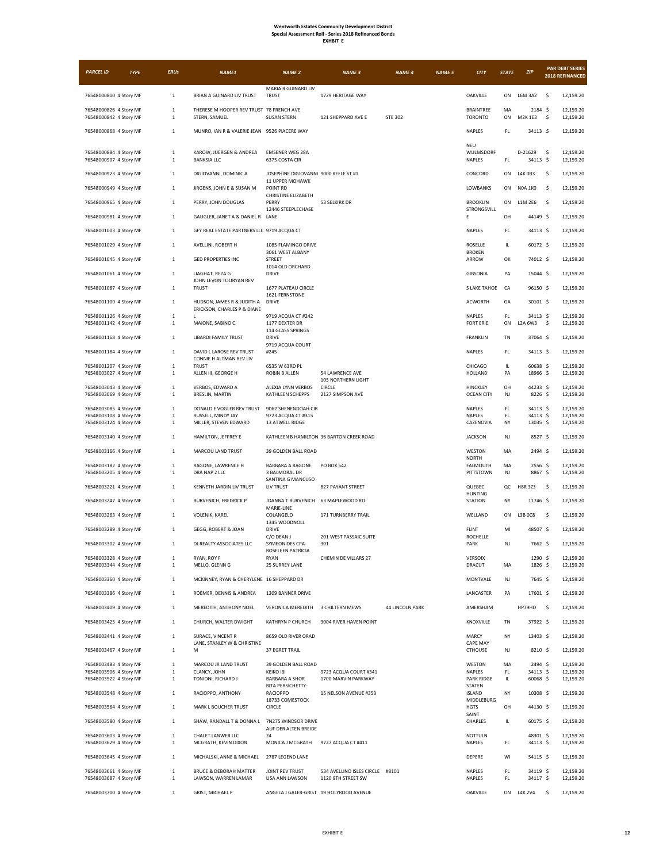| <b>PARCEL ID</b>                                 | <b>TYPE</b> | <b>ERUs</b>                  | NAME1                                                     | <b>NAME 2</b>                                             | <b>NAME 3</b>                                           | <b>NAME 4</b>   | <b>NAME 5</b> | <b>CITY</b>                                  | <b>STATE</b>  | ZIP                    |     | <b>PAR DEBT SERIES</b><br>2018 REFINANCED |
|--------------------------------------------------|-------------|------------------------------|-----------------------------------------------------------|-----------------------------------------------------------|---------------------------------------------------------|-----------------|---------------|----------------------------------------------|---------------|------------------------|-----|-------------------------------------------|
|                                                  |             |                              |                                                           | MARIA R GUINARD LIV                                       |                                                         |                 |               |                                              |               |                        |     |                                           |
| 76548000800 4 Story MF                           |             | $1\,$                        | BRIAN A GUINARD LIV TRUST                                 | <b>TRUST</b>                                              | 1729 HERITAGE WAY                                       |                 |               | <b>OAKVILLE</b>                              | ON            | L6M 3A2                | -\$ | 12,159.20                                 |
| 76548000826 4 Story MF<br>76548000842 4 Story MF |             | $\mathbf{1}$<br>$\mathbf{1}$ | THERESE M HOOPER REV TRUST 78 FRENCH AVE<br>STERN, SAMUEL | <b>SUSAN STERN</b>                                        | 121 SHEPPARD AVE E                                      | <b>STE 302</b>  |               | <b>BRAINTREE</b><br><b>TORONTO</b>           | MA<br>ON      | 2184 \$<br>M2K 1E3     | \$  | 12,159.20<br>12,159.20                    |
| 76548000868 4 Story MF                           |             | $1\,$                        | MUNRO, IAN R & VALERIE JEAN 9526 PIACERE WAY              |                                                           |                                                         |                 |               | <b>NAPLES</b>                                | FL            | 34113 S                |     | 12,159.20                                 |
| 76548000884 4 Story MF<br>76548000907 4 Story MF |             | $\mathbf 1$<br>$\mathbf{1}$  | KAROW, JUERGEN & ANDREA<br><b>BANKSIA LLC</b>             | <b>EMSENER WEG 28A</b><br>6375 COSTA CIR                  |                                                         |                 |               | <b>NEU</b><br>WULMSDORF<br><b>NAPLES</b>     | $\mathsf{FL}$ | D-21629<br>34113 \$    | \$  | 12,159.20<br>12,159.20                    |
| 76548000923 4 Story MF                           |             | $1\,$                        | DIGIOVANNI, DOMINIC A                                     | JOSEPHINE DIGIOVANNI 9000 KEELE ST #1                     |                                                         |                 |               | CONCORD                                      | ON            | L4K0B3                 | \$  | 12,159.20                                 |
| 76548000949 4 Story MF                           |             | $\mathbf{1}$                 | JIRGENS, JOHN E & SUSAN M                                 | <b>11 UPPER MOHAWK</b><br>POINT RD<br>CHRISTINE ELIZABETH |                                                         |                 |               | LOWBANKS                                     | ON            | <b>NOA 1KO</b>         | \$  | 12,159.20                                 |
| 76548000965 4 Story MF                           |             | $\mathbf{1}$                 | PERRY, JOHN DOUGLAS                                       | PERRY<br>12446 STEEPLECHASE                               | 53 SELKIRK DR                                           |                 |               | <b>BROOKLIN</b><br>STRONGSVILL               | ON            | L1M 2E6                | \$  | 12,159.20                                 |
| 76548000981 4 Story MF                           |             | $\mathbf{1}$                 | GAUGLER, JANET A & DANIEL R                               | LANE                                                      |                                                         |                 |               | E                                            | OH            | 44149 \$               |     | 12,159.20                                 |
| 76548001003 4 Story MF                           |             | $\mathbf{1}$                 | GFY REAL ESTATE PARTNERS LLC 9719 ACQUA CT                |                                                           |                                                         |                 |               | <b>NAPLES</b>                                | FL.           | 34113 \$               |     | 12,159.20                                 |
| 76548001029 4 Story MF<br>76548001045 4 Story MF |             | $\mathbf{1}$<br>$\mathbf{1}$ | AVELLINI, ROBERT H<br><b>GED PROPERTIES INC</b>           | 1085 FLAMINGO DRIVE<br>3061 WEST ALBANY<br><b>STREET</b>  |                                                         |                 |               | ROSELLE<br><b>BROKEN</b><br>ARROW            | IL.<br>OK     | 60172 \$<br>74012 \$   |     | 12,159.20<br>12,159.20                    |
| 76548001061 4 Story MF                           |             | $\mathbf{1}$                 | LIAGHAT, REZA G                                           | 1014 OLD ORCHARD<br>DRIVE                                 |                                                         |                 |               | GIBSONIA                                     | PA            | 15044 \$               |     | 12,159.20                                 |
| 76548001087 4 Story MF                           |             | $\mathbf{1}$                 | JOHN LEVON TOURYAN REV<br><b>TRUST</b>                    | 1677 PLATEAU CIRCLE                                       |                                                         |                 |               | S LAKE TAHOE                                 | CA            | 96150 \$               |     | 12,159.20                                 |
| 76548001100 4 Story MF                           |             | $\mathbf{1}$                 | HUDSON, JAMES R & JUDITH A<br>ERICKSON, CHARLES P & DIANE | 1621 FERNSTONE<br>DRIVE                                   |                                                         |                 |               | <b>ACWORTH</b>                               | GA            | 30101 \$               |     | 12,159.20                                 |
| 76548001126 4 Story MF<br>76548001142 4 Story MF |             | 1<br>$\mathbf{1}$            | L<br>MAIONE, SABINO C                                     | 9719 ACQUA CT #242<br>1177 DEXTER DR                      |                                                         |                 |               | <b>NAPLES</b><br><b>FORT ERIE</b>            | FL.<br>ON     | 34113 \$<br>L2A 6W3    | -\$ | 12,159.20<br>12,159.20                    |
| 76548001168 4 Story MF                           |             | $1\,$                        | <b>LIBARDI FAMILY TRUST</b>                               | 114 GLASS SPRINGS<br>DRIVE                                |                                                         |                 |               | <b>FRANKLIN</b>                              | TN            | 37064 \$               |     | 12,159.20                                 |
| 76548001184 4 Story MF                           |             | $1\,$                        | DAVID L LAROSE REV TRUST<br>CONNIE H ALTMAN REV LIV       | 9719 ACQUA COURT<br>#245                                  |                                                         |                 |               | NAPLES                                       | FL.           | 34113 S                |     | 12.159.20                                 |
| 76548001207 4 Story MF<br>76548003027 4 Story MF |             | $\mathbf{1}$<br>$\mathbf{1}$ | <b>TRUST</b><br>ALLEN III, GEORGE H                       | 6535 W 63RD PL<br><b>ROBIN B ALLEN</b>                    | 54 LAWRENCE AVE                                         |                 |               | CHICAGO<br><b>HOLLAND</b>                    | IL<br>PA      | 60638 \$<br>18966 \$   |     | 12,159.20<br>12,159.20                    |
| 76548003043 4 Story MF<br>76548003069 4 Story MF |             | $\mathbf{1}$<br>$\mathbf 1$  | VERBOS, EDWARD A<br>BRESLIN, MARTIN                       | ALEXIA LYNN VERBOS<br>KATHLEEN SCHEPPS                    | 105 NORTHERN LIGHT<br><b>CIRCLE</b><br>2127 SIMPSON AVE |                 |               | HINCKLEY<br><b>OCEAN CITY</b>                | OH<br>NJ      | 44233 \$<br>8226 \$    |     | 12,159.20<br>12,159.20                    |
| 76548003085 4 Story MF                           |             | $\mathbf{1}$                 | DONALD E VOGLER REV TRUST                                 | 9062 SHENENDOAH CIR                                       |                                                         |                 |               | <b>NAPLES</b>                                | FL            | 34113 \$               |     | 12,159.20                                 |
| 76548003108 4 Story MF<br>76548003124 4 Story MF |             | $\mathbf{1}$<br>$\mathbf{1}$ | RUSSELL, MINDY JAY<br>MILLER, STEVEN EDWARD               | 9723 ACQUA CT #315<br>13 ATWELL RIDGE                     |                                                         |                 |               | NAPLES<br>CAZENOVIA                          | FL.<br>NY     | 34113 \$<br>$13035$ \$ |     | 12,159.20<br>12,159.20                    |
| 76548003140 4 Story MF                           |             | $1\,$                        | HAMILTON, JEFFREY E                                       |                                                           | KATHLEEN B HAMILTON 36 BARTON CREEK ROAD                |                 |               | <b>JACKSON</b>                               | NJ            | 8527 \$                |     | 12,159.20                                 |
| 76548003166 4 Story MF                           |             | $\mathbf{1}$                 | MARCOU LAND TRUST                                         | 39 GOLDEN BALL ROAD                                       |                                                         |                 |               | WESTON<br><b>NORTH</b>                       | MA            | 2494 \$                |     | 12,159.20                                 |
| 76548003182 4 Story MF<br>76548003205 4 Story MF |             | $\mathbf{1}$<br>$1\,$        | RAGONE, LAWRENCE H<br>DRA NAP 2 LLC                       | BARBARA A RAGONE<br>3 BALMORAL DR                         | PO BOX 542                                              |                 |               | FALMOUTH<br>PITTSTOWN                        | MA<br>NJ      | $2556$ \$<br>8867 \$   |     | 12,159.20<br>12,159.20                    |
| 76548003221 4 Story MF                           |             | $\mathbf{1}$                 | KENNETH JARDIN LIV TRUST                                  | SANTINA G MANCUSO<br>LIV TRUST                            | 827 PAYANT STREET                                       |                 |               | QUEBEC<br><b>HUNTING</b>                     | QC            | H8R 3Z3                | -\$ | 12,159.20                                 |
| 76548003247 4 Story MF                           |             | $\mathbf{1}$                 | <b>BURVENICH, FREDRICK P</b>                              | JOANNA T BURVENICH 63 MAPLEWOOD RD<br>MARIE-LINE          |                                                         |                 |               | <b>STATION</b>                               | NY            | 11746 \$               |     | 12,159.20                                 |
| 76548003263 4 Story MF                           |             | $\mathbf{1}$                 | VOLENIK, KAREL                                            | COLANGELO<br>1345 WOODNOLL                                | 171 TURNBERRY TRAIL                                     |                 |               | WELLAND                                      | ON            | L3B0C8                 | \$  | 12,159.20                                 |
| 76548003289 4 Story MF<br>76548003302 4 Story MF |             | $\mathbf{1}$<br>$\mathbf{1}$ | GEGG, ROBERT & JOAN<br>DJ REALTY ASSOCIATES LLC           | <b>DRIVE</b><br>C/O DEAN J<br>SYMEONIDES CPA              | 201 WEST PASSAIC SUITE<br>301                           |                 |               | <b>FLINT</b><br><b>ROCHELLE</b><br>PARK      | MI<br>NJ      | 48507 \$<br>7662 \$    |     | 12,159.20<br>12,159.20                    |
| 76548003328 4 Story MF                           |             | $\,1\,$                      | RYAN, ROY F                                               | ROSELEEN PATRICIA<br>RYAN                                 | CHEMIN DE VILLARS 27                                    |                 |               | VERSOIX                                      |               | 1290 \$                |     | 12,159.20                                 |
| 76548003344 4 Story MF                           |             | $\mathbf{1}$                 | MELLO, GLENN G                                            | 25 SURREY LANE                                            |                                                         |                 |               | DRACUT                                       | MA            | 1826 \$                |     | 12,159.20                                 |
| 76548003360 4 Story MF                           |             | $\mathbf 1$                  | MCKINNEY, RYAN & CHERYLENE 16 SHEPPARD DR                 |                                                           |                                                         |                 |               | MONTVALE                                     | NJ            | 7645 \$                |     | 12,159.20                                 |
| 76548003386 4 Story MF<br>76548003409 4 Story MF |             | $\mathbf{1}$<br>$\mathbf 1$  | ROEMER, DENNIS & ANDREA<br>MEREDITH, ANTHONY NOEL         | 1309 BANNER DRIVE<br><b>VERONICA MEREDITH</b>             | 3 CHILTERN MEWS                                         | 44 LINCOLN PARK |               | LANCASTER<br>AMERSHAM                        | PA            | 17601 \$<br>HP79HD     | \$  | 12.159.20<br>12,159.20                    |
| 76548003425 4 Story MF                           |             | $\mathbf{1}$                 | CHURCH, WALTER DWIGHT                                     | KATHRYN P CHURCH                                          | 3004 RIVER HAVEN POINT                                  |                 |               | KNOXVILLE                                    | TN            | 37922 \$               |     | 12,159.20                                 |
| 76548003441 4 Story MF                           |             | $\mathbf 1$                  | SURACE, VINCENT R                                         | 8659 OLD RIVER ORAD                                       |                                                         |                 |               | MARCY                                        | NY            | 13403 \$               |     | 12,159.20                                 |
| 76548003467 4 Story MF                           |             | $1\,$                        | LANE, STANLEY W & CHRISTINE<br>М                          | 37 EGRET TRAIL                                            |                                                         |                 |               | CAPE MAY<br><b>CTHOUSE</b>                   | NJ            | 8210 \$                |     | 12,159.20                                 |
| 76548003483 4 Story MF                           |             | $1\,$                        | MARCOU JR LAND TRUST                                      | 39 GOLDEN BALL ROAD                                       |                                                         |                 |               | WESTON                                       | MA            | 2494 \$                |     | 12,159.20                                 |
| 76548003506 4 Story MF<br>76548003522 4 Story MF |             | $1\,$<br>$\mathbf{1}$        | CLANCY, JOHN<br>TONIONI, RICHARD J                        | <b>KEIKO IBI</b><br><b>BARBARA A SHOR</b>                 | 9723 ACQUA COURT #341<br>1700 MARVIN PARKWAY            |                 |               | NAPLES<br>PARK RIDGE                         | FL.<br>IL.    | 34113 \$<br>60068 \$   |     | 12,159.20<br>12,159.20                    |
| 76548003548 4 Story MF                           |             | $1\,$                        | RACIOPPO, ANTHONY                                         | RITA PERSICHETTY-<br><b>RACIOPPO</b><br>18733 COMESTOCK   | 15 NELSON AVENUE #353                                   |                 |               | <b>STATEN</b><br><b>ISLAND</b><br>MIDDLEBURG | NY            | 10308 \$               |     | 12,159.20                                 |
| 76548003564 4 Story MF                           |             | $1\,$                        | MARK L BOUCHER TRUST                                      | CIRCLE                                                    |                                                         |                 |               | <b>HGTS</b><br>SAINT                         | OH            | 44130 \$               |     | 12,159.20                                 |
| 76548003580 4 Story MF                           |             | $\mathbf{1}$                 | SHAW, RANDALL T & DONNA L                                 | 7N275 WINDSOR DRIVE<br>AUF DER ALTEN BREIDE               |                                                         |                 |               | CHARLES                                      | IL.           | 60175 \$               |     | 12,159.20                                 |
| 76548003603 4 Story MF<br>76548003629 4 Story MF |             | $\mathbf{1}$<br>$\mathbf{1}$ | CHALET LANWER LLC<br>MCGRATH, KEVIN DIXON                 | 24<br>MONICA J MCGRATH                                    | 9727 ACQUA CT #411                                      |                 |               | <b>NOTTULN</b><br>NAPLES                     | FL            | 48301 \$<br>34113 \$   |     | 12,159.20<br>12,159.20                    |
| 76548003645 4 Story MF                           |             | $\mathbf{1}$                 | MICHALSKI, ANNE & MICHAEL                                 | 2787 LEGEND LANE                                          |                                                         |                 |               | DEPERE                                       | WI            | 54115 \$               |     | 12,159.20                                 |
| 76548003661 4 Story MF<br>76548003687 4 Story MF |             | $\mathbf{1}$<br>$\mathbf{1}$ | BRUCE & DEBORAH MATTER<br>LAWSON, WARREN LAMAR            | JOINT REV TRUST<br>LISA ANN LAWSON                        | 534 AVELLINO ISLES CIRCLE #8101<br>1120 9TH STREET SW   |                 |               | NAPLES<br><b>NAPLES</b>                      | FL<br>FL      | 34119 \$<br>34117 \$   |     | 12,159.20<br>12,159.20                    |
| 76548003700 4 Story MF                           |             | $1\,$                        | <b>GRIST, MICHAEL P</b>                                   |                                                           | ANGELA J GALER-GRIST 19 HOLYROOD AVENUE                 |                 |               | OAKVILLE                                     |               | ON L4K 2V4             | \$  | 12,159.20                                 |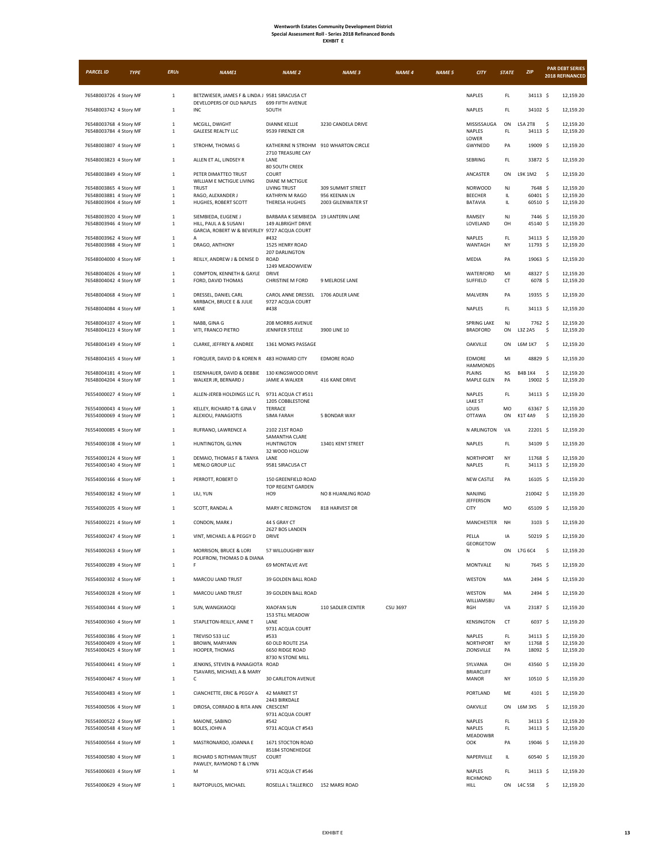| <b>EXHBIT</b> |
|---------------|
|---------------|

| <b>PARCEL ID</b>                                 | <b>TYPE</b> | <b>ERUs</b>                  | <b>NAME1</b>                                                                                  | <b>NAME 2</b>                                              | <b>NAME 3</b>                      | <b>NAME 4</b> | <b>NAME 5</b> | <b>CITY</b>                             | <b>STATE</b>        | ZIP                        | <b>PAR DEBT SERIES</b><br>2018 REFINANCED |
|--------------------------------------------------|-------------|------------------------------|-----------------------------------------------------------------------------------------------|------------------------------------------------------------|------------------------------------|---------------|---------------|-----------------------------------------|---------------------|----------------------------|-------------------------------------------|
| 76548003726 4 Story MF                           |             | $\mathbf{1}$                 | BETZWIESER, JAMES F & LINDA J 9581 SIRACUSA CT<br>DEVELOPERS OF OLD NAPLES                    | 699 FIFTH AVENUE                                           |                                    |               |               | <b>NAPLES</b>                           | FL                  | 34113 \$                   | 12,159.20                                 |
| 76548003742 4 Story MF                           |             | $\mathbf{1}$                 | INC                                                                                           | SOUTH                                                      |                                    |               |               | <b>NAPLES</b>                           | FL.                 | 34102 \$                   | 12,159.20                                 |
| 76548003768 4 Story MF                           |             | $\mathbf{1}$                 | MCGILL, DWIGHT                                                                                | <b>DIANNE KELLIE</b>                                       | 3230 CANDELA DRIVE                 |               |               | MISSISSAUGA                             | ON                  | L5A 2T8                    | \$<br>12,159.20                           |
| 76548003784 4 Story MF                           |             | $\mathbf{1}$                 | <b>GALEESE REALTY LLC</b>                                                                     | 9539 FIRENZE CIR                                           |                                    |               |               | NAPLES<br>LOWER                         | FL                  | 34113 \$                   | 12,159.20                                 |
| 76548003807 4 Story MF                           |             | $\mathbf{1}$                 | STROHM, THOMAS G                                                                              | KATHERINE N STROHM 910 WHARTON CIRCLE<br>2710 TREASURE CAY |                                    |               |               | GWYNEDD                                 | PA                  | 19009 \$                   | 12,159.20                                 |
| 76548003823 4 Story MF                           |             | $\mathbf{1}$                 | ALLEN ET AL, LINDSEY R                                                                        | LANE<br>80 SOUTH CREEK                                     |                                    |               |               | SEBRING                                 | FL.                 | 33872 \$                   | 12,159.20                                 |
| 76548003849 4 Story MF                           |             | $\mathbf{1}$                 | PETER DIMATTEO TRUST<br>WILLIAM E MCTIGUE LIVING                                              | COURT<br><b>DIANE M MCTIGUE</b>                            |                                    |               |               | ANCASTER                                | ON                  | L9K 1M2                    | $\sim$<br>12,159.20                       |
| 76548003865 4 Story MF<br>76548003881 4 Story MF |             | $\mathbf{1}$                 | <b>TRUST</b>                                                                                  | LIVING TRUST                                               | 309 SUMMIT STREET<br>956 KEENAN LN |               |               | <b>NORWOOD</b>                          | NJ                  | 7648 \$                    | 12,159.20                                 |
| 76548003904 4 Story MF                           |             | $\mathbf{1}$<br>$\mathbf{1}$ | RAGO, ALEXANDER J<br>HUGHES, ROBERT SCOTT                                                     | KATHRYN M RAGO<br>THERESA HUGHES                           | 2003 GILENWATER ST                 |               |               | <b>BEECHER</b><br>BATAVIA               | IL.<br>IL.          | 60401 \$<br>60510 \$       | 12,159.20<br>12,159.20                    |
| 76548003920 4 Story MF<br>76548003946 4 Story MF |             | $\mathbf{1}$<br>1            | SIEMBIEDA, EUGENE J<br>HILL, PAUL A & SUSAN I<br>GARCIA, ROBERT W & BEVERLEY 9727 ACQUA COURT | BARBARA K SIEMBIEDA 19 LANTERN LANE<br>149 ALBRIGHT DRIVE  |                                    |               |               | RAMSEY<br>LOVELAND                      | NJ<br>OH            | 7446 \$<br>45140 \$        | 12,159.20<br>12,159.20                    |
| 76548003962 4 Story MF<br>76548003988 4 Story MF |             | $1\,$<br>$\mathbf{1}$        | A<br>DRAGO, ANTHONY                                                                           | #432<br>1525 HENRY ROAD                                    |                                    |               |               | NAPLES<br>WANTAGH                       | FL.<br>NY           | 34113 \$<br>11793 \$       | 12,159.20<br>12,159.20                    |
| 76548004000 4 Story MF                           |             | $1\,$                        | REILLY, ANDREW J & DENISE D                                                                   | 207 DARLINGTON<br>ROAD                                     |                                    |               |               | MEDIA                                   | PA                  | 19063 \$                   | 12,159.20                                 |
| 76548004026 4 Story MF                           |             | $\mathbf{1}$                 | COMPTON, KENNETH & GAYLE                                                                      | 1249 MEADOWVIEW<br>DRIVE                                   |                                    |               |               | WATERFORD                               | MI                  | 48327 \$                   | 12,159.20                                 |
| 76548004042 4 Story MF                           |             | 1                            | FORD, DAVID THOMAS                                                                            | <b>CHRISTINE M FORD</b>                                    | 9 MELROSE LANE                     |               |               | SUFFIELD                                | CT                  | 6078 \$                    | 12,159.20                                 |
| 76548004068 4 Story MF                           |             | $\mathbf{1}$                 | DRESSEL, DANIEL CARL<br>MIRBACH, BRUCE E & JULIE                                              | CAROL ANNE DRESSEL<br>9727 ACQUA COURT                     | 1706 ADLER LANE                    |               |               | MALVERN                                 | PA                  | 19355 \$                   | 12,159.20                                 |
| 76548004084 4 Story MF                           |             | $\mathbf{1}$                 | KANE                                                                                          | #438                                                       |                                    |               |               | <b>NAPLES</b>                           | FL                  | 34113 \$                   | 12,159.20                                 |
| 76548004107 4 Story MF<br>76548004123 4 Story MF |             | $\mathbf{1}$<br>$\mathbf{1}$ | NABB, GINA G<br>VITI, FRANCO PIETRO                                                           | 208 MORRIS AVENUE<br>JENNIFER STEELE                       | 3900 LINE 10                       |               |               | <b>SPRING LAKE</b><br><b>BRADFORD</b>   | NJ<br>ON            | 7762 \$<br>L3Z 2A5         | 12,159.20<br>\$<br>12,159.20              |
| 76548004149 4 Story MF                           |             | $1\,$                        | CLARKE, JEFFREY & ANDREE                                                                      | 1361 MONKS PASSAGE                                         |                                    |               |               | OAKVILLE                                | ON                  | L6M 1K7                    | \$<br>12,159.20                           |
| 76548004165 4 Story MF                           |             | $\mathbf{1}$                 | FORQUER, DAVID D & KOREN R 483 HOWARD CITY                                                    |                                                            | <b>EDMORE ROAD</b>                 |               |               | EDMORE                                  | MI                  | 48829 \$                   | 12,159.20                                 |
| 76548004181 4 Story MF<br>76548004204 4 Story MF |             | $\mathbf{1}$<br>$\mathbf{1}$ | EISENHAUER, DAVID & DEBBIE<br>WALKER JR, BERNARD J                                            | 130 KINGSWOOD DRIVE<br>JAMIE A WALKER                      | 416 KANE DRIVE                     |               |               | <b>HAMMONDS</b><br>PLAINS<br>MAPLE GLEN | NS<br>PA            | <b>B4B 1K4</b><br>19002 \$ | \$<br>12,159.20<br>12,159.20              |
| 76554000027 4 Story MF                           |             | $\mathbf{1}$                 | ALLEN-JEREB HOLDINGS LLC FL                                                                   | 9731 ACQUA CT #511<br>1205 COBBLESTONE                     |                                    |               |               | <b>NAPLES</b><br><b>LAKE ST</b>         | FL.                 | 34113 \$                   | 12,159.20                                 |
| 76554000043 4 Story MF<br>76554000069 4 Story MF |             | $\mathbf{1}$<br>$\mathbf{1}$ | KELLEY, RICHARD T & GINA V<br>ALEXIOU, PANAGIOTIS                                             | TERRACE<br>SIMA FARAH                                      | 5 BONDAR WAY                       |               |               | LOUIS<br><b>OTTAWA</b>                  | MO<br>ON            | 63367 \$<br>K1T 4A9        | 12,159.20<br>\$<br>12,159.20              |
| 76554000085 4 Story MF                           |             | $\mathbf{1}$                 | RUFRANO, LAWRENCE A                                                                           | 2102 21ST ROAD                                             |                                    |               |               | N ARLINGTON                             | VA                  | 22201 \$                   | 12,159.20                                 |
| 76554000108 4 Story MF                           |             | $\mathbf{1}$                 | HUNTINGTON, GLYNN                                                                             | SAMANTHA CLARE<br><b>HUNTINGTON</b><br>32 WOOD HOLLOW      | 13401 KENT STREET                  |               |               | NAPLES                                  | FL                  | 34109 \$                   | 12,159.20                                 |
| 76554000124 4 Story MF                           |             | $\mathbf{1}$                 | DEMAIO, THOMAS F & TANYA                                                                      | LANE                                                       |                                    |               |               | NORTHPORT                               | NY                  | 11768 \$                   | 12,159.20                                 |
| 76554000140 4 Story MF<br>76554000166 4 Story MF |             | 1<br>$\mathbf{1}$            | MENLO GROUP LLC<br>PERROTT, ROBERT D                                                          | 9581 SIRACUSA CT<br>150 GREENFIELD ROAD                    |                                    |               |               | NAPLES<br>NEW CASTLE                    | $\mathsf{FL}$<br>PA | 34113 \$<br>16105 \$       | 12,159.20<br>12,159.20                    |
| 76554000182 4 Story MF                           |             | $\mathbf{1}$                 | LIU, YUN                                                                                      | TOP REGENT GARDEN<br>HO <sub>9</sub>                       | NO 8 HUANLING ROAD                 |               |               | NANJING                                 |                     | 210042 \$                  | 12,159.20                                 |
| 76554000205 4 Story MF                           |             | $\mathbf{1}$                 | SCOTT, RANDAL A                                                                               | <b>MARY C REDINGTON</b>                                    | 818 HARVEST DR                     |               |               | <b>JEFFERSON</b><br><b>CITY</b>         | MO                  | 65109 \$                   | 12,159.20                                 |
| 76554000221 4 Story MF                           |             | $\mathbf{1}$                 | CONDON, MARK J                                                                                | 44 S GRAY CT                                               |                                    |               |               | MANCHESTER                              | NH                  | $3103 \;$ \$               | 12,159.20                                 |
| 76554000247 4 Story MF                           |             | $1\,$                        | VINT, MICHAEL A & PEGGY D                                                                     | 2627 BOS LANDEN<br>DRIVE                                   |                                    |               |               | PELLA                                   | IA                  | 50219 \$                   | 12,159.20                                 |
| 76554000263 4 Story MF                           |             |                              | MORRISON, BRUCE & LORI                                                                        | 57 WILLOUGHBY WAY                                          |                                    |               |               | GEORGETOW                               | ON                  | L7G 6C4                    | \$<br>12,159.20                           |
| 76554000289 4 Story MF                           |             | $\mathbf{1}$                 | POLIFRONI, THOMAS D & DIANA<br>F                                                              | 69 MONTALVE AVE                                            |                                    |               |               | MONTVALE                                | NJ                  | 7645 \$                    | 12,159.20                                 |
| 76554000302 4 Story MF                           |             | $1\,$                        | MARCOU LAND TRUST                                                                             | 39 GOLDEN BALL ROAD                                        |                                    |               |               | WESTON                                  | MA                  | 2494 \$                    | 12,159.20                                 |
| 76554000328 4 Story MF                           |             | $\mathbf 1$                  | MARCOU LAND TRUST                                                                             | 39 GOLDEN BALL ROAD                                        |                                    |               |               | WESTON                                  | MA                  | 2494 \$                    | 12,159.20                                 |
| 76554000344 4 Story MF                           |             | $\mathbf{1}$                 | SUN, WANGXIAOQI                                                                               | <b>XIAOFAN SUN</b><br>153 STILL MEADOW                     | 110 SADLER CENTER                  | CSU 3697      |               | WILLIAMSBU<br>RGH                       | VA                  | 23187 \$                   | 12,159.20                                 |
| 76554000360 4 Story MF                           |             | $\mathbf{1}$                 | STAPLETON-REILLY, ANNE T                                                                      | LANE<br>9731 ACQUA COURT                                   |                                    |               |               | <b>KENSINGTON</b>                       | CT                  | $6037$ \$                  | 12,159.20                                 |
| 76554000386 4 Story MF                           |             | $\mathbf{1}$                 | TREVISO 533 LLC                                                                               | #533                                                       |                                    |               |               | NAPLES                                  | FL.                 | 34113 \$                   | 12,159.20                                 |
| 76554000409 4 Story MF<br>76554000425 4 Story MF |             | $\mathbf{1}$<br>$\mathbf{1}$ | BROWN, MARYANN<br>HOOPER, THOMAS                                                              | 60 OLD ROUTE 25A<br>6650 RIDGE ROAD                        |                                    |               |               | NORTHPORT<br>ZIONSVILLE                 | NY<br>PA            | 11768 \$<br>18092 \$       | 12,159.20<br>12,159.20                    |
| 76554000441 4 Story MF                           |             | $\mathbf 1$                  | JENKINS, STEVEN & PANAGIOTA<br>TSAVARIS, MICHAEL A & MARY                                     | 8730 N STONE MILL<br><b>ROAD</b>                           |                                    |               |               | SYLVANIA<br><b>BRIARCLIFF</b>           | OH                  | 43560 \$                   | 12,159.20                                 |
| 76554000467 4 Story MF                           |             | $1\,$                        | с                                                                                             | 30 CARLETON AVENUE                                         |                                    |               |               | <b>MANOR</b>                            | NY                  | 10510 \$                   | 12,159.20                                 |
| 76554000483 4 Story MF                           |             | $\mathbf 1$                  | CIANCHETTE, ERIC & PEGGY A                                                                    | <b>42 MARKET ST</b>                                        |                                    |               |               | PORTLAND                                | ME                  | 4101 \$                    | 12,159.20                                 |
| 76554000506 4 Story MF                           |             | $\mathbf{1}$                 | DIROSA, CORRADO & RITA ANN                                                                    | 2443 BIRKDALE<br>CRESCENT<br>9731 ACQUA COURT              |                                    |               |               | OAKVILLE                                | ON                  | L6M 3X5                    | - \$<br>12,159.20                         |
| 76554000522 4 Story MF<br>76554000548 4 Story MF |             | $\mathbf{1}$<br>$\mathbf{1}$ | MAIONE, SABINO<br>BOLES, JOHN A                                                               | #542<br>9731 ACQUA CT #543                                 |                                    |               |               | NAPLES<br>NAPLES                        | FL<br>FL            | 34113 \$<br>34113 \$       | 12,159.20<br>12,159.20                    |
| 76554000564 4 Story MF                           |             | $\mathbf 1$                  | MASTRONARDO, JOANNA E                                                                         | 1671 STOCTON ROAD                                          |                                    |               |               | MEADOWBR<br>OOK                         | PA                  | 19046 \$                   | 12,159.20                                 |
| 76554000580 4 Story MF                           |             | $1\,$                        | RICHARD S ROTHMAN TRUST<br>PAWLEY, RAYMOND T & LYNN                                           | 85184 STONEHEDGE<br>COURT                                  |                                    |               |               | NAPERVILLE                              | IL                  | 60540 \$                   | 12,159.20                                 |
| 76554000603 4 Story MF                           |             | $\mathbf{1}$                 | M                                                                                             | 9731 ACQUA CT #546                                         |                                    |               |               | NAPLES<br>RICHMOND                      | FL                  | 34113 \$                   | 12,159.20                                 |
| 76554000629 4 Story MF                           |             | $\mathbf{1}$                 | RAPTOPULOS, MICHAEL                                                                           | ROSELLA L TALLERICO 152 MARSI ROAD                         |                                    |               |               | HILL                                    |                     | ON L4C 5S8                 | \$<br>12,159.20                           |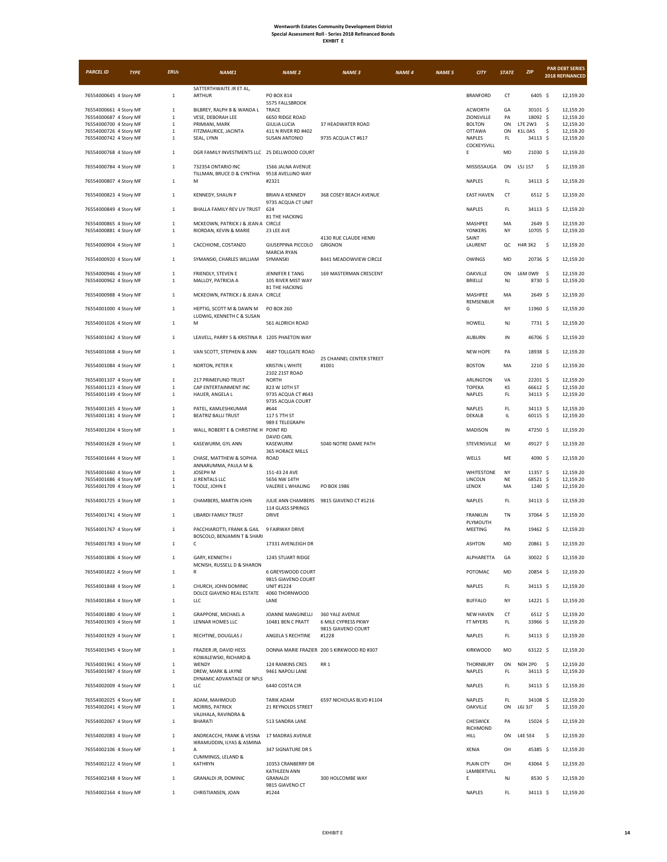| <b>EXHBIT</b> |  |
|---------------|--|
|---------------|--|

| <b>PARCEL ID</b>                                 | <b>TYPE</b> | <b>ERUs</b>                  | NAME1                                                     | <b>NAME 2</b>                                | <b>NAME 3</b>                              | <b>NAME 4</b> | <b>NAME 5</b> | <b>CITY</b>                        | <b>STATE</b>        | ZIP                           | <b>PAR DEBT SERIES</b><br>2018 REFINANCED |
|--------------------------------------------------|-------------|------------------------------|-----------------------------------------------------------|----------------------------------------------|--------------------------------------------|---------------|---------------|------------------------------------|---------------------|-------------------------------|-------------------------------------------|
| 76554000645 4 Story MF                           |             | $1\,$                        | SATTERTHWAITE JR ET AL.<br><b>ARTHUR</b>                  | PO BOX 814                                   |                                            |               |               | <b>BRANFORD</b>                    | CT                  | 6405 \$                       | 12,159.20                                 |
|                                                  |             |                              |                                                           | 5575 FALLSBROOK                              |                                            |               |               |                                    |                     |                               |                                           |
| 76554000661 4 Story MF                           |             | $\mathbf{1}$                 | BILBREY, RALPH B & WANDA L<br>VESE, DEBORAH LEE           | TRACE                                        |                                            |               |               | <b>ACWORTH</b><br>ZIONSVILLE       | GA                  | 30101 \$<br>18092 \$          | 12,159.20                                 |
| 76554000687 4 Story MF<br>76554000700 4 Story MF |             | $1\,$<br>$\,1\,$             | PRIMIANI, MARK                                            | 6650 RIDGE ROAD<br>GIULIA LUCIA              | 37 HEADWATER ROAD                          |               |               | <b>BOLTON</b>                      | PA<br>ON            | L7E 2W3                       | 12,159.20<br>12,159.20<br>\$              |
| 76554000726 4 Story MF                           |             | $\mathbf{1}$                 | FITZMAURICE, JACINTA                                      | 411 N RIVER RD #402                          |                                            |               |               | <b>OTTAWA</b>                      | ON                  | <b>K1L 0A5</b>                | \$<br>12,159.20                           |
| 76554000742 4 Story MF                           |             | $\mathbf{1}$                 | SEAL, LYNN                                                | <b>SUSAN ANTONIO</b>                         | 9735 ACQUA CT #617                         |               |               | NAPLES<br>COCKEYSVILL              | FL.                 | 34113 \$                      | 12,159.20                                 |
| 76554000768 4 Story MF                           |             | $\mathbf{1}$                 | DGR FAMILY INVESTMENTS LLC 25 DELLWOOD COURT              |                                              |                                            |               |               | E                                  | MD                  | 21030 \$                      | 12,159.20                                 |
| 76554000784 4 Story MF                           |             | $\,1\,$                      | 732354 ONTARIO INC<br>TILLMAN, BRUCE D & CYNTHIA          | 1566 JALNA AVENUE<br>9518 AVELLINO WAY       |                                            |               |               | MISSISSAUGA                        | ON                  | L5J 1S7                       | \$<br>12,159.20                           |
| 76554000807 4 Story MF                           |             | $\mathbf{1}$                 | М                                                         | #2321                                        |                                            |               |               | NAPLES                             | FL.                 | 34113 \$                      | 12,159.20                                 |
| 76554000823 4 Story MF                           |             | $\mathbf 1$                  | KENNEDY, SHAUN P<br>BHALLA FAMILY REV LIV TRUST           | <b>BRIAN A KENNEDY</b><br>9735 ACQUA CT UNIT | 368 COSEY BEACH AVENUE                     |               |               | <b>EAST HAVEN</b>                  | <b>CT</b>           | $6512 \frac{2}{3}$<br>34113 S | 12,159.20                                 |
| 76554000849 4 Story MF<br>76554000865 4 Story MF |             | $1\,$<br>$\,$ 1 $\,$         | MCKEOWN, PATRICK J & JEAN A CIRCLE                        | 624<br>81 THE HACKING                        |                                            |               |               | NAPLES<br>MASHPEE                  | FL.<br>MA           | 2649 \$                       | 12,159.20<br>12,159.20                    |
| 76554000881 4 Story MF                           |             | $\mathbf{1}$                 | RIORDAN, KEVIN & MARIE                                    | 23 LEE AVE                                   | 4130 RUE CLAUDE HENRI                      |               |               | <b>YONKERS</b><br>SAINT            | NY                  | 10705 \$                      | 12,159.20                                 |
| 76554000904 4 Story MF                           |             | $\mathbf 1$                  | CACCHIONE, COSTANZO                                       | GIUSEPPINA PICCOLO<br><b>MARCIA RYAN</b>     | <b>GRIGNON</b>                             |               |               | LAURENT                            | QC                  | <b>H4R 3K2</b>                | - \$<br>12,159.20                         |
| 76554000920 4 Story MF                           |             | $\mathbf{1}$                 | SYMANSKI, CHARLES WILLIAM                                 | SYMANSKI                                     | 8441 MEADOWVIEW CIRCLE                     |               |               | <b>OWINGS</b>                      | MD                  | 20736 \$                      | 12,159.20                                 |
| 76554000946 4 Story MF<br>76554000962 4 Story MF |             | $\mathbf 1$<br>$1\,$         | FRIENDLY, STEVEN E<br>MALLOY, PATRICIA A                  | JENNIFER E TANG<br>105 RIVER MIST WAY        | 169 MASTERMAN CRESCENT                     |               |               | <b>OAKVILLE</b><br>BRIELLE         | ON<br>NJ            | L6M 0W9 \$<br>8730 \$         | 12,159.20<br>12,159.20                    |
| 76554000988 4 Story MF                           |             | $\mathbf{1}$                 | MCKEOWN, PATRICK J & JEAN A CIRCLE                        | 81 THE HACKING                               |                                            |               |               | MASHPEE                            | MA                  | $2649$ \$                     | 12,159.20                                 |
| 76554001000 4 Story MF                           |             | $\,$ 1 $\,$                  | HEPTIG, SCOTT M & DAWN M                                  | PO BOX 260                                   |                                            |               |               | REMSENBUR<br>G                     | NY                  | 11960 \$                      | 12,159.20                                 |
| 76554001026 4 Story MF                           |             | $\mathbf{1}$                 | LUDWIG, KENNETH C & SUSAN<br>M                            | 561 ALDRICH ROAD                             |                                            |               |               | HOWELL                             | NJ                  | 7731 \$                       | 12,159.20                                 |
| 76554001042 4 Story MF                           |             | $\mathbf{1}$                 | LEAVELL, PARRY S & KRISTINA R 1205 PHAETON WAY            |                                              |                                            |               |               | <b>AUBURN</b>                      | IN                  | 46706 \$                      | 12,159.20                                 |
| 76554001068 4 Story MF                           |             | $\mathbf 1$                  | VAN SCOTT, STEPHEN & ANN                                  | 4687 TOLLGATE ROAD                           |                                            |               |               | <b>NEW HOPE</b>                    | PA                  | 18938 \$                      | 12,159.20                                 |
| 76554001084 4 Story MF                           |             | $\mathbf{1}$                 | NORTON, PETER K                                           | <b>KRISTIN L WHITE</b>                       | 25 CHANNEL CENTER STREET<br>#1001          |               |               | <b>BOSTON</b>                      | MA                  | 2210 \$                       | 12,159.20                                 |
|                                                  |             |                              |                                                           | 2102 21ST ROAD                               |                                            |               |               |                                    |                     |                               |                                           |
| 76554001107 4 Story MF<br>76554001123 4 Story MF |             | $1\,$<br>$\mathbf{1}$        | 217 PRIMEFUND TRUST<br>CAP ENTERTAINMENT INC              | <b>NORTH</b><br>823 W 10TH ST                |                                            |               |               | ARLINGTON<br><b>TOPEKA</b>         | VA<br>KS            | 22201 \$<br>66612 \$          | 12,159.20<br>12,159.20                    |
| 76554001149 4 Story MF                           |             | $\,$ 1 $\,$                  | HAUER, ANGELA L                                           | 9735 ACQUA CT #643                           |                                            |               |               | NAPLES                             | FL.                 | 34113 \$                      | 12,159.20                                 |
|                                                  |             |                              |                                                           | 9735 ACQUA COURT                             |                                            |               |               |                                    |                     |                               |                                           |
| 76554001165 4 Story MF<br>76554001181 4 Story MF |             | $\mathbf{1}$<br>$\,$ 1 $\,$  | PATEL, KAMLESHKUMAR<br><b>BEATRIZ BALLI TRUST</b>         | #644<br>117 S 7TH ST                         |                                            |               |               | NAPLES<br>DEKALB                   | FL.<br>IL           | 34113 \$<br>60115 \$          | 12,159.20<br>12,159.20                    |
| 76554001204 4 Story MF                           |             | $\mathbf{1}$                 | WALL, ROBERT E & CHRISTINE H POINT RD                     | 989 E TELEGRAPH                              |                                            |               |               | MADISON                            | $\sf IN$            | 47250 \$                      | 12,159.20                                 |
| 76554001628 4 Story MF                           |             | $\mathbf 1$                  | KASEWURM, GYL ANN                                         | DAVID CARL<br>KASEWURM<br>365 HORACE MILLS   | 5040 NOTRE DAME PATH                       |               |               | STEVENSVILLE                       | MI                  | 49127 \$                      | 12,159.20                                 |
| 76554001644 4 Story MF                           |             | $\mathbf{1}$                 | CHASE, MATTHEW & SOPHIA<br>ANNARUMMA, PAULA M &           | ROAD                                         |                                            |               |               | WELLS                              | ME                  | 4090 \$                       | 12,159.20                                 |
| 76554001660 4 Story MF                           |             | $\mathbf 1$                  | JOSEPH M                                                  | 151-43 24 AVE                                |                                            |               |               | <b>WHITESTONE</b>                  | NY                  | 11357 \$                      | 12,159.20                                 |
| 76554001686 4 Story MF                           |             | $1\,$                        | JJ RENTALS LLC                                            | 5656 NW 14TH                                 |                                            |               |               | LINCOLN                            | NE                  | 68521 \$                      | 12,159.20                                 |
| 76554001709 4 Story MF                           |             | $\mathbf 1$                  | TOOLE, JOHN E                                             | VALERIE L WHALING                            | PO BOX 1986                                |               |               | LENOX                              | MA                  | 1240 \$                       | 12,159.20                                 |
| 76554001725 4 Story MF                           |             | $\mathbf{1}$                 | CHAMBERS, MARTIN JOHN                                     | JULIE ANN CHAMBERS<br>114 GLASS SPRINGS      | 9815 GIAVENO CT #1216                      |               |               | NAPLES                             | FL.                 | 34113 \$                      | 12,159.20                                 |
| 76554001741 4 Story MF                           |             | $\mathbf 1$                  | <b>LIBARDI FAMILY TRUST</b>                               | <b>DRIVE</b>                                 |                                            |               |               | FRANKLIN<br>PLYMOUTH               | TN                  | 37064 \$                      | 12,159.20                                 |
| 76554001767 4 Story MF                           |             | $\,$ 1 $\,$                  | PACCHIAROTTI, FRANK & GAIL<br>BOSCOLO, BENJAMIN T & SHARI | 9 FAIRWAY DRIVE                              |                                            |               |               | MEETING                            | PA                  | 19462 \$                      | 12,159.20                                 |
| 76554001783 4 Story MF                           |             | $\mathbf{1}$                 | с                                                         | 17331 AVENLEIGH DR                           |                                            |               |               | <b>ASHTON</b>                      | MD                  | 20861 \$                      | 12,159.20                                 |
| 76554001806 4 Story MF                           |             | $1\,$                        | GARY, KENNETH J<br>MCNISH, RUSSELL D & SHARON             | 1245 STUART RIDGE                            |                                            |               |               | ALPHARETTA                         | GA                  | 30022 \$                      | 12,159.20                                 |
| 76554001822 4 Story MF                           |             | $\mathbf{1}$                 | R                                                         | 6 GREYSWOOD COURT<br>9815 GIAVENO COURT      |                                            |               |               | POTOMAC                            | MD                  | 20854 \$                      | 12,159.20                                 |
| 76554001848 4 Story MF                           |             | $\mathbf{1}$                 | CHURCH, JOHN DOMINIC<br>DOLCE GIAVENO REAL ESTATE         | <b>UNIT #1224</b><br>4060 THORNWOOD          |                                            |               |               | NAPLES                             | FL.                 | 34113 \$                      | 12,159.20                                 |
| 76554001864 4 Story MF                           |             | $\mathbf 1$                  | LLC                                                       | LANE                                         |                                            |               |               | <b>BUFFALO</b>                     | NY                  | 14221 \$                      | 12,159.20                                 |
| 76554001880 4 Story MF<br>76554001903 4 Story MF |             | $\mathbf 1$<br>$\mathbf 1$   | GRAPPONE, MICHAEL A<br>LENNAR HOMES LLC                   | JOANNE MANGINELLI<br>10481 BEN C PRATT       | 360 YALE AVENUE<br>6 MILE CYPRESS PKWY     |               |               | <b>NEW HAVEN</b><br>FT MYERS       | CT<br>$\mathsf{FL}$ | 6512 \$<br>33966 \$           | 12,159.20<br>12,159.20                    |
| 76554001929 4 Story MF                           |             | $\mathbf 1$                  | RECHTINE, DOUGLAS J                                       | ANGELA S RECHTINE                            | 9815 GIAVENO COURT<br>#1228                |               |               | NAPLES                             | $\mathsf{FL}$       | 34113 \$                      | 12,159.20                                 |
| 76554001945 4 Story MF                           |             | $\mathbf{1}$                 | FRAZIER JR, DAVID HESS                                    |                                              | DONNA MARIE FRAZIER 200 S KIRKWOOD RD #307 |               |               | <b>KIRKWOOD</b>                    | MO                  | 63122 S                       | 12,159.20                                 |
| 76554001961 4 Story MF                           |             | $\mathbf 1$                  | KOWALEWSKI, RICHARD &<br>WENDY                            | 124 RANKINS CRES                             | RR <sub>1</sub>                            |               |               | THORNBURY                          | ON                  | <b>NOH 2PO</b>                | \$<br>12,159.20                           |
| 76554001987 4 Story MF                           |             | $\,$ 1 $\,$                  | DREW, MARK & JAYNE                                        | 9461 NAPOLI LANE                             |                                            |               |               | NAPLES                             | $\mathsf{FL}$       | 34113 \$                      | 12,159.20                                 |
| 76554002009 4 Story MF                           |             | $\mathbf{1}$                 | DYNAMIC ADVANTAGE OF NPLS<br>LLC                          | 6440 COSTA CIR                               |                                            |               |               | NAPLES                             | FL.                 | 34113 \$                      | 12,159.20                                 |
| 76554002025 4 Story MF                           |             | $\mathbf{1}$                 | ADAM, MAHMOUD                                             | TARIK ADAM                                   | 6597 NICHOLAS BLVD #1104                   |               |               | NAPLES                             | FL.                 | 34108 \$                      | 12,159.20                                 |
| 76554002041 4 Story MF<br>76554002067 4 Story MF |             | $\mathbf{1}$<br>$\mathbf{1}$ | MORRIS, PATRICK<br>VAJJHALA, RAVINDRA &<br>BHARATI        | 21 REYNOLDS STREET<br>513 SANDRA LANE        |                                            |               |               | <b>OAKVILLE</b><br><b>CHESWICK</b> | ON<br>PA            | L6J 3J7<br>15024 \$           | \$<br>12,159.20<br>12,159.20              |
| 76554002083 4 Story MF                           |             | $\mathbf{1}$                 | ANDREACCHI, FRANK & VESNA 17 MADRAS AVENUE                |                                              |                                            |               |               | RICHMOND<br><b>HILL</b>            | ON                  | <b>L4E 5E4</b>                | \$<br>12,159.20                           |
| 76554002106 4 Story MF                           |             | $\mathbf{1}$                 | IKRAMUDDIN, ILYAS & ASMINA<br>А                           | 347 SIGNATURE DR S                           |                                            |               |               | XENIA                              | OH                  | 45385 \$                      | 12,159.20                                 |
| 76554002122 4 Story MF                           |             | $\mathbf 1$                  | CUMMINGS, LELAND &<br>KATHRYN                             | 10353 CRANBERRY DR                           |                                            |               |               | PLAIN CITY                         | OH                  | 43064 \$                      | 12,159.20                                 |
| 76554002148 4 Story MF                           |             | $\mathbf 1$                  | GRANALDI JR, DOMINIC                                      | <b>KATHLEEN ANN</b><br>GRANALDI              | 300 HOLCOMBE WAY                           |               |               | LAMBERTVILL<br>E                   | NJ                  | 8530 \$                       | 12,159.20                                 |
| 76554002164 4 Story MF                           |             | $\mathbf 1$                  | CHRISTIANSEN, JOAN                                        | 9815 GIAVENO CT<br>#1244                     |                                            |               |               | NAPLES                             | $\mathsf{FL}$       | 34113 \$                      | 12,159.20                                 |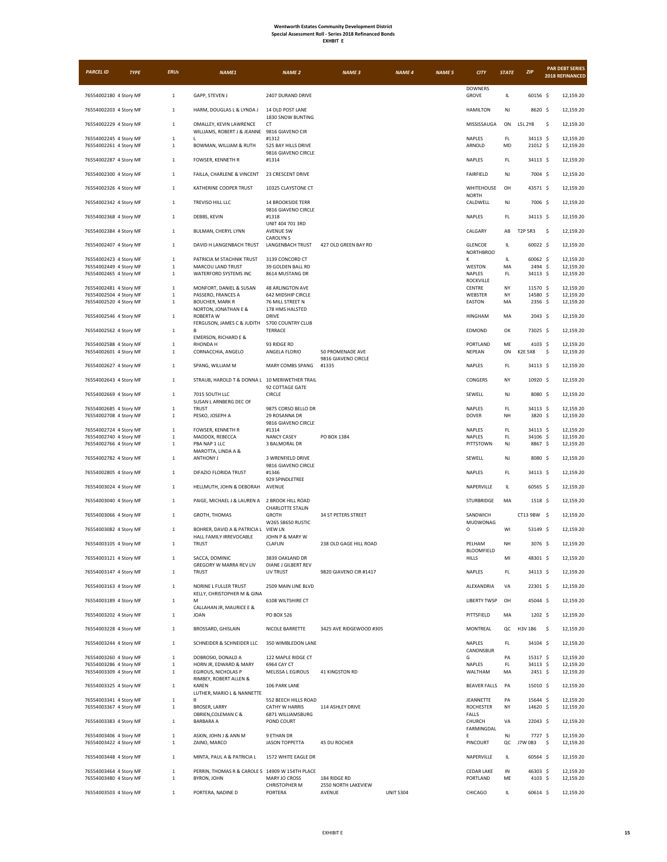| <b>EXHBIT</b> |
|---------------|
|---------------|

| <b>PARCEL ID</b>                                 | <b>TYPE</b> | <b>ERUs</b>                  | NAME1                                                                   | <b>NAME 2</b>                                                  | <b>NAME 3</b>                           | <b>NAME 4</b>    | <b>NAME 5</b> | <b>CITY</b>                   | <b>STATE</b>  | ZIP                        | <b>PAR DEBT SERIES</b><br>2018 REFINANCED |
|--------------------------------------------------|-------------|------------------------------|-------------------------------------------------------------------------|----------------------------------------------------------------|-----------------------------------------|------------------|---------------|-------------------------------|---------------|----------------------------|-------------------------------------------|
| 76554002180 4 Story MF                           |             | $\mathbf{1}$                 | GAPP, STEVEN J                                                          | 2407 DURAND DRIVE                                              |                                         |                  |               | <b>DOWNERS</b><br>GROVE       | IL.           | 60156 \$                   | 12,159.20                                 |
| 76554002203 4 Story MF                           |             | $\mathbf{1}$                 | HARM, DOUGLAS L & LYNDA J                                               | 14 OLD POST LANE                                               |                                         |                  |               | <b>HAMILTON</b>               | NJ            | 8620 \$                    | 12,159.20                                 |
| 76554002229 4 Story MF                           |             | $\mathbf{1}$                 | OMALLEY, KEVIN LAWRENCE<br>WILLIAMS, ROBERT J & JEANNE 9816 GIAVENO CIR | 1830 SNOW BUNTING<br><b>CT</b>                                 |                                         |                  |               | MISSISSAUGA                   | ON            | L5L 2Y8                    | \$<br>12,159.20                           |
| 76554002245 4 Story MF                           |             | $1\,$                        | L                                                                       | #1312                                                          |                                         |                  |               | NAPLES                        | $\mathsf{FL}$ | 34113 \$                   | 12,159.20                                 |
| 76554002261 4 Story MF                           |             | $\mathbf{1}$                 | BOWMAN, WILLIAM & RUTH                                                  | 525 BAY HILLS DRIVE<br>9816 GIAVENO CIRCLE                     |                                         |                  |               | ARNOLD                        | MD            | 21012 \$                   | 12,159.20                                 |
| 76554002287 4 Story MF                           |             | $\mathbf{1}$                 | FOWSER, KENNETH R                                                       | #1314<br>23 CRESCENT DRIVE                                     |                                         |                  |               | NAPLES                        | FL.           | 34113 \$                   | 12,159.20                                 |
| 76554002300 4 Story MF                           |             | $\mathbf{1}$                 | FAILLA, CHARLENE & VINCENT                                              |                                                                |                                         |                  |               | <b>FAIRFIELD</b>              | NJ            | 7004 \$                    | 12,159.20                                 |
| 76554002326 4 Story MF                           |             | $\mathbf{1}$                 | KATHERINE COOPER TRUST                                                  | 10325 CLAYSTONE CT                                             |                                         |                  |               | WHITEHOUSE<br><b>NORTH</b>    | OH            | 43571 \$                   | 12,159.20                                 |
| 76554002342 4 Story MF                           |             | $\mathbf{1}$                 | TREVISO HILL LLC                                                        | <b>14 BROOKSIDE TERR</b><br>9816 GIAVENO CIRCLE                |                                         |                  |               | CALDWELL                      | NJ            | 7006 \$                    | 12,159.20                                 |
| 76554002368 4 Story MF                           |             | $\mathbf{1}$<br>$\mathbf{1}$ | DEBBS, KEVIN                                                            | #1318<br>UNIT 404 701 3RD                                      |                                         |                  |               | NAPLES<br>CALGARY             | FL.<br>AB     | 34113 \$<br><b>T2P 5R3</b> | 12,159.20                                 |
| 76554002384 4 Story MF                           |             | $\mathbf{1}$                 | BULMAN, CHERYL LYNN<br>DAVID H LANGENBACH TRUST                         | <b>AVENUE SW</b><br><b>CAROLYNS</b><br><b>LANGENBACH TRUST</b> | 427 OLD GREEN BAY RD                    |                  |               | <b>GLENCOE</b>                | IL.           | 60022 \$                   | \$<br>12,159.20<br>12,159.20              |
| 76554002407 4 Story MF                           |             |                              |                                                                         |                                                                |                                         |                  |               | <b>NORTHBROO</b>              |               |                            |                                           |
| 76554002423 4 Story MF                           |             | $\mathbf{1}$                 | PATRICIA M STACHNIK TRUST                                               | 3139 CONCORD CT                                                |                                         |                  |               | К                             | IL.           | 60062 \$                   | 12,159.20                                 |
| 76554002449 4 Story MF<br>76554002465 4 Story MF |             | $\mathbf{1}$<br>$\mathbf 1$  | MARCOU LAND TRUST<br>WATERFORD SYSTEMS INC                              | 39 GOLDEN BALL RD<br>8614 MUSTANG DR                           |                                         |                  |               | WESTON<br>NAPLES              | MA<br>FL      | 2494 \$<br>34113 \$        | 12,159.20<br>12,159.20                    |
|                                                  |             |                              |                                                                         |                                                                |                                         |                  |               | <b>ROCKVILLE</b>              |               |                            |                                           |
| 76554002481 4 Story MF                           |             | $\mathbf{1}$                 | MONFORT, DANIEL & SUSAN                                                 | <b>48 ARLINGTON AVE</b>                                        |                                         |                  |               | CENTRE                        | NY            | 11570 S                    | 12,159.20                                 |
| 76554002504 4 Story MF<br>76554002520 4 Story MF |             | $\mathbf{1}$<br>$\mathbf{1}$ | PASSERO, FRANCES A<br><b>BOUCHER, MARK R</b>                            | 642 MIDSHIP CIRCLE<br>76 MILL STREET N                         |                                         |                  |               | WEBSTER<br>EASTON             | NY<br>MA      | 14580 \$<br>$2356$ \$      | 12,159.20<br>12,159.20                    |
|                                                  |             |                              | NORTON, JONATHAN E &                                                    | 178 HMS HALSTED                                                |                                         |                  |               |                               |               |                            |                                           |
| 76554002546 4 Story MF                           |             | $\mathbf{1}$                 | <b>ROBERTA W</b><br>FERGUSON, JAMES C & JUDITH                          | <b>DRIVE</b><br>5700 COUNTRY CLUB                              |                                         |                  |               | <b>HINGHAM</b>                | MA            | $2043 \;$ \$               | 12,159.20                                 |
| 76554002562 4 Story MF                           |             | $\mathbf{1}$                 | В<br><b>EMERSON, RICHARD E &amp;</b>                                    | TERRACE                                                        |                                         |                  |               | EDMOND                        | OK            | 73025 \$                   | 12,159.20                                 |
| 76554002588 4 Story MF                           |             | $\mathbf{1}$                 | RHONDA H                                                                | 93 RIDGE RD                                                    |                                         |                  |               | PORTLAND                      | ME            | 4103 \$                    | 12,159.20                                 |
| 76554002601 4 Story MF                           |             | $\mathbf{1}$                 | CORNACCHIA, ANGELO                                                      | ANGELA FLORIO                                                  | 50 PROMENADE AVE<br>9816 GIAVENO CIRCLE |                  |               | NEPEAN                        | ON            | <b>K2E 5X8</b>             | \$<br>12,159.20                           |
| 76554002627 4 Story MF                           |             | $\mathbf{1}$                 | SPANG, WILLIAM M                                                        | MARY COMBS SPANG                                               | #1335                                   |                  |               | <b>NAPLES</b>                 | FL.           | 34113 \$                   | 12,159.20                                 |
| 76554002643 4 Story MF                           |             | $\mathbf{1}$                 | STRAUB, HAROLD T & DONNA L 10 MERIWETHER TRAIL                          | 92 COTTAGE GATE                                                |                                         |                  |               | CONGERS                       | NY            | 10920 \$                   | 12,159.20                                 |
| 76554002669 4 Story MF                           |             | $\mathbf{1}$                 | 7015 SOUTH LLC<br>SUSAN L ARNBERG DEC OF                                | CIRCLE                                                         |                                         |                  |               | SEWELL                        | NJ            | 8080 \$                    | 12,159.20                                 |
| 76554002685 4 Story MF<br>76554002708 4 Story MF |             | $\mathbf{1}$<br>$\mathbf{1}$ | <b>TRUST</b><br>PESKO, JOSEPH A                                         | 9875 CORSO BELLO DR<br>29 ROSANNA DR                           |                                         |                  |               | <b>NAPLES</b><br><b>DOVER</b> | FL.<br>NH     | 34113 \$<br>3820 \$        | 12,159.20<br>12,159.20                    |
|                                                  |             |                              |                                                                         | 9816 GIAVENO CIRCLE                                            |                                         |                  |               |                               |               |                            |                                           |
| 76554002724 4 Story MF                           |             | $\mathbf{1}$                 | FOWSER, KENNETH R                                                       | #1314                                                          |                                         |                  |               | NAPLES                        | FL.           | 34113 \$                   | 12,159.20                                 |
| 76554002740 4 Story MF<br>76554002766 4 Story MF |             | $1\,$<br>$1\,$               | MADDOX, REBECCA<br>PBA NAP 1 LLC                                        | <b>NANCY CASEY</b><br>3 BALMORAL DR                            | PO BOX 1384                             |                  |               | NAPLES<br>PITTSTOWN           | FL<br>NJ      | 34106 \$<br>8867 \$        | 12,159.20<br>12,159.20                    |
|                                                  |             |                              | MAROTTA, LINDA A &                                                      |                                                                |                                         |                  |               |                               |               |                            |                                           |
| 76554002782 4 Story MF                           |             | $\mathbf{1}$                 | ANTHONY J                                                               | 3 WRENFIELD DRIVE<br>9816 GIAVENO CIRCLE                       |                                         |                  |               | SEWELL                        | NJ            | 8080 \$                    | 12,159.20                                 |
| 76554002805 4 Story MF                           |             | $\mathbf{1}$                 | DIFAZIO FLORIDA TRUST                                                   | #1346<br>929 SPINDLETREE                                       |                                         |                  |               | NAPLES                        | FL.           | 34113 \$                   | 12,159.20                                 |
| 76554003024 4 Story MF                           |             | $\mathbf{1}$                 | HELLMUTH, JOHN & DEBORAH                                                | AVENUE                                                         |                                         |                  |               | NAPERVILLE                    | IL.           | 60565 \$                   | 12,159.20                                 |
| 76554003040 4 Story MF                           |             | $\mathbf{1}$                 | PAIGE, MICHAEL J & LAUREN A                                             | 2 BROOK HILL ROAD<br>CHARLOTTE STALIN                          |                                         |                  |               | STURBRIDGE                    | MA            | 1518 \$                    | 12,159.20                                 |
| 76554003066 4 Story MF                           |             | $\mathbf{1}$                 | GROTH, THOMAS                                                           | <b>GROTH</b><br>W265 S8650 RUSTIC                              | 34 ST PETERS STREET                     |                  |               | SANDWICH<br>MUDWONAG          |               | CT13 9BW \$                | 12,159.20                                 |
| 76554003082 4 Story MF                           |             | $\,$ 1 $\,$<br>$\mathbf{1}$  | BOHRER, DAVID A & PATRICIA L<br>HALL FAMILY IRREVOCABLE<br><b>TRUST</b> | <b>VIEW LN</b><br>JOHN P & MARY W                              |                                         |                  |               | O<br>PELHAM                   | WI<br>NH      | 53149 \$                   | 12,159.20                                 |
| 76554003105 4 Story MF                           |             |                              |                                                                         | CLAFLIN                                                        | 238 OLD GAGE HILL ROAD                  |                  |               | BLOOMFIELD                    |               | 3076 \$                    | 12,159.20<br>12,159.20                    |
| 76554003121 4 Story MF<br>76554003147 4 Story MF |             | $\mathbf{1}$<br>$\mathbf{1}$ | SACCA, DOMINIC<br><b>GREGORY W MARRA REV LIV</b><br><b>TRUST</b>        | 3839 OAKLAND DR<br>DIANE J GILBERT REV<br>LIV TRUST            | 9820 GIAVENO CIR #1417                  |                  |               | HILLS<br>NAPLES               | MI<br>FL.     | 48301 \$<br>34113 \$       | 12,159.20                                 |
| 76554003163 4 Story MF                           |             | $\mathbf{1}$                 | NORINE L FULLER TRUST                                                   | 2509 MAIN LINE BLVD                                            |                                         |                  |               | ALEXANDRIA                    | VA            | 22301 \$                   | 12,159.20                                 |
| 76554003189 4 Story MF                           |             | $\mathbf 1$                  | KELLY, CHRISTOPHER M & GINA<br>M                                        | 6108 WILTSHIRE CT                                              |                                         |                  |               | <b>LIBERTY TWSP</b>           | OH            | 45044 \$                   | 12,159.20                                 |
| 76554003202 4 Story MF                           |             | $\mathbf{1}$                 | CALLAHAN JR, MAURICE E &<br><b>JOAN</b>                                 | PO BOX 526                                                     |                                         |                  |               | PITTSFIELD                    | MA            | 1202 \$                    | 12,159.20                                 |
| 76554003228 4 Story MF                           |             | $\mathbf{1}$                 | BROSSARD, GHISLAIN                                                      | NICOLE BARRETTE                                                | 3425 AVE RIDGEWOOD #305                 |                  |               | MONTREAL                      | QC            | H3V 1B6                    | $\sim$<br>12,159.20                       |
| 76554003244 4 Story MF                           |             | $\mathbf{1}$                 | SCHNEIDER & SCHNEIDER LLC                                               | 350 WIMBLEDON LANE                                             |                                         |                  |               | NAPLES                        | FL.           | 34104 \$                   | 12,159.20                                 |
|                                                  |             |                              |                                                                         |                                                                |                                         |                  |               | CANONSBUR                     |               |                            |                                           |
| 76554003260 4 Story MF<br>76554003286 4 Story MF |             | $\mathbf{1}$                 | DOBROSKI, DONALD A                                                      | 122 MAPLE RIDGE CT                                             |                                         |                  |               | G                             | PA            | 15317 \$                   | 12,159.20                                 |
| 76554003309 4 Story MF                           |             | $\mathbf{1}$<br>$\mathbf 1$  | HORN JR, EDWARD & MARY<br>EGIROUS, NICHOLAS P                           | 6964 CAY CT<br>MELISSA L EGIROUS                               | 41 KINGSTON RD                          |                  |               | NAPLES<br>WALTHAM             | FL.<br>MA     | 34113 \$<br>2451 \$        | 12,159.20<br>12,159.20                    |
|                                                  |             |                              | RIMBEY, ROBERT ALLEN &                                                  |                                                                |                                         |                  |               |                               |               |                            |                                           |
| 76554003325 4 Story MF                           |             | $\mathbf{1}$                 | <b>KAREN</b><br>LUTHER, MARIO L & NANNETTE                              | 106 PARK LANE                                                  |                                         |                  |               | <b>BEAVER FALLS</b>           | PA            | 15010 \$                   | 12,159.20                                 |
| 76554003341 4 Story MF<br>76554003367 4 Story MF |             | $\mathbf 1$<br>$\mathbf{1}$  | R<br><b>BROSER, LARRY</b>                                               | 552 BEECH HILLS ROAD<br><b>CATHY W HARRIS</b>                  | 114 ASHLEY DRIVE                        |                  |               | JEANNETTE<br>ROCHESTER        | PA<br>NY      | 15644 \$<br>14620 \$       | 12,159.20<br>12,159.20                    |
| 76554003383 4 Story MF                           |             | $\mathbf{1}$                 | OBRIEN, COLEMAN C &<br><b>BARBARA A</b>                                 | 6871 WILLIAMSBURG<br>POND COURT                                |                                         |                  |               | FALLS<br>CHURCH               | VA            | 22043 \$                   | 12,159.20                                 |
| 76554003406 4 Story MF                           |             | $\mathbf 1$                  | ASKIN, JOHN J & ANN M                                                   | 9 ETHAN DR                                                     |                                         |                  |               | FARMINGDAL<br>E               | NJ            | 7727 \$                    | 12,159.20                                 |
| 76554003422 4 Story MF                           |             | $\mathbf 1$                  | ZAINO, MARCO                                                            | <b>JASON TOPPETTA</b>                                          | 45 DU ROCHER                            |                  |               | PINCOURT                      | QC            | J7W 0B3                    | \$<br>12,159.20                           |
| 76554003448 4 Story MF                           |             | $\mathbf{1}$                 | MINTA, PAUL A & PATRICIA L                                              | 1572 WHITE EAGLE DR                                            |                                         |                  |               | NAPERVILLE                    | IL.           | 60564 \$                   | 12,159.20                                 |
| 76554003464 4 Story MF                           |             | $\mathbf{1}$                 | PERRIN, THOMAS R & CAROLE S 14909 W 154TH PLACE                         |                                                                |                                         |                  |               | <b>CEDAR LAKE</b>             | IN            | 46303 \$                   | 12,159.20                                 |
| 76554003480 4 Story MF                           |             | $\mathbf{1}$                 | BYRON, JOHN                                                             | MARY JO CROSS<br><b>CHRISTOPHER M</b>                          | 184 RIDGE RD<br>2550 NORTH LAKEVIEW     |                  |               | PORTLAND                      | ME            | $4103 \;$ \$               | 12,159.20                                 |
| 76554003503 4 Story MF                           |             | $1\,$                        | PORTERA, NADINE D                                                       | PORTERA                                                        | AVENUE                                  | <b>UNIT S304</b> |               | CHICAGO                       | IL.           | 60614 \$                   | 12,159.20                                 |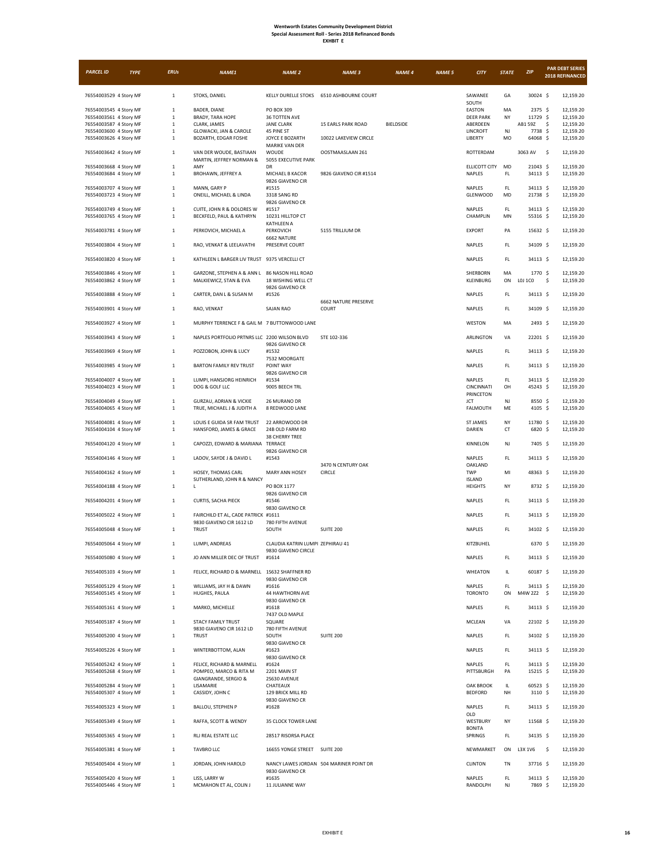| -XHBI<br>Т |
|------------|
|------------|

| <b>PARCEL ID</b>                                 | <b>TYPE</b> | <b>ERUs</b>                | NAME1                                                                   | <b>NAME 2</b>                                       | <b>NAME 3</b>                            | <b>NAME 4</b> | <b>NAME 5</b> | <b>CITY</b>                              | <b>STATE</b>        | <b>ZIP</b>            | <b>PAR DEBT SERIES</b><br>2018 REFINANCED |
|--------------------------------------------------|-------------|----------------------------|-------------------------------------------------------------------------|-----------------------------------------------------|------------------------------------------|---------------|---------------|------------------------------------------|---------------------|-----------------------|-------------------------------------------|
| 76554003529 4 Story MF                           |             | $\,$ 1 $\,$                | STOKS, DANIEL                                                           |                                                     | KELLY DURELLE STOKS 6510 ASHBOURNE COURT |               |               | SAWANEE<br>SOUTH                         | GA                  | 30024 \$              | 12,159.20                                 |
| 76554003545 4 Story MF                           |             | $\,$ 1 $\,$                | BADER, DIANE                                                            | PO BOX 309                                          |                                          |               |               | EASTON                                   | MA                  | 2375 \$               | 12,159.20                                 |
| 76554003561 4 Story MF<br>76554003587 4 Story MF |             | $\,1\,$<br>$\,$ 1 $\,$     | <b>BRADY, TARA HOPE</b><br>CLARK, JAMES                                 | 36 TOTTEN AVE<br><b>JANE CLARK</b>                  | <b>15 EARLS PARK ROAD</b>                | BIELDSIDE     |               | <b>DEER PARK</b><br>ABERDEEN             | NY                  | 11729 \$<br>AB1 59Z   | 12,159.20<br>\$<br>12,159.20              |
| 76554003600 4 Story MF<br>76554003626 4 Story MF |             | $\,$ 1 $\,$<br>$1\,$       | GLOWACKI, JAN & CAROLE<br>BOZARTH, EDGAR FOSHE                          | 45 PINE ST<br>JOYCE E BOZARTH                       | 10022 LAKEVIEW CIRCLE                    |               |               | LINCROFT<br>LIBERTY                      | NJ<br>MO            | 7738 \$<br>64068 \$   | 12,159.20<br>12,159.20                    |
| 76554003642 4 Story MF                           |             | $\,1\,$                    | VAN DER WOUDE, BASTIAAN<br>MARTIN, JEFFREY NORMAN &                     | MARIKE VAN DER<br>WOUDE<br>5055 EXECUTIVE PARK      | OOSTMAASLAAN 261                         |               |               | ROTTERDAM                                |                     | 3063 AV               | -\$<br>12,159.20                          |
| 76554003668 4 Story MF                           |             | $\,1\,$                    | AMY                                                                     | DR                                                  |                                          |               |               | ELLICOTT CITY                            | MD                  | 21043 \$              | 12,159.20                                 |
| 76554003684 4 Story MF                           |             | $\,$ 1 $\,$                | BROHAWN, JEFFREY A                                                      | MICHAEL B KACOR<br>9826 GIAVENO CIR                 | 9826 GIAVENO CIR #1514                   |               |               | NAPLES                                   | FL.                 | 34113 \$              | 12,159.20                                 |
| 76554003707 4 Story MF<br>76554003723 4 Story MF |             | $\,1\,$<br>$\,$ 1 $\,$     | MANN, GARY P<br>ONEILL, MICHAEL & LINDA                                 | #1515<br>3318 SANG RD<br>9826 GIAVENO CR            |                                          |               |               | NAPLES<br><b>GLENWOOD</b>                | FL.<br>MD           | 34113 \$<br>21738 \$  | 12,159.20<br>12,159.20                    |
| 76554003749 4 Story MF<br>76554003765 4 Story MF |             | $\,$ 1 $\,$<br>$\,1\,$     | CUITE, JOHN R & DOLORES W<br>BECKFELD, PAUL & KATHRYN                   | #1517<br>10231 HILLTOP CT<br>KATHLEEN A             |                                          |               |               | NAPLES<br>CHAMPLIN                       | FL.<br>MN           | 34113 \$<br>55316 \$  | 12,159.20<br>12,159.20                    |
| 76554003781 4 Story MF                           |             | $\,$ 1 $\,$                | PERKOVICH, MICHAEL A                                                    | PERKOVICH<br>6662 NATURE                            | 5155 TRILLIUM DR                         |               |               | <b>EXPORT</b>                            | PA                  | 15632 \$              | 12,159.20                                 |
| 76554003804 4 Story MF                           |             | $\,1\,$                    | RAO, VENKAT & LEELAVATHI                                                | PRESERVE COURT                                      |                                          |               |               | NAPLES                                   | FL.                 | 34109 \$              | 12,159.20                                 |
| 76554003820 4 Story MF                           |             | $1\,$                      | KATHLEEN L BARGER LIV TRUST 9375 VERCELLI CT                            |                                                     |                                          |               |               | NAPLES                                   | FL.                 | 34113 \$              | 12,159.20                                 |
| 76554003846 4 Story MF<br>76554003862 4 Story MF |             | $\,$ 1 $\,$<br>$1\,$       | GARZONE, STEPHEN A & ANN L 86 NASON HILL ROAD<br>MALKIEWICZ, STAN & EVA | 18 WISHING WELL CT<br>9826 GIAVENO CR               |                                          |               |               | SHERBORN<br>KLEINBURG                    | MA<br>ON            | 1770 \$<br>L0J 1C0    | 12,159.20<br>\$<br>12,159.20              |
| 76554003888 4 Story MF                           |             | $\,$ 1 $\,$                | CARTER, DAN L & SUSAN M                                                 | #1526                                               | <b>6662 NATURE PRESERVE</b>              |               |               | NAPLES                                   | $\mathsf{FL}$       | 34113 \$              | 12,159.20                                 |
| 76554003901 4 Story MF                           |             | $\,$ 1 $\,$                | RAO, VENKAT                                                             | <b>SAJAN RAO</b>                                    | COURT                                    |               |               | NAPLES                                   | FL.                 | 34109 \$              | 12,159.20                                 |
| 76554003927 4 Story MF                           |             | $\,1\,$                    | MURPHY TERRENCE F & GAIL M 7 BUTTONWOOD LANE                            |                                                     |                                          |               |               | WESTON                                   | MA                  | 2493 \$               | 12,159.20                                 |
| 76554003943 4 Story MF                           |             | $\,1\,$                    | NAPLES PORTFOLIO PRTNRS LLC 2200 WILSON BLVD                            | 9826 GIAVENO CR                                     | STE 102-336                              |               |               | ARLINGTON                                | VA                  | 22201 \$              | 12,159.20                                 |
| 76554003969 4 Story MF                           |             | $\,$ 1 $\,$                | POZZOBON, JOHN & LUCY                                                   | #1532<br>7532 MOORGATE                              |                                          |               |               | NAPLES                                   | FL.                 | 34113 \$              | 12,159.20                                 |
| 76554003985 4 Story MF                           |             | $\,$ 1 $\,$                | <b>BARTON FAMILY REV TRUST</b>                                          | POINT WAY<br>9826 GIAVENO CIR                       |                                          |               |               | NAPLES                                   | FL.                 | 34113 \$              | 12,159.20                                 |
| 76554004007 4 Story MF<br>76554004023 4 Story MF |             | $\,$ 1 $\,$<br>$\,1\,$     | LUMPI, HANSJORG HEINRICH<br>DOG & GOLF LLC                              | #1534<br>9005 BEECH TRL                             |                                          |               |               | NAPLES<br>CINCINNATI<br><b>PRINCETON</b> | $\mathsf{FL}$<br>OH | 34113 \$<br>45243 \$  | 12,159.20<br>12,159.20                    |
| 76554004049 4 Story MF<br>76554004065 4 Story MF |             | $\,1\,$<br>$\,$ 1 $\,$     | GURZAU, ADRIAN & VICKIE<br>TRUE, MICHAEL J & JUDITH A                   | 26 MURANO DR<br>8 REDWOOD LANE                      |                                          |               |               | JCT<br><b>FALMOUTH</b>                   | NJ<br>ME            | 8550 \$<br>4105 \$    | 12,159.20<br>12,159.20                    |
| 76554004081 4 Story MF<br>76554004104 4 Story MF |             | $\,1\,$<br>$\,$ 1 $\,$     | LOUIS E GUIDA SR FAM TRUST<br>HANSFORD, JAMES & GRACE                   | 22 ARROWOOD DR<br>24B OLD FARM RD<br>38 CHERRY TREE |                                          |               |               | <b>ST JAMES</b><br>DARIEN                | NY<br>CT            | 11780 \$<br>6820 \$   | 12,159.20<br>12,159.20                    |
| 76554004120 4 Story MF                           |             | $\,$ 1 $\,$                | CAPOZZI, EDWARD & MARIANA TERRACE                                       | 9826 GIAVENO CIR                                    |                                          |               |               | KINNELON                                 | NJ                  | 7405 \$               | 12,159.20                                 |
| 76554004146 4 Story MF                           |             | $1\,$                      | LADOV, SAYDE J & DAVID L                                                | #1543                                               | 3470 N CENTURY OAK                       |               |               | NAPLES                                   | FL.                 | 34113 \$              | 12,159.20                                 |
| 76554004162 4 Story MF                           |             | $\,1\,$                    | HOSEY, THOMAS CARL                                                      | <b>MARY ANN HOSEY</b>                               | CIRCLE                                   |               |               | OAKLAND<br>TWP                           | MI                  | 48363 \$              | 12,159.20                                 |
| 76554004188 4 Story MF                           |             | $\,1\,$                    | SUTHERLAND, JOHN R & NANCY<br>L                                         | PO BOX 1177                                         |                                          |               |               | <b>ISLAND</b><br><b>HEIGHTS</b>          | NY                  | 8732 \$               | 12,159.20                                 |
| 76554004201 4 Story MF                           |             | $\,1\,$                    | CURTIS, SACHA PIECK                                                     | 9826 GIAVENO CIR<br>#1546<br>9830 GIAVENO CR        |                                          |               |               | NAPLES                                   | $\mathsf{FL}$       | 34113 \$              | 12,159.20                                 |
| 76554005022 4 Story MF                           |             | $\,1\,$                    | FAIRCHILD ET AL, CADE PATRICK #1611                                     |                                                     |                                          |               |               | NAPLES                                   | FL.                 | 34113 \$              | 12,159.20                                 |
| 76554005048 4 Story MF                           |             | $\,$ 1 $\,$                | 9830 GIAVENO CIR 1612 LD<br><b>TRUST</b>                                | 780 FIFTH AVENUE<br>SOUTH                           | SUITE 200                                |               |               | NAPLES                                   | FL.                 | 34102 \$              | 12,159.20                                 |
| 76554005064 4 Story MF                           |             | $\mathbf{1}$               | LUMPI, ANDREAS                                                          | CLAUDIA KATRIN LUMPI ZEPHIRAU 41                    |                                          |               |               | KITZBUHEL                                |                     | 6370 \$               | 12,159.20                                 |
| 76554005080 4 Story MF                           |             | $\mathbf{1}$               | JO ANN MILLER DEC OF TRUST                                              | 9830 GIAVENO CIRCLE<br>#1614                        |                                          |               |               | NAPLES                                   | FL.                 | 34113 \$              | 12,159.20                                 |
| 76554005103 4 Story MF                           |             | $\,$ 1 $\,$                | FELICE, RICHARD D & MARNELL 1S632 SHAFFNER RD                           | 9830 GIAVENO CIR                                    |                                          |               |               | WHEATON                                  | IL                  | 60187 \$              | 12,159.20                                 |
| 76554005129 4 Story MF<br>76554005145 4 Story MF |             | $\,$ 1 $\,$<br>$\,$ 1 $\,$ | WILLIAMS, JAY H & DAWN<br>HUGHES, PAULA                                 | #1616<br>44 HAWTHORN AVE                            |                                          |               |               | NAPLES<br><b>TORONTO</b>                 | FL.<br>ON           | 34113 S<br>M4W 2Z2 \$ | 12,159.20<br>12,159.20                    |
| 76554005161 4 Story MF                           |             | $\,$ 1 $\,$                | MARKO, MICHELLE                                                         | 9830 GIAVENO CR<br>#1618<br>7437 OLD MAPLE          |                                          |               |               | NAPLES                                   | FL.                 | 34113 \$              | 12,159.20                                 |
| 76554005187 4 Story MF                           |             | $\,1\,$                    | <b>STACY FAMILY TRUST</b><br>9830 GIAVENO CIR 1612 LD                   | SQUARE<br>780 FIFTH AVENUE                          |                                          |               |               | MCLEAN                                   | VA                  | 22102 \$              | 12,159.20                                 |
| 76554005200 4 Story MF                           |             | $1\,$                      | <b>TRUST</b>                                                            | SOUTH<br>9830 GIAVENO CR                            | SUITE 200                                |               |               | NAPLES                                   | FL.                 | 34102 \$              | 12,159.20                                 |
| 76554005226 4 Story MF                           |             | $\,$ 1 $\,$                | WINTERBOTTOM, ALAN                                                      | #1623<br>9830 GIAVENO CR                            |                                          |               |               | NAPLES                                   | FL.                 | 34113 \$              | 12,159.20                                 |
| 76554005242 4 Story MF<br>76554005268 4 Story MF |             | $\,$ 1 $\,$<br>$\,$ 1 $\,$ | FELICE, RICHARD & MARNELL<br>POMPEO, MARCO & RITA M                     | #1624<br>2201 MAIN ST                               |                                          |               |               | NAPLES<br>PITTSBURGH                     | FL.<br>PA           | 34113 \$<br>15215 \$  | 12,159.20<br>12,159.20                    |
| 76554005284 4 Story MF                           |             | $\,$ 1 $\,$                | GIANGRANDE, SERGIO &<br>LISAMARIE                                       | 2S630 AVENUE<br>CHATEAUX                            |                                          |               |               | <b>OAK BROOK</b>                         | IL                  | 60523 \$              | 12,159.20                                 |
| 76554005307 4 Story MF                           |             | $\,$ 1 $\,$                | CASSIDY, JOHN C                                                         | 129 BRICK MILL RD<br>9830 GIAVENO CR                |                                          |               |               | <b>BEDFORD</b>                           | NH                  | 3110 \$               | 12,159.20                                 |
| 76554005323 4 Story MF                           |             | $\,$ 1 $\,$                | BALLOU, STEPHEN P                                                       | #1628                                               |                                          |               |               | NAPLES<br>OLD                            | FL.                 | 34113 \$              | 12,159.20                                 |
| 76554005349 4 Story MF                           |             | $\,$ 1 $\,$                | RAFFA, SCOTT & WENDY                                                    | 35 CLOCK TOWER LANE                                 |                                          |               |               | WESTBURY<br><b>BONITA</b>                | NY                  | 11568 \$              | 12,159.20                                 |
| 76554005365 4 Story MF                           |             | $1\,$                      | RLJ REAL ESTATE LLC                                                     | 28517 RISORSA PLACE                                 |                                          |               |               | SPRINGS                                  | FL.                 | 34135 \$              | 12,159.20                                 |
| 76554005381 4 Story MF                           |             | $\,$ 1 $\,$                | <b>TAVBRO LLC</b>                                                       | 16655 YONGE STREET SUITE 200                        |                                          |               |               | NEWMARKET                                | ON                  | L3X 1V6               | -\$<br>12,159.20                          |
| 76554005404 4 Story MF                           |             | $\,$ 1 $\,$                | JORDAN, JOHN HAROLD                                                     | 9830 GIAVENO CR                                     | NANCY LAWES JORDAN 504 MARINER POINT DR  |               |               | <b>CLINTON</b>                           | TN                  | 37716 \$              | 12,159.20                                 |
| 76554005420 4 Story MF<br>76554005446 4 Story MF |             | $\,$ 1 $\,$<br>$\,$ 1 $\,$ | LISS, LARRY W<br>MCMAHON ET AL, COLIN J                                 | #1635<br>11 JULIANNE WAY                            |                                          |               |               | NAPLES<br>RANDOLPH                       | $\mathsf{FL}$<br>NJ | 34113 \$<br>7869 \$   | 12,159.20<br>12,159.20                    |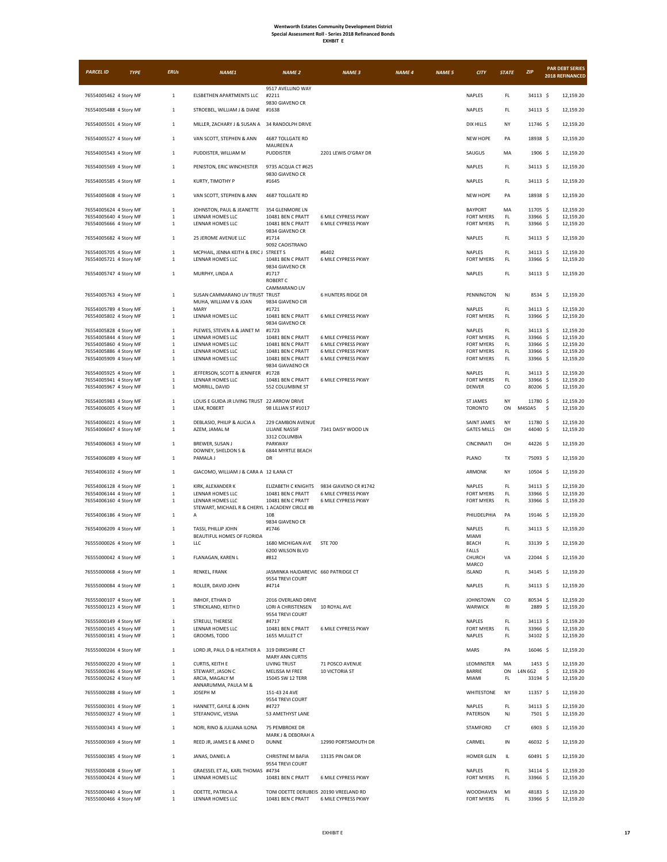| <b>PARCEL ID</b>                                 | <b>TYPE</b> | <b>ERUs</b>             | <b>NAME1</b>                                          | <b>NAME 2</b>                                               | <b>NAME 3</b>                                     | <b>NAME 4</b> | <b>NAME 5</b> | <b>CITY</b>                            | <b>STATE</b>  | ZIP                  | <b>PAR DEBT SERIES</b><br>2018 REFINANCED |
|--------------------------------------------------|-------------|-------------------------|-------------------------------------------------------|-------------------------------------------------------------|---------------------------------------------------|---------------|---------------|----------------------------------------|---------------|----------------------|-------------------------------------------|
| 76554005462 4 Story MF                           |             | $\,1\,$                 | ELSBETHEN APARTMENTS LLC                              | 9517 AVELLINO WAY<br>#2211                                  |                                                   |               |               | <b>NAPLES</b>                          | FL            | 34113 \$             | 12,159.20                                 |
| 76554005488 4 Story MF                           |             | $\,1\,$                 | STROEBEL, WILLIAM J & DIANE                           | 9830 GIAVENO CR<br>#1638                                    |                                                   |               |               | NAPLES                                 | FL            | 34113 \$             | 12,159.20                                 |
| 76554005501 4 Story MF                           |             | $\mathbf{1}$            | MILLER, ZACHARY J & SUSAN A 34 RANDOLPH DRIVE         |                                                             |                                                   |               |               | DIX HILLS                              | NY            | 11746 \$             | 12,159.20                                 |
|                                                  |             |                         |                                                       |                                                             |                                                   |               |               |                                        |               |                      |                                           |
| 76554005527 4 Story MF                           |             | $\mathbf{1}$            | VAN SCOTT, STEPHEN & ANN                              | 4687 TOLLGATE RD<br>MAUREEN A                               |                                                   |               |               | <b>NEW HOPE</b>                        | PA            | 18938 \$             | 12,159.20                                 |
| 76554005543 4 Story MF                           |             | $\,1\,$                 | PUDDISTER, WILLIAM M                                  | PUDDISTER                                                   | 2201 LEWIS O'GRAY DR                              |               |               | SAUGUS                                 | MA            | $1906$ \$            | 12,159.20                                 |
| 76554005569 4 Story MF                           |             | $\,1\,$                 | PENISTON, ERIC WINCHESTER                             | 9735 ACQUA CT #625<br>9830 GIAVENO CR                       |                                                   |               |               | NAPLES                                 | FL            | 34113 \$             | 12,159.20                                 |
| 76554005585 4 Story MF                           |             | $\,1\,$                 | KURTY, TIMOTHY P                                      | #1645                                                       |                                                   |               |               | <b>NAPLES</b>                          | FL.           | 34113 \$             | 12,159.20                                 |
| 76554005608 4 Story MF                           |             | $\,$ 1 $\,$             | VAN SCOTT, STEPHEN & ANN                              | 4687 TOLLGATE RD                                            |                                                   |               |               | NEW HOPE                               | PA            | 18938 \$             | 12,159.20                                 |
| 76554005624 4 Story MF                           |             | $\,1\,$                 | JOHNSTON, PAUL & JEANETTE                             | 354 GLENMORE LN                                             |                                                   |               |               | <b>BAYPORT</b>                         | MA            | 11705 \$             | 12,159.20                                 |
| 76554005640 4 Story MF<br>76554005666 4 Story MF |             | $\,1\,$<br>$\,1\,$      | LENNAR HOMES LLC<br>LENNAR HOMES LLC                  | 10481 BEN C PRATT<br>10481 BEN C PRATT                      | 6 MILE CYPRESS PKWY<br><b>6 MILE CYPRESS PKWY</b> |               |               | <b>FORT MYERS</b><br><b>FORT MYERS</b> | FL.<br>FL.    | 33966 \$<br>33966 \$ | 12,159.20<br>12,159.20                    |
| 76554005682 4 Story MF                           |             | $\,$ 1 $\,$             | 25 JEROME AVENUE LLC                                  | 9834 GIAVENO CR<br>#1714                                    |                                                   |               |               | <b>NAPLES</b>                          | FL.           | 34113 \$             | 12,159.20                                 |
| 76554005705 4 Story MF                           |             | $\,1\,$                 | MCPHAIL, JENNA KEITH & ERIC J STREET S                | 9092 CAOISTRANO                                             | #6402                                             |               |               | NAPLES                                 | FL.           | 34113 \$             | 12,159.20                                 |
| 76554005721 4 Story MF                           |             | $\mathbf{1}$            | LENNAR HOMES LLC                                      | 10481 BEN C PRATT<br>9834 GIAVENO CR                        | 6 MILE CYPRESS PKWY                               |               |               | <b>FORT MYERS</b>                      | FL.           | 33966 \$             | 12,159.20                                 |
| 76554005747 4 Story MF                           |             | $\,1\,$                 | MURPHY, LINDA A                                       | #1717<br>ROBERT C                                           |                                                   |               |               | <b>NAPLES</b>                          | FL.           | 34113 \$             | 12,159.20                                 |
| 76554005763 4 Story MF                           |             | $\mathbf{1}$            | SUSAN CAMMARANO LIV TRUST TRUST                       | CAMMARANO LIV                                               | <b>6 HUNTERS RIDGE DR</b>                         |               |               | <b>PENNINGTON</b>                      | NJ            | 8534 \$              | 12,159.20                                 |
| 76554005789 4 Story MF                           |             | $\,1\,$                 | MUHA, WILLIAM V & JOAN<br>MARY                        | 9834 GIAVENO CIR<br>#1721                                   |                                                   |               |               | NAPLES                                 | FL            | 34113 \$             | 12,159.20                                 |
| 76554005802 4 Story MF                           |             | $\,1\,$                 | LENNAR HOMES LLC                                      | 10481 BEN C PRATT                                           | 6 MILE CYPRESS PKWY                               |               |               | <b>FORT MYERS</b>                      | FL.           | 33966 \$             | 12,159.20                                 |
| 76554005828 4 Story MF                           |             | $\,1\,$                 | PLEWES, STEVEN A & JANET M                            | 9834 GIAVENO CR<br>#1723                                    |                                                   |               |               | NAPLES                                 | FL            | 34113 \$             | 12,159.20                                 |
| 76554005844 4 Story MF                           |             | $\,1\,$                 | LENNAR HOMES LLC<br>LENNAR HOMES LLC                  | 10481 BEN C PRATT<br>10481 BEN C PRATT                      | 6 MILE CYPRESS PKWY                               |               |               | <b>FORT MYERS</b><br><b>FORT MYERS</b> | FL.<br>FL.    | 33966 \$<br>33966 \$ | 12.159.20                                 |
| 76554005860 4 Story MF<br>76554005886 4 Story MF |             | $\,1\,$<br>$\,1\,$      | LENNAR HOMES LLC                                      | 10481 BEN C PRATT                                           | 6 MILE CYPRESS PKWY<br>6 MILE CYPRESS PKWY        |               |               | <b>FORT MYERS</b>                      | FL            | 33966 \$             | 12,159.20<br>12,159.20                    |
| 76554005909 4 Story MF                           |             | $\,1\,$                 | LENNAR HOMES LLC                                      | 10481 BEN C PRATT                                           | 6 MILE CYPRESS PKWY                               |               |               | <b>FORT MYERS</b>                      | FL.           | 33966 \$             | 12,159.20                                 |
| 76554005925 4 Story MF                           |             | $\,1\,$                 | JEFFERSON, SCOTT & JENNIFER                           | 9834 GIAVAENO CR<br>#1728                                   |                                                   |               |               | NAPLES                                 | $\mathsf{FL}$ | 34113 \$             | 12,159.20                                 |
| 76554005941 4 Story MF<br>76554005967 4 Story MF |             | $\,1\,$<br>$\,1\,$      | LENNAR HOMES LLC<br>MORRILL, DAVID                    | 10481 BEN C PRATT<br>552 COLUMBINE ST                       | 6 MILE CYPRESS PKWY                               |               |               | <b>FORT MYERS</b><br><b>DENVER</b>     | FL.<br>CO     | 33966 \$<br>80206 \$ | 12,159.20<br>12,159.20                    |
|                                                  |             | $\,1\,$                 | LOUIS E GUIDA JR LIVING TRUST 22 ARROW DRIVE          |                                                             |                                                   |               |               | <b>ST JAMES</b>                        | NY            | 11780 \$             | 12,159.20                                 |
| 76554005983 4 Story MF<br>76554006005 4 Story MF |             | $\,1\,$                 | LEAK, ROBERT                                          | 98 LILLIAN ST #1017                                         |                                                   |               |               | <b>TORONTO</b>                         | ON            | M4S0A5               | \$<br>12,159.20                           |
| 76554006021 4 Story MF                           |             | $\mathbf{1}$            | DEBLASIO, PHILIP & ALICIA A                           | 229 CAMBON AVENUE                                           |                                                   |               |               | <b>SAINT JAMES</b>                     | NY            | 11780 \$             | 12,159.20                                 |
| 76554006047 4 Story MF                           |             | $\,1\,$                 | AZEM, JAMAL M                                         | LILIANE NASSIF<br>3312 COLUMBIA                             | 7341 DAISY WOOD LN                                |               |               | <b>GATES MILLS</b>                     | OH            | 44040 \$             | 12,159.20                                 |
| 76554006063 4 Story MF                           |             | $\,1\,$                 | BREWER, SUSAN J<br>DOWNEY, SHELDON S &                | PARKWAY<br>6844 MYRTLE BEACH                                |                                                   |               |               | CINCINNATI                             | OH            | 44226 \$             | 12,159.20                                 |
| 76554006089 4 Story MF                           |             | $\mathbf{1}$            | PAMALA J                                              | DR                                                          |                                                   |               |               | PLANO                                  | TX            | 75093 \$             | 12,159.20                                 |
| 76554006102 4 Story MF                           |             | $\,1\,$                 | GIACOMO, WILLIAM J & CARA A 12 ILANA CT               |                                                             |                                                   |               |               | ARMONK                                 | NY            | $10504$ \$           | 12,159.20                                 |
| 76554006128 4 Story MF                           |             | $\,1\,$                 | KIRK, ALEXANDER K                                     | <b>ELIZABETH C KNIGHTS</b>                                  | 9834 GIAVENO CR #1742                             |               |               | <b>NAPLES</b>                          | $\mathsf{FL}$ | 34113 \$             | 12,159.20                                 |
| 76554006144 4 Story MF<br>76554006160 4 Story MF |             | $\,1\,$<br>$\,1\,$      | LENNAR HOMES LLC<br>LENNAR HOMES LLC                  | 10481 BEN C PRATT<br>10481 BEN C PRATT                      | 6 MILE CYPRESS PKWY<br><b>6 MILE CYPRESS PKWY</b> |               |               | <b>FORT MYERS</b><br><b>FORT MYERS</b> | FL<br>FL.     | 33966 \$<br>33966 \$ | 12,159.20<br>12,159.20                    |
|                                                  |             |                         | STEWART, MICHAEL R & CHERYL 1 ACADENY CIRCLE #B       |                                                             |                                                   |               |               |                                        |               |                      |                                           |
| 76554006186 4 Story MF                           |             | $\,1\,$                 | Α                                                     | 108<br>9834 GIAVENO CR                                      |                                                   |               |               | PHILIDELPHIA                           | PA            | 19146 \$             | 12,159.20                                 |
| 76554006209 4 Story MF                           |             | $\mathbf{1}$            | TASSI, PHILLIP JOHN<br>BEAUTIFUL HOMES OF FLORIDA     | #1746                                                       |                                                   |               |               | <b>NAPLES</b><br><b>MIAMI</b>          | FL            | 34113 \$             | 12,159.20                                 |
| 76555000026 4 Story MF                           |             | 1                       | LLC                                                   | 1680 MICHIGAN AVE<br>6200 WILSON BLVD                       | <b>STE 700</b>                                    |               |               | <b>BEACH</b><br>FALLS                  | FL            | 33139 \$             | 12,159.20                                 |
| 76555000042 4 Story MF                           |             | $\mathbf{1}$            | FLANAGAN, KAREN L                                     | #812                                                        |                                                   |               |               | CHURCH<br>MARCO                        | VA            | 22044 \$             | 12,159.20                                 |
| 76555000068 4 Story MF                           |             | $1\,$                   | RENKEL, FRANK                                         | JASMINKA HAJDAREVIC 660 PATRIDGE CT<br>9554 TREVI COURT     |                                                   |               |               | <b>ISLAND</b>                          | FL.           | 34145 \$             | 12,159.20                                 |
| 76555000084 4 Story MF                           |             | $\mathbf{1}$            | ROLLER, DAVID JOHN                                    | #4714                                                       |                                                   |               |               | <b>NAPLES</b>                          | FL.           | 34113 \$             | 12,159.20                                 |
| 76555000107 4 Story MF                           |             | $\,1\,$                 | IMHOF, ETHAN D                                        | 2016 OVERLAND DRIVE                                         |                                                   |               |               | <b>JOHNSTOWN</b>                       | CO            | 80534 \$             | 12,159.20                                 |
| 76555000123 4 Story MF                           |             | $\,1\,$                 | STRICKLAND, KEITH D                                   | LORI A CHRISTENSEN<br>9554 TREVI COURT                      | 10 ROYAL AVE                                      |               |               | WARWICK                                | RI            | 2889 \$              | 12,159.20                                 |
| 76555000149 4 Story MF<br>76555000165 4 Story MF |             | $\,1\,$<br>$\,1\,$      | STREULI, THERESE<br>LENNAR HOMES LLC                  | #4717<br>10481 BEN C PRATT                                  | 6 MILE CYPRESS PKWY                               |               |               | <b>NAPLES</b><br><b>FORT MYERS</b>     | FL.<br>FL     | 34113 S<br>33966 \$  | 12,159.20<br>12,159.20                    |
| 76555000181 4 Story MF                           |             | $\,$ 1 $\,$             | GROOMS, TODD                                          | 1655 MULLET CT                                              |                                                   |               |               | <b>NAPLES</b>                          | FL.           | 34102 \$             | 12,159.20                                 |
| 76555000204 4 Story MF                           |             | $\,$ 1 $\,$             | LORD JR, PAUL D & HEATHER A 319 DIRKSHIRE CT          | <b>MARY ANN CURTIS</b>                                      |                                                   |               |               | MARS                                   | PA            | 16046 \$             | 12,159.20                                 |
| 76555000220 4 Story MF                           |             | $\,1\,$                 | CURTIS, KEITH E                                       | <b>LIVING TRUST</b>                                         | 71 POSCO AVENUE                                   |               |               | LEOMINSTER                             | MA            | 1453 \$              | 12.159.20                                 |
| 76555000246 4 Story MF                           |             | $\,1\,$<br>$\mathbf{1}$ | STEWART, JASON C                                      | MELISSA M FREE                                              | 10 VICTORIA ST                                    |               |               | BARRIE                                 | ON<br>FL.     | L4N 6G2<br>33194 \$  | \$<br>12,159.20                           |
| 76555000262 4 Story MF                           |             |                         | ARCIA, MAGALY M<br>ANNARUMMA, PAULA M &               | 15045 SW 12 TERR                                            |                                                   |               |               | MIAMI                                  |               |                      | 12,159.20                                 |
| 76555000288 4 Story MF                           |             | $\,1\,$                 | JOSEPH M                                              | 151-43 24 AVE<br>9554 TREVI COURT                           |                                                   |               |               | <b>WHITESTONE</b>                      | NY            | 11357 \$             | 12,159.20                                 |
| 76555000301 4 Story MF<br>76555000327 4 Story MF |             | $\,1\,$<br>$\,1\,$      | HANNETT, GAYLE & JOHN<br>STEFANOVIC, VESNA            | #4727<br>53 AMETHYST LANE                                   |                                                   |               |               | <b>NAPLES</b><br>PATERSON              | FL.<br>NJ     | 34113 \$<br>7501 \$  | 12,159.20<br>12,159.20                    |
|                                                  |             | $\,$ 1 $\,$             | NORI, RINO & JULIANA ILONA                            | 75 PEMBROKE DR                                              |                                                   |               |               | STAMFORD                               | CT            | 6903 \$              | 12,159.20                                 |
| 76555000343 4 Story MF<br>76555000369 4 Story MF |             | $\,$ 1 $\,$             | REED JR, JAMES E & ANNE D                             | MARK J & DEBORAH A<br><b>DUNNE</b>                          | 12990 PORTSMOUTH DR                               |               |               | CARMEL                                 | IN            | 46032 \$             | 12,159.20                                 |
| 76555000385 4 Story MF                           |             | $\,1\,$                 | JANAS, DANIEL A                                       | CHRISTINE M BAFIA                                           | 13135 PIN OAK DR                                  |               |               | <b>HOMER GLEN</b>                      | IL            | 60491 \$             | 12,159.20                                 |
|                                                  |             |                         |                                                       | 9554 TREVI COURT                                            |                                                   |               |               |                                        |               |                      |                                           |
| 76555000408 4 Story MF<br>76555000424 4 Story MF |             | $\,1\,$<br>$\,1\,$      | GRAESSEL ET AL, KARL THOMAS #4734<br>LENNAR HOMES LLC | 10481 BEN C PRATT                                           | 6 MILE CYPRESS PKWY                               |               |               | NAPLES<br>FORT MYERS                   | FL<br>FL.     | 34114 \$<br>33966 \$ | 12,159.20<br>12,159.20                    |
| 76555000440 4 Story MF<br>76555000466 4 Story MF |             | $\,1\,$<br>$\mathbf{1}$ | ODETTE, PATRICIA A<br>LENNAR HOMES LLC                | TONI ODETTE DERUBEIS 20190 VREELAND RD<br>10481 BEN C PRATT | 6 MILE CYPRESS PKWY                               |               |               | WOODHAVEN<br>FORT MYERS                | MI<br>FL      | 48183 \$<br>33966 \$ | 12,159.20<br>12,159.20                    |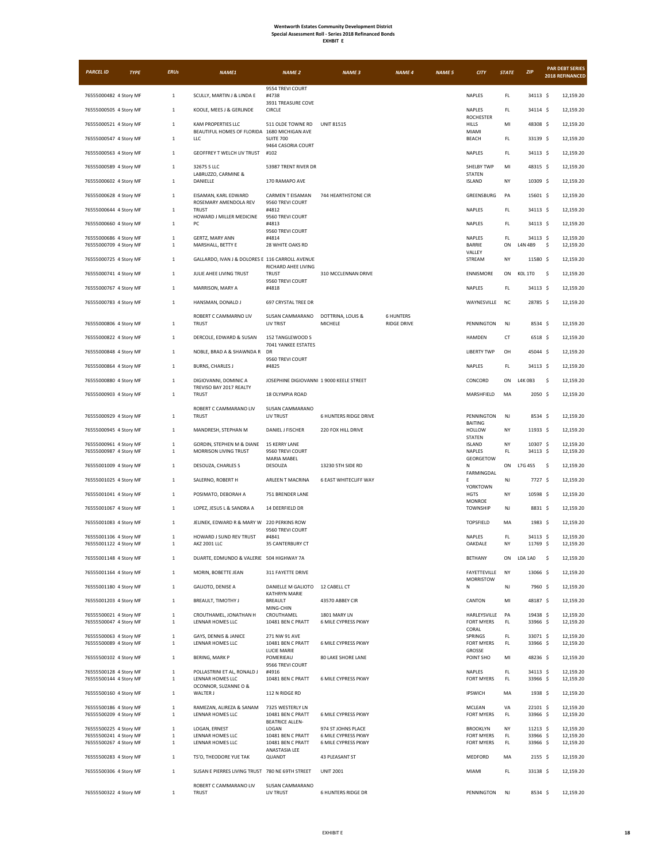| <b>EXHBIT</b> |  |
|---------------|--|
|---------------|--|

| <b>PARCEL ID</b>                                 | <b>TYPE</b> | <b>ERUs</b>             | NAME1                                                              | <b>NAME 2</b>                                    | <b>NAME 3</b>                              | <b>NAME 4</b>                          | <b>NAME 5</b> | <b>CITY</b>                       | <b>STATE</b> | ZIP                  | <b>PAR DEBT SERIES</b><br>2018 REFINANCED |
|--------------------------------------------------|-------------|-------------------------|--------------------------------------------------------------------|--------------------------------------------------|--------------------------------------------|----------------------------------------|---------------|-----------------------------------|--------------|----------------------|-------------------------------------------|
|                                                  |             |                         |                                                                    | 9554 TREVI COURT                                 |                                            |                                        |               |                                   |              |                      |                                           |
| 76555000482 4 Story MF                           |             | $\mathbf{1}$            | SCULLY, MARTIN J & LINDA E                                         | #4738<br>3931 TREASURE COVE                      |                                            |                                        |               | NAPLES                            | FL.          | 34113 \$             | 12,159.20                                 |
| 76555000505 4 Story MF                           |             | $\mathbf{1}$            | KOOLE, MEES J & GERLINDE                                           | CIRCLE                                           |                                            |                                        |               | NAPLES<br><b>ROCHESTER</b>        | FL.          | 34114 \$             | 12,159.20                                 |
| 76555000521 4 Story MF                           |             | $\mathbf 1$             | KAM PROPERTIES LLC<br>BEAUTIFUL HOMES OF FLORIDA 1680 MICHIGAN AVE | 511 OLDE TOWNE RD                                | <b>UNIT 81515</b>                          |                                        |               | <b>HILLS</b><br>MIAMI             | MI           | 48308 \$             | 12.159.20                                 |
| 76555000547 4 Story MF                           |             | $\,1\,$                 | LLC                                                                | SUITE 700<br>9464 CASORIA COURT                  |                                            |                                        |               | BEACH                             | FL           | 33139 \$             | 12,159.20                                 |
| 76555000563 4 Story MF                           |             | $\mathbf{1}$            | GEOFFREY T WELCH LIV TRUST                                         | #102                                             |                                            |                                        |               | NAPLES                            | FL.          | 34113 \$             | 12,159.20                                 |
| 76555000589 4 Story MF                           |             | $\,1\,$                 | 32675 S LLC<br>LABRUZZO, CARMINE &                                 | 53987 TRENT RIVER DR                             |                                            |                                        |               | SHELBY TWP<br><b>STATEN</b>       | MI           | 48315 \$             | 12,159.20                                 |
| 76555000602 4 Story MF                           |             | $\mathbf 1$             | DANIELLE                                                           | 170 RAMAPO AVE                                   |                                            |                                        |               | <b>ISLAND</b>                     | NY           | 10309 \$             | 12,159.20                                 |
| 76555000628 4 Story MF                           |             | $\,1\,$                 | EISAMAN, KARL EDWARD<br>ROSEMARY AMENDOLA REV                      | CARMEN T EISAMAN<br>9560 TREVI COURT             | 744 HEARTHSTONE CIR                        |                                        |               | GREENSBURG                        | PA           | 15601 \$             | 12,159.20                                 |
| 76555000644 4 Story MF                           |             | $\,1\,$                 | <b>TRUST</b><br>HOWARD J MILLER MEDICINE                           | #4812<br>9560 TREVI COURT                        |                                            |                                        |               | NAPLES                            | FL           | 34113 \$             | 12,159.20                                 |
| 76555000660 4 Story MF                           |             | $\mathbf{1}$            | ${\sf PC}$                                                         | #4813<br>9560 TREVI COURT                        |                                            |                                        |               | <b>NAPLES</b>                     | FL.          | 34113 \$             | 12.159.20                                 |
| 76555000686 4 Story MF<br>76555000709 4 Story MF |             | $\mathbf{1}$<br>$\,1\,$ | GERTZ, MARY ANN<br>MARSHALL, BETTY E                               | #4814<br>28 WHITE OAKS RD                        |                                            |                                        |               | NAPLES<br>BARRIE                  | FL.<br>ON    | 34113 \$<br>L4N 4B9  | 12,159.20<br>\$<br>12,159.20              |
|                                                  |             |                         |                                                                    |                                                  |                                            |                                        |               | VALLEY                            |              |                      |                                           |
| 76555000725 4 Story MF                           |             | $\,1\,$                 | GALLARDO, IVAN J & DOLORES E 116 CARROLL AVENUE                    | RICHARD AHEE LIVING                              |                                            |                                        |               | STREAM                            | NY           | 11580 \$             | 12,159.20                                 |
| 76555000741 4 Story MF                           |             | $\mathbf{1}$            | JULIE AHEE LIVING TRUST                                            | <b>TRUST</b><br>9560 TREVI COURT                 | 310 MCCLENNAN DRIVE                        |                                        |               | <b>ENNISMORE</b>                  | ON           | KOL 1TO              | -\$<br>12,159.20                          |
| 76555000767 4 Story MF                           |             | $\mathbf 1$             | MARRISON, MARY A                                                   | #4818                                            |                                            |                                        |               | NAPLES                            | FL.          | 34113 \$             | 12,159.20                                 |
| 76555000783 4 Story MF                           |             | $\,1\,$                 | HANSMAN, DONALD J                                                  | 697 CRYSTAL TREE DR                              |                                            |                                        |               | WAYNESVILLE                       | <b>NC</b>    | 28785 \$             | 12,159.20                                 |
| 76555000806 4 Story MF                           |             | $\,1\,$                 | ROBERT C CAMMARNO LIV<br><b>TRUST</b>                              | SUSAN CAMMARANO<br>LIV TRIST                     | DOTTRINA, LOUIS &<br>MICHELE               | <b>6 HUNTERS</b><br><b>RIDGE DRIVE</b> |               | PENNINGTON                        | NJ           | 8534 S               | 12,159.20                                 |
| 76555000822 4 Story MF                           |             | $\mathbf{1}$            | DERCOLE, EDWARD & SUSAN                                            | 152 TANGLEWOOD S                                 |                                            |                                        |               | <b>HAMDEN</b>                     | CT           | 6518 \$              | 12,159.20                                 |
| 76555000848 4 Story MF                           |             | $\mathbf{1}$            | NOBLE, BRAD A & SHAWNDA R                                          | 7041 YANKEE ESTATES<br>DR                        |                                            |                                        |               | <b>LIBERTY TWP</b>                | OH           | 45044 \$             | 12,159.20                                 |
| 76555000864 4 Story MF                           |             | $\mathbf 1$             | <b>BURNS, CHARLES J</b>                                            | 9560 TREVI COURT<br>#4825                        |                                            |                                        |               | NAPLES                            | FL.          | 34113 \$             | 12,159.20                                 |
|                                                  |             |                         |                                                                    |                                                  |                                            |                                        |               |                                   |              |                      |                                           |
| 76555000880 4 Story MF                           |             | $\,1\,$                 | DIGIOVANNI, DOMINIC A<br>TREVISO BAY 2017 REALTY                   | JOSEPHINE DIGIOVANNI 1 9000 KEELE STREET         |                                            |                                        |               | CONCORD                           | ON           | L4K0B3               | -\$<br>12,159.20                          |
| 76555000903 4 Story MF                           |             | $\mathbf{1}$            | <b>TRUST</b>                                                       | 18 OLYMPIA ROAD                                  |                                            |                                        |               | MARSHFIELD                        | MA           | 2050 \$              | 12,159.20                                 |
| 76555000929 4 Story MF                           |             | $\,1\,$                 | ROBERT C CAMMARANO LIV<br><b>TRUST</b>                             | SUSAN CAMMARANO<br>LIV TRUST                     | <b>6 HUNTERS RIDGE DRIVE</b>               |                                        |               | PENNINGTON                        | NJ           | 8534 \$              | 12,159.20                                 |
| 76555000945 4 Story MF                           |             | $\mathbf{1}$            | MANDRESH, STEPHAN M                                                | DANIEL J FISCHER                                 | 220 FOX HILL DRIVE                         |                                        |               | <b>BAITING</b><br><b>HOLLOW</b>   | NY           | 11933 \$             | 12,159.20                                 |
| 76555000961 4 Story MF                           |             | $\,1\,$                 | GORDIN, STEPHEN M & DIANE                                          | <b>15 KERRY LANE</b>                             |                                            |                                        |               | <b>STATEN</b><br><b>ISLAND</b>    | NY           | 10307 \$             | 12,159.20                                 |
| 76555000987 4 Story MF                           |             | $\,1\,$                 | MORRISON LIVING TRUST                                              | 9560 TREVI COURT<br>MARIA MABEL                  |                                            |                                        |               | NAPLES<br>GEORGETOW               | FL           | 34113 \$             | 12,159.20                                 |
| 76555001009 4 Story MF                           |             | $\mathbf{1}$            | DESOUZA, CHARLES S                                                 | DESOUZA                                          | 13230 5TH SIDE RD                          |                                        |               | N<br>FARMINGDAL                   | ON           | L7G 4S5              | -\$<br>12,159.20                          |
| 76555001025 4 Story MF                           |             | $\mathbf 1$             | SALERNO, ROBERT H                                                  | ARLEEN T MACRINA                                 | <b>6 EAST WHITECLIFF WAY</b>               |                                        |               | F<br><b>YORKTOWN</b>              | NJ           | 7727 \$              | 12,159.20                                 |
| 76555001041 4 Story MF                           |             | $\mathbf{1}$            | POSIMATO, DEBORAH A                                                | 751 BRENDER LANE                                 |                                            |                                        |               | <b>HGTS</b>                       | NY           | 10598 \$             | 12,159.20                                 |
| 76555001067 4 Story MF                           |             | $\mathbf{1}$            | LOPEZ, JESUS L & SANDRA A                                          | 14 DEERFIELD DR                                  |                                            |                                        |               | <b>MONROE</b><br><b>TOWNSHIP</b>  | NJ           | 8831 \$              | 12,159.20                                 |
| 76555001083 4 Story MF                           |             | $\,1\,$                 | JELINEK, EDWARD R & MARY W 220 PERKINS ROW                         |                                                  |                                            |                                        |               | <b>TOPSFIELD</b>                  | MA           | 1983 \$              | 12,159.20                                 |
| 76555001106 4 Story MF                           |             | $\,1\,$                 | HOWARD J SUND REV TRUST                                            | 9560 TREVI COURT<br>#4841                        |                                            |                                        |               | NAPLES                            | FL.          | 34113 \$             | 12,159.20                                 |
| 76555001122 4 Story MF                           |             | $\,1\,$                 | <b>AKZ 2001 LLC</b>                                                | 35 CANTERBURY CT                                 |                                            |                                        |               | OAKDALE                           | NY           | 11769 \$             | 12,159.20                                 |
| 76555001148 4 Story MF                           |             | $\,1\,$                 | DUARTE, EDMUNDO & VALERIE 504 HIGHWAY 7A                           |                                                  |                                            |                                        |               | <b>BETHANY</b>                    | ON           | <b>LOA 1A0</b>       | \$<br>12,159.20                           |
| 76555001164 4 Story MF                           |             | $\,1\,$                 | MORIN, BOBETTE JEAN                                                | 311 FAYETTE DRIVE                                |                                            |                                        |               | FAYETTEVILLE<br>MORRISTOW         | NY           | 13066 \$             | 12,159.20                                 |
| 76555001180 4 Story MF                           |             | $\mathbf{1}$            | GALIOTO, DENISE A                                                  | DANIELLE M GALIOTO 12 CABELL CT<br>KATHRYN MARIE |                                            |                                        |               | N                                 | NJ           | 7960 \$              | 12,159.20                                 |
| 76555001203 4 Story MF                           |             | $1\,$                   | BREAULT, TIMOTHY J                                                 | BREAULT<br>MING-CHIN                             | 43570 ABBEY CIR                            |                                        |               | CANTON                            | MI           | 48187 \$             | 12,159.20                                 |
| 76555500021 4 Story MF<br>76555500047 4 Story MF |             | $\,1\,$<br>$\,1\,$      | CROUTHAMEL, JONATHAN H<br>LENNAR HOMES LLC                         | CROUTHAMEL<br>10481 BEN C PRATT                  | 1801 MARY LN<br>6 MILE CYPRESS PKWY        |                                        |               | HARLEYSVILLE<br><b>FORT MYERS</b> | PA<br>FL.    | 19438 \$<br>33966 \$ | 12,159.20<br>12,159.20                    |
|                                                  |             | $\mathbf 1$             |                                                                    | 271 NW 91 AVE                                    |                                            |                                        |               | CORAL<br>SPRINGS                  | FL.          | 33071 \$             | 12,159.20                                 |
| 76555500063 4 Story MF<br>76555500089 4 Story MF |             | $\,1\,$                 | GAYS, DENNIS & JANICE<br>LENNAR HOMES LLC                          | 10481 BEN C PRATT                                | 6 MILE CYPRESS PKWY                        |                                        |               | FORT MYERS                        | FL           | 33966 \$             | 12,159.20                                 |
| 76555500102 4 Story MF                           |             | $\mathbf 1$             | <b>BERING, MARK P</b>                                              | LUCIE MARIE<br>POMERIEAU                         | <b>80 LAKE SHORE LANE</b>                  |                                        |               | GROSSE<br>POINT SHO               | MI           | 48236 \$             | 12,159.20                                 |
| 76555500128 4 Story MF                           |             | $\,1\,$                 | POLLASTRINI ET AL, RONALD J                                        | 9566 TREVI COURT<br>#4916                        |                                            |                                        |               | NAPLES                            | FL.          | 34113 \$             | 12,159.20                                 |
| 76555500144 4 Story MF                           |             | $\,1\,$                 | LENNAR HOMES LLC<br>OCONNOR, SUZANNE O &                           | 10481 BEN C PRATT                                | 6 MILE CYPRESS PKWY                        |                                        |               | FORT MYERS                        | FL.          | 33966 \$             | 12,159.20                                 |
| 76555500160 4 Story MF                           |             | $\,1\,$                 | WALTER J                                                           | 112 N RIDGE RD                                   |                                            |                                        |               | <b>IPSWICH</b>                    | MA           | 1938 \$              | 12,159.20                                 |
| 76555500186 4 Story MF<br>76555500209 4 Story MF |             | $\,1\,$<br>$\,1\,$      | RAMEZAN, ALIREZA & SANAM<br>LENNAR HOMES LLC                       | 7325 WESTERLY LN<br>10481 BEN C PRATT            | 6 MILE CYPRESS PKWY                        |                                        |               | MCLEAN<br>FORT MYERS              | VA<br>FL     | 22101 \$<br>33966 \$ | 12,159.20<br>12,159.20                    |
| 76555500225 4 Story MF                           |             | $\,1\,$                 | LOGAN, ERNEST                                                      | <b>BEATRICE ALLEN-</b><br>LOGAN                  | 974 ST JOHNS PLACE                         |                                        |               | <b>BROOKLYN</b>                   | NY           | 11213 \$             | 12,159.20                                 |
| 76555500241 4 Story MF<br>76555500267 4 Story MF |             | $\,1\,$<br>$\mathbf{1}$ | LENNAR HOMES LLC<br>LENNAR HOMES LLC                               | 10481 BEN C PRATT<br>10481 BEN C PRATT           | 6 MILE CYPRESS PKWY<br>6 MILE CYPRESS PKWY |                                        |               | FORT MYERS<br><b>FORT MYERS</b>   | FL<br>FL.    | 33966 \$<br>33966 \$ | 12,159.20<br>12,159.20                    |
| 76555500283 4 Story MF                           |             | $\,1\,$                 | TS'O, THEODORE YUE TAK                                             | ANASTASIA LEE<br>QUANDT                          | 43 PLEASANT ST                             |                                        |               | MEDFORD                           | MA           | $2155$ \$            | 12,159.20                                 |
|                                                  |             | $\,1\,$                 | SUSAN E PIERRES LIVING TRUST 780 NE 69TH STREET                    |                                                  | <b>UNIT 2001</b>                           |                                        |               | MIAMI                             | FL           | 33138 \$             | 12,159.20                                 |
| 76555500306 4 Story MF                           |             |                         |                                                                    |                                                  |                                            |                                        |               |                                   |              |                      |                                           |
| 76555500322 4 Story MF                           |             | $\mathbf{1}$            | ROBERT C CAMMARANO LIV<br>TRUST                                    | SUSAN CAMMARANO<br>LIV TRUST                     | <b>6 HUNTERS RIDGE DR</b>                  |                                        |               | PENNINGTON                        | NJ           | $8534 \;$ \$         | 12,159.20                                 |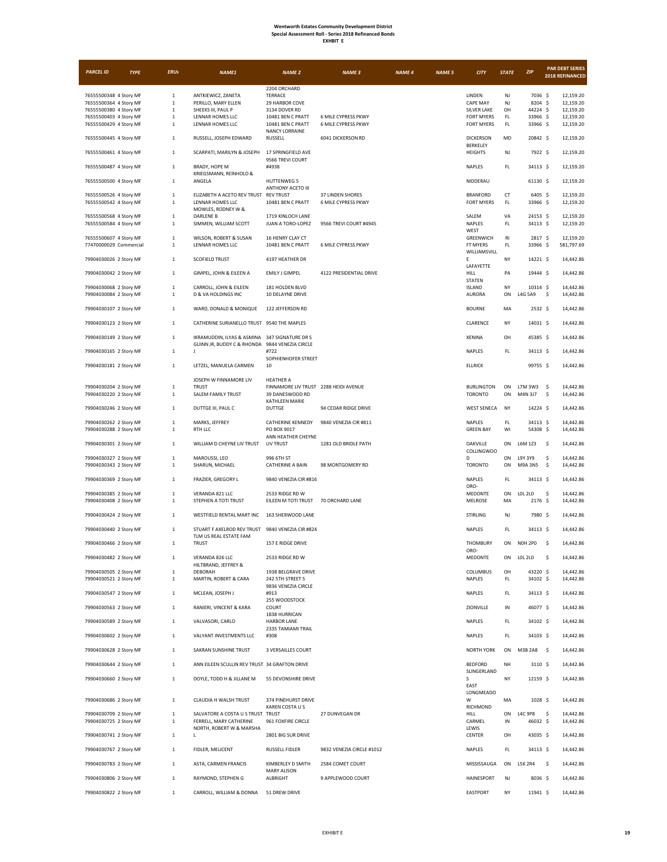| <b>EXHBIT</b> |  |
|---------------|--|
|---------------|--|

| <b>PARCEL ID</b>                                 | <b>TYPE</b> | <b>ERUs</b>                 | NAME1                                                                                           | <b>NAME 2</b>                                            | <b>NAME 3</b>             | <b>NAME 4</b> | <b>NAME 5</b> | <b>CITY</b>                         | <b>STATE</b>        | ZIP                       | <b>PAR DEBT SERIES</b><br>2018 REFINANCED |
|--------------------------------------------------|-------------|-----------------------------|-------------------------------------------------------------------------------------------------|----------------------------------------------------------|---------------------------|---------------|---------------|-------------------------------------|---------------------|---------------------------|-------------------------------------------|
|                                                  |             |                             |                                                                                                 |                                                          |                           |               |               |                                     |                     |                           |                                           |
| 76555500348 4 Story MF                           |             | $\mathbf 1$                 | ANTKIEWICZ, ZANETA                                                                              | 2204 ORCHARD<br>TERRACE                                  |                           |               |               | LINDEN                              | NJ                  | 7036 \$                   | 12,159.20                                 |
| 76555500364 4 Story MF                           |             | $\mathbf{1}$                | PERILLO, MARY ELLEN                                                                             | 29 HARBOR COVE                                           |                           |               |               | <b>CAPE MAY</b>                     | NJ                  | 8204 \$                   | 12,159.20                                 |
| 76555500380 4 Story MF                           |             | $1\,$                       | SHEEKS III, PAUL P                                                                              | 3134 DOVER RD                                            |                           |               |               | SILVER LAKE                         | OH                  | 44224 \$                  | 12,159.20                                 |
| 76555500403 4 Story MF                           |             | $\mathbf{1}$                | LENNAR HOMES LLC                                                                                | 10481 BEN C PRATT                                        | 6 MILE CYPRESS PKWY       |               |               | <b>FORT MYERS</b>                   | FL.                 | 33966 \$                  | 12,159.20                                 |
| 76555500429 4 Story MF                           |             | $1\,$                       | LENNAR HOMES LLC                                                                                | 10481 BEN C PRATT<br><b>NANCY LORRAINE</b>               | 6 MILE CYPRESS PKWY       |               |               | <b>FORT MYERS</b>                   | FL.                 | 33966 \$                  | 12,159.20                                 |
| 76555500445 4 Story MF                           |             | $\mathbf 1$                 | RUSSELL, JOSEPH EDWARD                                                                          | RUSSELL                                                  | 6041 DICKERSON RD         |               |               | <b>DICKERSON</b>                    | MD                  | 20842 \$                  | 12,159.20                                 |
| 76555500461 4 Story MF                           |             | $\mathbf 1$                 | SCARPATI, MARILYN & JOSEPH                                                                      | 17 SPRINGFIELD AVE                                       |                           |               |               | BERKELEY<br><b>HEIGHTS</b>          | NJ                  | 7922 \$                   | 12,159.20                                 |
|                                                  |             |                             |                                                                                                 | 9566 TREVI COURT                                         |                           |               |               |                                     |                     |                           |                                           |
| 76555500487 4 Story MF                           |             | $\mathbf{1}$                | BRADY, HOPE M                                                                                   | #4938                                                    |                           |               |               | NAPLES                              | FL                  | 34113 \$                  | 12,159.20                                 |
| 76555500500 4 Story MF                           |             | 1                           | KRIEGSMANN, REINHOLD &<br>ANGELA                                                                | <b>HUTTENWEG 5</b>                                       |                           |               |               | NIDDERAU                            |                     | 61130 \$                  | 12,159.20                                 |
|                                                  |             |                             |                                                                                                 | ANTHONY ACETO III                                        |                           |               |               |                                     |                     |                           |                                           |
| 76555500526 4 Story MF                           |             | $\mathbf 1$                 | ELIZABETH A ACETO REV TRUST                                                                     | <b>REV TRUST</b>                                         | <b>37 LINDEN SHORES</b>   |               |               | <b>BRANFORD</b>                     | CT                  | 6405 \$                   | 12,159.20                                 |
| 76555500542 4 Story MF                           |             | $1\,$                       | LENNAR HOMES LLC<br>MOWLES, RODNEY W &                                                          | 10481 BEN C PRATT                                        | 6 MILE CYPRESS PKWY       |               |               | <b>FORT MYERS</b>                   | FL.                 | 33966 \$                  | 12,159.20                                 |
| 76555500568 4 Story MF                           |             | $\mathbf{1}$                | <b>DARLENE B</b>                                                                                | 1719 KINLOCH LANE                                        |                           |               |               | SALEM                               | VA                  | 24153 \$                  | 12,159.20                                 |
| 76555500584 4 Story MF                           |             | $\mathbf{1}$                | SIMMEN, WILLIAM SCOTT                                                                           | JUAN A TORO-LOPEZ                                        | 9566 TREVI COURT #4945    |               |               | NAPLES<br>WEST                      | $\mathsf{FL}$       | 34113 \$                  | 12,159.20                                 |
| 76555500607 4 Story MF                           |             | $\mathbf 1$                 | WILSON, ROBERT & SUSAN                                                                          | 16 HENRY CLAY CT                                         |                           |               |               | GREENWICH                           | RI                  | 2817 \$                   | 12,159.20                                 |
| 77470000029 Commercial                           |             | $1\,$                       | LENNAR HOMES LLC                                                                                | 10481 BEN C PRATT                                        | 6 MILE CYPRESS PKWY       |               |               | FT MYERS                            | FL                  | 33966 \$                  | 581,797.69                                |
| 79904030026 2 Story MF                           |             | $\overline{1}$              | <b>SCOFIELD TRUST</b>                                                                           | 4197 HEATHER DR                                          |                           |               |               | WILLIAMSVILL<br>E                   | NY                  | 14221 \$                  | 14,442.86                                 |
|                                                  |             |                             |                                                                                                 |                                                          |                           |               |               | LAFAYETTE                           |                     |                           |                                           |
| 79904030042 2 Story MF                           |             | $\mathbf 1$                 | GIMPEL, JOHN & EILEEN A                                                                         | EMILY J GIMPEL                                           | 4122 PRESIDENTIAL DRIVE   |               |               | HILL                                | PA                  | 19444 \$                  | 14,442.86                                 |
| 79904030068 2 Story MF                           |             | $\mathbf{1}$                | CARROLL, JOHN & EILEEN                                                                          | 181 HOLDEN BLVD                                          |                           |               |               | <b>STATEN</b><br>ISLAND             | NY                  | 10314 \$                  | 14,442.86                                 |
| 79904030084 2 Story MF                           |             | $\mathbf 1$                 | <b>D &amp; VA HOLDINGS INC</b>                                                                  | 10 DELAYNE DRIVE                                         |                           |               |               | <b>AURORA</b>                       | ON                  | <b>L4G 5A9</b>            | \$<br>14,442.86                           |
|                                                  |             |                             |                                                                                                 |                                                          |                           |               |               |                                     |                     |                           |                                           |
| 79904030107 2 Story MF                           |             | $\mathbf 1$                 | WARD, DONALD & MONIQUE                                                                          | 122 JEFFERSON RD                                         |                           |               |               | <b>BOURNE</b>                       | MA                  | $2532 \quad $$            | 14,442.86                                 |
| 79904030123 2 Story MF                           |             | $\mathbf{1}$                | CATHERINE SURIANELLO TRUST 9540 THE MAPLES                                                      |                                                          |                           |               |               | CLARENCE                            | NY                  | 14031 \$                  | 14,442.86                                 |
|                                                  |             |                             |                                                                                                 |                                                          |                           |               |               |                                     |                     |                           |                                           |
| 79904030149 2 Story MF                           |             | $\mathbf 1$                 | IKRAMUDDIN, ILYAS & ASMINA 347 SIGNATURE DR S<br>GUINN JR, BUDDY C & RHONDA 9844 VENEZIA CIRCLE |                                                          |                           |               |               | XENINA                              | OH                  | 45385 \$                  | 14,442.86                                 |
| 79904030165 2 Story MF                           |             | $\mathbf{1}$                | $\mathsf J$                                                                                     | #722                                                     |                           |               |               | NAPLES                              | FL                  | 34113 \$                  | 14,442.86                                 |
|                                                  |             |                             |                                                                                                 | SOPHIENHOFER STREET                                      |                           |               |               |                                     |                     | 99755 \$                  | 14,442.86                                 |
| 79904030181 2 Story MF                           |             | $\mathbf{1}$                | LETZEL, MANUELA CARMEN                                                                          | 10                                                       |                           |               |               | <b>ELLRICK</b>                      |                     |                           |                                           |
|                                                  |             |                             | JOSEPH W FINNAMORE LIV                                                                          | <b>HEATHER A</b>                                         |                           |               |               |                                     |                     |                           |                                           |
| 79904030204 2 Story MF<br>79904030220 2 Story MF |             | $\mathbf{1}$<br>$\mathbf 1$ | <b>TRUST</b><br>SALEM FAMILY TRUST                                                              | FINNAMORE LIV TRUST 2288 HEIDI AVENUE<br>39 DANESWOOD RD |                           |               |               | <b>BURLINGTON</b><br><b>TORONTO</b> | ON<br>ON            | L7M 3W3<br>M4N 3J7        | - \$<br>14,442.86<br>\$<br>14,442.86      |
|                                                  |             |                             |                                                                                                 | KATHLEEN MARIE                                           |                           |               |               |                                     |                     |                           |                                           |
| 79904030246 2 Story MF                           |             | $\,$ 1 $\,$                 | DUTTGE III, PAUL C                                                                              | <b>DUTTGE</b>                                            | 94 CEDAR RIDGE DRIVE      |               |               | <b>WEST SENECA</b>                  | NY                  | 14224 \$                  | 14,442.86                                 |
| 79904030262 2 Story MF                           |             | $\mathbf{1}$                | MARKS, JEFFREY                                                                                  | CATHERINE KENNEDY                                        | 9840 VENEZIA CIR #811     |               |               | NAPLES                              | FL.                 | 34113 \$                  | 14,442.86                                 |
| 79904030288 2 Story MF                           |             | $\mathbf{1}$                | RTH LLC                                                                                         | PO BOX 9017                                              |                           |               |               | <b>GREEN BAY</b>                    | WI                  | 54308 \$                  | 14,442.86                                 |
|                                                  |             |                             |                                                                                                 | ANN HEATHER CHEYNE                                       |                           |               |               |                                     |                     |                           |                                           |
| 79904030301 2 Story MF                           |             | $\mathbf{1}$                | WILLIAM D CHEYNE LIV TRUST                                                                      | LIV TRUST                                                | 1281 OLD BRIDLE PATH      |               |               | OAKVILLE<br><b>COLLINGWOO</b>       | ON                  | L6M 1Z3                   | -\$<br>14,442.86                          |
| 79904030327 2 Story MF                           |             | $\mathbf{1}$                | MAROUSSI, LEO                                                                                   | 996 6TH ST                                               |                           |               |               | D                                   | ON                  | L9Y 3Y9                   | \$<br>14,442.86                           |
| 79904030343 2 Story MF                           |             | $\mathbf{1}$                | SHARUN, MICHAEL                                                                                 | CATHERINE A BAIN                                         | 98 MONTGOMERY RD          |               |               | <b>TORONTO</b>                      | ON                  | M9A 3N5                   | \$<br>14,442.86                           |
| 79904030369 2 Story MF                           |             | $\mathbf{1}$                | FRAZIER, GREGORY L                                                                              | 9840 VENEZIA CIR #816                                    |                           |               |               | <b>NAPLES</b>                       | FL.                 | 34113 \$                  | 14,442.86                                 |
|                                                  |             |                             |                                                                                                 |                                                          |                           |               |               | ORO-                                |                     |                           |                                           |
| 79904030385 2 Story MF<br>79904030408 2 Story MF |             | $\mathbf 1$<br>$\mathbf 1$  | VERANDA 821 LLC<br>STEPHEN A TOTI TRUST                                                         | 2533 RIDGE RD W<br>EILEEN M TOTI TRUST 70 ORCHARD LANE   |                           |               |               | MEDONTE<br>MELROSE                  | ON<br>MA            | <b>LOL 2LO</b><br>2176 \$ | \$<br>14,442.86<br>14,442.86              |
|                                                  |             |                             |                                                                                                 |                                                          |                           |               |               |                                     |                     |                           |                                           |
| 79904030424 2 Story MF                           |             | $\mathbf 1$                 | WESTFIELD RENTAL MART INC                                                                       | 163 SHERWOOD LANE                                        |                           |               |               | <b>STIRLING</b>                     | NJ                  | 7980 \$                   | 14,442.86                                 |
| 79904030440 2 Story MF                           |             | $\mathbf{1}$                | STUART F AXELROD REV TRUST 9840 VENEZIA CIR #824                                                |                                                          |                           |               |               | <b>NAPLES</b>                       | FL.                 | 34113 \$                  | 14,442.86                                 |
|                                                  |             |                             | TLM US REAL ESTATE FAM                                                                          |                                                          |                           |               |               |                                     |                     |                           |                                           |
| 79904030466 2 Story MF                           |             | $\mathbf{1}$                | <b>TRUST</b>                                                                                    | 157 E RIDGE DRIVE                                        |                           |               |               | THOMBURY<br>ORO-                    | ON                  | <b>NOH 2PO</b>            | -\$<br>14,442.86                          |
| 79904030482 2 Story MF                           |             | $\mathbf{1}$                | VERANDA 826 LLC                                                                                 | 2533 RIDGE RD W                                          |                           |               |               | MEDONTE                             | ON                  | LOL 2L0                   | \$<br>14,442.86                           |
|                                                  |             |                             | HILTBRAND, JEFFREY &                                                                            |                                                          |                           |               |               |                                     |                     |                           |                                           |
| 79904030505 2 Story MF<br>79904030521 2 Story MF |             | $\,1\,$<br>$\,1\,$          | DEBORAH<br>MARTIN, ROBERT & CARA                                                                | 1938 BELGRAVE DRIVE<br>242 5TH STREET S                  |                           |               |               | COLUMBUS<br>NAPLES                  | OH<br>$\mathsf{FL}$ | 43220 \$<br>34102 \$      | 14,442.86<br>14,442.86                    |
|                                                  |             |                             |                                                                                                 | 9836 VENEZIA CIRCLE                                      |                           |               |               |                                     |                     |                           |                                           |
| 79904030547 2 Story MF                           |             | $\mathbf 1$                 | MCLEAN, JOSEPH J                                                                                | #913<br>255 WOODSTOCK                                    |                           |               |               | NAPLES                              | FL.                 | 34113 \$                  | 14,442.86                                 |
| 79904030563 2 Story MF                           |             | $\,1\,$                     | RANIERI, VINCENT & KARA                                                                         | COURT                                                    |                           |               |               | ZIONVILLE                           | IN                  | 46077 \$                  | 14,442.86                                 |
|                                                  |             |                             |                                                                                                 | 1838 HURRICAN                                            |                           |               |               |                                     |                     |                           |                                           |
| 79904030589 2 Story MF                           |             | $\mathbf 1$                 | VALVASORI, CARLO                                                                                | <b>HARBOR LANE</b><br>2335 TAMIAMI TRAIL                 |                           |               |               | NAPLES                              | FL.                 | 34102 \$                  | 14,442.86                                 |
| 79904030602 2 Story MF                           |             | $\mathbf 1$                 | VALYANT INVESTMENTS LLC                                                                         | #308                                                     |                           |               |               | NAPLES                              | FL                  | 34103 S                   | 14,442.86                                 |
| 79904030628 2 Story MF                           |             | $\,$ 1 $\,$                 | SAKRAN SUNSHINE TRUST                                                                           | 3 VERSAILLES COURT                                       |                           |               |               | <b>NORTH YORK</b>                   | ON                  | M3B 2A8 \$                | 14,442.86                                 |
|                                                  |             |                             |                                                                                                 |                                                          |                           |               |               |                                     |                     |                           |                                           |
| 79904030644 2 Story MF                           |             | $\mathbf{1}$                | ANN EILEEN SCULLIN REV TRUST 34 GRAFTON DRIVE                                                   |                                                          |                           |               |               | <b>BEDFORD</b>                      | NH                  | $3110 \;$ \$              | 14,442.86                                 |
| 79904030660 2 Story MF                           |             | $\mathbf 1$                 | DOYLE, TODD H & JILLANE M                                                                       | 55 DEVONSHIRE DRIVE                                      |                           |               |               | SLINGERLAND<br>s                    | NY                  | 12159 \$                  | 14,442.86                                 |
|                                                  |             |                             |                                                                                                 |                                                          |                           |               |               | EAST                                |                     |                           |                                           |
|                                                  |             |                             |                                                                                                 |                                                          |                           |               |               | LONGMEADO                           |                     |                           |                                           |
| 79904030686 2 Story MF                           |             | $\mathbf{1}$                | CLAUDIA H WALSH TRUST                                                                           | 374 PINEHURST DRIVE<br>KAREN COSTA U S                   |                           |               |               | w<br>RICHMOND                       | MA                  | $1028$ \$                 | 14,442.86                                 |
| 79904030709 2 Story MF                           |             | $\mathbf 1$                 | SALVATORE A COSTA U S TRUST TRUST                                                               |                                                          | 27 DUNVEGAN DR            |               |               | <b>HILL</b>                         | ON                  | <b>L4C9P8</b>             | \$<br>14,442.86                           |
| 79904030725 2 Story MF                           |             | $\,$ 1 $\,$                 | FERRELL, MARY CATHERINE                                                                         | 961 FOXFIRE CIRCLE                                       |                           |               |               | CARMEL                              | IN                  | 46032 \$                  | 14,442.86                                 |
| 79904030741 2 Story MF                           |             | $\mathbf 1$                 | NORTH, ROBERT W & MARSHA<br>L                                                                   | 2801 BIG SUR DRIVE                                       |                           |               |               | LEWIS<br>CENTER                     | OH                  | 43035 \$                  | 14,442.86                                 |
|                                                  |             |                             |                                                                                                 |                                                          |                           |               |               |                                     |                     |                           |                                           |
| 79904030767 2 Story MF                           |             | $\mathbf 1$                 | FIDLER, MELICENT                                                                                | RUSSELL FIDLER                                           | 9832 VENEZIA CIRCLE #1012 |               |               | NAPLES                              | FL.                 | 34113 \$                  | 14,442.86                                 |
| 79904030783 2 Story MF                           |             | $\mathbf{1}$                | ASTA, CARMEN FRANCIS                                                                            | KIMBERLEY D SMITH                                        | 2584 COMET COURT          |               |               | MISSISSAUGA                         | ON                  | L5K 2R4                   | - \$<br>14,442.86                         |
|                                                  |             |                             |                                                                                                 | <b>MARY ALISON</b>                                       |                           |               |               |                                     |                     |                           |                                           |
| 79904030806 2 Story MF                           |             | $\mathbf 1$                 | RAYMOND, STEPHEN G                                                                              | ALBRIGHT                                                 | 9 APPLEWOOD COURT         |               |               | <b>HAINESPORT</b>                   | NJ                  | 8036 \$                   | 14,442.86                                 |
| 79904030822 2 Story MF                           |             | $1\,$                       | CARROLL, WILLIAM & DONNA                                                                        | 51 DREW DRIVE                                            |                           |               |               | EASTPORT                            | NY                  | 11941 \$                  | 14,442.86                                 |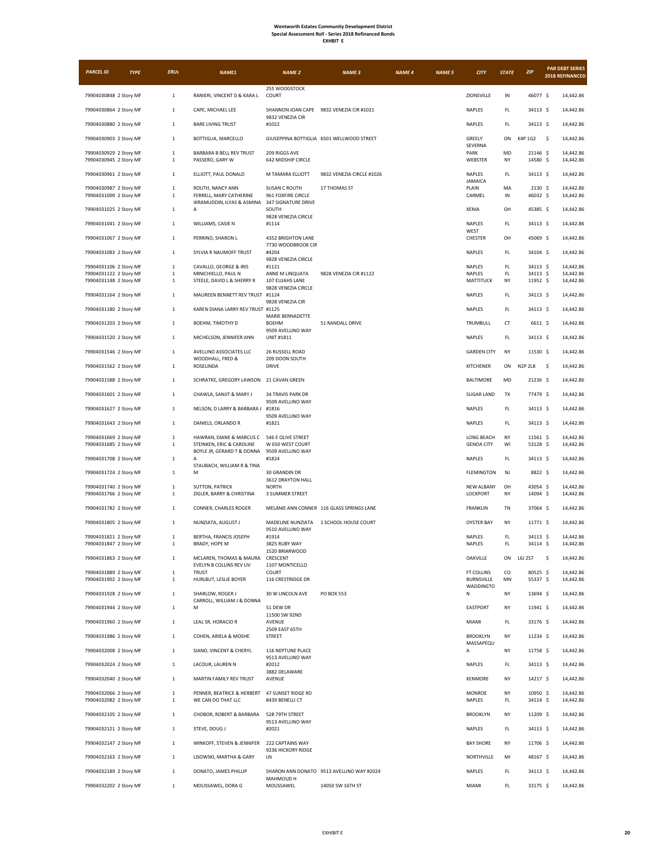| <b>XHRI</b><br>1 |
|------------------|
|------------------|

| <b>PARCEL ID</b>                                 | <b>TYPE</b> | <b>ERUs</b>                  | NAME1                                                   | <b>NAME 2</b>                              | <b>NAME 3</b>                             | <b>NAME 4</b> | <b>NAME 5</b> | <b>CITY</b>                     | <b>STATE</b> | ZIP                  | <b>PAR DEBT SERIES</b><br>2018 REFINANCED |
|--------------------------------------------------|-------------|------------------------------|---------------------------------------------------------|--------------------------------------------|-------------------------------------------|---------------|---------------|---------------------------------|--------------|----------------------|-------------------------------------------|
| 79904030848 2 Story MF                           |             |                              |                                                         | 255 WOODSTOCK                              |                                           |               |               |                                 | IN           |                      | 14,442.86                                 |
|                                                  |             | $\mathbf{1}$                 | RANIERI, VINCENT D & KARA L                             | COURT                                      |                                           |               |               | ZIONSVILLE                      |              | 46077 \$             |                                           |
| 79904030864 2 Story MF                           |             | 1                            | CAPE, MICHAEL LEE                                       | 9832 VENEZIA CIR                           | SHANNON JOAN CAPE 9832 VENEZIA CIR #1021  |               |               | <b>NAPLES</b>                   | FL.          | 34113 \$             | 14,442.86                                 |
| 79904030880 2 Story MF                           |             | 1                            | <b>BARE LIVING TRUST</b>                                | #1022                                      | GIUSEPPINA BOTTIGLIA 6501 WELLWOOD STREET |               |               | NAPLES                          | FL.<br>ON    | 34113 \$<br>K4P 1G2  | 14,442.86<br>14,442.86                    |
| 79904030903 2 Story MF                           |             | $\mathbf{1}$                 | BOTTIGLIA, MARCELLO                                     |                                            |                                           |               |               | GREELY<br><b>SEVERNA</b>        |              |                      | -\$                                       |
| 79904030929 2 Story MF<br>79904030945 2 Story MF |             | $\mathbf{1}$<br>1            | BARBARA B BELL REV TRUST<br>PASSERO, GARY W             | 209 RIGGS AVE<br>642 MIDSHIP CIRCLE        |                                           |               |               | PARK<br>WEBSTER                 | MD<br>NY     | 21146 \$<br>14580 \$ | 14,442.86<br>14,442.86                    |
| 79904030961 2 Story MF                           |             | $\mathbf{1}$                 | ELLIOTT, PAUL DONALD                                    | M TAMARA ELLIOTT                           | 9832 VENEZIA CIRCLE #1026                 |               |               | NAPLES<br><b>JAMAICA</b>        | FL           | 34113 \$             | 14,442.86                                 |
| 79904030987 2 Story MF<br>79904031009 2 Story MF |             | -1<br>$\mathbf{1}$           | ROUTH, NANCY ANN<br>FERRELL, MARY CATHERINE             | <b>SUSAN C ROUTH</b><br>961 FOXFIRE CIRCLE | 17 THOMAS ST                              |               |               | PLAIN<br>CARMEL                 | MA<br>IN     | 2130S<br>46032 \$    | 14,442.86<br>14,442.86                    |
| 79904031025 2 Story MF                           |             | -1                           | IKRAMUDDIN, ILYAS & ASMINA<br>А                         | <b>347 SIGNATURE DRIVE</b><br>SOUTH        |                                           |               |               | XENIA                           | OH           | 45385 \$             | 14,442.86                                 |
| 79904031041 2 Story MF                           |             | 1                            | WILLIAMS, CASIE N                                       | 9828 VENEZIA CIRCLE<br>#1114               |                                           |               |               | NAPLES                          | FL.          | 34113 \$             | 14,442.86                                 |
| 79904031067 2 Story MF                           |             | $\mathbf{1}$                 | PERRINO, SHARON L                                       | 4352 BRIGHTON LANE                         |                                           |               |               | WEST<br>CHESTER                 | OH           | 45069 \$             | 14,442.86                                 |
| 79904031083 2 Story MF                           |             | $\mathbf{1}$                 | SYLVIA R NAUMOFF TRUST                                  | 7730 WOODBROOK CIR<br>#4204                |                                           |               |               | NAPLES                          | FL           | 34104 \$             | 14,442.86                                 |
| 79904031106 2 Story MF                           |             | -1                           | CAVALLO, GEORGE & IRIS                                  | 9828 VENEZIA CIRCLE<br>#1121               |                                           |               |               | NAPLES                          | FL.          | 34113 \$             | 14,442.86                                 |
| 79904031122 2 Story MF<br>79904031148 2 Story MF |             | $\mathbf{1}$<br>1            | MINICHIELLO, PAUL N<br>STEELE, DAVID L & SHERRY R       | ANNE M LINQUATA<br>107 ELIJAHS LANE        | 9828 VENEZIA CIR #1122                    |               |               | NAPLES<br>MATTITUCK             | FL.<br>NY    | 34113 \$<br>11952 \$ | 14,442.86<br>14,442.86                    |
| 79904031164 2 Story MF                           |             | $\mathbf{1}$                 | MAUREEN BENNETT REV TRUST                               | 9828 VENEZIA CIRCLE<br>#1124               |                                           |               |               | NAPLES                          | FL.          | 34113 \$             | 14,442.86                                 |
| 79904031180 2 Story MF                           |             | 1                            | KAREN DIANA LARRY REV TRUST #1125                       | 9828 VENEZIA CIR                           |                                           |               |               | NAPLES                          | FL.          | 34113 \$             | 14,442.86                                 |
| 79904031203 2 Story MF                           |             | $\mathbf{1}$                 | BOEHM, TIMOTHY D                                        | MARIE BERNADETTE<br><b>BOEHM</b>           | 51 RANDALL DRIVE                          |               |               | TRUMBULL                        | <b>CT</b>    | 6611 \$              | 14,442.86                                 |
| 79904031520 2 Story MF                           |             | $\mathbf{1}$                 | MICHELSON, JENNIFER ANN                                 | 9509 AVELLINO WAY<br>UNIT #1811            |                                           |               |               | NAPLES                          | FL.          | 34113 \$             | 14,442.86                                 |
| 79904031546 2 Story MF                           |             | $\mathbf{1}$                 | AVELLINO ASSOCIATES LLC                                 | 26 RUSSELL ROAD                            |                                           |               |               | <b>GARDEN CITY</b>              | NY           | 11530 \$             | 14,442.86                                 |
| 79904031562 2 Story MF                           |             | 1                            | WOODHALL, FRED &<br>ROSELINDA                           | 209 DOON SOUTH<br><b>DRIVE</b>             |                                           |               |               | <b>KITCHENER</b>                | ON           | N2P 2L8              | 14,442.86<br>\$                           |
| 79904031588 2 Story MF                           |             | $\mathbf{1}$                 | SCHRATKE, GREGORY LAWSON                                | 21 CAVAN GREEN                             |                                           |               |               | <b>BALTIMORE</b>                | MD           | 21236 \$             | 14,442.86                                 |
| 79904031601 2 Story MF                           |             | $\mathbf 1$                  | CHAWLA, SANJIT & MARY J                                 | <b>34 TRAVIS PARK DR</b>                   |                                           |               |               | <b>SUGAR LAND</b>               | TX           | 77479 \$             | 14,442.86                                 |
| 79904031627 2 Story MF                           |             | $\mathbf{1}$                 | NELSON, D LARRY & BARBARA J                             | 9509 AVELLINO WAY<br>#1816                 |                                           |               |               | NAPLES                          | FL.          | 34113 \$             | 14,442.86                                 |
| 79904031643 2 Story MF                           |             | 1                            | DANIELS, ORLANDO R                                      | 9509 AVELLINO WAY<br>#1821                 |                                           |               |               | NAPLES                          | FL.          | 34113 \$             | 14,442.86                                 |
| 79904031669 2 Story MF                           |             | 1                            | HAWRAN, DIANE & MARCUS C                                | 546 E OLIVE STREET                         |                                           |               |               | LONG BEACH                      | NY           | 11561 \$             | 14,442.86                                 |
| 79904031685 2 Story MF                           |             | 1                            | STEINKEN, ERIC & CAROLINE<br>BOYLE JR, GERARD T & DONNA | W 650 WEST COURT<br>9509 AVELLINO WAY      |                                           |               |               | <b>GENOA CITY</b>               | WI           | 53128 \$             | 14,442.86                                 |
| 79904031708 2 Story MF                           |             | 1                            | A<br>STAUBACH, WILLIAM R & TINA                         | #1824                                      |                                           |               |               | NAPLES                          | FL.          | 34113 \$             | 14,442.86                                 |
| 79904031724 2 Story MF                           |             | $\mathbf{1}$                 | М                                                       | 30 GRANDIN DR<br>3612 DRAYTON HALL         |                                           |               |               | <b>FLEMINGTON</b>               | NJ           | 8822 \$              | 14,442.86                                 |
| 79904031740 2 Story MF<br>79904031766 2 Story MF |             | 1<br>1                       | SUTTON, PATRICK<br>ZIGLER, BARRY & CHRISTINA            | <b>NORTH</b><br>3 SUMMER STREET            |                                           |               |               | <b>NEW ALBANY</b><br>LOCKPORT   | OH<br>NY     | 43054 \$<br>14094 \$ | 14,442.86<br>14,442.86                    |
| 79904031782 2 Story MF                           |             | 1                            | CONNER, CHARLES ROGER                                   |                                            | MELANIE ANN CONNER 116 GLASS SPRINGS LANE |               |               | <b>FRANKLIN</b>                 | <b>TN</b>    | 37064 \$             | 14,442.86                                 |
| 79904031805 2 Story MF                           |             | 1                            | NUNZIATA, AUGUST J                                      | MADELINE NUNZIATA                          | 1 SCHOOL HOUSE COURT                      |               |               | <b>OYSTER BAY</b>               | NY           | 11771 \$             | 14,442.86                                 |
| 79904031821 2 Story MF                           |             | $\mathbf{1}$                 | BERTHA, FRANCIS JOSEPH                                  | 9510 AVELLINO WAY<br>#1914                 |                                           |               |               | NAPLES                          | FL           | 34113 \$             | 14,442.86                                 |
| 79904031847 2 Story MF                           |             | 1                            | BRADY, HOPE M                                           | 3825 RUBY WAY<br>1520 BRIARWOOD            |                                           |               |               | NAPLES                          | FL.          | 34114 \$             | 14,442.86                                 |
| 79904031863 2 Story MF                           |             | $\mathbf{1}$                 | MCLAREN, THOMAS & MAURA<br>EVELYN B COLLINS REV LIV     | CRESCENT<br>1107 MONTICELLO                |                                           |               |               | OAKVILLE                        | ON           | L6J 2S7              | \$<br>14,442.86                           |
| 79904031889 2 Story MF<br>79904031902 2 Story MF |             | $\mathbf{1}$<br>$\mathbf{1}$ | <b>TRUST</b><br>HURLBUT, LESLIE BOYER                   | COURT<br>116 CRESTRIDGE DR                 |                                           |               |               | FT COLLINS<br><b>BURNSVILLE</b> | co<br>MN     | 80525 \$<br>55337 \$ | 14,442.86<br>14,442.86                    |
| 79904031928 2 Story MF                           |             | $\mathbf{1}$                 | SHARLOW, ROGER J                                        | 30 W LINCOLN AVE                           | PO BOX 553                                |               |               | <b>WADDINGTO</b><br>N           | NY           | 13694 \$             | 14,442.86                                 |
| 79904031944 2 Story MF                           |             | $\mathbf{1}$                 | CARROLL, WILLIAM J & DONNA<br>М                         | 51 DEW DR                                  |                                           |               |               | EASTPORT                        | NY           | 11941 \$             | 14,442.86                                 |
| 79904031960 2 Story MF                           |             | $\mathbf{1}$                 | LEAL SR, HORACIO R                                      | 11500 SW 92ND<br>AVENUE                    |                                           |               |               | MIAMI                           | FL.          | 33176 \$             | 14,442.86                                 |
| 79904031986 2 Story MF                           |             | $\mathbf 1$                  | COHEN, ARIELA & MOSHE                                   | 2509 EAST 65TH<br><b>STREET</b>            |                                           |               |               | <b>BROOKLYN</b>                 | NY           | 11234 \$             | 14,442.86                                 |
| 79904032008 2 Story MF                           |             | $\mathbf{1}$                 | SIANO, VINCENT & CHERYL                                 | 116 NEPTUNE PLACE                          |                                           |               |               | MASSAPEQU<br>Α                  | NY           | 11758 \$             | 14,442.86                                 |
| 79904032024 2 Story MF                           |             | $\mathbf{1}$                 | LACOUR, LAUREN N                                        | 9513 AVELLINO WAY<br>#2012                 |                                           |               |               | NAPLES                          | FL.          | 34113 \$             | 14,442.86                                 |
| 79904032040 2 Story MF                           |             | $\mathbf{1}$                 | MARTIN FAMILY REV TRUST                                 | 3882 DELAWARE<br>AVENUE                    |                                           |               |               | <b>KENMORE</b>                  | NY           | 14217 \$             | 14,442.86                                 |
| 79904032066 2 Story MF                           |             | $\mathbf{1}$                 | PENNER, BEATRICE & HERBERT                              | 47 SUNSET RIDGE RD                         |                                           |               |               | MONROE                          | NY           | 10950 \$             | 14,442.86                                 |
| 79904032082 2 Story MF                           |             | 1                            | WE CAN DO THAT LLC                                      | 8439 BENELLI CT                            |                                           |               |               | <b>NAPLES</b>                   | FL.          | 34114 \$             | 14,442.86                                 |
| 79904032105 2 Story MF                           |             | $\mathbf 1$                  | CHOBOR, ROBERT & BARBARA                                | 528 79TH STREET<br>9513 AVELLINO WAY       |                                           |               |               | <b>BROOKLYN</b>                 | NY           | 11209 \$             | 14,442.86                                 |
| 79904032121 2 Story MF                           |             | $\mathbf{1}$                 | STEVE, DOUG J                                           | #2021                                      |                                           |               |               | NAPLES                          | FL.          | 34113 \$             | 14,442.86                                 |
| 79904032147 2 Story MF                           |             | $\mathbf{1}$                 | WINKOFF, STEVEN & JENNIFER                              | 222 CAPTAINS WAY<br>9236 HICKORY RIDGE     |                                           |               |               | <b>BAY SHORE</b>                | NY           | 11706 \$             | 14,442.86                                 |
| 79904032163 2 Story MF                           |             | $\mathbf{1}$                 | LISOWSKI, MARTHA & GARY                                 | LN                                         |                                           |               |               | NORTHVILLE                      | MI           | 48167 \$             | 14,442.86                                 |
| 79904032189 2 Story MF                           |             | $\mathbf{1}$                 | DONATO, JAMES PHILLIP                                   | MAHMOUD H                                  | SHARON ANN DONATO 9513 AVELLINO WAY #2024 |               |               | NAPLES                          | FL.          | 34113 \$             | 14,442.86                                 |
| 79904032202 2 Story MF                           |             | 1                            | MOUSSAWEL, DORA G                                       | MOUSSAWEL                                  | 14050 SW 16TH ST                          |               |               | MIAMI                           | FL.          | 33175 \$             | 14,442.86                                 |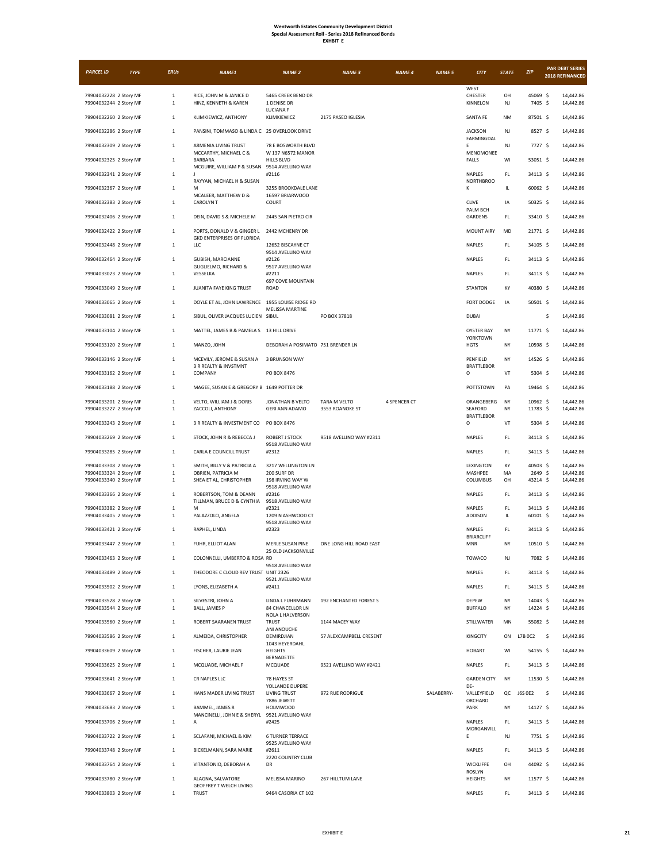| <b>EXHRIT</b> |  |
|---------------|--|
|---------------|--|

| <b>PARCEL ID</b>                                 | <b>TYPE</b> | <b>ERUs</b>                  | NAME1                                                           | <b>NAME 2</b>                                | <b>NAME 3</b>                   | <b>NAME 4</b> | <b>NAME 5</b> | <b>CITY</b>                          | <b>STATE</b>           | <b>ZIP</b>           | <b>PAR DEBT SERIES</b><br>2018 REFINANCED |
|--------------------------------------------------|-------------|------------------------------|-----------------------------------------------------------------|----------------------------------------------|---------------------------------|---------------|---------------|--------------------------------------|------------------------|----------------------|-------------------------------------------|
|                                                  |             |                              |                                                                 |                                              |                                 |               |               | WEST                                 |                        |                      |                                           |
| 79904032228 2 Story MF<br>79904032244 2 Story MF |             | $1\,$<br>$\mathbf{1}$        | RICE, JOHN M & JANICE D<br>HINZ, KENNETH & KAREN                | 5465 CREEK BEND DR<br>1 DENISE DR            |                                 |               |               | CHESTER<br>KINNELON                  | OH<br>NJ               | 45069 \$<br>7405 \$  | 14,442.86<br>14,442.86                    |
| 79904032260 2 Story MF                           |             | $\mathbf{1}$                 | KLIMKIEWICZ, ANTHONY                                            | LUCIANA F<br>KLIMKIEWICZ                     | 2175 PASEO IGLESIA              |               |               | <b>SANTA FE</b>                      | <b>NM</b>              | 87501 \$             | 14,442.86                                 |
| 79904032286 2 Story MF                           |             | $1\,$                        | PANSINI, TOMMASO & LINDA C 25 OVERLOOK DRIVE                    |                                              |                                 |               |               | <b>JACKSON</b>                       | NJ                     | 8527 \$              | 14,442.86                                 |
| 79904032309 2 Story MF                           |             | $\mathbf{1}$                 | ARMENIA LIVING TRUST                                            | 78 E BOSWORTH BLVD                           |                                 |               |               | FARMINGDAL<br>E                      | NJ                     | 7727 \$              | 14,442.86                                 |
| 79904032325 2 Story MF                           |             | $\mathbf{1}$                 | MCCARTHY, MICHAEL C &<br><b>BARBARA</b>                         | W 137 N6572 MANOR<br><b>HILLS BLVD</b>       |                                 |               |               | MENOMONEE<br>FALLS                   | WI                     | 53051 \$             | 14,442.86                                 |
| 79904032341 2 Story MF                           |             | $\mathbf{1}$                 | MCGUIRE, WILLIAM P & SUSAN<br>$\mathbf{J}$                      | 9514 AVELLINO WAY<br>#2116                   |                                 |               |               | <b>NAPLES</b>                        | FL.                    | 34113 \$             | 14,442.86                                 |
| 79904032367 2 Story MF                           |             | $\mathbf{1}$                 | RAYYAN, MICHAEL H & SUSAN<br>M                                  | 3255 BROOKDALE LANE                          |                                 |               |               | <b>NORTHBROO</b><br>κ                | IL.                    | 60062 \$             | 14,442.86                                 |
|                                                  |             |                              | MCALEER, MATTHEW D &<br><b>CAROLYNT</b>                         | 16597 BRIARWOOD                              |                                 |               |               | <b>CLIVE</b>                         |                        |                      |                                           |
| 79904032383 2 Story MF                           |             | $\mathbf{1}$                 |                                                                 | COURT                                        |                                 |               |               | PALM BCH                             | IA                     | $50325$ \$           | 14,442.86                                 |
| 79904032406 2 Story MF                           |             | $\mathbf{1}$                 | DEIN, DAVID S & MICHELE M                                       | 2445 SAN PIETRO CIR                          |                                 |               |               | GARDENS                              | FL.                    | 33410 \$             | 14,442.86                                 |
| 79904032422 2 Story MF                           |             | $\mathbf 1$                  | PORTS, DONALD V & GINGER L<br><b>GKD ENTERPRISES OF FLORIDA</b> | 2442 MCHENRY DR                              |                                 |               |               | <b>MOUNT AIRY</b>                    | MD                     | 21771 \$             | 14,442.86                                 |
| 79904032448 2 Story MF                           |             | $\mathbf{1}$                 | LLC                                                             | 12652 BISCAYNE CT<br>9514 AVELLINO WAY       |                                 |               |               | NAPLES                               | FL.                    | 34105 \$             | 14,442.86                                 |
| 79904032464 2 Story MF                           |             | $\mathbf{1}$                 | GUBISH, MARCIANNE<br><b>GUGLIELMO, RICHARD &amp;</b>            | #2126<br>9517 AVELLINO WAY                   |                                 |               |               | <b>NAPLES</b>                        | FL.                    | 34113 \$             | 14,442.86                                 |
| 79904033023 2 Story MF                           |             | $\mathbf 1$                  | VESSELKA                                                        | #2211<br><b>697 COVE MOUNTAIN</b>            |                                 |               |               | NAPLES                               | FL.                    | 34113 \$             | 14,442.86                                 |
| 79904033049 2 Story MF                           |             | $\,1\,$                      | JUANITA FAYE KING TRUST                                         | ROAD                                         |                                 |               |               | <b>STANTON</b>                       | KY                     | 40380 \$             | 14,442.86                                 |
| 79904033065 2 Story MF                           |             | $\mathbf{1}$                 | DOYLE ET AL, JOHN LAWRENCE 1955 LOUISE RIDGE RD                 | <b>MELISSA MARTINE</b>                       |                                 |               |               | FORT DODGE                           | IA                     | $50501$ \$           | 14,442.86                                 |
| 79904033081 2 Story MF                           |             | $\mathbf{1}$                 | SIBUL, OLIVER JACQUES LUCIEN SIBUL                              |                                              | PO BOX 37818                    |               |               | <b>DUBAI</b>                         |                        |                      | \$<br>14,442.86                           |
| 79904033104 2 Story MF                           |             | $1\,$                        | MATTEL, JAMES B & PAMELA S 13 HILL DRIVE                        |                                              |                                 |               |               | <b>OYSTER BAY</b><br><b>YORKTOWN</b> | NY                     | 11771 S              | 14,442.86                                 |
| 79904033120 2 Story MF                           |             | $\mathbf{1}$                 | MANZO, JOHN                                                     | DEBORAH A POSIMATO 751 BRENDER LN            |                                 |               |               | <b>HGTS</b>                          | NY                     | 10598 \$             | 14,442.86                                 |
| 79904033146 2 Story MF                           |             | $\mathbf{1}$                 | MCEVILY, JEROME & SUSAN A<br>3 R REALTY & INVSTMNT              | 3 BRUNSON WAY                                |                                 |               |               | PENFIELD<br><b>BRATTLEBOR</b>        | NY                     | 14526 \$             | 14,442.86                                 |
| 79904033162 2 Story MF                           |             | 1                            | COMPANY                                                         | PO BOX 8476                                  |                                 |               |               | O                                    | $\mathsf{V}\mathsf{T}$ | 5304 \$              | 14,442.86                                 |
| 79904033188 2 Story MF                           |             | $\mathbf 1$                  | MAGEE, SUSAN E & GREGORY B 1649 POTTER DR                       |                                              |                                 |               |               | POTTSTOWN                            | PA                     | 19464 \$             | 14,442.86                                 |
| 79904033201 2 Story MF<br>79904033227 2 Story MF |             | $\mathbf{1}$<br>$\mathbf 1$  | VELTO, WILLIAM J & DORIS<br>ZACCOLI, ANTHONY                    | JONATHAN B VELTO<br><b>GERI ANN ADAMO</b>    | TARA M VELTO<br>3553 ROANOKE ST | 4 SPENCER CT  |               | ORANGEBERG<br>SEAFORD                | NY<br>NY               | 10962 \$<br>11783 \$ | 14,442.86<br>14,442.86                    |
| 79904033243 2 Story MF                           |             | $\mathbf{1}$                 | 3 R REALTY & INVESTMENT CO                                      | PO BOX 8476                                  |                                 |               |               | BRATTLEBOR<br>o                      | VT                     | 5304 \$              | 14,442.86                                 |
| 79904033269 2 Story MF                           |             | $\mathbf{1}$                 | STOCK, JOHN R & REBECCA J                                       | ROBERT J STOCK                               | 9518 AVELLINO WAY #2311         |               |               | NAPLES                               | FL.                    | 34113 \$             | 14,442.86                                 |
| 79904033285 2 Story MF                           |             | 1                            | CARLA E COUNCILL TRUST                                          | 9518 AVELLINO WAY<br>#2312                   |                                 |               |               | <b>NAPLES</b>                        | FL                     | 34113 \$             | 14,442.86                                 |
| 79904033308 2 Story MF                           |             | $\mathbf 1$                  | SMITH, BILLY V & PATRICIA A                                     | 3217 WELLINGTON LN                           |                                 |               |               | LEXINGTON                            | KY                     | 40503 \$             | 14,442.86                                 |
| 79904033324 2 Story MF<br>79904033340 2 Story MF |             | $\mathbf{1}$<br>$\mathbf{1}$ | OBRIEN, PATRICIA M<br>SHEA ET AL, CHRISTOPHER                   | 200 SURF DR<br>198 IRVING WAY W              |                                 |               |               | MASHPEE<br>COLUMBUS                  | MA<br>OH               | 2649 \$<br>43214 \$  | 14,442.86<br>14,442.86                    |
|                                                  |             |                              |                                                                 | 9518 AVELLINO WAY                            |                                 |               |               | <b>NAPLES</b>                        | FL.                    |                      | 14,442.86                                 |
| 79904033366 2 Story MF                           |             | $\mathbf{1}$                 | ROBERTSON, TOM & DEANN<br>TILLMAN, BRUCE D & CYNTHIA            | #2316<br>9518 AVELLINO WAY                   |                                 |               |               |                                      |                        | 34113 \$             |                                           |
| 79904033382 2 Story MF<br>79904033405 2 Story MF |             | $\mathbf 1$<br>$\mathbf{1}$  | M<br>PALAZZOLO, ANGELA                                          | #2321<br>1209 N ASHWOOD CT                   |                                 |               |               | <b>NAPLES</b><br>ADDISON             | FL.<br>IL.             | 34113 \$<br>60101 \$ | 14,442.86<br>14,442.86                    |
| 79904033421 2 Story MF                           |             | $\mathbf{1}$                 | RAPHEL, LINDA                                                   | 9518 AVELLINO WAY<br>#2323                   |                                 |               |               | NAPLES                               | FL                     | 34113 S              | 14,442.86                                 |
| 79904033447 2 Story MF                           |             | $\mathbf{1}$                 | FUHR, ELLIOT ALAN                                               | MERLE SUSAN PINE                             | ONE LONG HILL ROAD EAST         |               |               | <b>BRIARCLIFF</b><br><b>MNR</b>      | NY                     | 10510 \$             | 14,442.86                                 |
| 79904033463 2 Story MF                           |             | $\mathbf{1}$                 | COLONNELLI, UMBERTO & ROSA RD                                   | 25 OLD JACKSONVILLE                          |                                 |               |               | TOWACO                               | NJ                     | 7082 \$              | 14,442.86                                 |
| 79904033489 2 Story MF                           |             | $\mathbf{1}$                 | THEODORE C CLOUD REV TRUST UNIT 2326                            | 9518 AVELLINO WAY                            |                                 |               |               | NAPLES                               | FL.                    | 34113 \$             | 14,442.86                                 |
| 79904033502 2 Story MF                           |             | $1\,$                        | LYONS, ELIZABETH A                                              | 9521 AVELLINO WAY<br>#2411                   |                                 |               |               | <b>NAPLES</b>                        | FL.                    | 34113 \$             | 14,442.86                                 |
| 79904033528 2 Story MF                           |             | $\mathbf{1}$                 | SILVESTRI, JOHN A                                               | LINDA L FUHRMANN                             | 192 ENCHANTED FOREST S          |               |               | DEPEW                                | NY                     | 14043 \$             | 14,442.86                                 |
| 79904033544 2 Story MF                           |             | $1\,$                        | BALL, JAMES P                                                   | <b>84 CHANCELLOR LN</b><br>NOLA L HALVERSON  |                                 |               |               | <b>BUFFALO</b>                       | NY                     | 14224 \$             | 14,442.86                                 |
| 79904033560 2 Story MF                           |             | $\mathbf 1$                  | ROBERT SAARANEN TRUST                                           | <b>TRUST</b><br>ANI ANOUCHE                  | 1144 MACEY WAY                  |               |               | STILLWATER                           | MN                     | 55082 \$             | 14,442.86                                 |
| 79904033586 2 Story MF                           |             | $\mathbf{1}$                 | ALMEIDA, CHRISTOPHER                                            | DEMIRDJIAN<br>1043 HEYERDAHL                 | 57 ALEXCAMPBELL CRESENT         |               |               | KINGCITY                             | ON                     | L7B 0C2              | -\$<br>14,442.86                          |
| 79904033609 2 Story MF                           |             | $\mathbf{1}$                 | FISCHER, LAURIE JEAN                                            | <b>HEIGHTS</b><br>BERNADETTE                 |                                 |               |               | <b>HOBART</b>                        | WI                     | 54155 \$             | 14,442.86                                 |
| 79904033625 2 Story MF                           |             | $\mathbf{1}$                 | MCQUADE, MICHAEL F                                              | MCQUADE                                      | 9521 AVELLINO WAY #2421         |               |               | NAPLES                               | FL                     | 34113 \$             | 14,442.86                                 |
| 79904033641 2 Story MF                           |             | $\mathbf{1}$                 | CR NAPLES LLC                                                   | 78 HAYES ST<br>YOLLANDE DUPERE               |                                 |               |               | <b>GARDEN CITY</b><br>DE-            | NY                     | 11530 \$             | 14,442.86                                 |
| 79904033667 2 Story MF                           |             | 1                            | HANS MADER LIVING TRUST                                         | <b>LIVING TRUST</b><br>7886 JEWETT           | 972 RUE RODRIGUE                |               | SALABERRY-    | VALLEYFIELD<br>ORCHARD               |                        | QC J6S 0E2           | \$<br>14,442.86                           |
| 79904033683 2 Story MF                           |             | $\mathbf 1$                  | BAMMEL, JAMES R<br>MANCINELLI, JOHN E & SHERYL                  | <b>HOLMWOOD</b><br>9521 AVELLINO WAY         |                                 |               |               | PARK                                 | NY                     | 14127 \$             | 14,442.86                                 |
| 79904033706 2 Story MF                           |             | $\mathbf{1}$                 | А                                                               | #2425                                        |                                 |               |               | <b>NAPLES</b><br>MORGANVILL          | FL                     | 34113 \$             | 14,442.86                                 |
| 79904033722 2 Story MF                           |             | $\mathbf{1}$                 | SCLAFANI, MICHAEL & KIM                                         | <b>6 TURNER TERRACE</b><br>9525 AVELLINO WAY |                                 |               |               | Ε                                    | NJ                     | 7751 \$              | 14,442.86                                 |
| 79904033748 2 Story MF                           |             | $\mathbf{1}$                 | BICKELMANN, SARA MARIE                                          | #2611<br>2220 COUNTRY CLUB                   |                                 |               |               | NAPLES                               | FL.                    | 34113 \$             | 14,442.86                                 |
| 79904033764 2 Story MF                           |             | $\mathbf{1}$                 | VITANTONIO, DEBORAH A                                           | DR                                           |                                 |               |               | WICKLIFFE<br>ROSLYN                  | OH                     | 44092 \$             | 14,442.86                                 |
| 79904033780 2 Story MF                           |             | $\mathbf 1$                  | ALAGNA, SALVATORE<br>GEOFFREY T WELCH LIVING                    | MELISSA MARINO                               | 267 HILLTUM LANE                |               |               | <b>HEIGHTS</b>                       | NY                     | 11577 \$             | 14,442.86                                 |
| 79904033803 2 Story MF                           |             | $\mathbf{1}$                 | <b>TRUST</b>                                                    | 9464 CASORIA CT 102                          |                                 |               |               | NAPLES                               | FL.                    | 34113 \$             | 14,442.86                                 |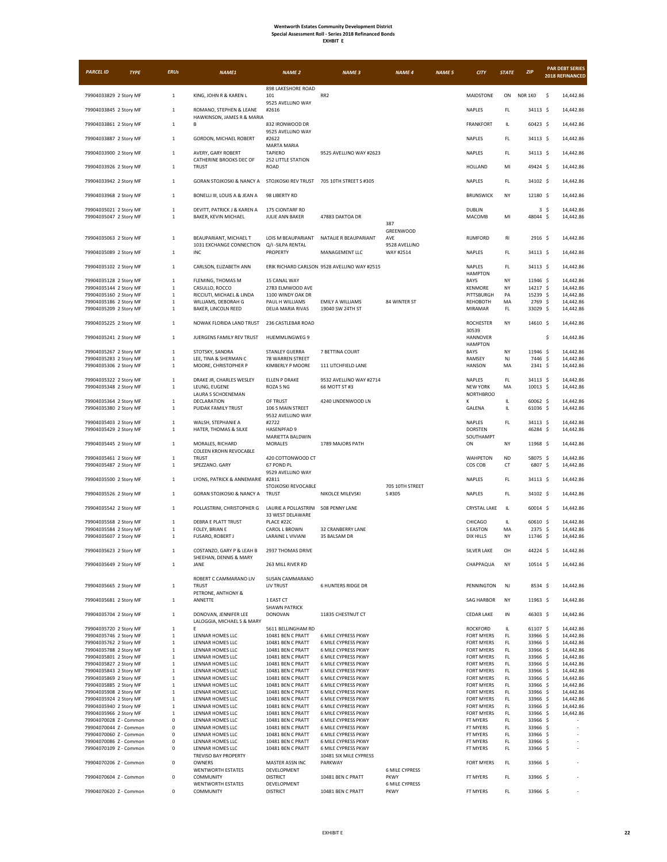| <b>PARCEL ID</b>                                 | <b>TYPE</b> | <b>ERUs</b>                  | NAME1                                               | <b>NAME 2</b>                          | <b>NAME 3</b>                                | <b>NAME 4</b>                        | <b>NAME 5</b> | <b>CITY</b>                            | <b>STATE</b>         | ZIP                  |                | <b>PAR DEBT SERIES</b><br>2018 REFINANCED |
|--------------------------------------------------|-------------|------------------------------|-----------------------------------------------------|----------------------------------------|----------------------------------------------|--------------------------------------|---------------|----------------------------------------|----------------------|----------------------|----------------|-------------------------------------------|
|                                                  |             |                              |                                                     | 898 LAKESHORE ROAD                     |                                              |                                      |               |                                        |                      |                      |                |                                           |
| 79904033829 2 Story MF                           |             | $\mathbf{1}$                 | KING, JOHN R & KAREN L                              | 101                                    | RR <sub>2</sub>                              |                                      |               | MAIDSTONE                              | ON                   | <b>NOR 1KO</b>       | \$             | 14,442.86                                 |
| 79904033845 2 Story MF                           |             | 1                            | ROMANO, STEPHEN & LEANE                             | 9525 AVELLINO WAY<br>#2616             |                                              |                                      |               | <b>NAPLES</b>                          | FL                   | 34113 \$             |                | 14,442.86                                 |
|                                                  |             |                              | HAWKINSON, JAMES R & MARIA                          |                                        |                                              |                                      |               |                                        |                      |                      |                |                                           |
| 79904033861 2 Story MF                           |             | 1                            | B                                                   | 832 IRONWOOD DR<br>9525 AVELLINO WAY   |                                              |                                      |               | <b>FRANKFORT</b>                       | IL.                  | 60423 \$             |                | 14,442.86                                 |
| 79904033887 2 Story MF                           |             | $\mathbf{1}$                 | GORDON, MICHAEL ROBERT                              | #2622                                  |                                              |                                      |               | NAPLES                                 | FL.                  | 34113 \$             |                | 14,442.86                                 |
| 79904033900 2 Story MF                           |             | $\mathbf{1}$                 | AVERY, GARY ROBERT                                  | <b>MARTA MARIA</b><br><b>TAPIERO</b>   | 9525 AVELLINO WAY #2623                      |                                      |               | <b>NAPLES</b>                          | FL                   | 34113 \$             |                | 14,442.86                                 |
|                                                  |             |                              | CATHERINE BROOKS DEC OF                             | 252 LITTLE STATION                     |                                              |                                      |               |                                        |                      |                      |                |                                           |
| 79904033926 2 Story MF                           |             | $\mathbf{1}$                 | <b>TRUST</b>                                        | ROAD                                   |                                              |                                      |               | HOLLAND                                | MI                   | 49424 \$             |                | 14,442.86                                 |
| 79904033942 2 Story MF                           |             | $1\,$                        | GORAN STOJKOSKI & NANCY A                           |                                        | STOJKOSKI REV TRUST 705 10TH STREET S #305   |                                      |               | <b>NAPLES</b>                          | FL                   | 34102 \$             |                | 14,442.86                                 |
| 79904033968 2 Story MF                           |             | $\mathbf{1}$                 | BONELLI III, LOUIS A & JEAN A                       | 98 LIBERTY RD                          |                                              |                                      |               | <b>BRUNSWICK</b>                       | NY                   | 12180 \$             |                | 14,442.86                                 |
|                                                  |             |                              |                                                     |                                        |                                              |                                      |               |                                        |                      |                      |                |                                           |
| 79904035021 2 Story MF<br>79904035047 2 Story MF |             | $\mathbf{1}$<br>$\mathbf{1}$ | DEVITT, PATRICK J & KAREN A<br>BAKER, KEVIN MICHAEL | 175 CIONTARF RD<br>JULIE ANN BAKER     | 47883 DAKTOA DR                              |                                      |               | DUBLIN<br>MACOMB                       | MI                   | 48044 \$             | 3 <sup>5</sup> | 14,442.86<br>14,442.86                    |
|                                                  |             |                              |                                                     |                                        |                                              | 387<br>GREENWOOD                     |               |                                        |                      |                      |                |                                           |
| 79904035063 2 Story MF                           |             | $\mathbf{1}$                 | BEAUPARIANT, MICHAEL T                              | LOIS M BEAUPARIANT                     | NATALIE R BEAUPARIANT                        | AVE                                  |               | <b>RUMFORD</b>                         | R1                   | 2916 \$              |                | 14,442.86                                 |
| 79904035089 2 Story MF                           |             | $\mathbf{1}$                 | 1031 EXCHANGE CONNECTION<br>INC                     | Q/I -SILPA RENTAL<br>PROPERTY          | MANAGEMENT LLC                               | 9528 AVELLINO<br>WAY #2514           |               | NAPLES                                 | FL                   | 34113 \$             |                | 14,442.86                                 |
|                                                  |             |                              |                                                     |                                        |                                              |                                      |               |                                        |                      |                      |                |                                           |
| 79904035102 2 Story MF                           |             | $1\,$                        | CARLSON, ELIZABETH ANN                              |                                        | ERIK RICHARD CARLSON 9528 AVELLINO WAY #2515 |                                      |               | NAPLES<br><b>HAMPTON</b>               | FL                   | 34113 \$             |                | 14,442.86                                 |
| 79904035128 2 Story MF                           |             | $\mathbf{1}$                 | FLEMING. THOMAS M                                   | <b>15 CANAL WAY</b>                    |                                              |                                      |               | <b>BAYS</b>                            | NY                   | 11946 \$             |                | 14,442.86                                 |
| 79904035144 2 Story MF                           |             | 1                            | CASULLO, ROCCO                                      | 2783 ELMWOOD AVE                       |                                              |                                      |               | KENMORE                                | NY                   | 14217 \$             |                | 14,442.86                                 |
| 79904035160 2 Story MF                           |             | $\mathbf{1}$                 | RICCIUTI, MICHAEL & LINDA                           | 1100 WINDY OAK DR                      |                                              |                                      |               | PITTSBURGH                             | PA                   | 15239 \$             |                | 14,442.86                                 |
| 79904035186 2 Story MF                           |             | $1\,$                        | WILLIAMS, DEBORAH G                                 | PAUL H WILLIAMS                        | <b>EMILY A WILLIAMS</b>                      | 84 WINTER ST                         |               | <b>REHOBOTH</b>                        | MA<br>FL.            | 2769 \$<br>33029 \$  |                | 14,442.86                                 |
| 79904035209 2 Story MF                           |             | $\mathbf{1}$                 | BAKER, LINCOLN REED                                 | DELIA MARIA RIVAS                      | 19040 SW 24TH ST                             |                                      |               | MIRAMAR                                |                      |                      |                | 14,442.86                                 |
| 79904035225 2 Story MF                           |             | $1\,$                        | NOWAK FLORIDA LAND TRUST                            | 236 CASTLEBAR ROAD                     |                                              |                                      |               | <b>ROCHESTER</b>                       | NY                   | 14610 S              |                | 14,442.86                                 |
| 79904035241 2 Story MF                           |             | $1\,$                        | JUERGENS FAMILY REV TRUST                           | HUEMMLINGWEG 9                         |                                              |                                      |               | 30539<br>HANNOVER                      |                      |                      | \$             | 14,442.86                                 |
|                                                  |             |                              |                                                     |                                        |                                              |                                      |               | <b>HAMPTON</b>                         |                      |                      |                |                                           |
| 79904035267 2 Story MF                           |             | $\mathbf{1}$                 | STOTSKY, SANDRA                                     | <b>STANLEY GUERRA</b>                  | 7 BETTINA COURT                              |                                      |               | BAYS                                   | NY                   | 11946 \$             |                | 14,442.86                                 |
| 79904035283 2 Story MF                           |             | $\mathbf{1}$                 | LEE, TINA & SHERMAN C                               | 78 WARREN STREET                       |                                              |                                      |               | RAMSEY                                 | NJ                   | 7446 \$              |                | 14,442.86                                 |
| 79904035306 2 Story MF                           |             | 1                            | MOORE, CHRISTOPHER P                                | KIMBERLY P MOORE                       | 111 LITCHFIELD LANE                          |                                      |               | <b>HANSON</b>                          | MA                   | 2341 \$              |                | 14,442.86                                 |
| 79904035322 2 Story MF                           |             | $\,1\,$                      | DRAKE JR, CHARLES WESLEY                            | ELLEN P DRAKE                          | 9532 AVELLINO WAY #2714                      |                                      |               | NAPLES                                 | FL.                  | 34113 \$             |                | 14,442.86                                 |
| 79904035348 2 Story MF                           |             | $\mathbf{1}$                 | LEUNG, EUGENE                                       | ROZA S NG                              | 66 MOTT ST #3                                |                                      |               | <b>NEW YORK</b>                        | MA                   | 10013 \$             |                | 14,442.86                                 |
| 79904035364 2 Story MF                           |             | $\mathbf{1}$                 | LAURA S SCHOENEMAN<br>DECLARATION                   | OF TRUST                               | 4240 LINDENWOOD LN                           |                                      |               | <b>NORTHBROO</b><br>K                  | IL.                  | 60062 \$             |                | 14,442.86                                 |
| 79904035380 2 Story MF                           |             | $1\,$                        | PUIDAK FAMILY TRUST                                 | 106 S MAIN STREET                      |                                              |                                      |               | GALENA                                 | IL                   | 61036 \$             |                | 14,442.86                                 |
|                                                  |             |                              |                                                     | 9532 AVELLINO WAY                      |                                              |                                      |               |                                        |                      |                      |                |                                           |
| 79904035403 2 Story MF<br>79904035429 2 Story MF |             | $\mathbf{1}$<br>$\mathbf{1}$ | WALSH, STEPHANIE A<br>HATER, THOMAS & SILKE         | #2722<br><b>HASENPFAD 9</b>            |                                              |                                      |               | NAPLES<br><b>DORSTEN</b>               | FL                   | 34113 \$<br>46284 \$ |                | 14,442.86<br>14,442.86                    |
|                                                  |             |                              |                                                     | MARIETTA BALDWIN                       |                                              |                                      |               | SOUTHAMPT                              |                      |                      |                |                                           |
| 79904035445 2 Story MF                           |             | $\mathbf{1}$                 | MORALES, RICHARD                                    | <b>MORALES</b>                         | 1789 MAJORS PATH                             |                                      |               | ON                                     | NY                   | 11968 \$             |                | 14,442.86                                 |
| 79904035461 2 Story MF                           |             | $\mathbf{1}$                 | COLEEN KROHN REVOCABLE<br><b>TRUST</b>              | 420 COTTONWOOD CT                      |                                              |                                      |               | WAHPETON                               | <b>ND</b>            | 58075 \$             |                | 14,442.86                                 |
| 79904035487 2 Story MF                           |             | 1                            | SPEZZANO. GARY                                      | 67 POND PL                             |                                              |                                      |               | COS COB                                | CT                   | 6807 \$              |                | 14,442.86                                 |
|                                                  |             |                              |                                                     | 9529 AVELLINO WAY                      |                                              |                                      |               |                                        |                      |                      |                |                                           |
| 79904035500 2 Story MF                           |             | $1\,$                        | LYONS, PATRICK & ANNEMARIE                          | #2811<br>STOJKOSKI REVOCABLE           |                                              | 705 10TH STREET                      |               | <b>NAPLES</b>                          | FL                   | 34113 \$             |                | 14,442.86                                 |
| 79904035526 2 Story MF                           |             | $\mathbf{1}$                 | GORAN STOJKOSKI & NANCY A                           | <b>TRUST</b>                           | NIKOLCE MILEVSKI                             | S #305                               |               | NAPLES                                 | FL                   | 34102 \$             |                | 14,442.86                                 |
| 79904035542 2 Story MF                           |             | $\mathbf{1}$                 | POLLASTRINI, CHRISTOPHER G                          | LAURIE A POLLASTRINI                   | 508 PENNY LANE                               |                                      |               | <b>CRYSTAL LAKE</b>                    | IL                   | 60014 \$             |                | 14,442.86                                 |
|                                                  |             |                              |                                                     | 33 WEST DELAWARE                       |                                              |                                      |               |                                        |                      |                      |                |                                           |
| 79904035568 2 Story MF                           |             | $\mathbf{1}$                 | DEBRA E PLATT TRUST                                 | PLACE #22C                             |                                              |                                      |               | CHICAGO                                | IL.                  | 60610 \$             |                | 14,442.86                                 |
| 79904035584 2 Story MF<br>79904035607 2 Story MF |             | 1<br>$\mathbf{1}$            | FOLEY, BRIAN E<br>FUSARO, ROBERT J                  | CAROL L BROWN<br>LARAINE L VIVIANI     | 32 CRANBERRY LANE<br>35 BALSAM DR            |                                      |               | <b>SEASTON</b><br>DIX HILLS            | MA<br>NY             | 2375 \$<br>11746 \$  |                | 14,442.86<br>14,442.86                    |
|                                                  |             |                              |                                                     |                                        |                                              |                                      |               |                                        |                      |                      |                |                                           |
| 79904035623 2 Story MF                           |             |                              | COSTANZO, GARY P & LEAH B                           | 2937 THOMAS DRIVE                      |                                              |                                      |               | SILVER LAKE                            |                      | 44224 5              |                | 14,442.86                                 |
| 79904035649 2 Story MF                           |             | $1\,$                        | SHEEHAN, DENNIS & MARY<br>JANE                      | 263 MILL RIVER RD                      |                                              |                                      |               | CHAPPAQUA                              | NY                   | 10514 \$             |                | 14,442.86                                 |
|                                                  |             |                              |                                                     |                                        |                                              |                                      |               |                                        |                      |                      |                |                                           |
| 79904035665 2 Story MF                           |             | $1\,$                        | ROBERT C CAMMARANO LIV<br><b>TRUST</b>              | SUSAN CAMMARANO<br>LIV TRUST           | <b>6 HUNTERS RIDGE DR</b>                    |                                      |               | PENNINGTON                             | NJ                   | 8534 \$              |                | 14,442.86                                 |
|                                                  |             |                              | PETRONE, ANTHONY &                                  |                                        |                                              |                                      |               |                                        |                      |                      |                |                                           |
| 79904035681 2 Story MF                           |             | $\mathbf{1}$                 | ANNETTE                                             | 1 EAST CT<br><b>SHAWN PATRICK</b>      |                                              |                                      |               | <b>SAG HARBOR</b>                      | NY                   | 11963 \$             |                | 14,442.86                                 |
| 79904035704 2 Story MF                           |             | $\mathbf{1}$                 | DONOVAN, JENNIFER LEE                               | <b>DONOVAN</b>                         | 11835 CHESTNUT CT                            |                                      |               | <b>CEDAR LAKE</b>                      | IN                   | 46303 \$             |                | 14,442.86                                 |
|                                                  |             |                              | LALOGGIA, MICHAEL S & MARY                          |                                        |                                              |                                      |               |                                        |                      |                      |                |                                           |
| 79904035720 2 Story MF                           |             | $\mathbf{1}$                 | F                                                   | 5611 BELLINGHAM RD                     |                                              |                                      |               | <b>ROCKFORD</b>                        | IL                   | 61107 \$             |                | 14,442.86                                 |
| 79904035746 2 Story MF<br>79904035762 2 Story MF |             | $\mathbf{1}$                 | LENNAR HOMES LLC<br>LENNAR HOMES LLC                | 10481 BEN C PRATT                      | 6 MILE CYPRESS PKWY                          |                                      |               | <b>FORT MYERS</b><br><b>FORT MYERS</b> | $\mathsf{FL}$<br>FL. | 33966 \$<br>33966 \$ |                | 14,442.86<br>14,442.86                    |
| 79904035788 2 Story MF                           |             | $\mathbf{1}$<br>$\mathbf{1}$ | LENNAR HOMES LLC                                    | 10481 BEN C PRATT<br>10481 BEN C PRATT | 6 MILE CYPRESS PKWY<br>6 MILE CYPRESS PKWY   |                                      |               | <b>FORT MYERS</b>                      | FL                   | 33966 \$             |                | 14,442.86                                 |
| 79904035801 2 Story MF                           |             | $\mathbf{1}$                 | LENNAR HOMES LLC                                    | 10481 BEN C PRATT                      | 6 MILE CYPRESS PKWY                          |                                      |               | <b>FORT MYERS</b>                      | FL.                  | 33966 \$             |                | 14,442.86                                 |
| 79904035827 2 Story MF                           |             | $\mathbf{1}$                 | LENNAR HOMES LLC                                    | 10481 BEN C PRATT                      | 6 MILE CYPRESS PKWY                          |                                      |               | <b>FORT MYERS</b>                      | FL                   | 33966 \$             |                | 14,442.86                                 |
| 79904035843 2 Story MF                           |             | $\mathbf{1}$                 | LENNAR HOMES LLC                                    | 10481 BEN C PRATT                      | 6 MILE CYPRESS PKWY                          |                                      |               | <b>FORT MYERS</b>                      | FL.                  | 33966 \$             |                | 14,442.86                                 |
| 79904035869 2 Story MF                           |             | $\mathbf{1}$                 | LENNAR HOMES LLC                                    | 10481 BEN C PRATT                      | 6 MILE CYPRESS PKWY                          |                                      |               | <b>FORT MYERS</b>                      | $\mathsf{FL}$        | 33966 \$             |                | 14,442.86                                 |
| 79904035885 2 Story MF                           |             | $\mathbf{1}$                 | LENNAR HOMES LLC                                    | 10481 BEN C PRATT                      | 6 MILE CYPRESS PKWY                          |                                      |               | <b>FORT MYERS</b>                      | FL.                  | 33966 \$             |                | 14,442.86                                 |
| 79904035908 2 Story MF                           |             | $\mathbf{1}$                 | LENNAR HOMES LLC                                    | 10481 BEN C PRATT                      | 6 MILE CYPRESS PKWY                          |                                      |               | <b>FORT MYERS</b>                      | FL.                  | 33966 \$             |                | 14,442.86                                 |
| 79904035924 2 Story MF                           |             | $\mathbf{1}$                 | LENNAR HOMES LLC                                    | 10481 BEN C PRATT                      | 6 MILE CYPRESS PKWY                          |                                      |               | <b>FORT MYERS</b>                      | FL                   | 33966 \$             |                | 14,442.86                                 |
| 79904035940 2 Story MF                           |             | $\mathbf{1}$                 | LENNAR HOMES LLC                                    | 10481 BEN C PRATT                      | 6 MILE CYPRESS PKWY                          |                                      |               | <b>FORT MYERS</b>                      | FL.                  | 33966 \$             |                | 14,442.86                                 |
| 79904035966 2 Story MF                           |             | $\mathbf{1}$                 | LENNAR HOMES LLC                                    | 10481 BEN C PRATT                      | 6 MILE CYPRESS PKWY                          |                                      |               | <b>FORT MYERS</b>                      | FL.                  | 33966 \$             |                | 14,442.86                                 |
| 79904070028 Z - Common                           |             | $\mathbf 0$                  | LENNAR HOMES LLC                                    | 10481 BEN C PRATT                      | 6 MILE CYPRESS PKWY                          |                                      |               | FT MYERS                               | FL                   | 33966 \$             |                |                                           |
| 79904070044 Z - Common                           |             | 0                            | LENNAR HOMES LLC                                    | 10481 BEN C PRATT                      | 6 MILE CYPRESS PKWY                          |                                      |               | FT MYERS                               | FL                   | 33966 \$             |                |                                           |
| 79904070060 Z - Common                           |             | 0                            | LENNAR HOMES LLC                                    | 10481 BEN C PRATT                      | 6 MILE CYPRESS PKWY                          |                                      |               | FT MYERS                               | FL                   | 33966 \$             |                |                                           |
|                                                  |             | $\mathbf 0$                  |                                                     |                                        |                                              |                                      |               | FT MYERS                               | FL                   | 33966 \$             |                |                                           |
| 79904070086 Z - Common<br>79904070109 Z - Common |             | $\mathbf 0$                  | LENNAR HOMES LLC<br>LENNAR HOMES LLC                | 10481 BEN C PRATT<br>10481 BEN C PRATT | 6 MILE CYPRESS PKWY<br>6 MILE CYPRESS PKWY   |                                      |               | FT MYERS                               | FL                   | 33966 \$             |                |                                           |
|                                                  |             |                              | TREVISO BAY PROPERTY                                |                                        | 10481 SIX MILE CYPRESS                       |                                      |               |                                        |                      |                      |                |                                           |
| 79904070206 Z - Common                           |             | 0                            | OWNERS                                              | MASTER ASSN INC                        | PARKWAY                                      |                                      |               | <b>FORT MYERS</b>                      | $\mathsf{FL}$        | 33966 \$             |                |                                           |
| 79904070604 Z - Common                           |             | $\mathsf 0$                  | <b>WENTWORTH ESTATES</b><br>COMMUNITY               | DEVELOPMENT<br><b>DISTRICT</b>         | 10481 BEN C PRATT                            | <b>6 MILE CYPRESS</b><br><b>PKWY</b> |               | FT MYERS                               | FL                   | 33966 \$             |                |                                           |
|                                                  |             |                              | <b>WENTWORTH ESTATES</b>                            | DEVELOPMENT                            |                                              | <b>6 MILE CYPRESS</b>                |               |                                        |                      |                      |                |                                           |
| 79904070620 Z - Common                           |             | $\mathsf 0$                  | COMMUNITY                                           | <b>DISTRICT</b>                        | 10481 BEN C PRATT                            | PKWY                                 |               | FT MYERS                               | FL.                  | 33966 \$             |                |                                           |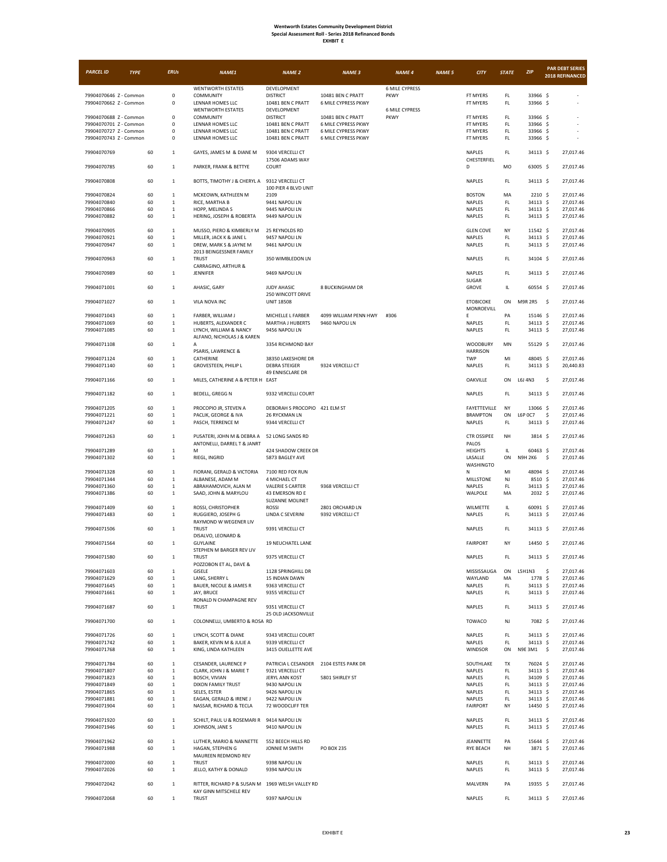| <b>EXHBIT</b> |  |
|---------------|--|
|---------------|--|

| <b>PARCEL ID</b>                                 | <b>TYPE</b> | <b>ERUs</b>                | <b>NAME1</b>                                                               | <b>NAME 2</b>                              | <b>NAME 3</b>                              | <b>NAME 4</b>         | <b>NAME 5</b> | <b>CITY</b>                    | <b>STATE</b>                   | ZIP                        |      | <b>PAR DEBT SERIES</b><br>2018 REFINANCED |
|--------------------------------------------------|-------------|----------------------------|----------------------------------------------------------------------------|--------------------------------------------|--------------------------------------------|-----------------------|---------------|--------------------------------|--------------------------------|----------------------------|------|-------------------------------------------|
|                                                  |             |                            | <b>WENTWORTH ESTATES</b>                                                   | DEVELOPMENT                                |                                            | <b>6 MILE CYPRESS</b> |               |                                |                                |                            |      |                                           |
| 79904070646 Z - Common                           |             | 0                          | COMMUNITY                                                                  | <b>DISTRICT</b>                            | 10481 BEN C PRATT                          | PKWY                  |               | FT MYERS                       | FL.                            | 33966 \$                   |      | $\overline{\phantom{a}}$                  |
| 79904070662 Z - Common                           |             | 0                          | LENNAR HOMES LLC<br><b>WENTWORTH ESTATES</b>                               | 10481 BEN C PRATT<br>DEVELOPMENT           | 6 MILE CYPRESS PKWY                        | <b>6 MILE CYPRESS</b> |               | FT MYERS                       | FL.                            | 33966 \$                   |      |                                           |
| 79904070688 Z - Common                           |             | 0                          | COMMUNITY                                                                  | <b>DISTRICT</b>                            | 10481 BEN C PRATT                          | PKWY                  |               | FT MYERS                       | $\mathsf{FL}$                  | 33966 \$                   |      |                                           |
| 79904070701 Z - Common<br>79904070727 Z - Common |             | 0<br>0                     | LENNAR HOMES LLC<br>LENNAR HOMES LLC                                       | 10481 BEN C PRATT<br>10481 BEN C PRATT     | 6 MILE CYPRESS PKWY<br>6 MILE CYPRESS PKWY |                       |               | FT MYERS<br>FT MYERS           | $\mathsf{FL}$<br>FL.           | 33966 \$<br>33966 \$       |      |                                           |
| 79904070743 Z - Common                           |             | 0                          | LENNAR HOMES LLC                                                           | 10481 BEN C PRATT                          | 6 MILE CYPRESS PKWY                        |                       |               | FT MYERS                       | FL.                            | 33966 \$                   |      |                                           |
|                                                  |             |                            |                                                                            |                                            |                                            |                       |               |                                |                                |                            |      |                                           |
| 79904070769                                      | 60          | $\mathbf 1$                | GAYES, JAMES M & DIANE M                                                   | 9304 VERCELLI CT                           |                                            |                       |               | NAPLES                         | FL.                            | 34113 \$                   |      | 27,017.46                                 |
| 79904070785                                      | 60          | $\mathbf 1$                | PARKER, FRANK & BETTYE                                                     | 17506 ADAMS WAY<br>COURT                   |                                            |                       |               | CHESTERFIEL<br>D               | MO                             | 63005 \$                   |      | 27,017.46                                 |
|                                                  |             |                            |                                                                            |                                            |                                            |                       |               |                                |                                |                            |      |                                           |
| 79904070808                                      | 60          | $\mathbf{1}$               | BOTTS, TIMOTHY J & CHERYL A                                                | 9312 VERCELLI CT<br>100 PIER 4 BLVD UNIT   |                                            |                       |               | NAPLES                         | FL.                            | 34113 \$                   |      | 27,017.46                                 |
| 79904070824                                      | 60          | $\,$ 1 $\,$                | MCKEOWN, KATHLEEN M                                                        | 2109                                       |                                            |                       |               | <b>BOSTON</b>                  | MA                             | 2210 \$                    |      | 27,017.46                                 |
| 79904070840                                      | 60          | $\mathbf 1$                | RICE, MARTHA B                                                             | 9441 NAPOLI LN                             |                                            |                       |               | NAPLES                         | FL.                            | 34113 \$                   |      | 27,017.46                                 |
| 79904070866                                      | 60<br>60    | $\mathbf 1$<br>$\mathbf 1$ | HOPP, MELINDA S                                                            | 9445 NAPOLI LN                             |                                            |                       |               | NAPLES                         | FL.<br>FL.                     | 34113 S<br>34113 \$        |      | 27,017.46                                 |
| 79904070882                                      |             |                            | HERING, JOSEPH & ROBERTA                                                   | 9449 NAPOLI LN                             |                                            |                       |               | NAPLES                         |                                |                            |      | 27,017.46                                 |
| 79904070905                                      | 60          | $\mathbf 1$                | MUSSO, PIERO & KIMBERLY M                                                  | 25 REYNOLDS RD                             |                                            |                       |               | <b>GLEN COVE</b>               | NY                             | 11542 \$                   |      | 27,017.46                                 |
| 79904070921<br>79904070947                       | 60<br>60    | $\mathbf 1$<br>$\mathbf 1$ | MILLER, JACK K & JANE L<br>DREW, MARK S & JAYNE M                          | 9457 NAPOLI LN<br>9461 NAPOLI LN           |                                            |                       |               | NAPLES<br>NAPLES               | FL<br>$\mathsf{FL}$            | 34113 \$<br>34113 \$       |      | 27,017.46<br>27,017.46                    |
|                                                  |             |                            | 2013 BEINGESSNER FAMILY                                                    |                                            |                                            |                       |               |                                |                                |                            |      |                                           |
| 79904070963                                      | 60          | $\mathbf 1$                | <b>TRUST</b>                                                               | 350 WIMBLEDON LN                           |                                            |                       |               | NAPLES                         | FL.                            | 34104 \$                   |      | 27,017.46                                 |
|                                                  |             |                            | CARRAGINO, ARTHUR &                                                        |                                            |                                            |                       |               |                                |                                |                            |      |                                           |
| 79904070989                                      | 60          | $\mathbf 1$                | <b>JENNIFER</b>                                                            | 9469 NAPOLI LN                             |                                            |                       |               | NAPLES<br>SUGAR                | FL.                            | 34113 \$                   |      | 27,017.46                                 |
| 79904071001                                      | 60          | $\mathbf 1$                | AHASIC, GARY                                                               | JUDY AHASIC                                | 8 BUCKINGHAM DR                            |                       |               | GROVE                          | IL                             | 60554 \$                   |      | 27,017.46                                 |
|                                                  |             |                            |                                                                            | 250 WINCOTT DRIVE                          |                                            |                       |               |                                | ON                             |                            |      |                                           |
| 79904071027                                      | 60          | $\mathbf 1$                | VILA NOVA INC                                                              | <b>UNIT 18508</b>                          |                                            |                       |               | <b>ETOBICOKE</b><br>MONROEVILL |                                | <b>M9R 2R5</b>             | - \$ | 27,017.46                                 |
| 79904071043                                      | 60          | $\mathbf 1$                | FARBER, WILLIAM J                                                          | MICHELLE L FARBER                          | 4099 WILLIAM PENN HWY                      | #306                  |               | E                              | PA                             | 15146 \$                   |      | 27,017.46                                 |
| 79904071069                                      | 60          | $\mathbf 1$                | HUBERTS, ALEXANDER C                                                       | MARTHA J HUBERTS                           | 9460 NAPOLI LN                             |                       |               | NAPLES                         | $\mathsf{FL}$                  | 34113 \$                   |      | 27,017.46                                 |
| 79904071085                                      | 60          | $\,$ 1 $\,$                | LYNCH, WILLIAM & NANCY<br>ALFANO, NICHOLAS J & KAREN                       | 9456 NAPOLI LN                             |                                            |                       |               | NAPLES                         | $\mathsf{FL}$                  | 34113 \$                   |      | 27,017.46                                 |
| 79904071108                                      | 60          | $\mathbf 1$                | А                                                                          | 3354 RICHMOND BAY                          |                                            |                       |               | <b>WOODBURY</b>                | MN                             | 55129 \$                   |      | 27,017.46                                 |
|                                                  |             |                            | PSARIS, LAWRENCE &                                                         |                                            |                                            |                       |               | <b>HARRISON</b>                |                                |                            |      |                                           |
| 79904071124<br>79904071140                       | 60<br>60    | $\,$ 1 $\,$<br>$\mathbf 1$ | CATHERINE<br>GROVESTEEN, PHILIP L                                          | 38350 LAKESHORE DR<br><b>DEBRA STEIGER</b> | 9324 VERCELLI CT                           |                       |               | TWP<br>NAPLES                  | MI<br>$\mathsf{FL}$            | 48045 \$<br>34113 \$       |      | 27,017.46<br>20,440.83                    |
|                                                  |             |                            |                                                                            | 49 ENNISCLARE DR                           |                                            |                       |               |                                |                                |                            |      |                                           |
| 79904071166                                      | 60          | $\mathbf 1$                | MILES, CATHERINE A & PETER H EAST                                          |                                            |                                            |                       |               | <b>OAKVILLE</b>                | ON                             | L6J 4N3                    | \$   | 27.017.46                                 |
| 79904071182                                      | 60          | $\mathbf 1$                | BEDELL, GREGG N                                                            | 9332 VERCELLI COURT                        |                                            |                       |               | NAPLES                         | FL                             | 34113 \$                   |      | 27,017.46                                 |
|                                                  |             |                            |                                                                            |                                            |                                            |                       |               |                                |                                |                            |      |                                           |
| 79904071205                                      | 60<br>60    | $\,$ 1 $\,$                | PROCOPIO JR, STEVEN A                                                      | DEBORAH S PROCOPIO 421 ELM ST              |                                            |                       |               | FAYETTEVILLE                   | NY<br>ON                       | 13066 \$<br><b>L6P 0C7</b> | \$   | 27,017.46<br>27.017.46                    |
| 79904071221<br>79904071247                       | 60          | $\,$ 1 $\,$<br>$\mathbf 1$ | PACLIK, GEORGE & IVA<br>PASCH, TERRENCE M                                  | 26 RYCKMAN LN<br>9344 VERCELLI CT          |                                            |                       |               | <b>BRAMPTON</b><br>NAPLES      | FL                             | 34113 \$                   |      | 27,017.46                                 |
|                                                  |             |                            |                                                                            |                                            |                                            |                       |               |                                |                                |                            |      |                                           |
| 79904071263                                      | 60          | $\mathbf 1$                | PUSATERI, JOHN M & DEBRA A<br>ANTONELLI, DARREL T & JANRT                  | 52 LONG SANDS RD                           |                                            |                       |               | <b>CTR OSSIPEE</b><br>PALOS    | NH                             | 3814 \$                    |      | 27,017.46                                 |
| 79904071289                                      | 60          | $\mathbf 1$                | M                                                                          | 424 SHADOW CREEK DR                        |                                            |                       |               | <b>HEIGHTS</b>                 | IL                             | 60463 \$                   |      | 27,017.46                                 |
| 79904071302                                      | 60          | $\mathbf 1$                | RIEGL, INGRID                                                              | 5873 BAGLEY AVE                            |                                            |                       |               | LASALLE                        | ON                             | <b>N9H 2K6</b>             | -\$  | 27,017.46                                 |
| 79904071328                                      | 60          | $\mathbf 1$                |                                                                            | 7100 RED FOX RUN                           |                                            |                       |               | WASHINGTO<br>N                 | MI                             | 48094 \$                   |      | 27,017.46                                 |
| 79904071344                                      | 60          | $\,$ 1 $\,$                | FIORANI, GERALD & VICTORIA<br>ALBANESE, ADAM M                             | 4 MICHAEL CT                               |                                            |                       |               | MILLSTONE                      | NJ                             | 8510 \$                    |      | 27,017.46                                 |
| 79904071360                                      | 60          | $\mathbf 1$                | ABRAHAMOVICH, ALAN M                                                       | <b>VALERIE S CARTER</b>                    | 9368 VERCELLI CT                           |                       |               | NAPLES                         | FL.                            | 34113 \$                   |      | 27,017.46                                 |
| 79904071386                                      | 60          | $\mathbf 1$                | SAAD, JOHN & MARYLOU                                                       | 43 EMERSON RD E                            |                                            |                       |               | WALPOLE                        | MA                             | 2032 \$                    |      | 27,017.46                                 |
| 79904071409                                      | 60          | $\,$ 1 $\,$                | ROSSI, CHRISTOPHER                                                         | SUZANNE MOLINET<br><b>ROSSI</b>            | 2801 ORCHARD LN                            |                       |               | WILMETTE                       | IL                             | 60091 \$                   |      | 27,017.46                                 |
| 79904071483                                      | 60          | $\mathbf 1$                | RUGGIERO, JOSEPH G                                                         | LINDA C SEVERINI                           | 9392 VERCELLI CT                           |                       |               | NAPLES                         | FL.                            | 34113 \$                   |      | 27,017.46                                 |
|                                                  | 60          | $\mathbf 1$                | RAYMOND W WEGENER LIV<br><b>TRUST</b>                                      |                                            |                                            |                       |               | <b>NAPLES</b>                  | FL.                            | 34113 \$                   |      | 27,017.46                                 |
| 79904071506                                      |             |                            | DISALVO, LEONARD &                                                         | 9391 VERCELLI CT                           |                                            |                       |               |                                |                                |                            |      |                                           |
| 79904071564                                      | 60          | $\mathbf 1$                | <b>GUYLAINE</b>                                                            | 19 NEUCHATEL LANE                          |                                            |                       |               | <b>FAIRPORT</b>                | NY                             | 14450 \$                   |      | 27,017.46                                 |
|                                                  |             |                            | STEPHEN M BARGER REV LIV                                                   |                                            |                                            |                       |               |                                | FL                             |                            |      |                                           |
| 79904071580                                      | 60          | $\mathbf 1$                | <b>TRUST</b><br>POZZOBON ET AL, DAVE &                                     | 9375 VERCELLI CT                           |                                            |                       |               | NAPLES                         |                                | 34113 \$                   |      | 27,017.46                                 |
| 79904071603                                      | 60          | $\mathbf 1$                | GISELE                                                                     | 1128 SPRINGHILL DR                         |                                            |                       |               | MISSISSAUGA                    | ON                             | L5H1N3                     | \$   | 27,017.46                                 |
| 79904071629                                      | 60          | $\mathbf 1$                | LANG, SHERRY L                                                             | 15 INDIAN DAWN                             |                                            |                       |               | WAYLAND                        | MA                             | 1778 \$                    |      | 27,017.46                                 |
| 79904071645<br>79904071661                       | 60<br>60    | $\mathbf 1$<br>$\,$ 1 $\,$ | BAUER, NICOLE & JAMES R<br>JAY, BRUCE                                      | 9363 VERCELLI CT<br>9355 VERCELLI CT       |                                            |                       |               | NAPLES<br>NAPLES               | $\mathsf{FL}$<br>$\mathsf{FL}$ | 34113 \$<br>34113 \$       |      | 27,017.46<br>27,017.46                    |
|                                                  |             |                            | RONALD N CHAMPAGNE REV                                                     |                                            |                                            |                       |               |                                |                                |                            |      |                                           |
| 79904071687                                      | 60          | $\mathbf 1$                | <b>TRUST</b>                                                               | 9351 VERCELLI CT<br>25 OLD JACKSONVILLE    |                                            |                       |               | NAPLES                         | $\mathsf{FL}$                  | 34113 \$                   |      | 27,017.46                                 |
| 79904071700                                      | 60          | $\,1$                      | COLONNELLI, UMBERTO & ROSA RD                                              |                                            |                                            |                       |               | <b>TOWACO</b>                  | NJ                             | 7082 \$                    |      | 27,017.46                                 |
|                                                  |             |                            |                                                                            |                                            |                                            |                       |               |                                |                                |                            |      |                                           |
| 79904071726                                      | 60          | $\mathbf 1$                | LYNCH, SCOTT & DIANE                                                       | 9343 VERCELLI COURT                        |                                            |                       |               | NAPLES                         | FL                             | 34113 \$                   |      | 27.017.46                                 |
| 79904071742<br>79904071768                       | 60<br>60    | $\,$ 1 $\,$<br>$\mathbf 1$ | BAKER, KEVIN M & JULIE A<br>KING, LINDA KATHLEEN                           | 9339 VERCELLI CT<br>3415 OUELLETTE AVE     |                                            |                       |               | NAPLES<br>WINDSOR              | $\mathsf{FL}$<br>ON            | 34113 \$<br>N9E 3M1 \$     |      | 27,017.46<br>27,017.46                    |
|                                                  |             |                            |                                                                            |                                            |                                            |                       |               |                                |                                |                            |      |                                           |
| 79904071784                                      | 60          | $\,1$                      | CESANDER, LAURENCE P                                                       | PATRICIA L CESANDER 2104 ESTES PARK DR     |                                            |                       |               | SOUTHLAKE                      | TX                             | 76024 \$                   |      | 27,017.46                                 |
| 79904071807<br>79904071823                       | 60<br>60    | $\,$ 1 $\,$<br>$\mathbf 1$ | CLARK, JOHN J & MARIE T<br>BOSCH, VIVIAN                                   | 9321 VERCELLI CT<br>JERYL ANN KOST         | 5801 SHIRLEY ST                            |                       |               | NAPLES<br>NAPLES               | FL.<br>FL.                     | 34113 \$<br>34109 S        |      | 27,017.46<br>27,017.46                    |
| 79904071849                                      | 60          | $\,$ 1 $\,$                | DIXON FAMILY TRUST                                                         | 9430 NAPOLI LN                             |                                            |                       |               | NAPLES                         | $\mathsf{FL}$                  | 34113 \$                   |      | 27,017.46                                 |
| 79904071865                                      | 60          | $\,$ 1 $\,$                | SELES, ESTER                                                               | 9426 NAPOLI LN                             |                                            |                       |               | NAPLES                         | $\mathsf{FL}$                  | 34113 \$                   |      | 27,017.46                                 |
| 79904071881<br>79904071904                       | 60<br>60    | $\mathbf 1$<br>$\mathbf 1$ | EAGAN, GERALD & IRENE J<br>NASSAR, RICHARD & TECLA                         | 9422 NAPOLI LN<br>72 WOODCLIFF TER         |                                            |                       |               | NAPLES<br><b>FAIRPORT</b>      | FL.<br>NY                      | 34113 \$<br>14450 \$       |      | 27,017.46<br>27,017.46                    |
|                                                  |             |                            |                                                                            |                                            |                                            |                       |               |                                |                                |                            |      |                                           |
| 79904071920                                      | 60          | $\mathbf 1$                | SCHILT, PAUL U & ROSEMARI R                                                | 9414 NAPOLI LN                             |                                            |                       |               | NAPLES                         | FL                             | 34113 \$                   |      | 27,017.46                                 |
| 79904071946                                      | 60          | $\mathbf 1$                | JOHNSON, JANE S                                                            | 9410 NAPOLI LN                             |                                            |                       |               | NAPLES                         | FL                             | 34113 \$                   |      | 27,017.46                                 |
| 79904071962                                      | 60          | $\mathbf 1$                | LUTHER, MARIO & NANNETTE                                                   | 552 BEECH HILLS RD                         |                                            |                       |               | <b>JEANNETTE</b>               | PA                             | 15644 \$                   |      | 27,017.46                                 |
| 79904071988                                      | 60          | $\mathbf 1$                | HAGAN, STEPHEN G                                                           | JONNIE M SMITH                             | PO BOX 235                                 |                       |               | RYE BEACH                      | NH                             | 3871 \$                    |      | 27,017.46                                 |
| 79904072000                                      | 60          | $\mathbf 1$                | MAUREEN REDMOND REV<br><b>TRUST</b>                                        | 9398 NAPOLI LN                             |                                            |                       |               | NAPLES                         | FL.                            | 34113 \$                   |      | 27,017.46                                 |
| 79904072026                                      | 60          | $\mathbf 1$                | JELLO, KATHY & DONALD                                                      | 9394 NAPOLI LN                             |                                            |                       |               | NAPLES                         | FL.                            | 34113 \$                   |      | 27,017.46                                 |
| 79904072042                                      |             | $\mathbf 1$                |                                                                            |                                            |                                            |                       |               | MALVERN                        | PA                             |                            |      |                                           |
|                                                  | 60          |                            | RITTER, RICHARD P & SUSAN M 1969 WELSH VALLEY RD<br>KAY GINN MITSCHELE REV |                                            |                                            |                       |               |                                |                                | 19355 \$                   |      | 27,017.46                                 |
| 79904072068                                      | 60          | $\mathbf 1$                | <b>TRUST</b>                                                               | 9397 NAPOLI LN                             |                                            |                       |               | NAPLES                         | FL                             | 34113 \$                   |      | 27,017.46                                 |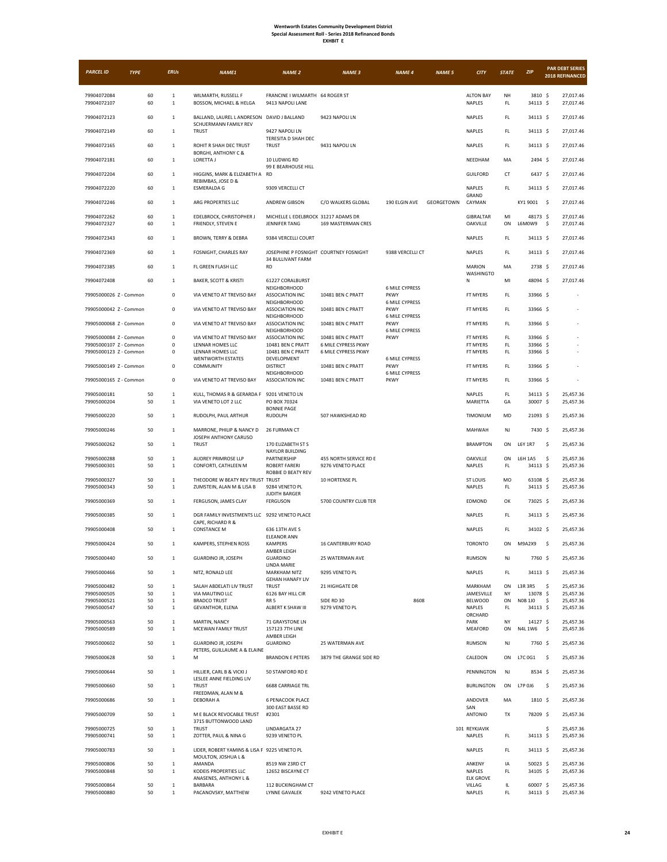| <b>PARCEL ID</b>                                 | <b>TYPE</b> | <b>ERUs</b>                  | <b>NAME1</b>                                                        | <b>NAME 2</b>                                             | <b>NAME 3</b>                               | <b>NAME 4</b>                        | <b>NAME 5</b> | <b>CITY</b>                      | <b>STATE</b>        | ZIP                  | <b>PAR DEBT SERIES</b><br>2018 REFINANCED |
|--------------------------------------------------|-------------|------------------------------|---------------------------------------------------------------------|-----------------------------------------------------------|---------------------------------------------|--------------------------------------|---------------|----------------------------------|---------------------|----------------------|-------------------------------------------|
| 79904072084<br>79904072107                       | 60<br>60    | $1\,$<br>$\,1\,$             | WILMARTH, RUSSELL F<br>BOSSON, MICHAEL & HELGA                      | FRANCINE I WILMARTH 64 ROGER ST<br>9413 NAPOLI LANE       |                                             |                                      |               | <b>ALTON BAY</b><br>NAPLES       | NH<br>FL.           | 3810 \$<br>34113 \$  | 27,017.46<br>27,017.46                    |
| 79904072123                                      | 60          | $\,$ 1 $\,$                  | BALLAND, LAUREL L ANDRESON DAVID J BALLAND                          |                                                           | 9423 NAPOLI LN                              |                                      |               | NAPLES                           | FL.                 | 34113 S              | 27,017.46                                 |
| 79904072149                                      | 60          | $\mathbf{1}$                 | SCHUERMANN FAMILY REV<br><b>TRUST</b>                               | 9427 NAPOLI LN                                            |                                             |                                      |               | NAPLES                           | FL.                 | 34113 \$             | 27,017.46                                 |
| 79904072165                                      | 60          | $\mathbf{1}$                 | ROHIT R SHAH DEC TRUST                                              | TERESITA D SHAH DEC<br><b>TRUST</b>                       | 9431 NAPOLI LN                              |                                      |               | <b>NAPLES</b>                    | $\mathsf{FL}$       | 34113 \$             | 27,017.46                                 |
| 79904072181                                      | 60          | $\mathbf{1}$                 | <b>BORGHI, ANTHONY C &amp;</b><br>LORETTA J                         | 10 LUDWIG RD                                              |                                             |                                      |               | NEEDHAM                          | MA                  | 2494 \$              | 27,017.46                                 |
| 79904072204                                      | 60          | $\,$ 1 $\,$                  | HIGGINS, MARK & ELIZABETH A RD<br>REBIMBAS, JOSE D &                | 99 E BEARHOUSE HILL                                       |                                             |                                      |               | <b>GUILFORD</b>                  | CT                  | 6437 \$              | 27,017.46                                 |
| 79904072220                                      | 60          | $\mathbf{1}$                 | <b>ESMERALDA G</b>                                                  | 9309 VERCELLI CT                                          |                                             |                                      |               | NAPLES<br>GRAND                  | FL                  | 34113 \$             | 27,017.46                                 |
| 79904072246                                      | 60          | $\mathbf{1}$                 | ARG PROPERTIES LLC                                                  | ANDREW GIBSON                                             | C/O WALKERS GLOBAL                          | 190 ELGIN AVE                        | GEORGETOWN    | CAYMAN                           |                     | KY1 9001 \$          | 27,017.46                                 |
| 79904072262<br>79904072327                       | 60<br>60    | $\mathbf{1}$<br>$1\,$        | EDELBROCK, CHRISTOPHER J<br>FRIENDLY, STEVEN E                      | MICHELLE L EDELBROCK 31217 ADAMS DR<br>JENNIFER TANG      | 169 MASTERMAN CRES                          |                                      |               | <b>GIBRALTAR</b><br>OAKVILLE     | MI<br>ON            | 48173 \$<br>L6M0W9   | 27,017.46<br>\$<br>27,017.46              |
| 79904072343                                      | 60          | $\mathbf{1}$                 | BROWN, TERRY & DEBRA                                                | 9384 VERCELLI COURT                                       |                                             |                                      |               | NAPLES                           | FL.                 | 34113 \$             | 27,017.46                                 |
| 79904072369                                      | 60          | $\,$ 1 $\,$                  | FOSNIGHT, CHARLES RAY                                               | JOSEPHINE P FOSNIGHT COURTNEY FOSNIGHT                    |                                             | 9388 VERCELLI CT                     |               | NAPLES                           | FL.                 | 34113 \$             | 27,017.46                                 |
| 79904072385                                      | 60          | $\mathbf{1}$                 | FL GREEN FLASH LLC                                                  | 34 BULLIVANT FARM<br><b>RD</b>                            |                                             |                                      |               | <b>MARION</b><br>WASHINGTO       | MA                  | 2738 \$              | 27,017.46                                 |
| 79904072408                                      | 60          | $\mathbf{1}$                 | BAKER, SCOTT & KRISTI                                               | 61227 CORALBURST<br><b>NEIGHBORHOOD</b>                   |                                             | <b>6 MILE CYPRESS</b>                |               | Ν                                | MI                  | 48094 \$             | 27,017.46                                 |
| 79905000026 Z - Common                           |             | $\mathsf 0$                  | VIA VENETO AT TREVISO BAY                                           | <b>ASSOCIATION INC</b><br><b>NEIGHBORHOOD</b>             | 10481 BEN C PRATT                           | <b>PKWY</b><br><b>6 MILE CYPRESS</b> |               | FT MYERS                         | FL.                 | 33966 \$             |                                           |
| 79905000042 Z - Common                           |             | $\mathsf 0$                  | VIA VENETO AT TREVISO BAY                                           | <b>ASSOCIATION INC</b><br><b>NEIGHBORHOOD</b>             | 10481 BEN C PRATT                           | <b>PKWY</b><br><b>6 MILE CYPRESS</b> |               | FT MYERS                         | FL.                 | 33966 \$             |                                           |
| 79905000068 Z - Common                           |             | $\mathsf 0$                  | VIA VENETO AT TREVISO BAY                                           | <b>ASSOCIATION INC</b><br><b>NEIGHBORHOOD</b>             | 10481 BEN C PRATT                           | <b>PKWY</b><br><b>6 MILE CYPRESS</b> |               | FT MYERS                         | FL.                 | 33966 \$             |                                           |
| 79905000084 Z - Common<br>79905000107 Z - Common |             | $\mathsf 0$<br>0             | VIA VENETO AT TREVISO BAY<br>LENNAR HOMES LLC                       | <b>ASSOCIATION INC</b><br>10481 BEN C PRATT               | 10481 BEN C PRATT<br>6 MILE CYPRESS PKWY    | <b>PKWY</b>                          |               | FT MYERS<br>FT MYERS             | FL.<br>FL.          | 33966 \$<br>33966 \$ |                                           |
| 79905000123 Z - Common                           |             | 0                            | LENNAR HOMES LLC                                                    | 10481 BEN C PRATT                                         | 6 MILE CYPRESS PKWY                         |                                      |               | FT MYERS                         | FL.                 | 33966 \$             |                                           |
| 79905000149 Z - Common                           |             | 0                            | <b>WENTWORTH ESTATES</b><br>COMMUNITY                               | DEVELOPMENT<br><b>DISTRICT</b>                            | 10481 BEN C PRATT                           | <b>6 MILE CYPRESS</b><br>PKWY        |               | FT MYERS                         | FL.                 | 33966 \$             |                                           |
| 79905000165 Z - Common                           |             | $\pmb{0}$                    | VIA VENETO AT TREVISO BAY                                           | <b>NEIGHBORHOOD</b><br><b>ASSOCIATION INC</b>             | 10481 BEN C PRATT                           | <b>6 MILE CYPRESS</b><br><b>PKWY</b> |               | FT MYERS                         | $\mathsf{FL}$       | 33966 \$             |                                           |
| 79905000181<br>79905000204                       | 50<br>50    | $\mathbf{1}$<br>$\mathbf{1}$ | KULL, THOMAS R & GERARDA F<br>VIA VENETO LOT 2 LLC                  | 9201 VENETO LN<br>PO BOX 70324                            |                                             |                                      |               | NAPLES<br>MARIETTA               | FL.<br>GA           | 34113 \$<br>30007 \$ | 25,457.36<br>25,457.36                    |
| 79905000220                                      | 50          | $\mathbf{1}$                 | RUDOLPH, PAUL ARTHUR                                                | <b>BONNIE PAGE</b><br>RUDOLPH                             | 507 HAWKSHEAD RD                            |                                      |               | TIMONIUM                         | MD                  | 21093 \$             | 25,457.36                                 |
| 79905000246                                      | 50          | $\mathbf{1}$                 | MARRONE, PHILIP & NANCY D<br>JOSEPH ANTHONY CARUSO                  | 26 FURMAN CT                                              |                                             |                                      |               | MAHWAH                           | NJ                  | 7430 \$              | 25,457.36                                 |
| 79905000262                                      | 50          | $\mathbf{1}$                 | <b>TRUST</b>                                                        | 170 ELIZABETH ST S<br>NAYLOR BUILDING                     |                                             |                                      |               | <b>BRAMPTON</b>                  | ON                  | L6Y 1R7              | \$<br>25,457.36                           |
| 79905000288<br>79905000301                       | 50<br>50    | $\mathbf 1$<br>$1\,$         | AUDREY PRIMROSE LLP<br>CONFORTI, CATHLEEN M                         | PARTNERSHIP<br><b>ROBERT FARERI</b><br>ROBBIE D BEATY REV | 455 NORTH SERVICE RD E<br>9276 VENETO PLACE |                                      |               | OAKVILLE<br>NAPLES               | ON<br>FL.           | L6H 1A5<br>34113 \$  | \$<br>25,457.36<br>25,457.36              |
| 79905000327<br>79905000343                       | 50<br>50    | $\mathbf{1}$<br>$\mathbf{1}$ | THEODORE W BEATY REV TRUST TRUST<br>ZUMSTEIN, ALAN M & LISA B       | 9284 VENETO PL                                            | 10 HORTENSE PL                              |                                      |               | <b>ST LOUIS</b><br>NAPLES        | MO<br>FL.           | 63108 \$<br>34113 \$ | 25,457.36<br>25,457.36                    |
| 79905000369                                      | 50          | $\mathbf{1}$                 | FERGUSON, JAMES CLAY                                                | <b>JUDITH BARGER</b><br><b>FERGUSON</b>                   | 5700 COUNTRY CLUB TER                       |                                      |               | EDMOND                           | OK                  | 73025 \$             | 25,457.36                                 |
| 79905000385                                      | 50          | $\mathbf{1}$                 | DGR FAMILY INVESTMENTS LLC 9292 VENETO PLACE<br>CAPE, RICHARD R &   |                                                           |                                             |                                      |               | NAPLES                           | FL.                 | 34113 \$             | 25,457.36                                 |
| 79905000408                                      | 50          | $\mathbf{1}$                 | <b>CONSTANCE M</b>                                                  | 636 13TH AVE S<br><b>ELEANOR ANN</b>                      |                                             |                                      |               | NAPLES                           | FL.                 | 34102 \$             | 25,457.36                                 |
| 79905000424                                      | 50          | $1\,$                        | KAMPERS, STEPHEN ROSS                                               | KAMPERS<br>AMBER LEIGH                                    | <b>16 CANTERBURY ROAD</b>                   |                                      |               | <b>TORONTO</b>                   | ON                  | M9A2X9               | \$<br>25,457.36                           |
| 79905000440                                      | 50          | $\mathbf{1}$                 | <b>GUARDINO JR, JOSEPH</b>                                          | <b>GUARDINO</b><br>LINDA MARIE                            | 25 WATERMAN AVE                             |                                      |               | RUMSON                           | NJ                  | 7760 \$              | 25,457.36                                 |
| 79905000466                                      | 50          | $\mathbf{1}$                 | NITZ, RONALD LEE                                                    | MARKHAM NITZ<br><b>GEHAN HANAFY LIV</b>                   | 9295 VENETO PL                              |                                      |               | NAPLES                           | FL                  | 34113 \$             | 25,457.36                                 |
| 79905000482<br>79905000505                       | 50<br>50    | $\mathbf 1$<br>$\mathbf{1}$  | SALAH ABDELATI LIV TRUST<br>VIA MAUTINO LLC                         | TRUST<br>6126 BAY HILL CIR                                | 21 HIGHGATE DR                              |                                      |               | MARKHAM<br>JAMESVILLE            | ON<br>NY            | L3R 3R5<br>13078 \$  | \$<br>25,457.36<br>25,457.36              |
| 79905000521                                      | 50          | $\mathbf 1$                  | <b>BRADCO TRUST</b>                                                 | RR <sub>5</sub>                                           | SIDE RD 30                                  | 8608                                 |               | BELWOOD                          | ON                  | N0B 1J0              | \$<br>25,457.36                           |
| 79905000547                                      | 50          | $\mathbf{1}$                 | GEVANTHOR, ELENA                                                    | ALBERT K SHAW III                                         | 9279 VENETO PL                              |                                      |               | NAPLES<br>ORCHARD                | FL.                 | 34113 \$<br>14127 S  | 25,457.36                                 |
| 79905000563<br>79905000589                       | 50<br>50    | $\mathbf 1$<br>$1\,$         | MARTIN, NANCY<br>MCEWAN FAMILY TRUST                                | 71 GRAYSTONE LN<br>157123 7TH LINE<br>AMBER LEIGH         |                                             |                                      |               | PARK<br>MEAFORD                  | NY<br>ON            | N4L1W6 \$            | 25,457.36<br>25,457.36                    |
| 79905000602                                      | 50          | $\mathbf{1}$                 | <b>GUARDINO JR, JOSEPH</b><br>PETERS, GUILLAUME A & ELAINE          | <b>GUARDINO</b>                                           | 25 WATERMAN AVE                             |                                      |               | RUMSON                           | NJ                  | 7760 \$              | 25,457.36                                 |
| 79905000628                                      | 50          | $\mathbf{1}$                 | М                                                                   | <b>BRANDON E PETERS</b>                                   | 3879 THE GRANGE SIDE RD                     |                                      |               | CALEDON                          | ON                  | L7C 0G1              | - \$<br>25,457.36                         |
| 79905000644                                      | 50          | $\mathbf{1}$                 | HILLIER, CARL B & VICKI J<br>LESLEE ANNE FIELDING LIV               | 50 STANFORD RD E                                          |                                             |                                      |               | PENNINGTON                       | NJ                  | 8534 \$              | 25,457.36                                 |
| 79905000660                                      | 50          | $\mathbf{1}$                 | <b>TRUST</b><br>FREEDMAN, ALAN M &<br>DEBORAH A                     | <b>6688 CARRIAGE TRL</b>                                  |                                             |                                      |               | <b>BURLINGTON</b>                | ON                  | L7P 0J6              | \$<br>25,457.36                           |
| 79905000686<br>79905000709                       | 50<br>50    | $\mathbf 1$<br>$\mathbf{1}$  | M E BLACK REVOCABLE TRUST                                           | <b>6 PENACOOK PLACE</b><br>300 EAST BASSE RD<br>#2301     |                                             |                                      |               | ANDOVER<br>SAN<br><b>ANTONIO</b> | MA<br>TX            | 1810 \$<br>78209 \$  | 25,457.36<br>25,457.36                    |
| 79905000725                                      | 50          | $\mathbf 1$                  | 3715 BUTTONWOOD LAND<br><b>TRUST</b>                                | LINDARGATA 27                                             |                                             |                                      |               | 101 REYKJAVIK                    |                     |                      | \$<br>25,457.36                           |
| 79905000741                                      | 50          | $\mathbf{1}$                 | ZOTTER, PAUL & NINA G                                               | 9239 VENETO PL                                            |                                             |                                      |               | NAPLES                           | FL.                 | 34113 \$             | 25,457.36                                 |
| 79905000783                                      | 50          | $\mathbf{1}$                 | LIDER, ROBERT YAMINS & LISA F 9225 VENETO PL<br>MOULTON, JOSHUA L & |                                                           |                                             |                                      |               | NAPLES                           | FL.                 | 34113 \$             | 25,457.36                                 |
| 79905000806<br>79905000848                       | 50<br>50    | $\mathbf 1$<br>$\,$ 1 $\,$   | AMANDA<br>KODEIS PROPERTIES LLC                                     | 8519 NW 23RD CT<br>12652 BISCAYNE CT                      |                                             |                                      |               | ANKENY<br>NAPLES                 | IA<br>$\mathsf{FL}$ | 50023 \$<br>34105 \$ | 25,457.36<br>25,457.36                    |
| 79905000864                                      | 50          | $\mathbf{1}$                 | ANASENES, ANTHONY L &<br>BARBARA                                    | 112 BUCKINGHAM CT                                         |                                             |                                      |               | <b>ELK GROVE</b><br>VILLAG       | IL                  | 60007 \$             | 25,457.36                                 |
| 79905000880                                      | 50          | $\mathbf{1}$                 | PACANOVSKY, MATTHEW                                                 | LYNNE GAVALEK                                             | 9242 VENETO PLACE                           |                                      |               | NAPLES                           | FL.                 | 34113 \$             | 25,457.36                                 |